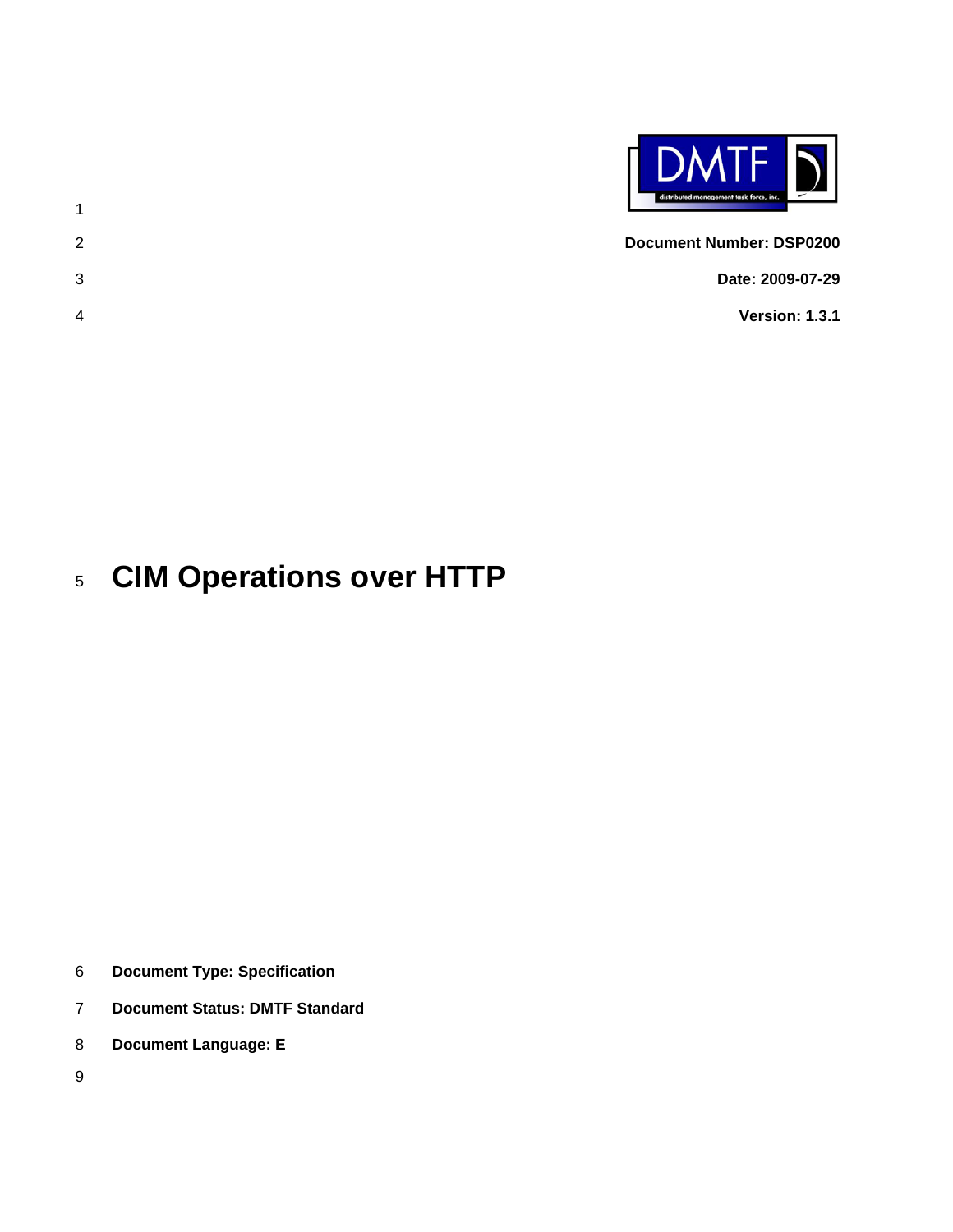

- 2 3 **Document Number: DSP0200 Date: 2009-07-29**
- 4 **Version: 1.3.1**

#### 5 **CIM Operations over HTTP**

- 6 **Document Type: Specification**
- 7 **Document Status: DMTF Standard**
- 8 **Document Language: E**
- 9

<span id="page-0-0"></span>1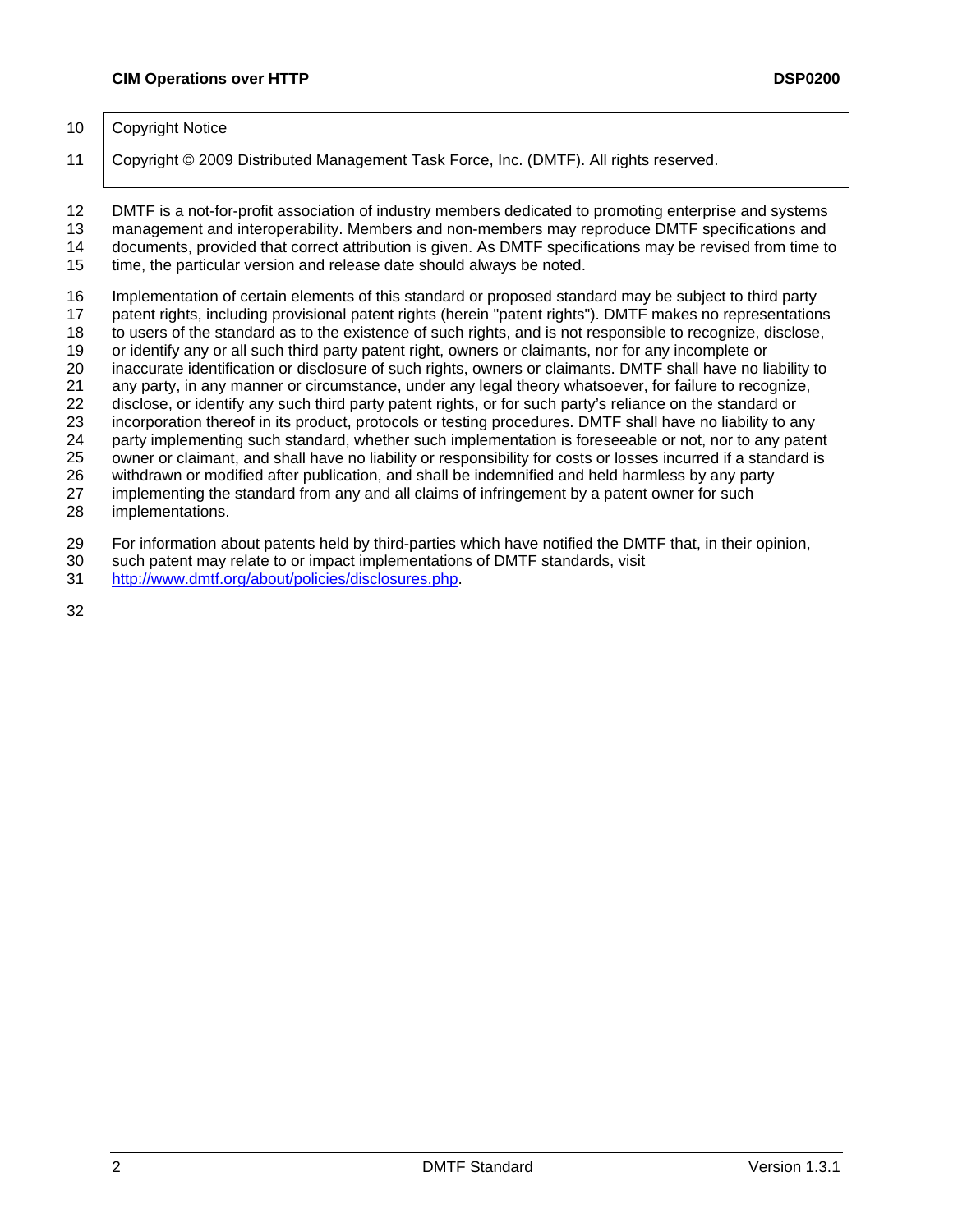#### 10 | Copyright Notice

11 Copyright © 2009 Distributed Management Task Force, Inc. (DMTF). All rights reserved.

12 13 14 DMTF is a not-for-profit association of industry members dedicated to promoting enterprise and systems management and interoperability. Members and non-members may reproduce DMTF specifications and documents, provided that correct attribution is given. As DMTF specifications may be revised from time to

15 time, the particular version and release date should always be noted.

16 Implementation of certain elements of this standard or proposed standard may be subject to third party

17 patent rights, including provisional patent rights (herein "patent rights"). DMTF makes no representations

18 to users of the standard as to the existence of such rights, and is not responsible to recognize, disclose,

19 20 or identify any or all such third party patent right, owners or claimants, nor for any incomplete or inaccurate identification or disclosure of such rights, owners or claimants. DMTF shall have no liability to

21 any party, in any manner or circumstance, under any legal theory whatsoever, for failure to recognize,

22 disclose, or identify any such third party patent rights, or for such party's reliance on the standard or

23 incorporation thereof in its product, protocols or testing procedures. DMTF shall have no liability to any

24 party implementing such standard, whether such implementation is foreseeable or not, nor to any patent

25 owner or claimant, and shall have no liability or responsibility for costs or losses incurred if a standard is

26 withdrawn or modified after publication, and shall be indemnified and held harmless by any party

27 implementing the standard from any and all claims of infringement by a patent owner for such

28 implementations.

29 For information about patents held by third-parties which have notified the DMTF that, in their opinion,

- 30 such patent may relate to or impact implementations of DMTF standards, visit
- 31 <http://www.dmtf.org/about/policies/disclosures.php>.

32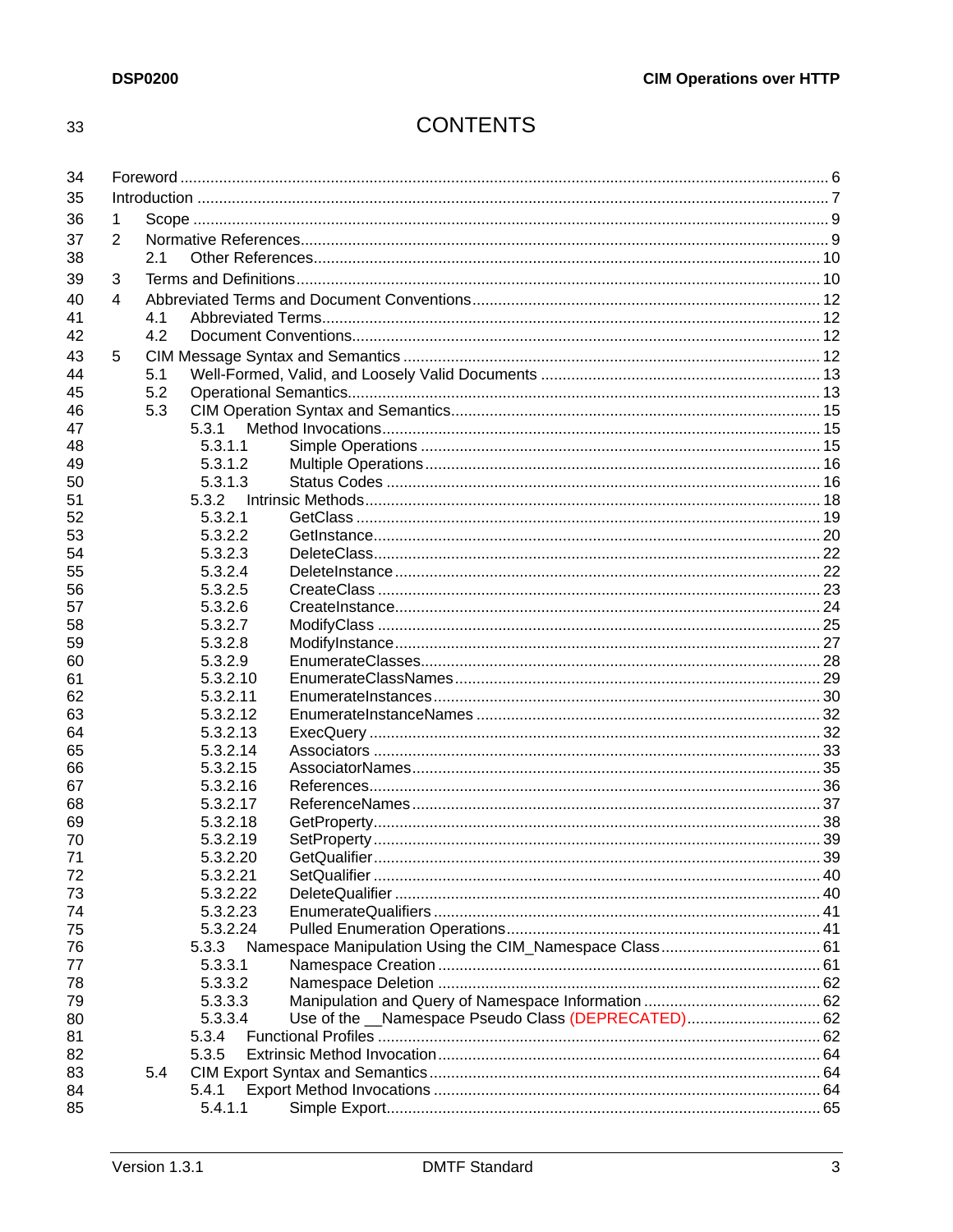33

# **CONTENTS**

| 34 |                |     |          |                                                     |  |
|----|----------------|-----|----------|-----------------------------------------------------|--|
| 35 |                |     |          |                                                     |  |
| 36 | 1              |     |          |                                                     |  |
| 37 | 2              |     |          |                                                     |  |
| 38 |                | 2.1 |          |                                                     |  |
|    |                |     |          |                                                     |  |
| 39 | 3              |     |          |                                                     |  |
| 40 | $\overline{4}$ |     |          |                                                     |  |
| 41 |                | 4.1 |          |                                                     |  |
| 42 |                | 4.2 |          |                                                     |  |
| 43 | 5              |     |          |                                                     |  |
| 44 |                | 5.1 |          |                                                     |  |
| 45 |                | 5.2 |          |                                                     |  |
| 46 |                | 5.3 |          |                                                     |  |
| 47 |                |     | 5.3.1    |                                                     |  |
| 48 |                |     | 5.3.1.1  |                                                     |  |
| 49 |                |     | 5.3.1.2  |                                                     |  |
| 50 |                |     | 5.3.1.3  |                                                     |  |
| 51 |                |     | 5.3.2    |                                                     |  |
| 52 |                |     | 5.3.2.1  |                                                     |  |
| 53 |                |     | 5.3.2.2  |                                                     |  |
| 54 |                |     | 5.3.2.3  |                                                     |  |
| 55 |                |     | 5.3.2.4  |                                                     |  |
| 56 |                |     | 5.3.2.5  |                                                     |  |
| 57 |                |     | 5.3.2.6  |                                                     |  |
| 58 |                |     | 5.3.2.7  |                                                     |  |
| 59 |                |     | 5.3.2.8  |                                                     |  |
| 60 |                |     | 5.3.2.9  |                                                     |  |
| 61 |                |     | 5.3.2.10 |                                                     |  |
| 62 |                |     | 5.3.2.11 |                                                     |  |
| 63 |                |     | 5.3.2.12 |                                                     |  |
| 64 |                |     | 5.3.2.13 |                                                     |  |
| 65 |                |     | 5.3.2.14 |                                                     |  |
| 66 |                |     | 5.3.2.15 |                                                     |  |
| 67 |                |     | 5.3.2.16 |                                                     |  |
| 68 |                |     | 5.3.2.17 |                                                     |  |
| 69 |                |     | 5.3.2.18 |                                                     |  |
| 70 |                |     | 5.3.2.19 |                                                     |  |
| 71 |                |     | 5.3.2.20 |                                                     |  |
| 72 |                |     | 5.3.2.21 |                                                     |  |
| 73 |                |     | 5.3.2.22 |                                                     |  |
| 74 |                |     | 5.3.2.23 |                                                     |  |
| 75 |                |     | 5.3.2.24 |                                                     |  |
| 76 |                |     | 5.3.3    |                                                     |  |
| 77 |                |     | 5.3.3.1  |                                                     |  |
| 78 |                |     | 5.3.3.2  |                                                     |  |
| 79 |                |     | 5.3.3.3  |                                                     |  |
| 80 |                |     | 5.3.3.4  | Use of the __Namespace Pseudo Class (DEPRECATED) 62 |  |
| 81 |                |     | 5.3.4    |                                                     |  |
| 82 |                |     | 5.3.5    |                                                     |  |
| 83 |                | 5.4 |          |                                                     |  |
| 84 |                |     | 5.4.1    |                                                     |  |
| 85 |                |     | 5.4.1.1  |                                                     |  |
|    |                |     |          |                                                     |  |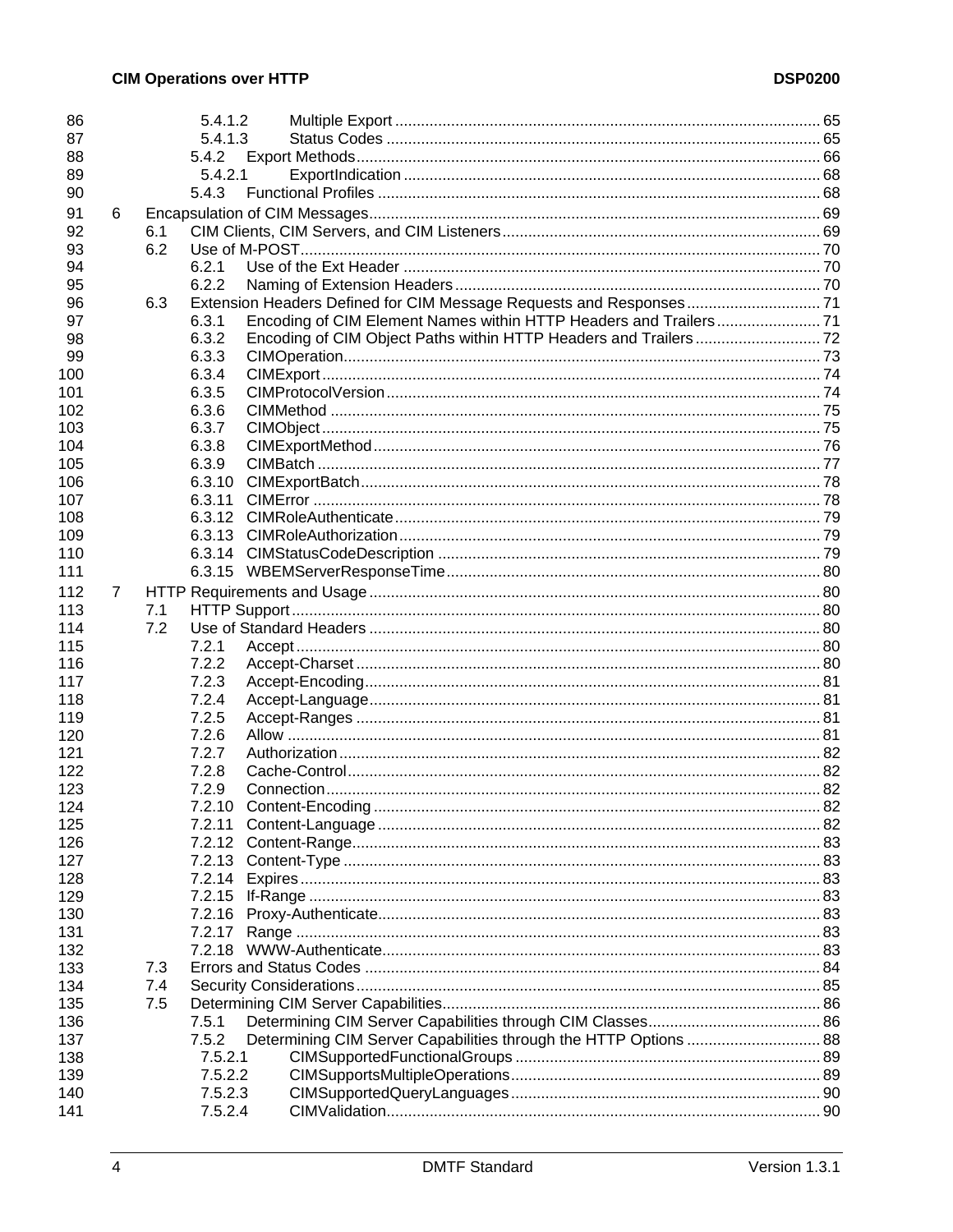| 86  |                |     | 5.4.1.2 |                                                                   |  |
|-----|----------------|-----|---------|-------------------------------------------------------------------|--|
| 87  |                |     | 5.4.1.3 |                                                                   |  |
| 88  |                |     | 5.4.2   |                                                                   |  |
| 89  |                |     | 5.4.2.1 |                                                                   |  |
| 90  |                |     | 5.4.3   |                                                                   |  |
| 91  | 6              |     |         |                                                                   |  |
| 92  |                | 6.1 |         |                                                                   |  |
| 93  |                | 6.2 |         |                                                                   |  |
| 94  |                |     | 6.2.1   |                                                                   |  |
| 95  |                |     | 6.2.2   |                                                                   |  |
| 96  |                | 6.3 |         |                                                                   |  |
| 97  |                |     | 6.3.1   | Encoding of CIM Element Names within HTTP Headers and Trailers 71 |  |
| 98  |                |     | 6.3.2   |                                                                   |  |
| 99  |                |     | 6.3.3   |                                                                   |  |
| 100 |                |     | 6.3.4   |                                                                   |  |
| 101 |                |     |         |                                                                   |  |
|     |                |     | 6.3.5   |                                                                   |  |
| 102 |                |     | 6.3.6   |                                                                   |  |
| 103 |                |     | 6.3.7   |                                                                   |  |
| 104 |                |     | 6.3.8   |                                                                   |  |
| 105 |                |     | 6.3.9   |                                                                   |  |
| 106 |                |     | 6.3.10  |                                                                   |  |
| 107 |                |     | 6.3.11  |                                                                   |  |
| 108 |                |     | 6.3.12  |                                                                   |  |
| 109 |                |     | 6.3.13  |                                                                   |  |
| 110 |                |     | 6.3.14  |                                                                   |  |
| 111 |                |     |         |                                                                   |  |
| 112 | $\overline{7}$ |     |         |                                                                   |  |
| 113 |                | 7.1 |         |                                                                   |  |
| 114 |                | 7.2 |         |                                                                   |  |
| 115 |                |     | 7.2.1   |                                                                   |  |
| 116 |                |     | 7.2.2   |                                                                   |  |
| 117 |                |     | 7.2.3   |                                                                   |  |
| 118 |                |     | 7.2.4   |                                                                   |  |
| 119 |                |     | 7.2.5   |                                                                   |  |
| 120 |                |     | 7.2.6   |                                                                   |  |
| 121 |                |     | 7.2.7   |                                                                   |  |
| 122 |                |     | 7.2.8   |                                                                   |  |
| 123 |                |     | 7.2.9   |                                                                   |  |
| 124 |                |     | 7.2.10  |                                                                   |  |
| 125 |                |     |         |                                                                   |  |
| 126 |                |     | 7.2.12  |                                                                   |  |
| 127 |                |     | 7.2.13  |                                                                   |  |
| 128 |                |     | 7.2.14  |                                                                   |  |
| 129 |                |     | 7.2.15  |                                                                   |  |
| 130 |                |     | 7.2.16  |                                                                   |  |
| 131 |                |     | 7.2.17  |                                                                   |  |
| 132 |                |     | 7.2.18  |                                                                   |  |
| 133 |                | 7.3 |         |                                                                   |  |
| 134 |                | 7.4 |         |                                                                   |  |
| 135 |                | 7.5 |         |                                                                   |  |
| 136 |                |     | 7.5.1   |                                                                   |  |
|     |                |     | 7.5.2   |                                                                   |  |
| 137 |                |     |         | Determining CIM Server Capabilities through the HTTP Options  88  |  |
| 138 |                |     | 7.5.2.1 |                                                                   |  |
| 139 |                |     | 7.5.2.2 |                                                                   |  |
| 140 |                |     | 7.5.2.3 |                                                                   |  |
| 141 |                |     | 7.5.2.4 |                                                                   |  |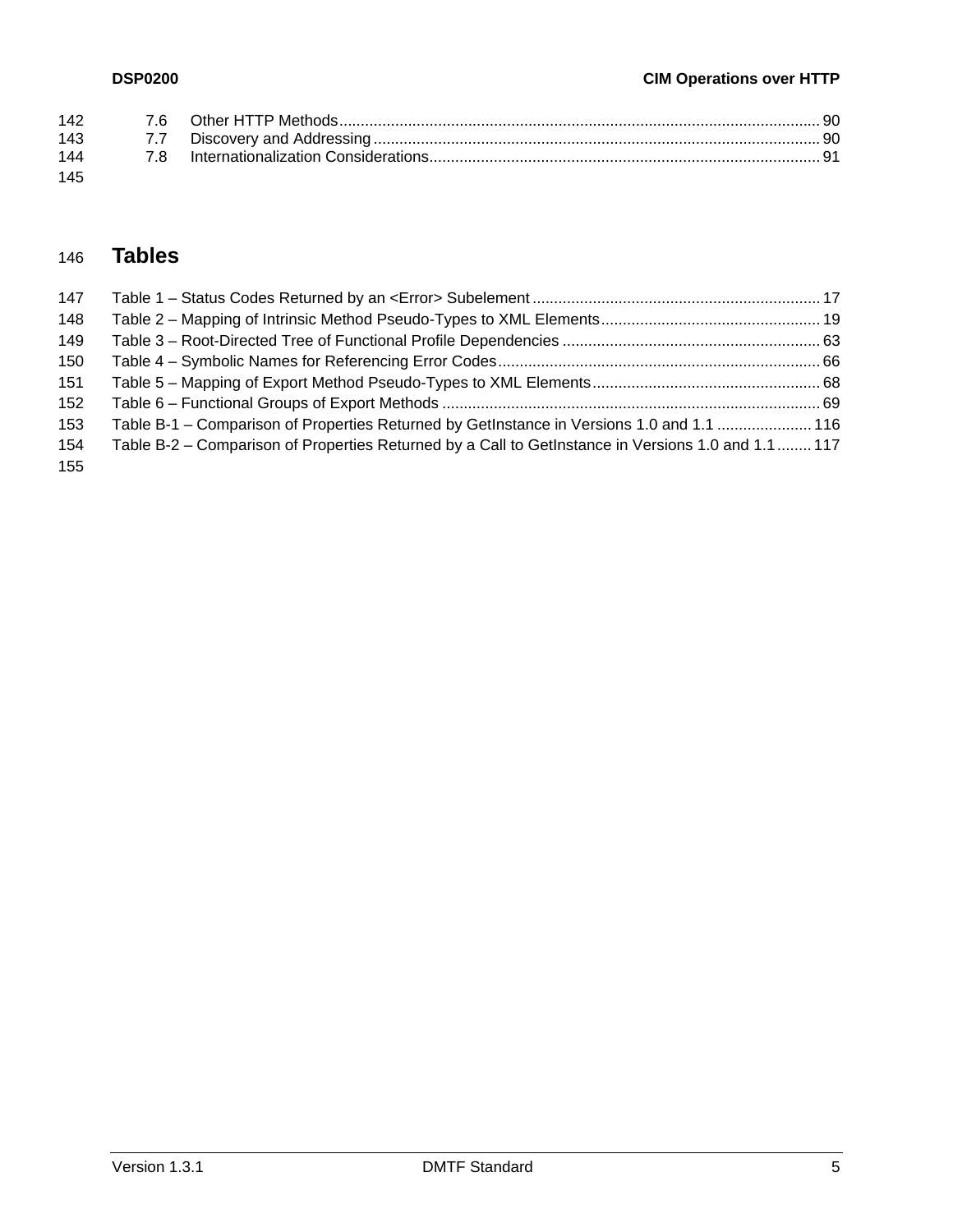| 142 |  |  |
|-----|--|--|
| 143 |  |  |
| 144 |  |  |
| 145 |  |  |

#### 146 **Tables**

| 147 |                                                                                                     |  |
|-----|-----------------------------------------------------------------------------------------------------|--|
| 148 |                                                                                                     |  |
| 149 |                                                                                                     |  |
| 150 |                                                                                                     |  |
| 151 |                                                                                                     |  |
| 152 |                                                                                                     |  |
| 153 | Table B-1 – Comparison of Properties Returned by GetInstance in Versions 1.0 and 1.1  116           |  |
| 154 | Table B-2 – Comparison of Properties Returned by a Call to GetInstance in Versions 1.0 and 1.1  117 |  |
| 155 |                                                                                                     |  |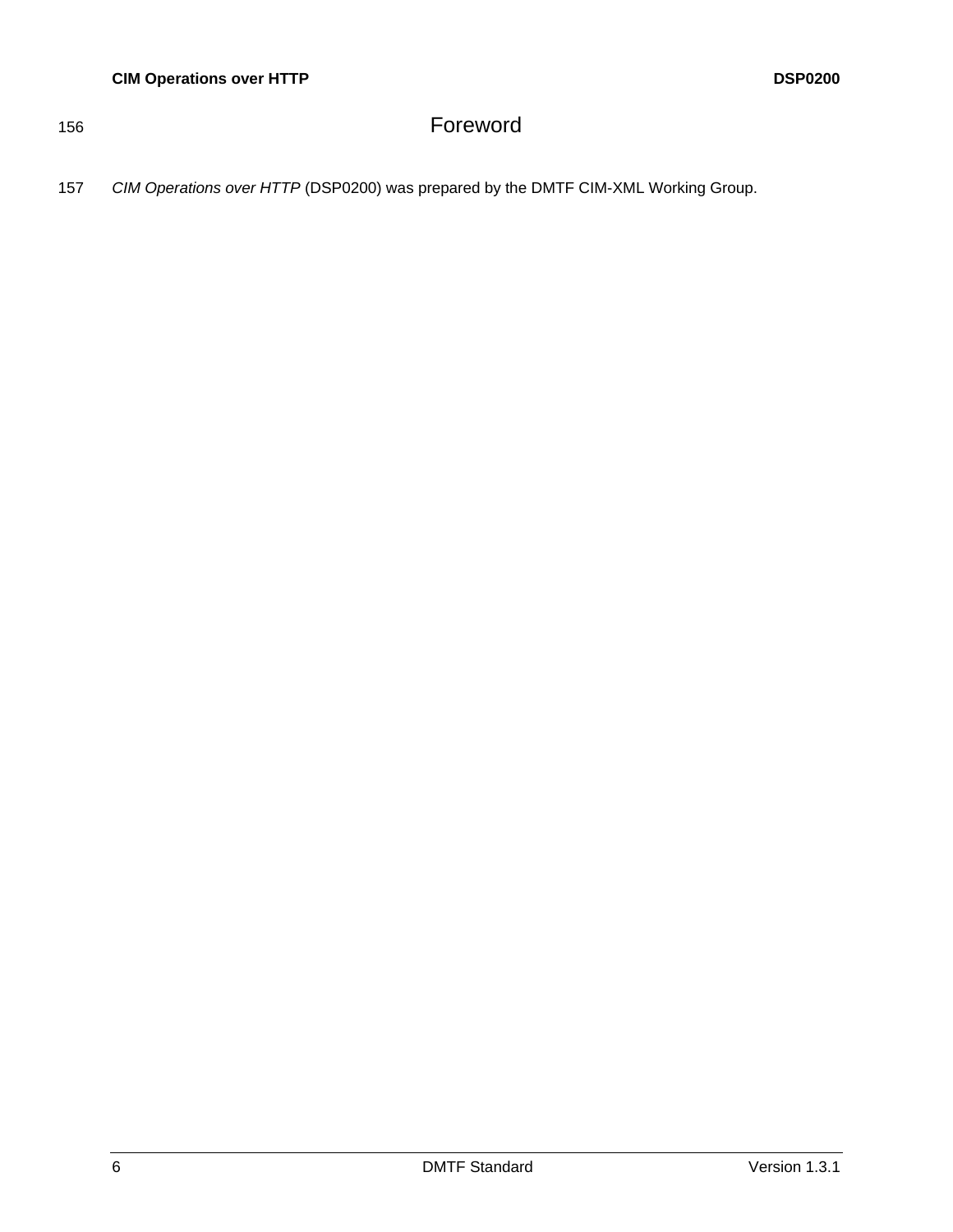# <span id="page-5-0"></span>156 Foreword

157 *CIM Operations over HTTP* (DSP0200) was prepared by the DMTF CIM-XML Working Group.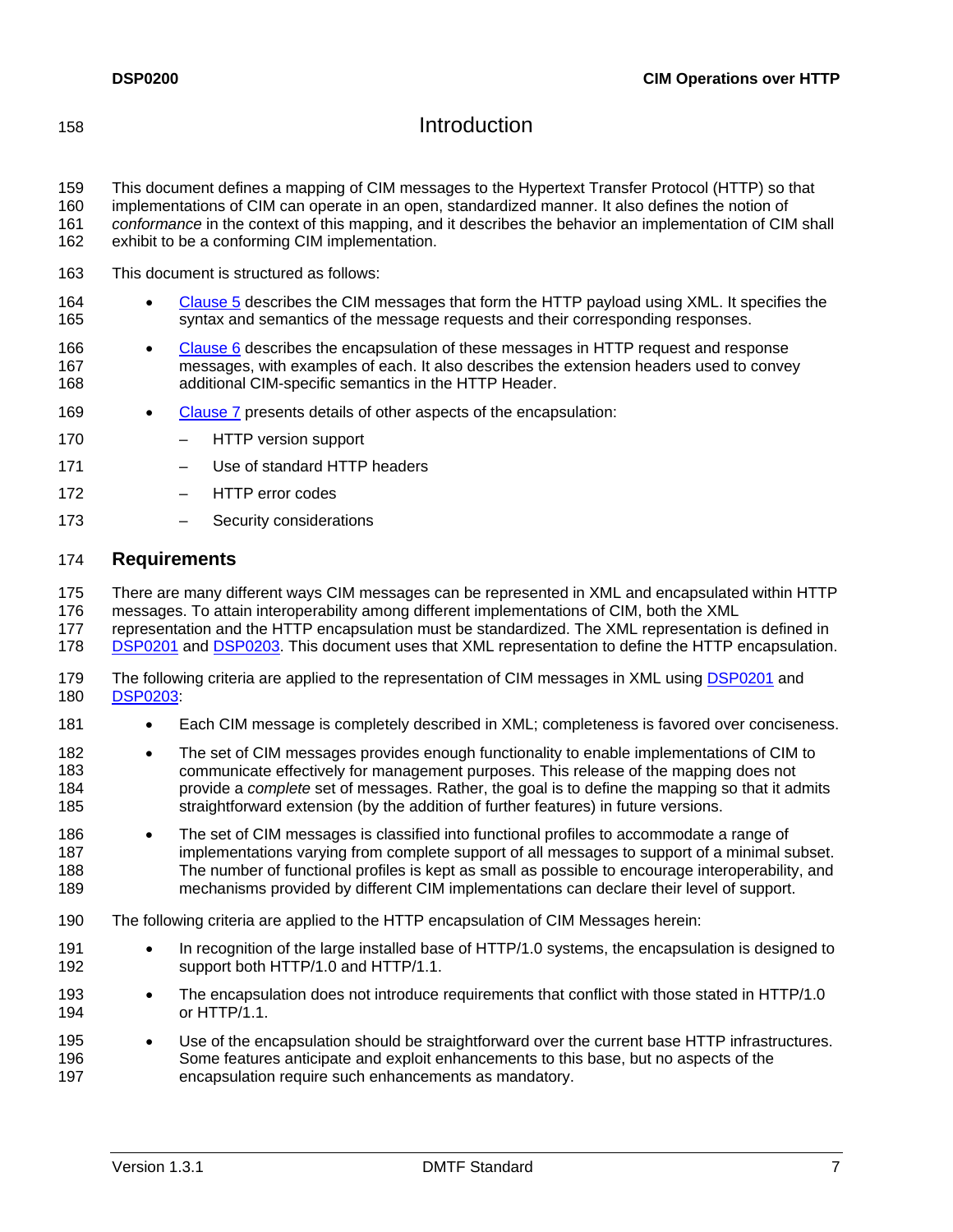# <span id="page-6-0"></span>158 Introduction

159 160 161 162 This document defines a mapping of CIM messages to the Hypertext Transfer Protocol (HTTP) so that implementations of CIM can operate in an open, standardized manner. It also defines the notion of *conformance* in the context of this mapping, and it describes the behavior an implementation of CIM shall exhibit to be a conforming CIM implementation.

- 163 This document is structured as follows:
- [Clause 5](#page-0-0) describes the CIM messages that form the HTTP payload using XML. It specifies the syntax and semantics of the message requests and their corresponding responses. 164 165
- [Clause 6](#page-0-0) describes the encapsulation of these messages in HTTP request and response messages, with examples of each. It also describes the extension headers used to convey additional CIM-specific semantics in the HTTP Header. 166 167 168
- 169 [Clause 7](#page-0-0) presents details of other aspects of the encapsulation:
- 170 – HTTP version support
- 171 – Use of standard HTTP headers
- 172 – HTTP error codes
- 173 – Security considerations

#### 174 **Requirements**

- 175 There are many different ways CIM messages can be represented in XML and encapsulated within HTTP
- 176 messages. To attain interoperability among different implementations of CIM, both the XML
- 177 representation and the HTTP encapsulation must be standardized. The XML representation is defined in
- 178 [DSP0201](#page-8-0) and [DSP0203.](#page-8-0) This document uses that XML representation to define the HTTP encapsulation.
- 179 The following criteria are applied to the representation of CIM messages in XML using [DSP0201](#page-8-0) and 180 [DSP0203:](#page-8-0)
- 181 • Each CIM message is completely described in XML; completeness is favored over conciseness.
- 182 183 184 185 • The set of CIM messages provides enough functionality to enable implementations of CIM to communicate effectively for management purposes. This release of the mapping does not provide a *complete* set of messages. Rather, the goal is to define the mapping so that it admits straightforward extension (by the addition of further features) in future versions.
- 186 187 188 189 • The set of CIM messages is classified into functional profiles to accommodate a range of implementations varying from complete support of all messages to support of a minimal subset. The number of functional profiles is kept as small as possible to encourage interoperability, and mechanisms provided by different CIM implementations can declare their level of support.
- 190 The following criteria are applied to the HTTP encapsulation of CIM Messages herein:
- 191 192 • In recognition of the large installed base of HTTP/1.0 systems, the encapsulation is designed to support both HTTP/1.0 and HTTP/1.1.
- 193 194 • The encapsulation does not introduce requirements that conflict with those stated in HTTP/1.0 or HTTP/1.1.
- 195 196 197 • Use of the encapsulation should be straightforward over the current base HTTP infrastructures. Some features anticipate and exploit enhancements to this base, but no aspects of the encapsulation require such enhancements as mandatory.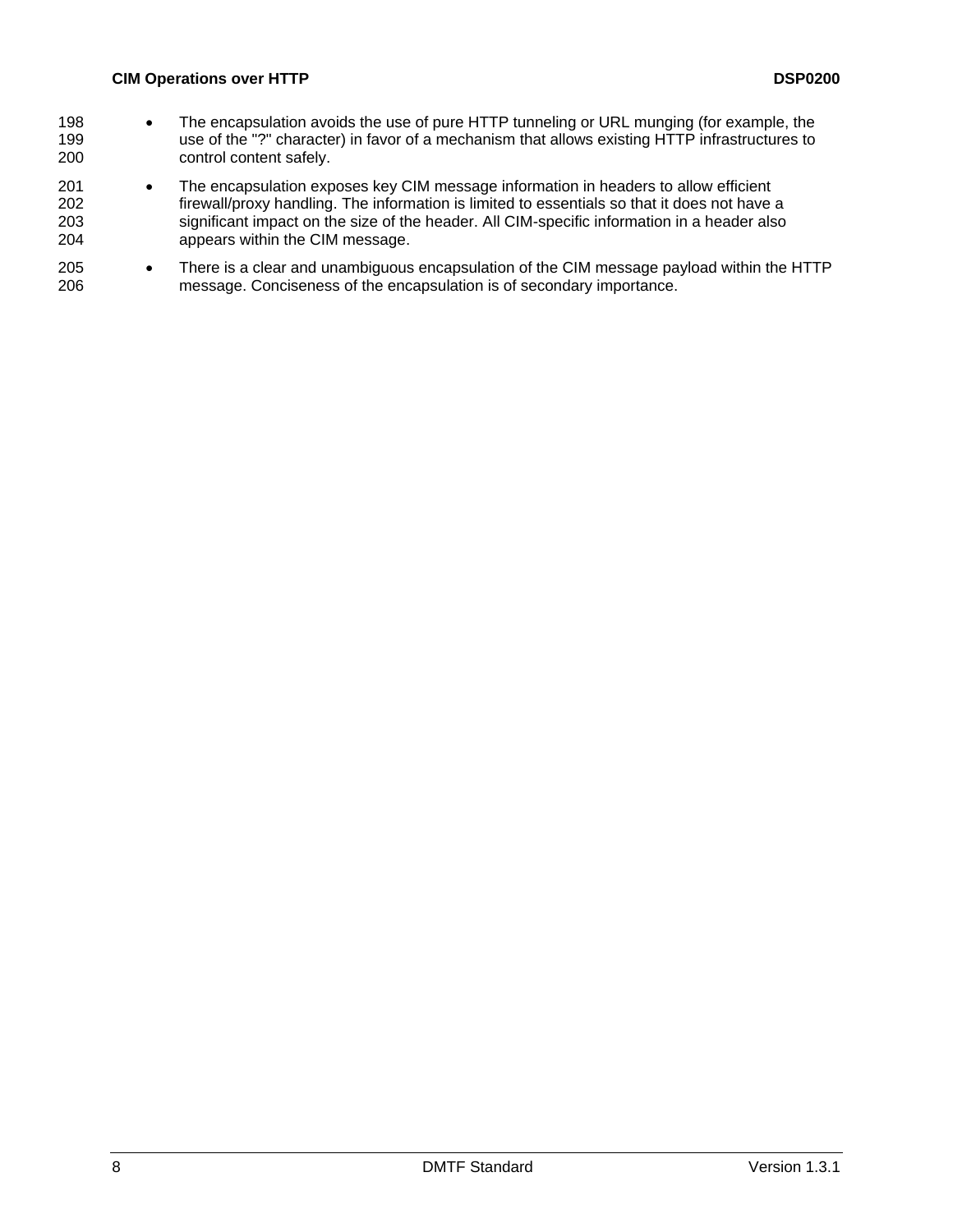- The encapsulation avoids the use of pure HTTP tunneling or URL munging (for example, the use of the "?" character) in favor of a mechanism that allows existing HTTP infrastructures to control content safely. 198 199 200
- 201 202 203 204 • The encapsulation exposes key CIM message information in headers to allow efficient firewall/proxy handling. The information is limited to essentials so that it does not have a significant impact on the size of the header. All CIM-specific information in a header also appears within the CIM message.
- 205 206 • There is a clear and unambiguous encapsulation of the CIM message payload within the HTTP message. Conciseness of the encapsulation is of secondary importance.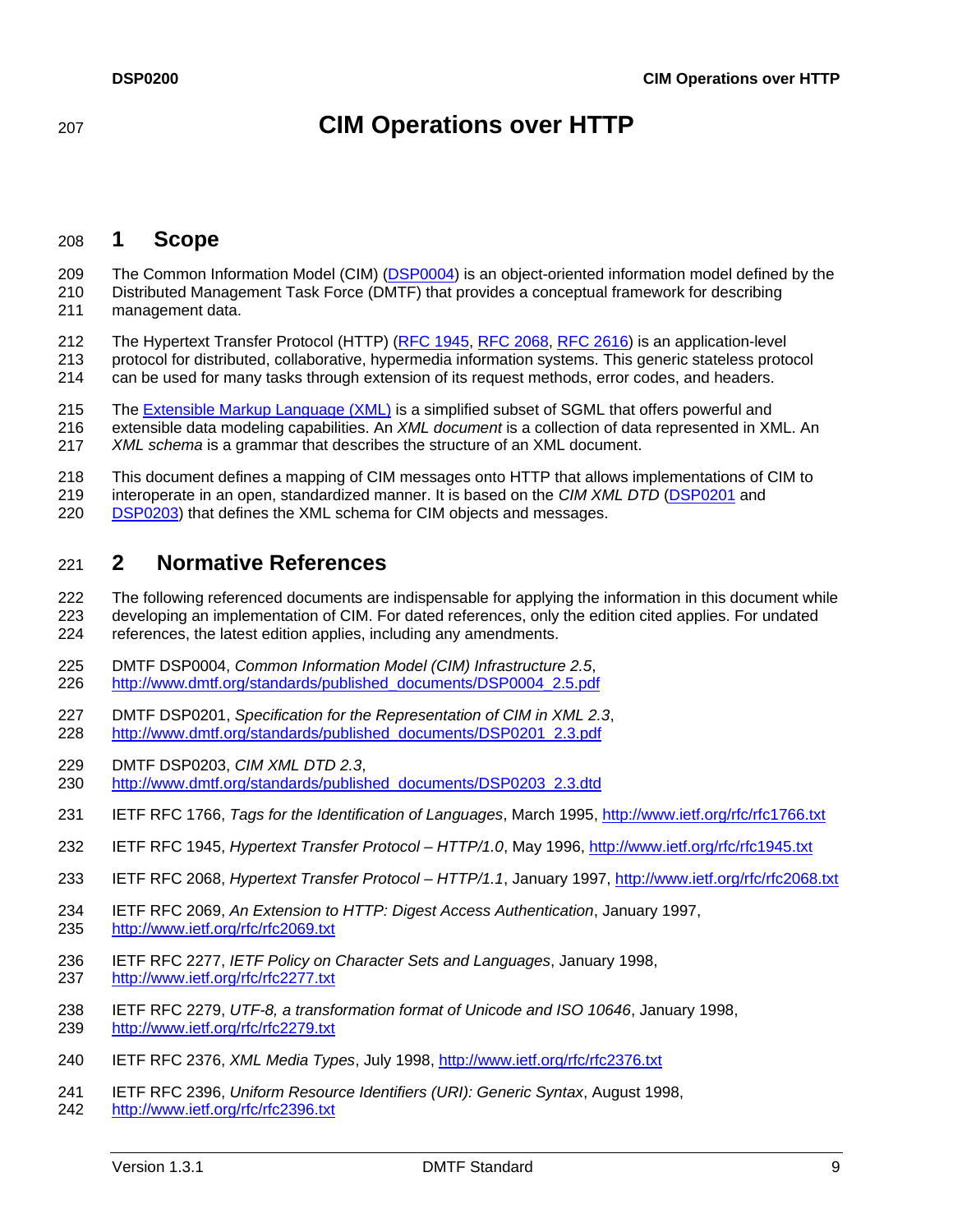# <span id="page-8-0"></span><sup>207</sup>**CIM Operations over HTTP**

# 208 **1 Scope**

The Common Information Model (CIM) [\(DSP0004](#page-8-0)) is an object-oriented information model defined by the Distributed Management Task Force (DMTF) that provides a conceptual framework for describing management data. 209 210 211

- The Hypertext Transfer Protocol (HTTP) ([RFC 1945, RFC 2068,](#page-8-0) [RFC 2616\)](#page-9-0) is an application-level 212
- protocol for distributed, collaborative, hypermedia information systems. This generic stateless protocol can be used for many tasks through extension of its request methods, error codes, and headers. 213 214
- The [Extensible Markup Language \(XML\)](#page-9-0) is a simplified subset of SGML that offers powerful and extensible data modeling capabilities. An *XML document* is a collection of data represented in XML. An *XML schema* is a grammar that describes the structure of an XML document. 215 216
- 217
- 218 This document defines a mapping of CIM messages onto HTTP that allows implementations of CIM to
- 219 interoperate in an open, standardized manner. It is based on the *CIM XML DTD* ([DSP0201](#page-8-0) and
- 220 [DSP0203\)](#page-8-0) that defines the XML schema for CIM objects and messages.

# 221 **2 Normative References**

222 223 224 The following referenced documents are indispensable for applying the information in this document while developing an implementation of CIM. For dated references, only the edition cited applies. For undated references, the latest edition applies, including any amendments.

- 225 DMTF DSP0004, *Common Information Model (CIM) Infrastructure 2.5*,
- 226 [http://www.dmtf.org/standards/published\\_documents/DSP0004\\_2.5.pdf](http://www.dmtf.org/standards/published_documents/DSP0004_2.5.pdf)
- 227 DMTF DSP0201, *Specification for the Representation of CIM in XML 2.3*, 228 [http://www.dmtf.org/standards/published\\_documents/DSP0201\\_2.3.pdf](http://www.dmtf.org/standards/published_documents/DSP0201_2.3.pdf)
- 229 DMTF DSP0203, *CIM XML DTD 2.3*, 230 [http://www.dmtf.org/standards/published\\_documents/DSP0203\\_2.3.dtd](http://www.dmtf.org/standards/published_documents/DSP0203_2.3.dtd)
- 231 IETF RFC 1766, *Tags for the Identification of Languages*, March 1995,<http://www.ietf.org/rfc/rfc1766.txt>
- 232 IETF RFC 1945, *Hypertext Transfer Protocol HTTP/1.0*, May 1996, <http://www.ietf.org/rfc/rfc1945.txt>
- 233 IETF RFC 2068, *Hypertext Transfer Protocol HTTP/1.1*, January 1997,<http://www.ietf.org/rfc/rfc2068.txt>
- 234 IETF RFC 2069, *An Extension to HTTP: Digest Access Authentication*, January 1997, 235 <http://www.ietf.org/rfc/rfc2069.txt>
- 236 IETF RFC 2277, *IETF Policy on Character Sets and Languages*, January 1998, 237 <http://www.ietf.org/rfc/rfc2277.txt>
- 238 IETF RFC 2279, *UTF-8, a transformation format of Unicode and ISO 10646*, January 1998, 239 <http://www.ietf.org/rfc/rfc2279.txt>
- 240 IETF RFC 2376, *XML Media Types*, July 1998,<http://www.ietf.org/rfc/rfc2376.txt>
- 241 IETF RFC 2396, *Uniform Resource Identifiers (URI): Generic Syntax*, August 1998,
- 242 <http://www.ietf.org/rfc/rfc2396.txt>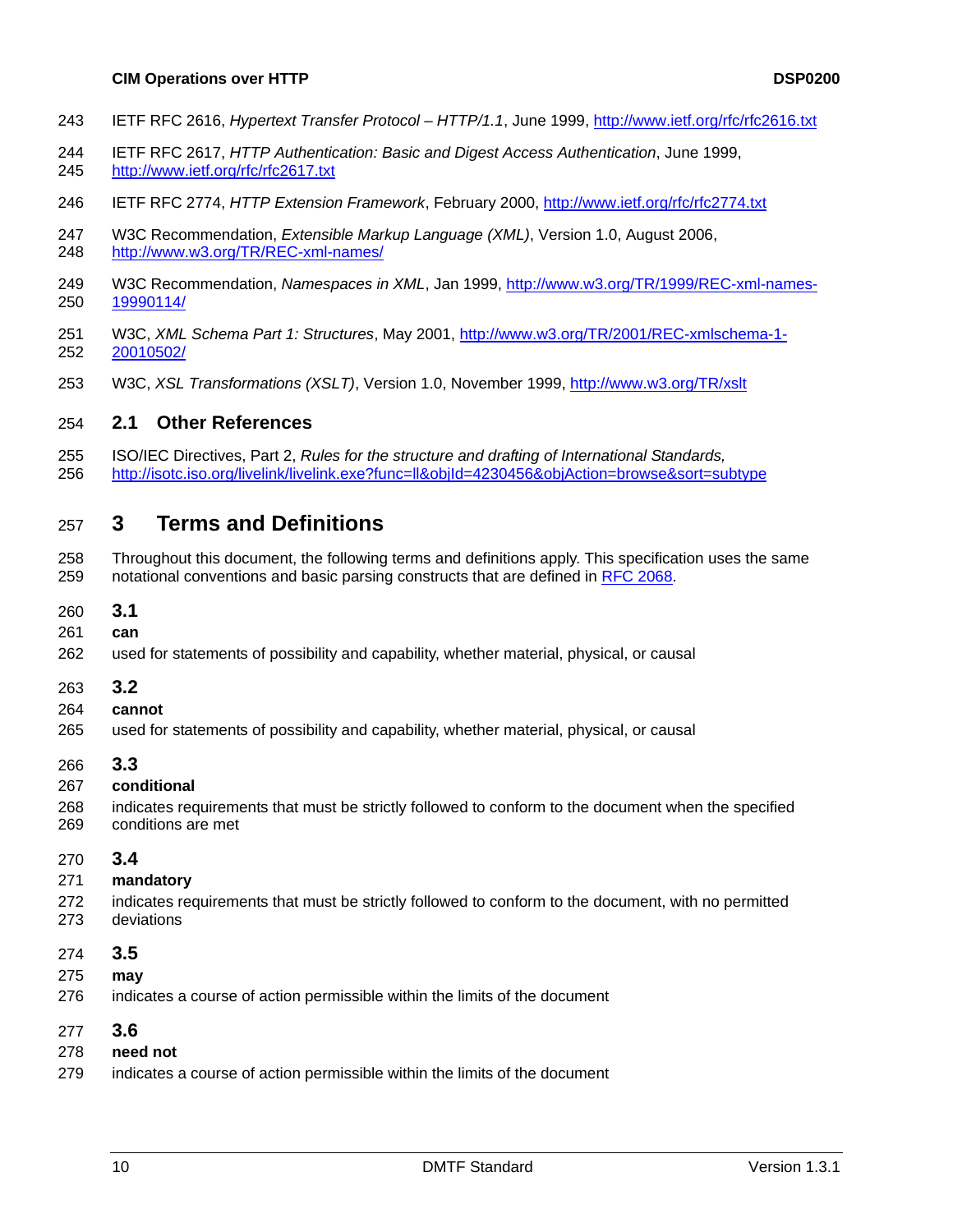- <span id="page-9-0"></span>243 IETF RFC 2616, *Hypertext Transfer Protocol – HTTP/1.1*, June 1999, <http://www.ietf.org/rfc/rfc2616.txt>
- 244 IETF RFC 2617, *HTTP Authentication: Basic and Digest Access Authentication*, June 1999, 245 <http://www.ietf.org/rfc/rfc2617.txt>
- 246 IETF RFC 2774, *HTTP Extension Framework*, February 2000,<http://www.ietf.org/rfc/rfc2774.txt>
- 247 W3C Recommendation, *Extensible Markup Language (XML)*, Version 1.0, August 2006, 248 <http://www.w3.org/TR/REC-xml-names/>
- 249 W3C Recommendation, *Namespaces in XML*, Jan 1999, [http://www.w3.org/TR/1999/REC-xml-names-](http://www.w3.org/TR/1999/REC-xml-names-19990114/)250 [19990114/](http://www.w3.org/TR/1999/REC-xml-names-19990114/)
- 251 W3C, *XML Schema Part 1: Structures*, May 2001, [http://www.w3.org/TR/2001/REC-xmlschema-1-](http://www.w3.org/TR/2001/REC-xmlschema-1-20010502/) 252 [20010502/](http://www.w3.org/TR/2001/REC-xmlschema-1-20010502/)
- 253 W3C, *XSL Transformations (XSLT)*, Version 1.0, November 1999, <http://www.w3.org/TR/xslt>

### 254 **2.1 Other References**

255 ISO/IEC Directives, Part 2, *Rules for the structure and drafting of International Standards,* 

256 <http://isotc.iso.org/livelink/livelink.exe?func=ll&objId=4230456&objAction=browse&sort=subtype>

# 257 **3 Terms and Definitions**

- 258 Throughout this document, the following terms and definitions apply. This specification uses the same 259 notational conventions and basic parsing constructs that are defined in [RFC 2068](#page-8-0).
- 260 **3.1**
- 261 **can**
- 262 used for statements of possibility and capability, whether material, physical, or causal

#### 263 **3.2**

- 264 **cannot**
- 265 used for statements of possibility and capability, whether material, physical, or causal
- 266 **3.3**
- 267 **conditional**
- 268 269 indicates requirements that must be strictly followed to conform to the document when the specified conditions are met
- 270 **3.4**

#### 271 **mandatory**

- 272 273 indicates requirements that must be strictly followed to conform to the document, with no permitted deviations
- 274 **3.5**
- 275 **may**
- 276 indicates a course of action permissible within the limits of the document
- 277 **3.6**
- 278 **need not**
- 279 indicates a course of action permissible within the limits of the document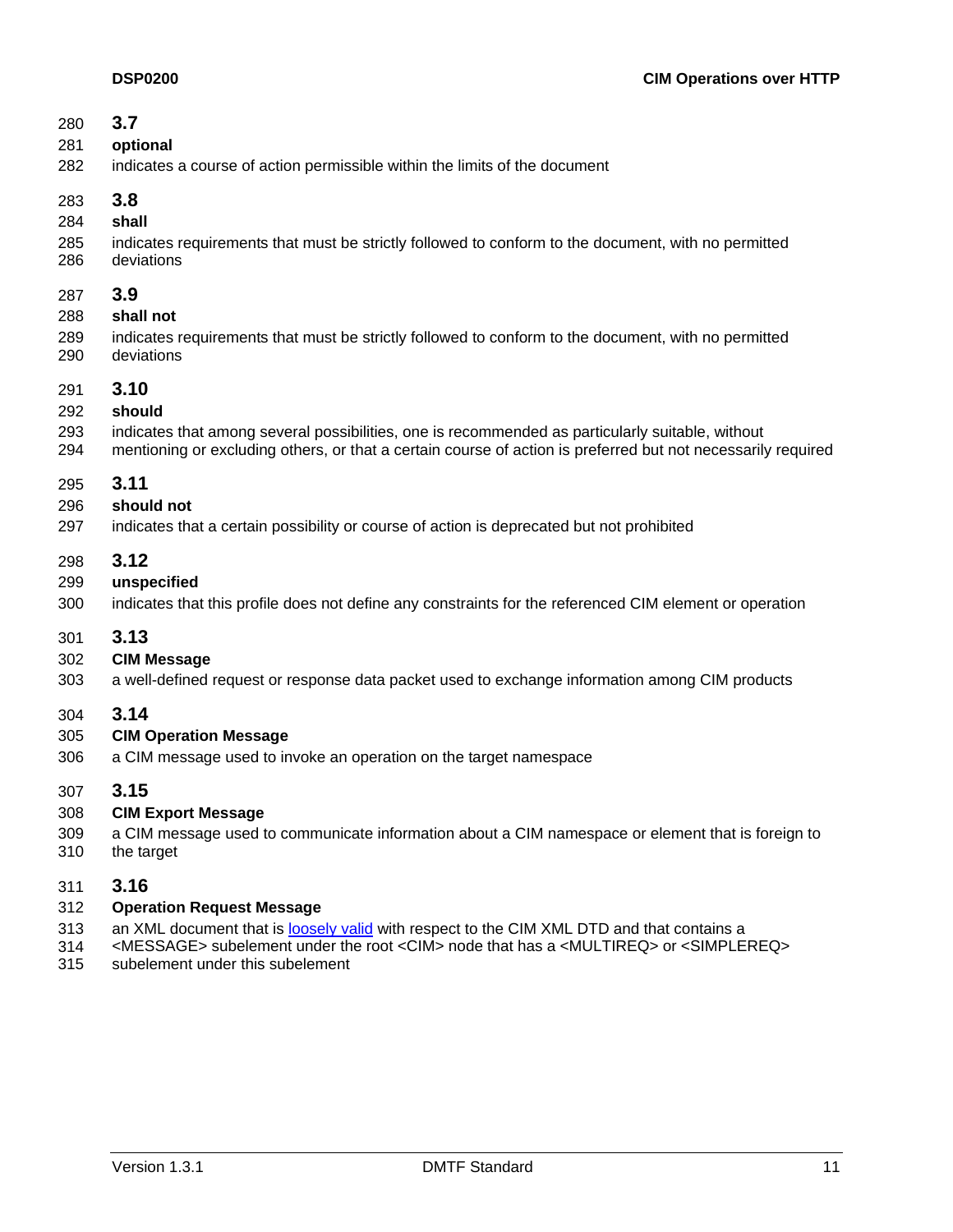| 280 | 3.7                                                                                                          |
|-----|--------------------------------------------------------------------------------------------------------------|
| 281 | optional                                                                                                     |
| 282 | indicates a course of action permissible within the limits of the document                                   |
| 283 | 3.8                                                                                                          |
| 284 | shall                                                                                                        |
| 285 | indicates requirements that must be strictly followed to conform to the document, with no permitted          |
| 286 | deviations                                                                                                   |
| 287 | 3.9                                                                                                          |
| 288 | shall not                                                                                                    |
| 289 | indicates requirements that must be strictly followed to conform to the document, with no permitted          |
| 290 | deviations                                                                                                   |
| 291 | 3.10                                                                                                         |
| 292 | should                                                                                                       |
| 293 | indicates that among several possibilities, one is recommended as particularly suitable, without             |
| 294 | mentioning or excluding others, or that a certain course of action is preferred but not necessarily required |
| 295 | 3.11                                                                                                         |
| 296 | should not                                                                                                   |
| 297 | indicates that a certain possibility or course of action is deprecated but not prohibited                    |
| 298 | 3.12                                                                                                         |
| 299 | unspecified                                                                                                  |
| 300 | indicates that this profile does not define any constraints for the referenced CIM element or operation      |
| 301 | 3.13                                                                                                         |
| 302 | <b>CIM Message</b>                                                                                           |
| 303 | a well-defined request or response data packet used to exchange information among CIM products               |
| 304 | 3.14                                                                                                         |
| 305 | <b>CIM Operation Message</b>                                                                                 |
| 306 | a CIM message used to invoke an operation on the target namespace                                            |
| 307 | 3.15                                                                                                         |
| 308 | <b>CIM Export Message</b>                                                                                    |
| 309 | a CIM message used to communicate information about a CIM namespace or element that is foreign to            |
| 310 | the target                                                                                                   |

311 **3.16**

#### 312 **Operation Request Message**

- an XML document that is [loosely valid](#page-12-0) with respect to the CIM XML DTD and that contains a 313
- <MESSAGE> subelement under the root <CIM> node that has a <MULTIREQ> or <SIMPLEREQ> 314
- subelement under this subelement 315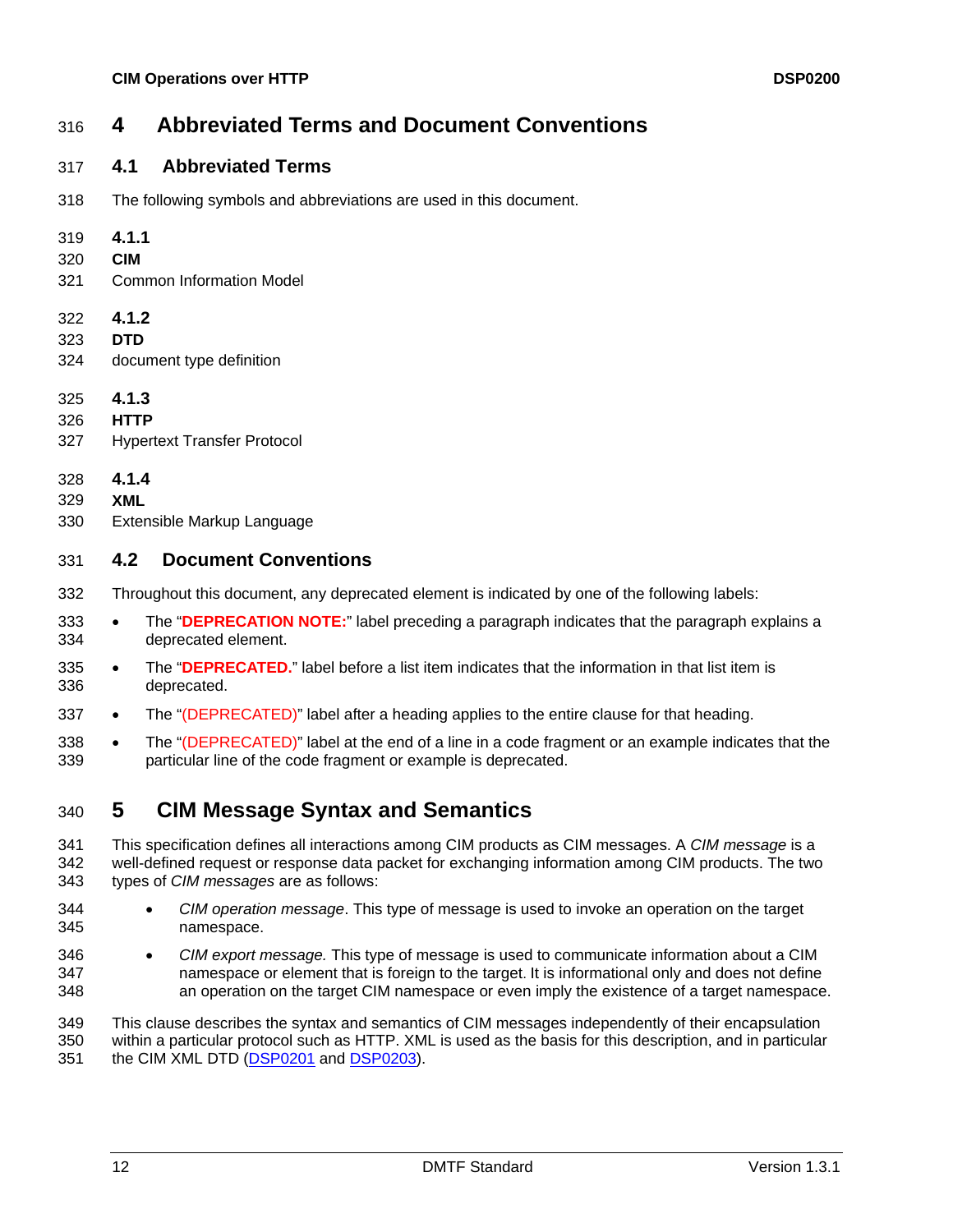# <span id="page-11-0"></span>316 **4 Abbreviated Terms and Document Conventions**

# 317 **4.1 Abbreviated Terms**

318 The following symbols and abbreviations are used in this document.

| 319 | 4.1.1 |
|-----|-------|
|     |       |

- 320 **CIM**
- 321 Common Information Model
- 322 **4.1.2**
- 323 **DTD**
- 324 document type definition
- 325 **4.1.3**
- 326 **HTTP**
- 327 Hypertext Transfer Protocol

### 328 **4.1.4**

- 329 **XML**
- 330 Extensible Markup Language

## 331 **4.2 Document Conventions**

- 332 Throughout this document, any deprecated element is indicated by one of the following labels:
- 334 333 • The "**DEPRECATION NOTE:**" label preceding a paragraph indicates that the paragraph explains a deprecated element.
- 336 335 • The "**DEPRECATED.**" label before a list item indicates that the information in that list item is deprecated.
- 337 The "(DEPRECATED)" label after a heading applies to the entire clause for that heading.
- 339 338 • The "(DEPRECATED)" label at the end of a line in a code fragment or an example indicates that the particular line of the code fragment or example is deprecated.

# 340 **5 CIM Message Syntax and Semantics**

- 341 342 343 This specification defines all interactions among CIM products as CIM messages. A *CIM message* is a well-defined request or response data packet for exchanging information among CIM products. The two types of *CIM messages* are as follows:
- 344 345 • *CIM operation message*. This type of message is used to invoke an operation on the target namespace.
- 346 347 348 • *CIM export message.* This type of message is used to communicate information about a CIM namespace or element that is foreign to the target. It is informational only and does not define an operation on the target CIM namespace or even imply the existence of a target namespace.

349 350 This clause describes the syntax and semantics of CIM messages independently of their encapsulation within a particular protocol such as HTTP. XML is used as the basis for this description, and in particular 351 the CIM XML DTD ([DSP0201](#page-8-0) and [DSP0203\)](#page-8-0).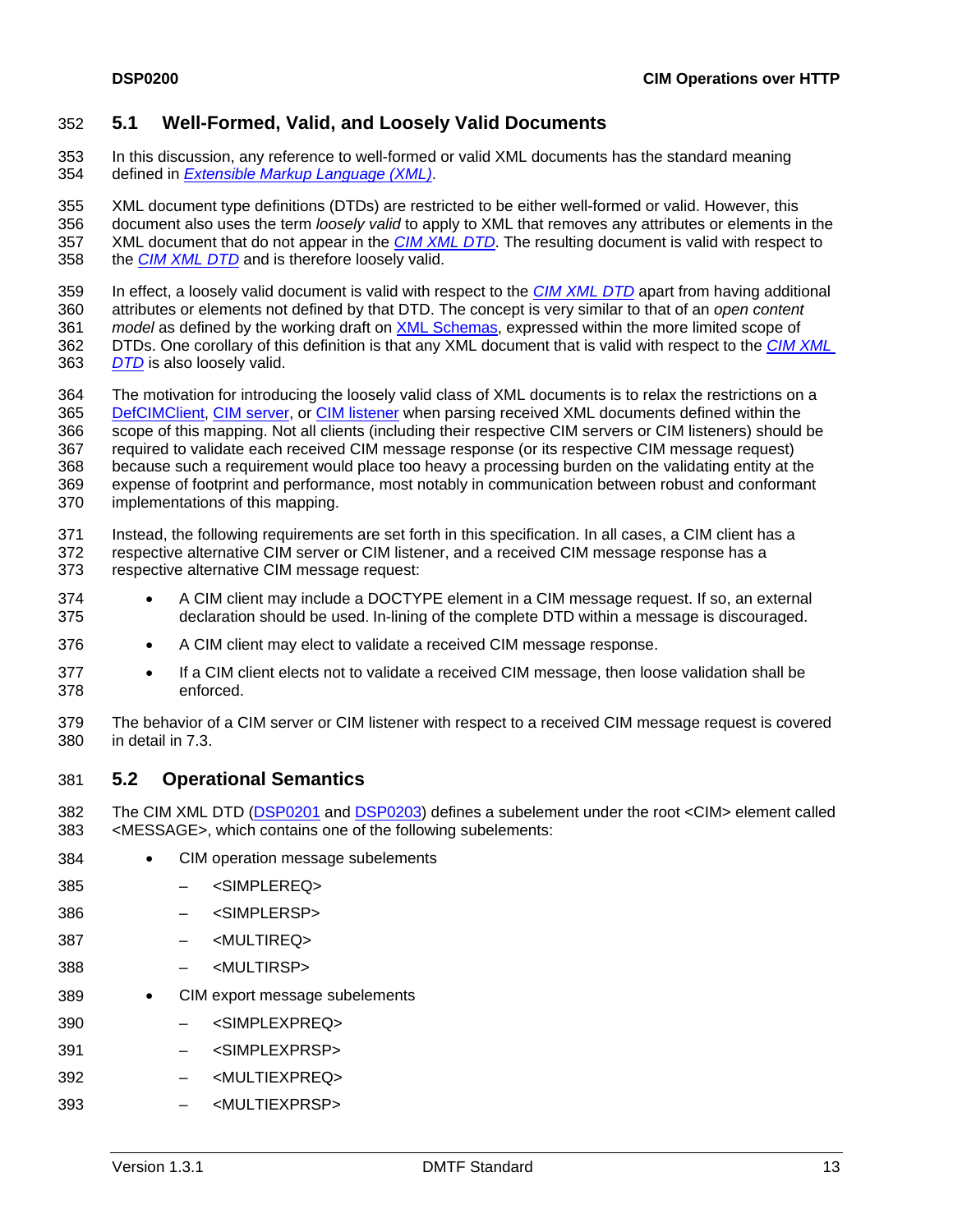## <span id="page-12-0"></span>352 **5.1 Well-Formed, Valid, and Loosely Valid Documents**

In this discussion, any reference to well-formed or valid XML documents has the standard meaning defined in 354 *[Extensible Markup Language \(XML\)](#page-9-0)*. 353

355 XML document type definitions (DTDs) are restricted to be either well-formed or valid. However, this

- 356 document also uses the term *loosely valid* to apply to XML that removes any attributes or elements in the XML document that do not appear in the *[CIM XML DTD](#page-8-0)*. The resulting document is valid with respect to 358 the *[CIM XML DTD](#page-8-0)* and is therefore loosely valid. 357
- In effect, a loosely valid document is valid with respect to the *[CIM XML DTD](#page-8-0)* apart from having additional attributes or elements not defined by that DTD. The concept is very similar to that of an *open content*  359 360
- model as defined by the working draft on **XML Schemas**, expressed within the more limited scope of 361
- DTDs. One corollary of this definition is that any XML document that is valid with respect to the 362 *[CIM XML](#page-8-0)*
- 363 *[DTD](#page-8-0)* is also loosely valid.

364 The motivation for introducing the loosely valid class of XML documents is to relax the restrictions on a [DefCIMClient, CIM server,](#page-68-0) or [CIM listener](#page-68-0) when parsing received XML documents defined within the scope of this mapping. Not all clients (including their respective CIM servers or CIM listeners) should be required to validate each received CIM message response (or its respective CIM message request) because such a requirement would place too heavy a processing burden on the validating entity at the expense of footprint and performance, most notably in communication between robust and conformant implementations of this mapping. 365 366 367 368 369 370

- 371 372 Instead, the following requirements are set forth in this specification. In all cases, a CIM client has a respective alternative CIM server or CIM listener, and a received CIM message response has a
- 373 respective alternative CIM message request:
- 374 375 • A CIM client may include a DOCTYPE element in a CIM message request. If so, an external declaration should be used. In-lining of the complete DTD within a message is discouraged.
- 376 • A CIM client may elect to validate a received CIM message response.
- 377 378 • If a CIM client elects not to validate a received CIM message, then loose validation shall be enforced.
- 379 380 The behavior of a CIM server or CIM listener with respect to a received CIM message request is covered in detail in [7.3.](#page-83-1)

## 381 **5.2 Operational Semantics**

The CIM XML DTD [\(DSP0201](#page-8-0) and [DSP0203\)](#page-8-0) defines a subelement under the root <CIM> element called <MESSAGE>, which contains one of the following subelements: 382 383

- 384 CIM operation message subelements
- 385 – <SIMPLEREQ>
- 386 – <SIMPLERSP>
- 387 – <MULTIREQ>
- 388 – <MULTIRSP>
- 389 • CIM export message subelements
- 390 – <SIMPLEXPREQ>
- 391 – <SIMPLEXPRSP>
- 392 – <MULTIEXPREQ>
- 393 – <MULTIEXPRSP>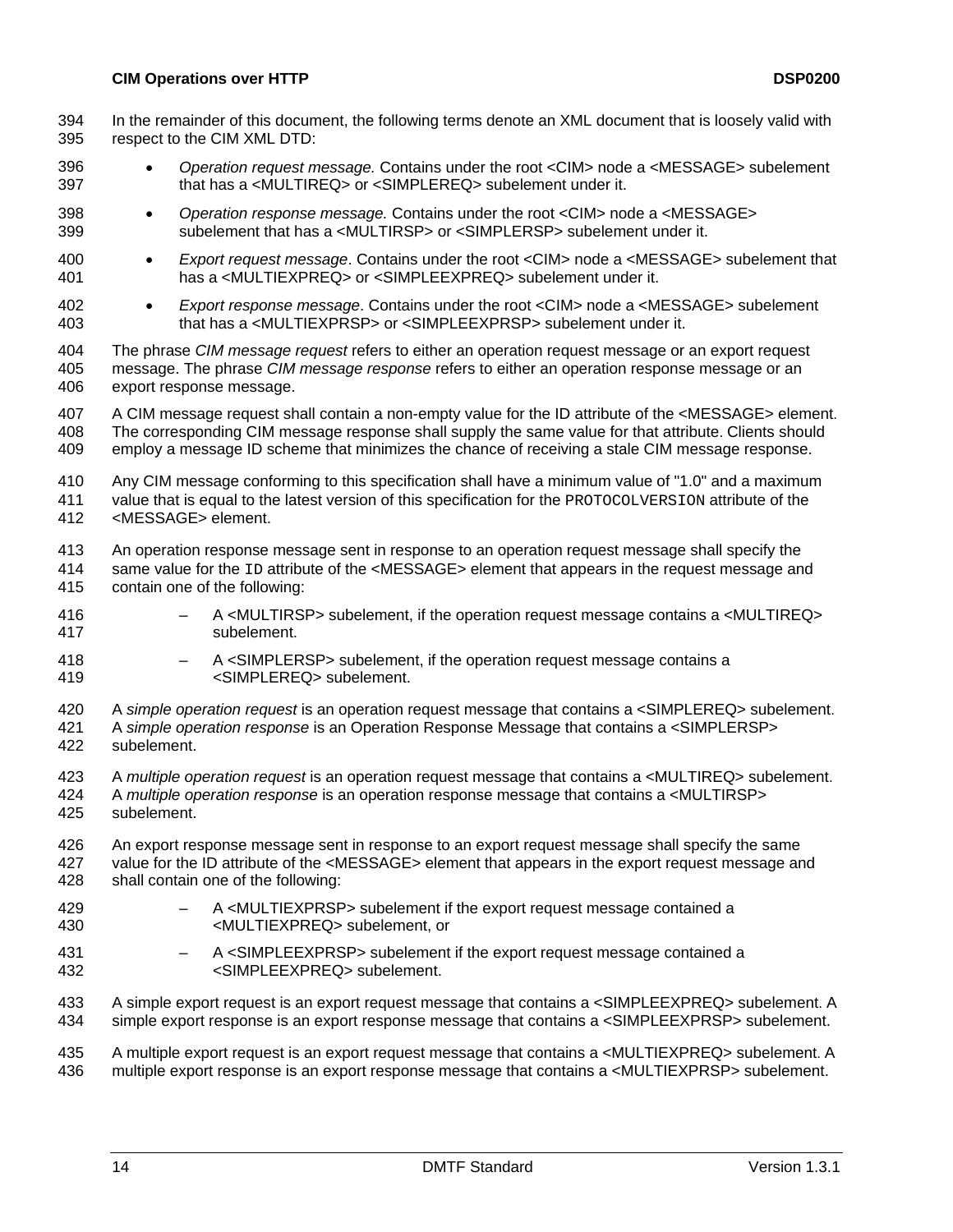- In the remainder of this document, the following terms denote an XML document that is loosely valid with respect to the CIM XML DTD: 394 395
- 396 397 • *Operation request message.* Contains under the root <CIM> node a <MESSAGE> subelement that has a <MULTIREQ> or <SIMPLEREQ> subelement under it.
- 398 399 • *Operation response message.* Contains under the root <CIM> node a <MESSAGE> subelement that has a <MULTIRSP> or <SIMPLERSP> subelement under it.
- 400 401 • *Export request message*. Contains under the root <CIM> node a <MESSAGE> subelement that has a <MULTIEXPREQ> or <SIMPLEEXPREQ> subelement under it.
- 402 403 • *Export response message*. Contains under the root <CIM> node a <MESSAGE> subelement that has a <MULTIEXPRSP> or <SIMPLEEXPRSP> subelement under it.
- 404 405 406 The phrase *CIM message request* refers to either an operation request message or an export request message. The phrase *CIM message response* refers to either an operation response message or an export response message.

407 408 409 A CIM message request shall contain a non-empty value for the ID attribute of the <MESSAGE> element. The corresponding CIM message response shall supply the same value for that attribute. Clients should employ a message ID scheme that minimizes the chance of receiving a stale CIM message response.

410 411 412 Any CIM message conforming to this specification shall have a minimum value of "1.0" and a maximum value that is equal to the latest version of this specification for the PROTOCOLVERSION attribute of the <MESSAGE> element.

- 413 An operation response message sent in response to an operation request message shall specify the
- 414 415 same value for the ID attribute of the <MESSAGE> element that appears in the request message and contain one of the following:
- 416 417 – A <MULTIRSP> subelement, if the operation request message contains a <MULTIREQ> subelement.
- 418 419 – A <SIMPLERSP> subelement, if the operation request message contains a <SIMPLEREQ> subelement.
- 420 A *simple operation request* is an operation request message that contains a <SIMPLEREQ> subelement.

421 422 A *simple operation response* is an Operation Response Message that contains a <SIMPLERSP> subelement.

- 423 A *multiple operation request* is an operation request message that contains a <MULTIREQ> subelement.
- 424 425 A *multiple operation response* is an operation response message that contains a <MULTIRSP> subelement.
- 426 427 An export response message sent in response to an export request message shall specify the same value for the ID attribute of the <MESSAGE> element that appears in the export request message and
- 428 shall contain one of the following:
- 429 430 – A <MULTIEXPRSP> subelement if the export request message contained a <MULTIEXPREQ> subelement, or
- 431 432 – A <SIMPLEEXPRSP> subelement if the export request message contained a <SIMPLEEXPREQ> subelement.
- 433 434 A simple export request is an export request message that contains a <SIMPLEEXPREQ> subelement. A simple export response is an export response message that contains a <SIMPLEEXPRSP> subelement.

435 436 A multiple export request is an export request message that contains a <MULTIEXPREQ> subelement. A multiple export response is an export response message that contains a <MULTIEXPRSP> subelement.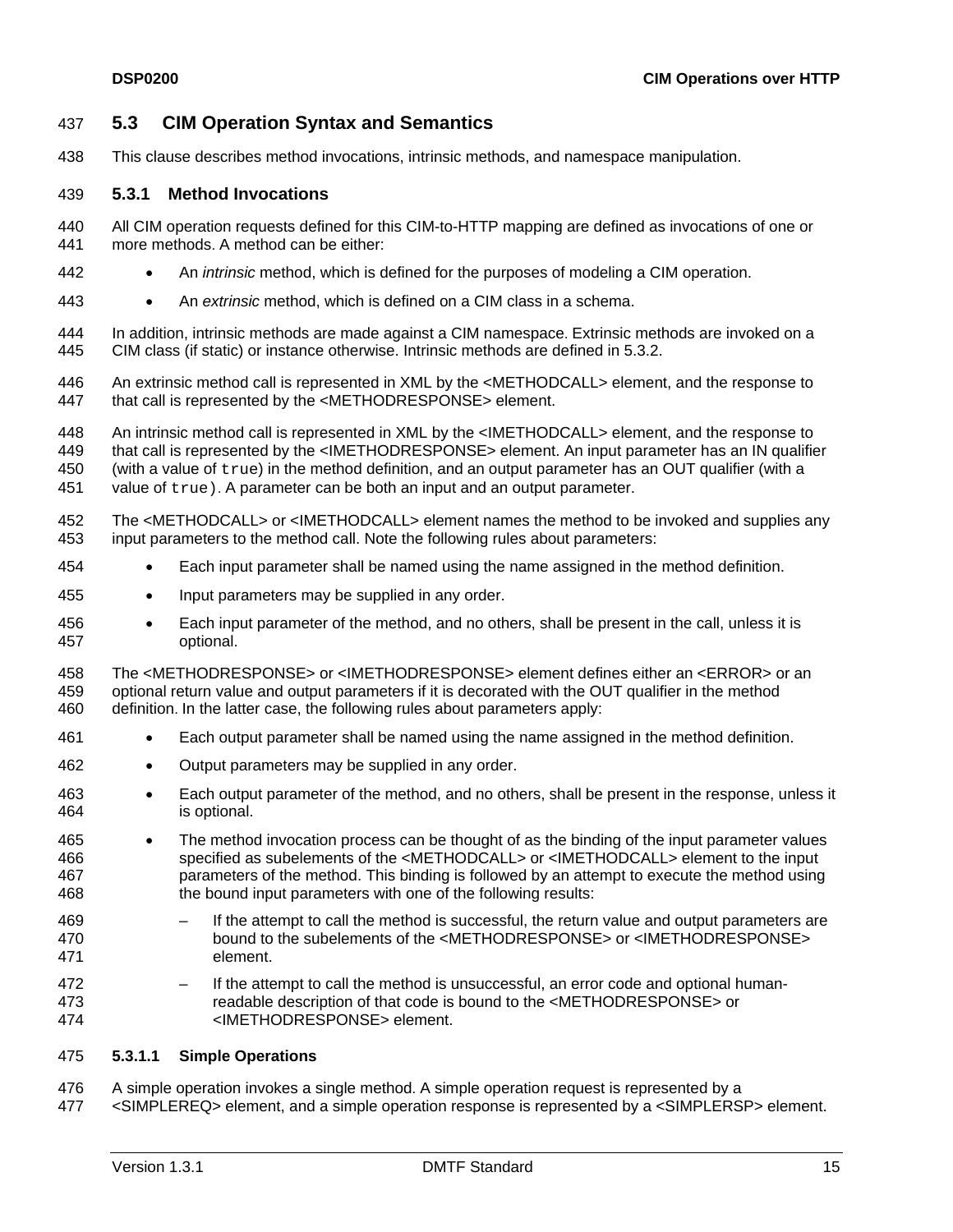## <span id="page-14-0"></span>437 **5.3 CIM Operation Syntax and Semantics**

438 This clause describes method invocations, intrinsic methods, and namespace manipulation.

#### 439 **5.3.1 Method Invocations**

- 440 441 All CIM operation requests defined for this CIM-to-HTTP mapping are defined as invocations of one or more methods. A method can be either:
- 442 • An *intrinsic* method, which is defined for the purposes of modeling a CIM operation.
- 443 • An *extrinsic* method, which is defined on a CIM class in a schema.

444 445 In addition, intrinsic methods are made against a CIM namespace. Extrinsic methods are invoked on a CIM class (if static) or instance otherwise. Intrinsic methods are defined in [5.3.2](#page-17-1).

- 446 447 An extrinsic method call is represented in XML by the <METHODCALL> element, and the response to that call is represented by the <METHODRESPONSE> element.
- 448 449 450 An intrinsic method call is represented in XML by the <IMETHODCALL> element, and the response to that call is represented by the <IMETHODRESPONSE> element. An input parameter has an IN qualifier (with a value of  $true$ ) in the method definition, and an output parameter has an OUT qualifier (with a
- 451 value of true). A parameter can be both an input and an output parameter.
- 452 453 The <METHODCALL> or <IMETHODCALL> element names the method to be invoked and supplies any input parameters to the method call. Note the following rules about parameters:
- 454 • Each input parameter shall be named using the name assigned in the method definition.
- 455 • Input parameters may be supplied in any order.
- 456 457 • Each input parameter of the method, and no others, shall be present in the call, unless it is optional.

458 459 460 The <METHODRESPONSE> or <IMETHODRESPONSE> element defines either an <ERROR> or an optional return value and output parameters if it is decorated with the OUT qualifier in the method definition. In the latter case, the following rules about parameters apply:

- 461 • Each output parameter shall be named using the name assigned in the method definition.
- 462 • Output parameters may be supplied in any order.
- 463 464 • Each output parameter of the method, and no others, shall be present in the response, unless it is optional.
- 465 466 467 468 • The method invocation process can be thought of as the binding of the input parameter values specified as subelements of the <METHODCALL> or <IMETHODCALL> element to the input parameters of the method. This binding is followed by an attempt to execute the method using the bound input parameters with one of the following results:
- 469 470 471 If the attempt to call the method is successful, the return value and output parameters are bound to the subelements of the <METHODRESPONSE> or <IMETHODRESPONSE> element.
- 472 473 474 If the attempt to call the method is unsuccessful, an error code and optional humanreadable description of that code is bound to the <METHODRESPONSE> or <IMETHODRESPONSE> element.

#### 475 **5.3.1.1 Simple Operations**

- 476 A simple operation invokes a single method. A simple operation request is represented by a
- 477 <SIMPLEREQ> element, and a simple operation response is represented by a <SIMPLERSP> element.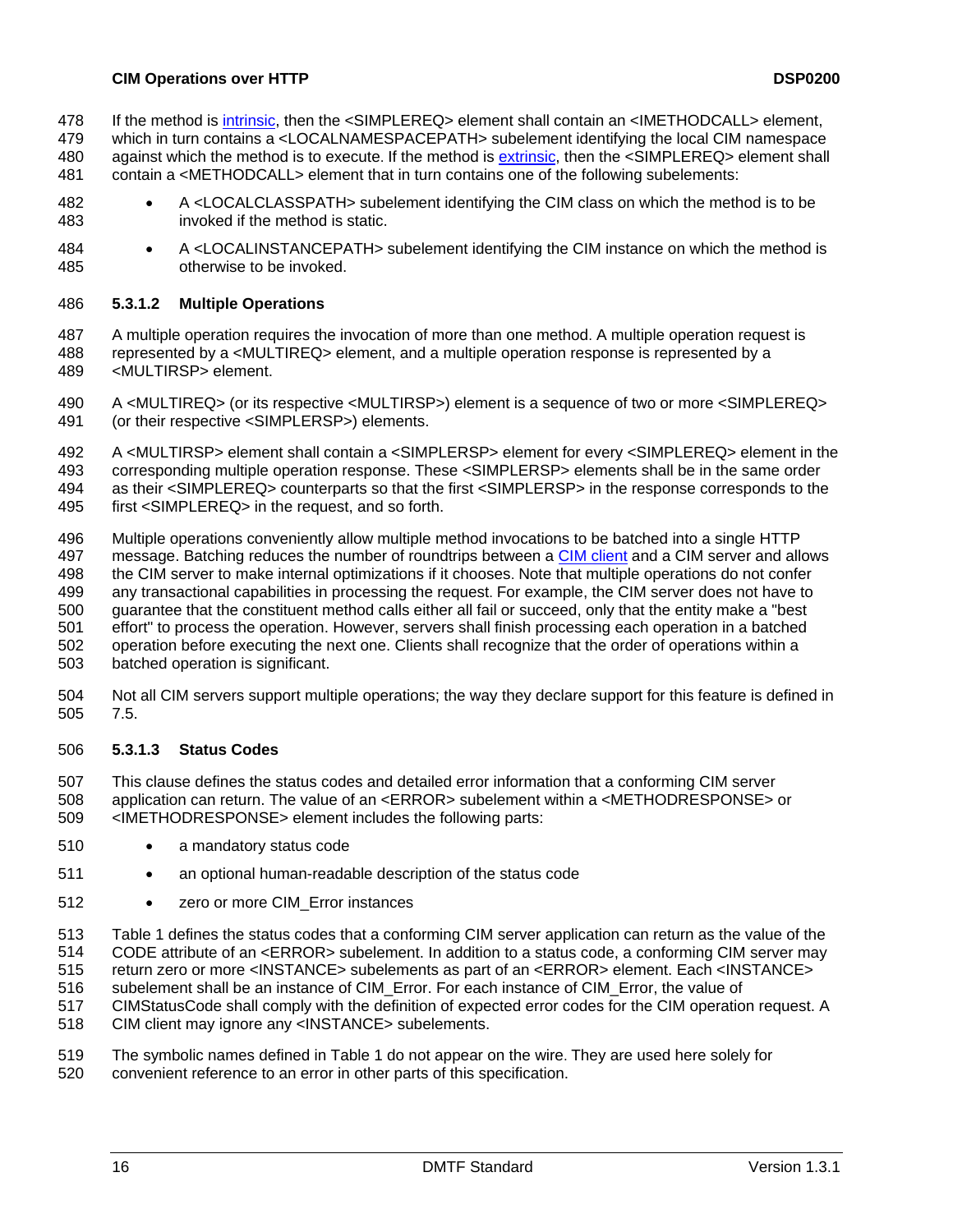<span id="page-15-0"></span>If the method is *intrinsic*, then the <SIMPLEREQ> element shall contain an <IMETHODCALL> element, 478

which in turn contains a <LOCALNAMESPACEPATH> subelement identifying the local CIM namespace against which the method is to execute. If the method is [extrinsic](#page-14-0), then the <SIMPLEREQ> element shall 479 contain a <METHODCALL> element that in turn contains one of the following subelements: 480 481

- 482 483 • A <LOCALCLASSPATH> subelement identifying the CIM class on which the method is to be invoked if the method is static.
- 484 485 • A <LOCALINSTANCEPATH> subelement identifying the CIM instance on which the method is otherwise to be invoked.

#### 486 **5.3.1.2 Multiple Operations**

487 488 489 A multiple operation requires the invocation of more than one method. A multiple operation request is represented by a <MULTIREQ> element, and a multiple operation response is represented by a <MULTIRSP> element.

490 491 A <MULTIREQ> (or its respective <MULTIRSP>) element is a sequence of two or more <SIMPLEREQ> (or their respective <SIMPLERSP>) elements.

492 493 494 495 A <MULTIRSP> element shall contain a <SIMPLERSP> element for every <SIMPLEREQ> element in the corresponding multiple operation response. These <SIMPLERSP> elements shall be in the same order as their <SIMPLEREQ> counterparts so that the first <SIMPLERSP> in the response corresponds to the first <SIMPLEREQ> in the request, and so forth.

496 Multiple operations conveniently allow multiple method invocations to be batched into a single HTTP message. Batching reduces the number of roundtrips between a [CIM client](#page-68-0) and a CIM server and allows the CIM server to make internal optimizations if it chooses. Note that multiple operations do not confer any transactional capabilities in processing the request. For example, the CIM server does not have to guarantee that the constituent method calls either all fail or succeed, only that the entity make a "best effort" to process the operation. However, servers shall finish processing each operation in a batched operation before executing the next one. Clients shall recognize that the order of operations within a batched operation is significant. 497 498 499 500 501 502 503

504 505 Not all CIM servers support multiple operations; the way they declare support for this feature is defined in [7.5.](#page-85-1)

### 506 **5.3.1.3 Status Codes**

507 508 509 This clause defines the status codes and detailed error information that a conforming CIM server application can return. The value of an <ERROR> subelement within a <METHODRESPONSE> or <IMETHODRESPONSE> element includes the following parts:

- 510 • a mandatory status code
- 511 • an optional human-readable description of the status code
- 512 • zero or more CIM Error instances

513 514 [Table 1](#page-16-1) defines the status codes that a conforming CIM server application can return as the value of the CODE attribute of an <ERROR> subelement. In addition to a status code, a conforming CIM server may

515 return zero or more <INSTANCE> subelements as part of an <ERROR> element. Each <INSTANCE>

516 subelement shall be an instance of CIM\_Error. For each instance of CIM\_Error, the value of

517 518 CIMStatusCode shall comply with the definition of expected error codes for the CIM operation request. A CIM client may ignore any <INSTANCE> subelements.

519 The symbolic names defined in [Table 1](#page-16-1) do not appear on the wire. They are used here solely for

520 convenient reference to an error in other parts of this specification.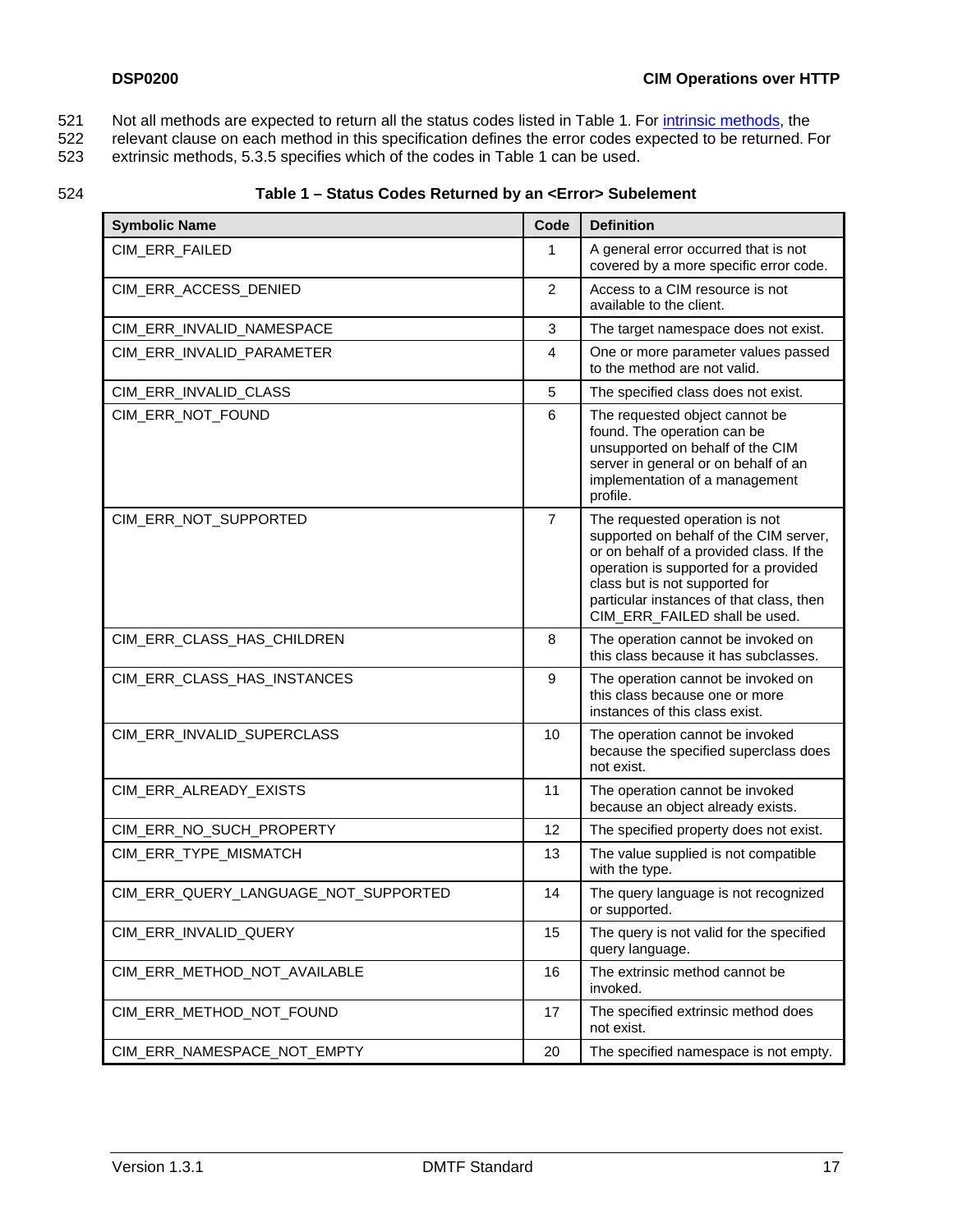- <span id="page-16-0"></span>Not all methods are expected to return all the status codes listed in [Table 1](#page-16-1). For *intrinsic methods*, the 521
- relevant clause on each method in this specification defines the error codes expected to be returned. For 522
- extrinsic methods, [5.3.5](#page-63-1) specifies which of the codes in [Table 1](#page-16-1) can be used. 523

#### <span id="page-16-1"></span>524

## **Table 1 – Status Codes Returned by an <Error> Subelement**

| <b>Symbolic Name</b>                 | Code           | <b>Definition</b>                                                                                                                                                                                                                                                            |
|--------------------------------------|----------------|------------------------------------------------------------------------------------------------------------------------------------------------------------------------------------------------------------------------------------------------------------------------------|
| CIM_ERR_FAILED                       | 1              | A general error occurred that is not<br>covered by a more specific error code.                                                                                                                                                                                               |
| CIM_ERR_ACCESS_DENIED                | $\overline{2}$ | Access to a CIM resource is not<br>available to the client.                                                                                                                                                                                                                  |
| CIM_ERR_INVALID_NAMESPACE            | 3              | The target namespace does not exist.                                                                                                                                                                                                                                         |
| CIM_ERR_INVALID_PARAMETER            | $\overline{4}$ | One or more parameter values passed<br>to the method are not valid.                                                                                                                                                                                                          |
| CIM_ERR_INVALID_CLASS                | 5              | The specified class does not exist.                                                                                                                                                                                                                                          |
| CIM_ERR_NOT_FOUND                    | 6              | The requested object cannot be<br>found. The operation can be<br>unsupported on behalf of the CIM<br>server in general or on behalf of an<br>implementation of a management<br>profile.                                                                                      |
| CIM_ERR_NOT_SUPPORTED                | $\overline{7}$ | The requested operation is not<br>supported on behalf of the CIM server,<br>or on behalf of a provided class. If the<br>operation is supported for a provided<br>class but is not supported for<br>particular instances of that class, then<br>CIM_ERR_FAILED shall be used. |
| CIM_ERR_CLASS_HAS_CHILDREN           | 8              | The operation cannot be invoked on<br>this class because it has subclasses.                                                                                                                                                                                                  |
| CIM_ERR_CLASS_HAS_INSTANCES          | 9              | The operation cannot be invoked on<br>this class because one or more<br>instances of this class exist.                                                                                                                                                                       |
| CIM_ERR_INVALID_SUPERCLASS           | 10             | The operation cannot be invoked<br>because the specified superclass does<br>not exist.                                                                                                                                                                                       |
| CIM_ERR_ALREADY_EXISTS               | 11             | The operation cannot be invoked<br>because an object already exists.                                                                                                                                                                                                         |
| CIM_ERR_NO_SUCH_PROPERTY             | 12             | The specified property does not exist.                                                                                                                                                                                                                                       |
| CIM_ERR_TYPE_MISMATCH                | 13             | The value supplied is not compatible<br>with the type.                                                                                                                                                                                                                       |
| CIM_ERR_QUERY_LANGUAGE_NOT_SUPPORTED | 14             | The query language is not recognized<br>or supported.                                                                                                                                                                                                                        |
| CIM_ERR_INVALID_QUERY                | 15             | The query is not valid for the specified<br>query language.                                                                                                                                                                                                                  |
| CIM_ERR_METHOD_NOT_AVAILABLE         | 16             | The extrinsic method cannot be<br>invoked.                                                                                                                                                                                                                                   |
| CIM_ERR_METHOD_NOT_FOUND             | 17             | The specified extrinsic method does<br>not exist.                                                                                                                                                                                                                            |
| CIM_ERR_NAMESPACE_NOT_EMPTY          | 20             | The specified namespace is not empty.                                                                                                                                                                                                                                        |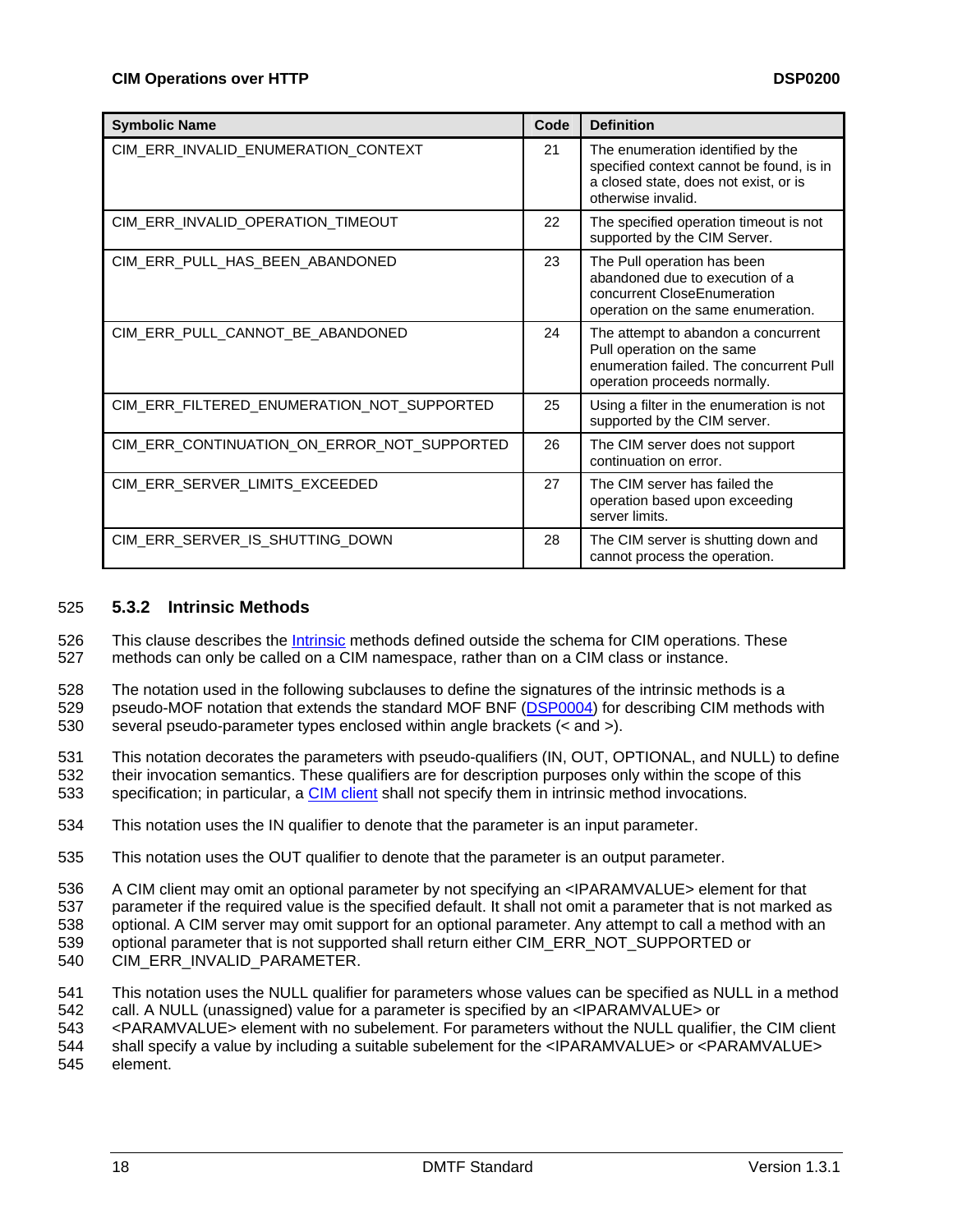<span id="page-17-0"></span>

| <b>Symbolic Name</b>                        | Code | <b>Definition</b>                                                                                                                            |
|---------------------------------------------|------|----------------------------------------------------------------------------------------------------------------------------------------------|
| CIM_ERR_INVALID_ENUMERATION_CONTEXT         | 21   | The enumeration identified by the<br>specified context cannot be found, is in<br>a closed state, does not exist, or is<br>otherwise invalid. |
| CIM_ERR_INVALID_OPERATION_TIMEOUT           | 22   | The specified operation timeout is not<br>supported by the CIM Server.                                                                       |
| CIM_ERR_PULL_HAS_BEEN_ABANDONED             | 23   | The Pull operation has been<br>abandoned due to execution of a<br>concurrent CloseEnumeration<br>operation on the same enumeration.          |
| CIM_ERR_PULL_CANNOT_BE_ABANDONED            | 24   | The attempt to abandon a concurrent<br>Pull operation on the same<br>enumeration failed. The concurrent Pull<br>operation proceeds normally. |
| CIM_ERR_FILTERED_ENUMERATION_NOT_SUPPORTED  | 25   | Using a filter in the enumeration is not<br>supported by the CIM server.                                                                     |
| CIM_ERR_CONTINUATION_ON_ERROR_NOT_SUPPORTED | 26   | The CIM server does not support<br>continuation on error.                                                                                    |
| CIM ERR SERVER LIMITS EXCEEDED              | 27   | The CIM server has failed the<br>operation based upon exceeding<br>server limits.                                                            |
| CIM_ERR_SERVER_IS_SHUTTING_DOWN             | 28   | The CIM server is shutting down and<br>cannot process the operation.                                                                         |

### <span id="page-17-1"></span>525 **5.3.2 Intrinsic Methods**

This clause describes the [Intrinsic](#page-14-0) methods defined outside the schema for CIM operations. These methods can only be called on a CIM namespace, rather than on a CIM class or instance. 526 527

528 The notation used in the following subclauses to define the signatures of the intrinsic methods is a pseudo-MOF notation that extends the standard MOF BNF [\(DSP0004](#page-8-0)) for describing CIM methods with several pseudo-parameter types enclosed within angle brackets (< and >). 529 530

531 532 This notation decorates the parameters with pseudo-qualifiers (IN, OUT, OPTIONAL, and NULL) to define their invocation semantics. These qualifiers are for description purposes only within the scope of this 533 specification; in particular, a [CIM client](#page-68-0) shall not specify them in intrinsic method invocations.

- 534 This notation uses the IN qualifier to denote that the parameter is an input parameter.
- 535 This notation uses the OUT qualifier to denote that the parameter is an output parameter.

536 A CIM client may omit an optional parameter by not specifying an <IPARAMVALUE> element for that

- 537 parameter if the required value is the specified default. It shall not omit a parameter that is not marked as
- 538 optional. A CIM server may omit support for an optional parameter. Any attempt to call a method with an
- 539 optional parameter that is not supported shall return either CIM\_ERR\_NOT\_SUPPORTED or
- 540 CIM\_ERR\_INVALID\_PARAMETER.
- 541 542 This notation uses the NULL qualifier for parameters whose values can be specified as NULL in a method call. A NULL (unassigned) value for a parameter is specified by an <IPARAMVALUE> or
- 543 <PARAMVALUE> element with no subelement. For parameters without the NULL qualifier, the CIM client
- 544 shall specify a value by including a suitable subelement for the <IPARAMVALUE> or <PARAMVALUE>
- 545 element.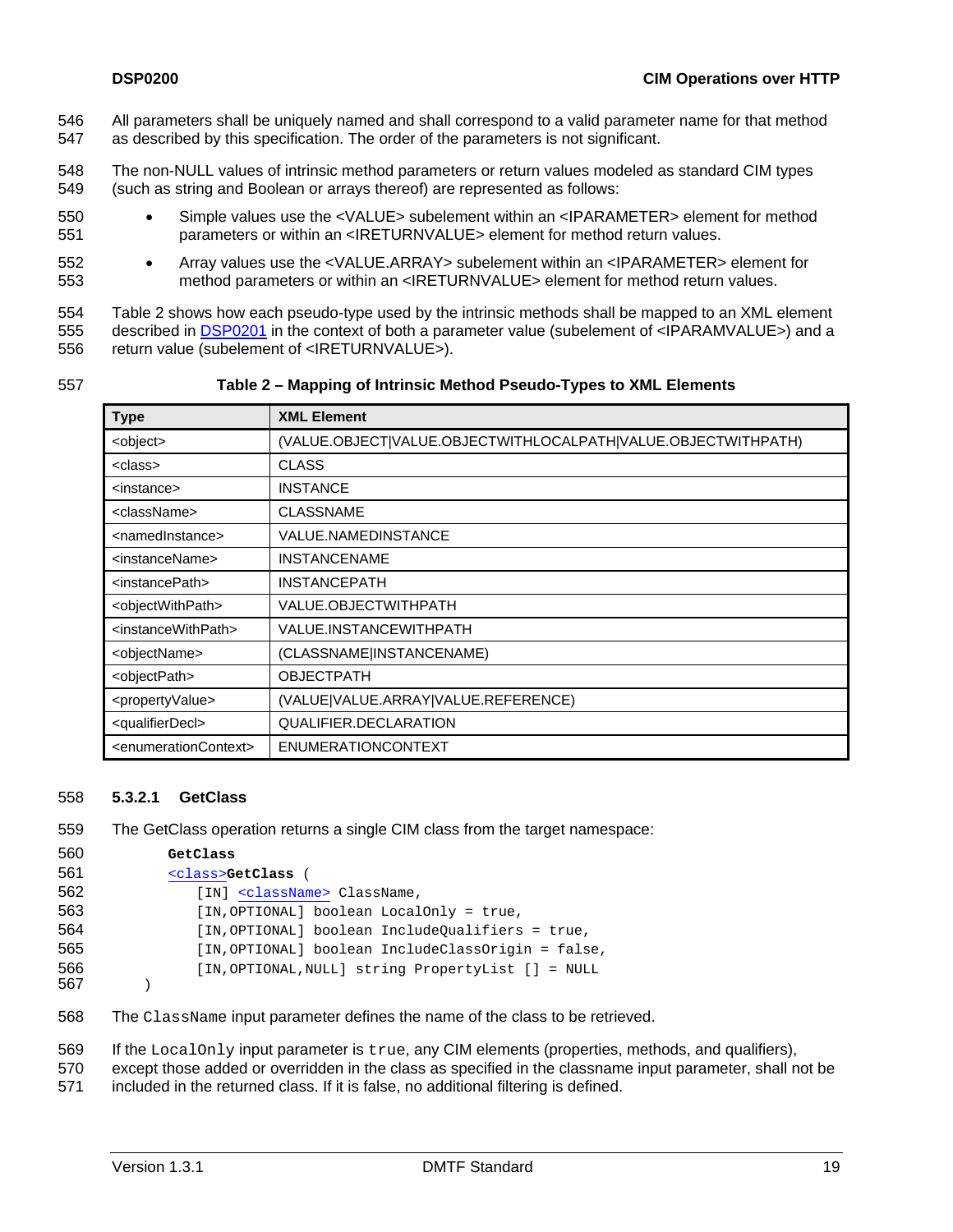<span id="page-18-0"></span>All parameters shall be uniquely named and shall correspond to a valid parameter name for that method as described by this specification. The order of the parameters is not significant. 546 547

548 549 The non-NULL values of intrinsic method parameters or return values modeled as standard CIM types (such as string and Boolean or arrays thereof) are represented as follows:

- 550 551 • Simple values use the <VALUE> subelement within an <IPARAMETER> element for method parameters or within an <IRETURNVALUE> element for method return values.
- 552 553 • Array values use the <VALUE.ARRAY> subelement within an <IPARAMETER> element for method parameters or within an <IRETURNVALUE> element for method return values.

554 [Table 2](#page-18-1) shows how each pseudo-type used by the intrinsic methods shall be mapped to an XML element described in [DSP0201](#page-8-0) in the context of both a parameter value (subelement of <IPARAMVALUE>) and a return value (subelement of <IRETURNVALUE>). 555 556

<span id="page-18-1"></span>

557 **Table 2 – Mapping of Intrinsic Method Pseudo-Types to XML Elements** 

| <b>Type</b>                               | <b>XML Element</b>                                            |
|-------------------------------------------|---------------------------------------------------------------|
| <object></object>                         | (VALUE.OBJECT VALUE.OBJECTWITHLOCALPATH VALUE.OBJECTWITHPATH) |
| <class></class>                           | <b>CLASS</b>                                                  |
| <instance></instance>                     | <b>INSTANCE</b>                                               |
| <classname></classname>                   | <b>CLASSNAME</b>                                              |
| <namedinstance></namedinstance>           | <b>VALUE.NAMEDINSTANCE</b>                                    |
| <instancename></instancename>             | <b>INSTANCENAME</b>                                           |
| <instancepath></instancepath>             | <b>INSTANCEPATH</b>                                           |
| <objectwithpath></objectwithpath>         | VALUE.OBJECTWITHPATH                                          |
| <instancewithpath></instancewithpath>     | VALUE.INSTANCEWITHPATH                                        |
| <objectname></objectname>                 | (CLASSNAME INSTANCENAME)                                      |
| <objectpath></objectpath>                 | <b>OBJECTPATH</b>                                             |
| <propertyvalue></propertyvalue>           | (VALUE VALUE.ARRAY VALUE.REFERENCE)                           |
| <qualifierdecl></qualifierdecl>           | QUALIFIER.DECLARATION                                         |
| <enumerationcontext></enumerationcontext> | <b>ENUMERATIONCONTEXT</b>                                     |

#### 558 **5.3.2.1 GetClass**

```
559 The GetClass operation returns a single CIM class from the target namespace:
```

| 560 | GetClass                                           |
|-----|----------------------------------------------------|
| 561 | <class>GetClass</class>                            |
| 562 | [IN] <classname> ClassName,</classname>            |
| 563 | [IN, OPTIONAL] boolean LocalOnly = true,           |
| 564 | [IN, OPTIONAL] boolean Include Oualifiers = true,  |
| 565 | [IN, OPTIONAL] boolean IncludeClassOrigin = false, |
| 566 | [IN, OPTIONAL, NULL] string PropertyList [] = NULL |
| 567 |                                                    |

- 
- 568 The ClassName input parameter defines the name of the class to be retrieved.
- 569 If the LocalOnly input parameter is true, any CIM elements (properties, methods, and qualifiers),
- 570 except those added or overridden in the class as specified in the classname input parameter, shall not be

571 included in the returned class. If it is false, no additional filtering is defined.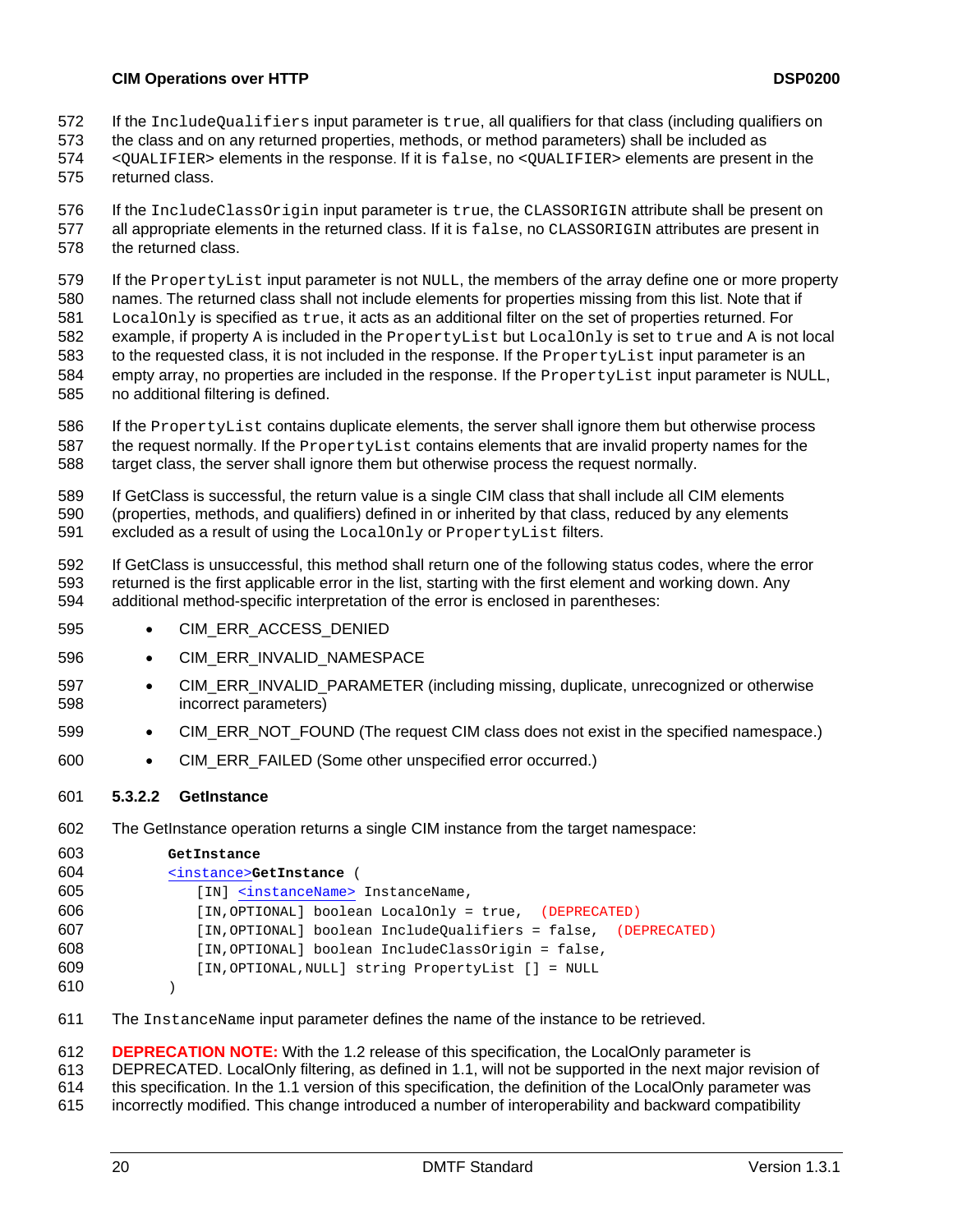- <span id="page-19-0"></span>If the IncludeQualifiers input parameter is true, all qualifiers for that class (including qualifiers on 572
- the class and on any returned properties, methods, or method parameters) shall be included as 573
- <QUALIFIER> elements in the response. If it is false, no <QUALIFIER> elements are present in the 574
- returned class. 575

576 577 578 If the IncludeClassOrigin input parameter is true, the CLASSORIGIN attribute shall be present on all appropriate elements in the returned class. If it is false, no CLASSORIGIN attributes are present in the returned class.

579 580 If the PropertyList input parameter is not NULL, the members of the array define one or more property names. The returned class shall not include elements for properties missing from this list. Note that if

581 582 583 584 LocalOnly is specified as true, it acts as an additional filter on the set of properties returned. For example, if property A is included in the PropertyList but LocalOnly is set to true and A is not local to the requested class, it is not included in the response. If the PropertyList input parameter is an empty array, no properties are included in the response. If the PropertyList input parameter is NULL,

585 no additional filtering is defined.

586 587 588 If the PropertyList contains duplicate elements, the server shall ignore them but otherwise process the request normally. If the PropertyList contains elements that are invalid property names for the target class, the server shall ignore them but otherwise process the request normally.

589 590 591 If GetClass is successful, the return value is a single CIM class that shall include all CIM elements (properties, methods, and qualifiers) defined in or inherited by that class, reduced by any elements excluded as a result of using the LocalOnly or PropertyList filters.

592 593 594 If GetClass is unsuccessful, this method shall return one of the following status codes, where the error returned is the first applicable error in the list, starting with the first element and working down. Any additional method-specific interpretation of the error is enclosed in parentheses:

- 595 • CIM\_ERR\_ACCESS\_DENIED
- 596 • CIM\_ERR\_INVALID\_NAMESPACE
- 597 598 • CIM\_ERR\_INVALID\_PARAMETER (including missing, duplicate, unrecognized or otherwise incorrect parameters)
- 599 • CIM\_ERR\_NOT\_FOUND (The request CIM class does not exist in the specified namespace.)
- 600 • CIM\_ERR\_FAILED (Some other unspecified error occurred.)

### 601 **5.3.2.2 GetInstance**

602 The GetInstance operation returns a single CIM instance from the target namespace:

| 603 | GetInstance                                                   |
|-----|---------------------------------------------------------------|
| 604 | <instance>GetInstance (</instance>                            |
| 605 | [IN] <instancename> InstanceName,</instancename>              |
| 606 | [IN, OPTIONAL] boolean LocalOnly = true, (DEPRECATED)         |
| 607 | [IN,OPTIONAL] boolean IncludeOualifiers = false, (DEPRECATED) |
| 608 | [IN, OPTIONAL] boolean IncludeClassOrigin = false,            |
| 609 | [IN, OPTIONAL, NULL] string PropertyList [] = NULL            |
| 610 |                                                               |

611 The InstanceName input parameter defines the name of the instance to be retrieved.

612 **DEPRECATION NOTE:** With the 1.2 release of this specification, the LocalOnly parameter is

613 DEPRECATED. LocalOnly filtering, as defined in 1.1, will not be supported in the next major revision of

614 this specification. In the 1.1 version of this specification, the definition of the LocalOnly parameter was

615 incorrectly modified. This change introduced a number of interoperability and backward compatibility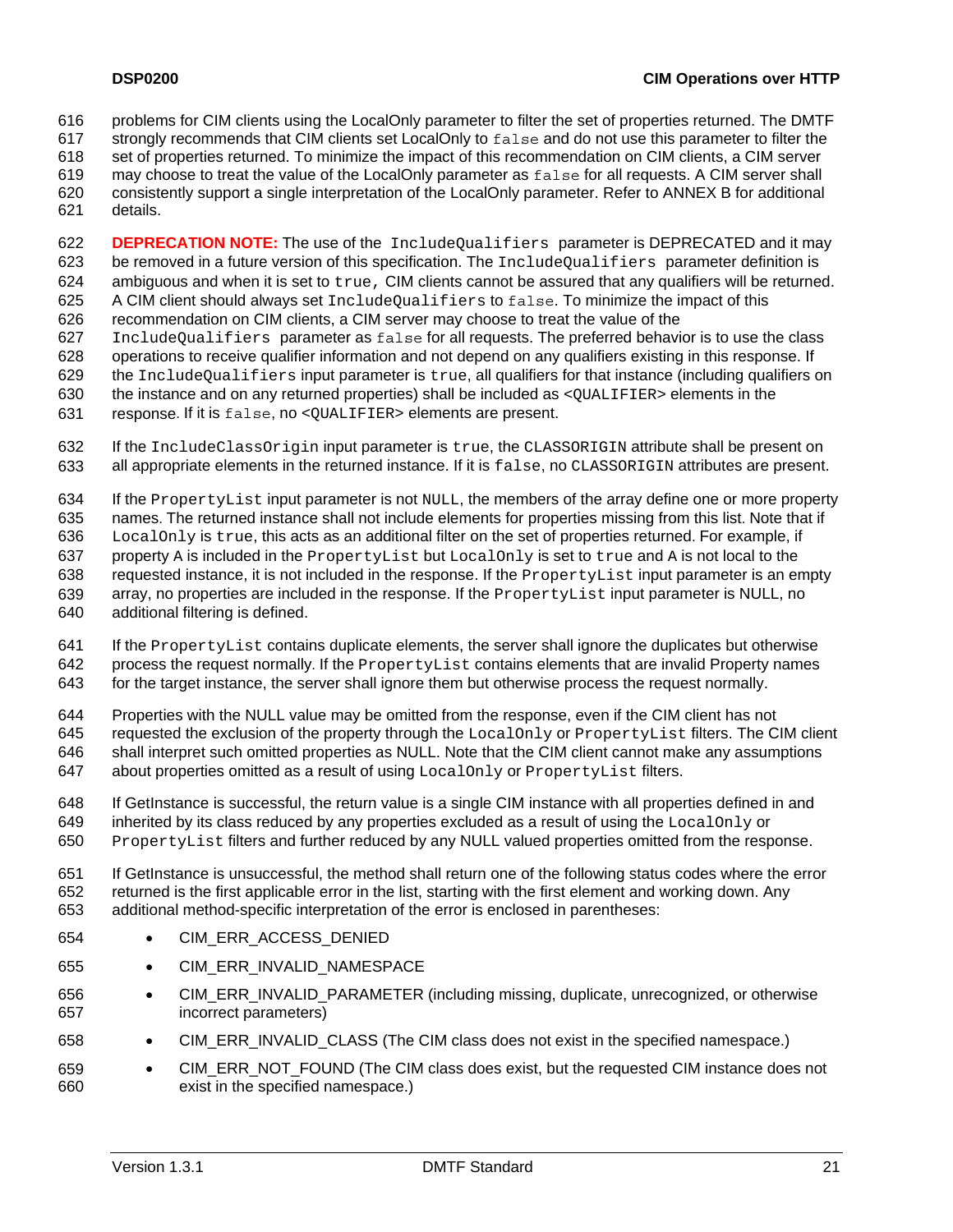problems for CIM clients using the LocalOnly parameter to filter the set of properties returned. The DMTF 616

strongly recommends that CIM clients set LocalOnly to false and do not use this parameter to filter the 617

set of properties returned. To minimize the impact of this recommendation on CIM clients, a CIM server may choose to treat the value of the LocalOnly parameter as false for all requests. A CIM server shall 618 619

consistently support a single interpretation of the LocalOnly parameter. Refer to [ANNEX B](#page-114-0) for additional 620

621 details.

622 623 624 **DEPRECATION NOTE:** The use of the IncludeQualifiers parameter is DEPRECATED and it may be removed in a future version of this specification. The IncludeQualifiers parameter definition is ambiguous and when it is set to true, CIM clients cannot be assured that any qualifiers will be returned.

625 A CIM client should always set IncludeQualifiers to false. To minimize the impact of this

626 recommendation on CIM clients, a CIM server may choose to treat the value of the

627 IncludeQualifiers parameter as false for all requests. The preferred behavior is to use the class

628 629 operations to receive qualifier information and not depend on any qualifiers existing in this response. If the IncludeQualifiers input parameter is true, all qualifiers for that instance (including qualifiers on

630 the instance and on any returned properties) shall be included as <QUALIFIER> elements in the

631 response. If it is false, no <QUALIFIER> elements are present.

632 633 If the IncludeClassOrigin input parameter is true, the CLASSORIGIN attribute shall be present on all appropriate elements in the returned instance. If it is false, no CLASSORIGIN attributes are present.

634 635 636 637 638 639 640 If the PropertyList input parameter is not NULL, the members of the array define one or more property names. The returned instance shall not include elements for properties missing from this list. Note that if LocalOnly is true, this acts as an additional filter on the set of properties returned. For example, if property A is included in the PropertyList but LocalOnly is set to true and A is not local to the requested instance, it is not included in the response. If the PropertyList input parameter is an empty array, no properties are included in the response. If the PropertyList input parameter is NULL, no additional filtering is defined.

641 642 643 If the PropertyList contains duplicate elements, the server shall ignore the duplicates but otherwise process the request normally. If the PropertyList contains elements that are invalid Property names for the target instance, the server shall ignore them but otherwise process the request normally.

644 Properties with the NULL value may be omitted from the response, even if the CIM client has not

645 646 647 requested the exclusion of the property through the LocalOnly or PropertyList filters. The CIM client shall interpret such omitted properties as NULL. Note that the CIM client cannot make any assumptions about properties omitted as a result of using LocalOnly or PropertyList filters.

648 649 650 If GetInstance is successful, the return value is a single CIM instance with all properties defined in and inherited by its class reduced by any properties excluded as a result of using the LocalOnly or PropertyList filters and further reduced by any NULL valued properties omitted from the response.

651 652 653 If GetInstance is unsuccessful, the method shall return one of the following status codes where the error returned is the first applicable error in the list, starting with the first element and working down. Any additional method-specific interpretation of the error is enclosed in parentheses:

- 654 • CIM\_ERR\_ACCESS\_DENIED
- 655 • CIM\_ERR\_INVALID\_NAMESPACE
- 656 657 • CIM\_ERR\_INVALID\_PARAMETER (including missing, duplicate, unrecognized, or otherwise incorrect parameters)
- 658 • CIM\_ERR\_INVALID\_CLASS (The CIM class does not exist in the specified namespace.)
- 659 660 • CIM\_ERR\_NOT\_FOUND (The CIM class does exist, but the requested CIM instance does not exist in the specified namespace.)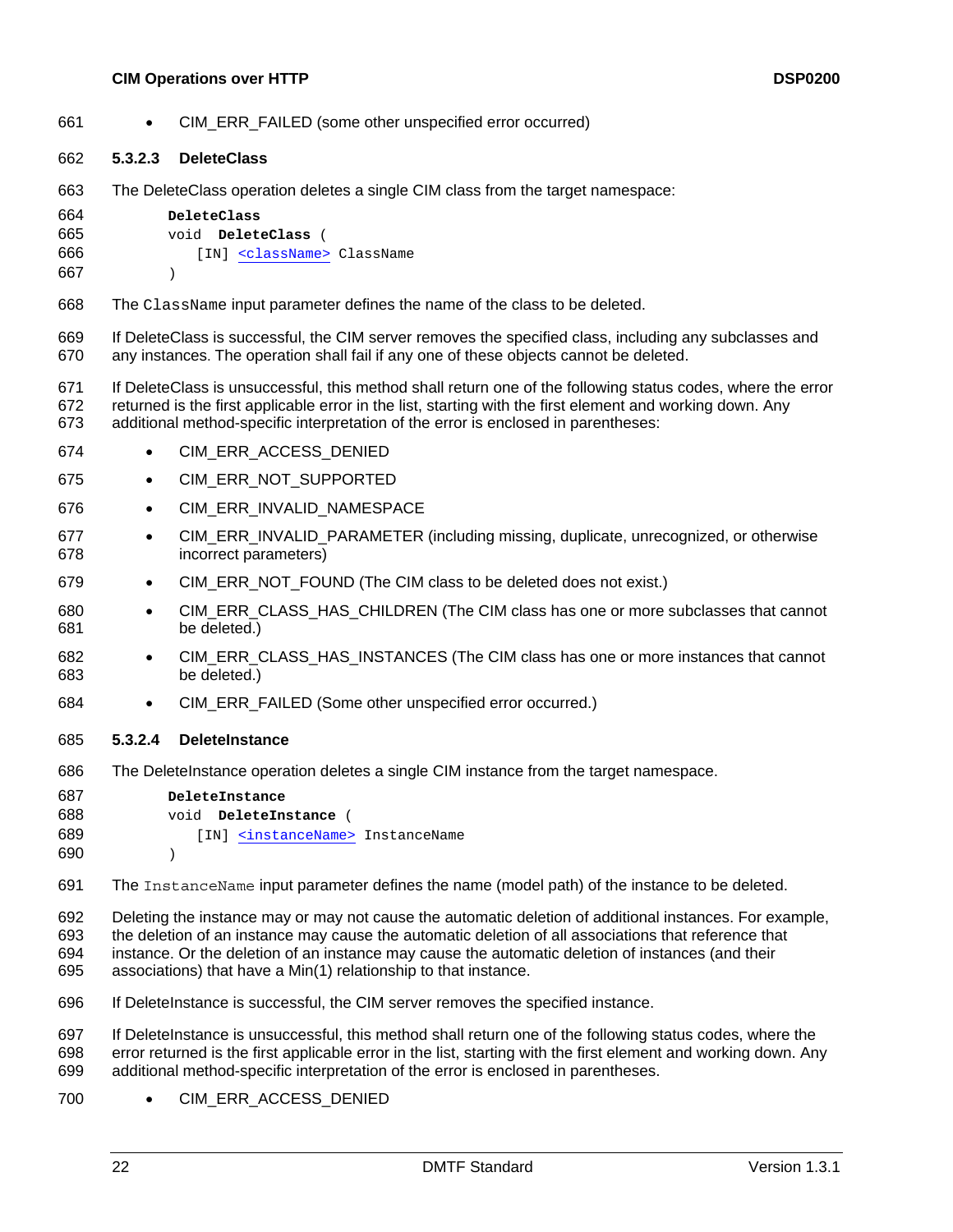#### **CIM Operations over HTTP DEPO200 DSP0200**

<span id="page-21-0"></span>661 • CIM\_ERR\_FAILED (some other unspecified error occurred)

#### 662 **5.3.2.3 DeleteClass**

663 The DeleteClass operation deletes a single CIM class from the target namespace:

| 664 | DeleteClass                            |
|-----|----------------------------------------|
| 665 | void <b>DeleteClass</b> (              |
| 666 | [IN] <classname> ClassName</classname> |
| 667 |                                        |

668 The ClassName input parameter defines the name of the class to be deleted.

669 670 If DeleteClass is successful, the CIM server removes the specified class, including any subclasses and any instances. The operation shall fail if any one of these objects cannot be deleted.

671 672 673 If DeleteClass is unsuccessful, this method shall return one of the following status codes, where the error returned is the first applicable error in the list, starting with the first element and working down. Any additional method-specific interpretation of the error is enclosed in parentheses:

- 674 • CIM\_ERR\_ACCESS\_DENIED
- 675 • CIM\_ERR\_NOT\_SUPPORTED
- 676 • CIM\_ERR\_INVALID\_NAMESPACE
- 677 678 • CIM\_ERR\_INVALID\_PARAMETER (including missing, duplicate, unrecognized, or otherwise incorrect parameters)
- 679 • CIM\_ERR\_NOT\_FOUND (The CIM class to be deleted does not exist.)
- 680 681 CIM\_ERR\_CLASS\_HAS\_CHILDREN (The CIM class has one or more subclasses that cannot be deleted.)
- 682 683 • CIM\_ERR\_CLASS\_HAS\_INSTANCES (The CIM class has one or more instances that cannot be deleted.)
- 684 • CIM\_ERR\_FAILED (Some other unspecified error occurred.)

#### 685 **5.3.2.4 DeleteInstance**

686 The DeleteInstance operation deletes a single CIM instance from the target namespace.

| 687 | DeleteInstance                                  |
|-----|-------------------------------------------------|
| 688 | void DeleteInstance (                           |
| 689 | [IN] <instancename> InstanceName</instancename> |
| 690 |                                                 |

- 691 The InstanceName input parameter defines the name (model path) of the instance to be deleted.
- 692 693 694 Deleting the instance may or may not cause the automatic deletion of additional instances. For example, the deletion of an instance may cause the automatic deletion of all associations that reference that instance. Or the deletion of an instance may cause the automatic deletion of instances (and their
- 695 associations) that have a Min(1) relationship to that instance.
- 696 If DeleteInstance is successful, the CIM server removes the specified instance.

697 698 699 If DeleteInstance is unsuccessful, this method shall return one of the following status codes, where the error returned is the first applicable error in the list, starting with the first element and working down. Any additional method-specific interpretation of the error is enclosed in parentheses.

700 • CIM\_ERR\_ACCESS\_DENIED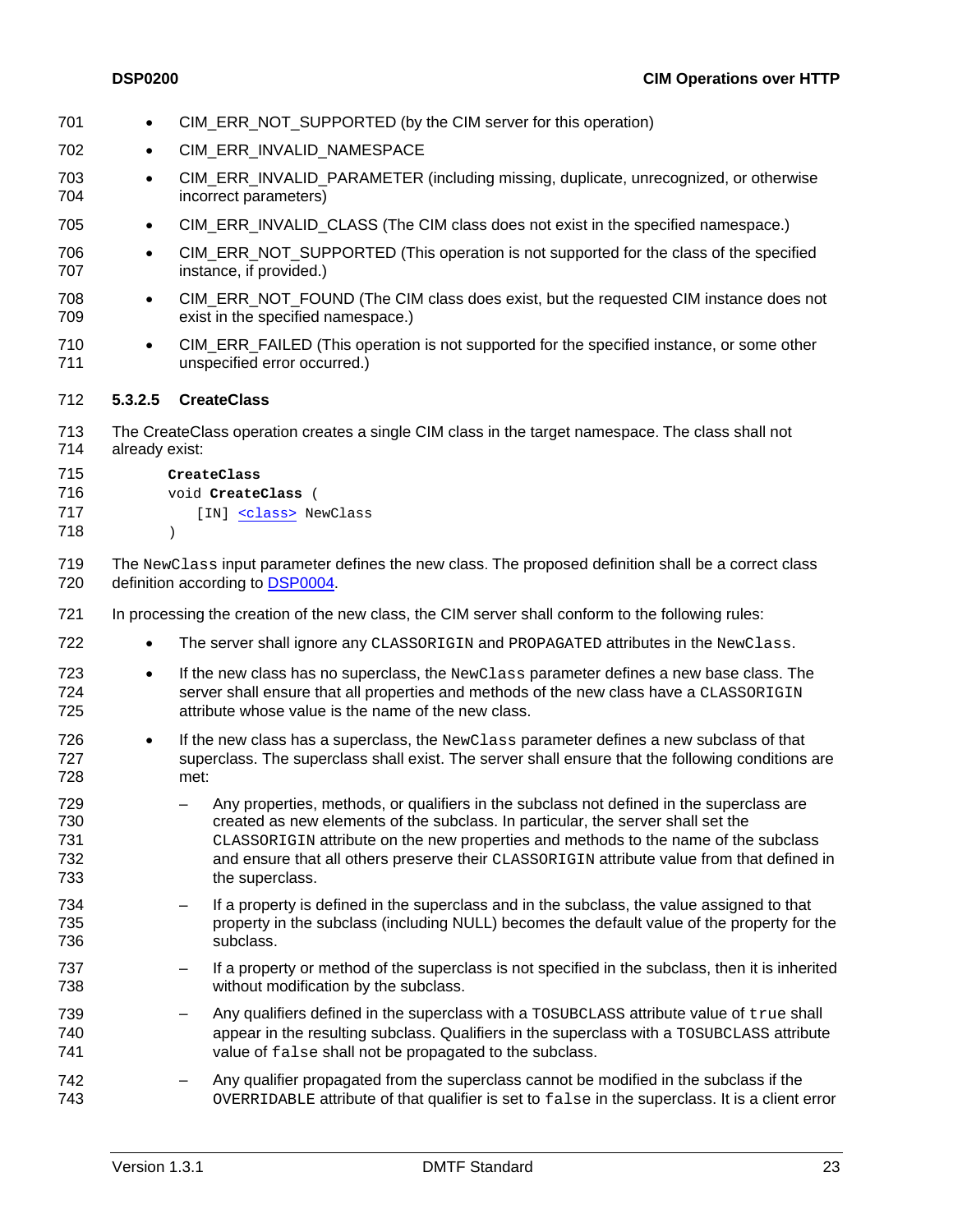<span id="page-22-0"></span>

| 701                             | $\bullet$                                                                                                           | CIM_ERR_NOT_SUPPORTED (by the CIM server for this operation)                                                                                                                                                                                                                                                                                                                         |
|---------------------------------|---------------------------------------------------------------------------------------------------------------------|--------------------------------------------------------------------------------------------------------------------------------------------------------------------------------------------------------------------------------------------------------------------------------------------------------------------------------------------------------------------------------------|
| 702                             | $\bullet$                                                                                                           | CIM_ERR_INVALID_NAMESPACE                                                                                                                                                                                                                                                                                                                                                            |
| 703<br>704                      | $\bullet$                                                                                                           | CIM_ERR_INVALID_PARAMETER (including missing, duplicate, unrecognized, or otherwise<br>incorrect parameters)                                                                                                                                                                                                                                                                         |
| 705                             | $\bullet$                                                                                                           | CIM_ERR_INVALID_CLASS (The CIM class does not exist in the specified namespace.)                                                                                                                                                                                                                                                                                                     |
| 706<br>707                      | $\bullet$                                                                                                           | CIM_ERR_NOT_SUPPORTED (This operation is not supported for the class of the specified<br>instance, if provided.)                                                                                                                                                                                                                                                                     |
| 708<br>709                      | $\bullet$                                                                                                           | CIM_ERR_NOT_FOUND (The CIM class does exist, but the requested CIM instance does not<br>exist in the specified namespace.)                                                                                                                                                                                                                                                           |
| 710<br>711                      | $\bullet$                                                                                                           | CIM_ERR_FAILED (This operation is not supported for the specified instance, or some other<br>unspecified error occurred.)                                                                                                                                                                                                                                                            |
| 712                             | 5.3.2.5                                                                                                             | <b>CreateClass</b>                                                                                                                                                                                                                                                                                                                                                                   |
| 713<br>714                      | The CreateClass operation creates a single CIM class in the target namespace. The class shall not<br>already exist: |                                                                                                                                                                                                                                                                                                                                                                                      |
| 715<br>716<br>717<br>718        | CreateClass<br>void CreateClass (<br>[IN] <class> NewClass<br/><math>\left( \right)</math></class>                  |                                                                                                                                                                                                                                                                                                                                                                                      |
| 719<br>720                      |                                                                                                                     | The NewClass input parameter defines the new class. The proposed definition shall be a correct class<br>definition according to DSP0004.                                                                                                                                                                                                                                             |
| 721                             |                                                                                                                     | In processing the creation of the new class, the CIM server shall conform to the following rules:                                                                                                                                                                                                                                                                                    |
| 722                             |                                                                                                                     | The server shall ignore any CLASSORIGIN and PROPAGATED attributes in the NewClass.                                                                                                                                                                                                                                                                                                   |
| 723<br>724<br>725               | $\bullet$                                                                                                           | If the new class has no superclass, the NewClass parameter defines a new base class. The<br>server shall ensure that all properties and methods of the new class have a CLASSORIGIN<br>attribute whose value is the name of the new class.                                                                                                                                           |
| 726<br>727<br>728               | $\bullet$                                                                                                           | If the new class has a superclass, the NewClass parameter defines a new subclass of that<br>superclass. The superclass shall exist. The server shall ensure that the following conditions are<br>met:                                                                                                                                                                                |
| 729<br>730<br>731<br>732<br>733 |                                                                                                                     | Any properties, methods, or qualifiers in the subclass not defined in the superclass are<br>created as new elements of the subclass. In particular, the server shall set the<br>CLASSORIGIN attribute on the new properties and methods to the name of the subclass<br>and ensure that all others preserve their CLASSORIGIN attribute value from that defined in<br>the superclass. |
| 734<br>735<br>736               |                                                                                                                     | If a property is defined in the superclass and in the subclass, the value assigned to that<br>property in the subclass (including NULL) becomes the default value of the property for the<br>subclass.                                                                                                                                                                               |
| 737<br>738                      |                                                                                                                     | If a property or method of the superclass is not specified in the subclass, then it is inherited<br>without modification by the subclass.                                                                                                                                                                                                                                            |
| 739<br>740<br>741               |                                                                                                                     | Any qualifiers defined in the superclass with a TOSUBCLASS attribute value of true shall<br>appear in the resulting subclass. Qualifiers in the superclass with a TOSUBCLASS attribute<br>value of false shall not be propagated to the subclass.                                                                                                                                    |
| 742<br>743                      |                                                                                                                     | Any qualifier propagated from the superclass cannot be modified in the subclass if the<br>OVERRIDABLE attribute of that qualifier is set to false in the superclass. It is a client error                                                                                                                                                                                            |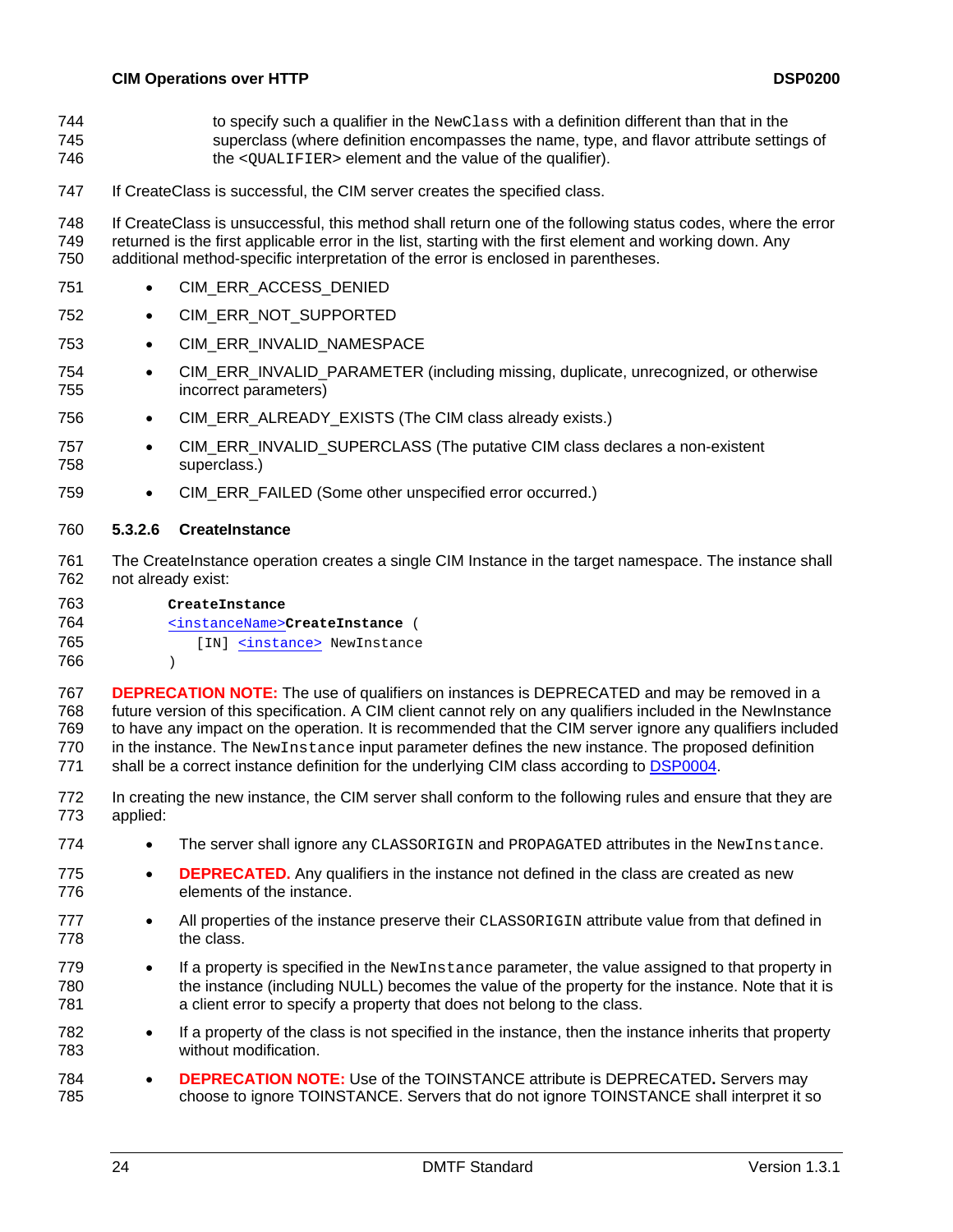- <span id="page-23-0"></span>to specify such a qualifier in the NewClass with a definition different than that in the superclass (where definition encompasses the name, type, and flavor attribute settings of the <QUALIFIER> element and the value of the qualifier). 744 745 746
- 747 If CreateClass is successful, the CIM server creates the specified class.
- 748 749 750 If CreateClass is unsuccessful, this method shall return one of the following status codes, where the error returned is the first applicable error in the list, starting with the first element and working down. Any additional method-specific interpretation of the error is enclosed in parentheses.
- 751 • CIM ERR ACCESS DENIED
- 752 • CIM\_ERR\_NOT\_SUPPORTED
- 753 • CIM\_ERR\_INVALID\_NAMESPACE
- 754 755 • CIM\_ERR\_INVALID\_PARAMETER (including missing, duplicate, unrecognized, or otherwise incorrect parameters)
- 756 • CIM\_ERR\_ALREADY\_EXISTS (The CIM class already exists.)
- 757 758 • CIM\_ERR\_INVALID\_SUPERCLASS (The putative CIM class declares a non-existent superclass.)
- 759 • CIM\_ERR\_FAILED (Some other unspecified error occurred.)

#### 760 **5.3.2.6 CreateInstance**

- 761 762 The CreateInstance operation creates a single CIM Instance in the target namespace. The instance shall not already exist:
- 763  **CreateInstance**  764 [<instanceName>](#page-18-0)**CreateInstance** ( 765 [IN] [<instance>](#page-18-0) NewInstance )
- 766
- 767 768 769 770 **DEPRECATION NOTE:** The use of qualifiers on instances is DEPRECATED and may be removed in a future version of this specification. A CIM client cannot rely on any qualifiers included in the NewInstance to have any impact on the operation. It is recommended that the CIM server ignore any qualifiers included in the instance. The NewInstance input parameter defines the new instance. The proposed definition 771 shall be a correct instance definition for the underlying CIM class according to [DSP0004.](#page-8-0)
- 772 773 In creating the new instance, the CIM server shall conform to the following rules and ensure that they are applied:
- 774 • The server shall ignore any CLASSORIGIN and PROPAGATED attributes in the NewInstance.
- 775 776 • **DEPRECATED.** Any qualifiers in the instance not defined in the class are created as new elements of the instance.
- 777 778 • All properties of the instance preserve their CLASSORIGIN attribute value from that defined in the class.
- 779 780 781 • If a property is specified in the NewInstance parameter, the value assigned to that property in the instance (including NULL) becomes the value of the property for the instance. Note that it is a client error to specify a property that does not belong to the class.
- 782 783 • If a property of the class is not specified in the instance, then the instance inherits that property without modification.
- 784 785 • **DEPRECATION NOTE:** Use of the TOINSTANCE attribute is DEPRECATED**.** Servers may choose to ignore TOINSTANCE. Servers that do not ignore TOINSTANCE shall interpret it so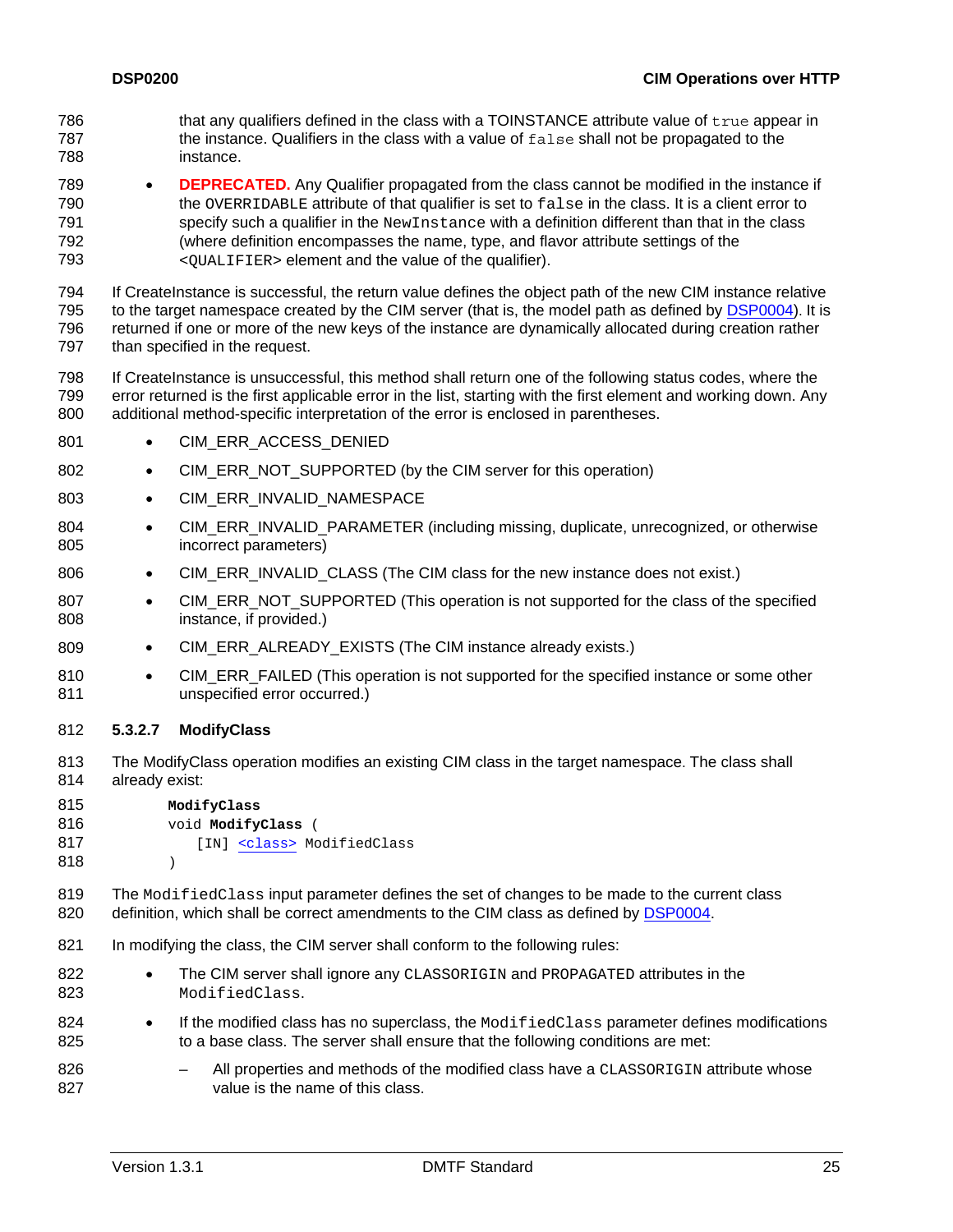- <span id="page-24-0"></span>that any qualifiers defined in the class with a TOINSTANCE attribute value of true appear in the instance. Qualifiers in the class with a value of false shall not be propagated to the instance. 786 787 788
- 789 790 791 792 793 • **DEPRECATED.** Any Qualifier propagated from the class cannot be modified in the instance if the OVERRIDABLE attribute of that qualifier is set to false in the class. It is a client error to specify such a qualifier in the NewInstance with a definition different than that in the class (where definition encompasses the name, type, and flavor attribute settings of the <QUALIFIER> element and the value of the qualifier).

794 If CreateInstance is successful, the return value defines the object path of the new CIM instance relative to the target namespace created by the CIM server (that is, the model path as defined by [DSP0004\)](#page-8-0). It is returned if one or more of the new keys of the instance are dynamically allocated during creation rather than specified in the request. 795 796 797

- 798 799 800 If CreateInstance is unsuccessful, this method shall return one of the following status codes, where the error returned is the first applicable error in the list, starting with the first element and working down. Any additional method-specific interpretation of the error is enclosed in parentheses.
- 801 • CIM\_ERR\_ACCESS\_DENIED
- 802 • CIM\_ERR\_NOT\_SUPPORTED (by the CIM server for this operation)
- 803 • CIM\_ERR\_INVALID\_NAMESPACE
- 804 805 • CIM\_ERR\_INVALID\_PARAMETER (including missing, duplicate, unrecognized, or otherwise incorrect parameters)
- 806 • CIM\_ERR\_INVALID\_CLASS (The CIM class for the new instance does not exist.)
- 807 808 • CIM\_ERR\_NOT\_SUPPORTED (This operation is not supported for the class of the specified instance, if provided.)
- 809 • CIM\_ERR\_ALREADY\_EXISTS (The CIM instance already exists.)
- 810 811 • CIM\_ERR\_FAILED (This operation is not supported for the specified instance or some other unspecified error occurred.)

#### 812 **5.3.2.7 ModifyClass**

- 813 814 The ModifyClass operation modifies an existing CIM class in the target namespace. The class shall already exist:
- 815 816  **ModifyClass**  void **ModifyClass** ( 817 [IN] [<class>](#page-18-0) ModifiedClass 818  $\lambda$
- 819 The ModifiedClass input parameter defines the set of changes to be made to the current class 820 definition, which shall be correct amendments to the CIM class as defined by [DSP0004.](#page-8-0)
- 821 In modifying the class, the CIM server shall conform to the following rules:
- 822 823 • The CIM server shall ignore any CLASSORIGIN and PROPAGATED attributes in the ModifiedClass.
- 824 825 If the modified class has no superclass, the  $ModifiedClass$  parameter defines modifications to a base class. The server shall ensure that the following conditions are met:
- 826 827 All properties and methods of the modified class have a CLASSORIGIN attribute whose value is the name of this class.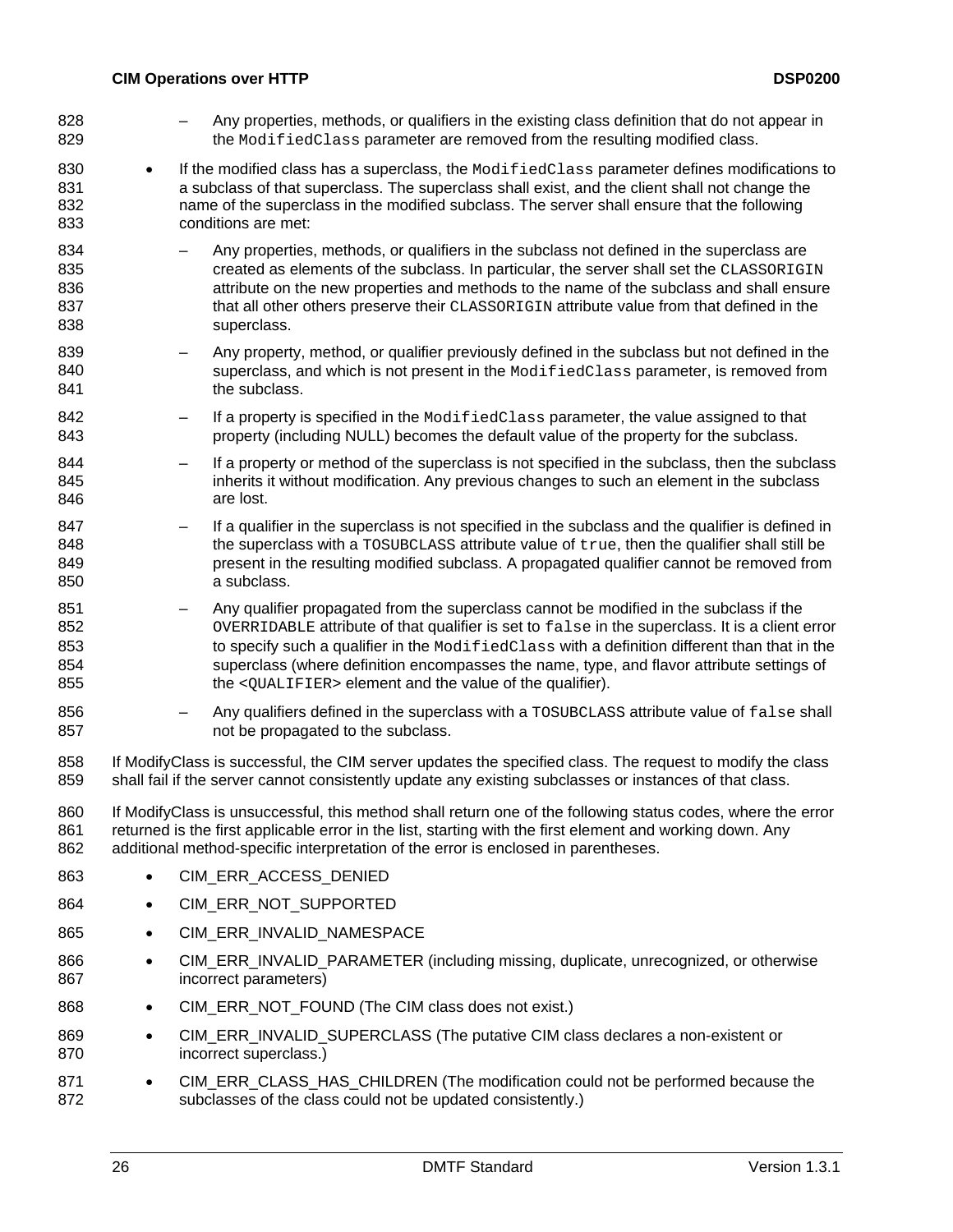– Any properties, methods, or qualifiers in the existing class definition that do not appear in the ModifiedClass parameter are removed from the resulting modified class. 828 829 830 831 832 833 834 835 836 837 838 839 840 841 842 843 844 845 846 847 848 849 850 851 852 853 854 855 856 857 858 859 860 861 862 863 864 865 866 867 868 869 870 871 872 • If the modified class has a superclass, the ModifiedClass parameter defines modifications to a subclass of that superclass. The superclass shall exist, and the client shall not change the name of the superclass in the modified subclass. The server shall ensure that the following conditions are met: – Any properties, methods, or qualifiers in the subclass not defined in the superclass are created as elements of the subclass. In particular, the server shall set the CLASSORIGIN attribute on the new properties and methods to the name of the subclass and shall ensure that all other others preserve their CLASSORIGIN attribute value from that defined in the superclass. – Any property, method, or qualifier previously defined in the subclass but not defined in the superclass, and which is not present in the ModifiedClass parameter, is removed from the subclass. If a property is specified in the ModifiedClass parameter, the value assigned to that property (including NULL) becomes the default value of the property for the subclass. If a property or method of the superclass is not specified in the subclass, then the subclass inherits it without modification. Any previous changes to such an element in the subclass are lost. If a qualifier in the superclass is not specified in the subclass and the qualifier is defined in the superclass with a  $TOSUBCLASS$  attribute value of  $true$ , then the qualifier shall still be present in the resulting modified subclass. A propagated qualifier cannot be removed from a subclass. – Any qualifier propagated from the superclass cannot be modified in the subclass if the OVERRIDABLE attribute of that qualifier is set to false in the superclass. It is a client error to specify such a qualifier in the ModifiedClass with a definition different than that in the superclass (where definition encompasses the name, type, and flavor attribute settings of the <QUALIFIER> element and the value of the qualifier). – Any qualifiers defined in the superclass with a TOSUBCLASS attribute value of false shall not be propagated to the subclass. If ModifyClass is successful, the CIM server updates the specified class. The request to modify the class shall fail if the server cannot consistently update any existing subclasses or instances of that class. If ModifyClass is unsuccessful, this method shall return one of the following status codes, where the error returned is the first applicable error in the list, starting with the first element and working down. Any additional method-specific interpretation of the error is enclosed in parentheses. • CIM\_ERR\_ACCESS\_DENIED • CIM\_ERR\_NOT\_SUPPORTED • CIM\_ERR\_INVALID\_NAMESPACE • CIM\_ERR\_INVALID\_PARAMETER (including missing, duplicate, unrecognized, or otherwise incorrect parameters) • CIM\_ERR\_NOT\_FOUND (The CIM class does not exist.) • CIM\_ERR\_INVALID\_SUPERCLASS (The putative CIM class declares a non-existent or incorrect superclass.) • CIM\_ERR\_CLASS\_HAS\_CHILDREN (The modification could not be performed because the subclasses of the class could not be updated consistently.)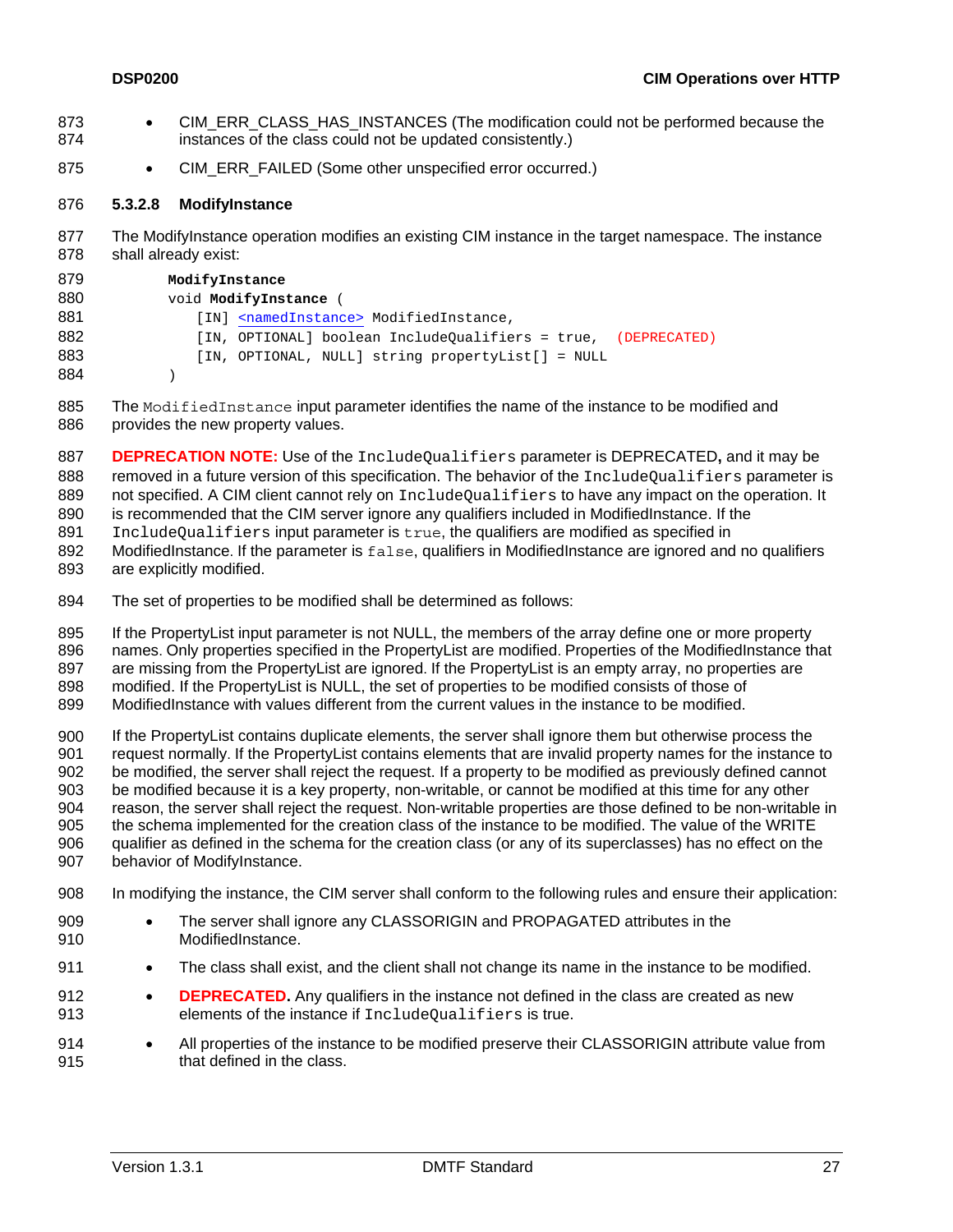- <span id="page-26-0"></span>• CIM\_ERR\_CLASS\_HAS\_INSTANCES (The modification could not be performed because the instances of the class could not be updated consistently.) 873 874
- 875 • CIM\_ERR\_FAILED (Some other unspecified error occurred.)

#### 876 **5.3.2.8 ModifyInstance**

877 878 The ModifyInstance operation modifies an existing CIM instance in the target namespace. The instance shall already exist:

879 880  **ModifyInstance**  void **ModifyInstance** ( 881 [IN] [<namedInstance>](#page-18-0) ModifiedInstance, 882 883 884 [IN, OPTIONAL] boolean IncludeQualifiers = true, (DEPRECATED) [IN, OPTIONAL, NULL] string propertyList[] = NULL  $\lambda$ 

885 886 The ModifiedInstance input parameter identifies the name of the instance to be modified and provides the new property values.

887 888 **DEPRECATION NOTE:** Use of the IncludeQualifiers parameter is DEPRECATED**,** and it may be removed in a future version of this specification. The behavior of the IncludeQualifiers parameter is

889 not specified. A CIM client cannot rely on IncludeQualifiers to have any impact on the operation. It

890 is recommended that the CIM server ignore any qualifiers included in ModifiedInstance. If the

891 IncludeQualifiers input parameter is true, the qualifiers are modified as specified in

892 ModifiedInstance. If the parameter is false, qualifiers in ModifiedInstance are ignored and no qualifiers

893 are explicitly modified.

894 The set of properties to be modified shall be determined as follows:

895 896 897 898 899 If the PropertyList input parameter is not NULL, the members of the array define one or more property names. Only properties specified in the PropertyList are modified. Properties of the ModifiedInstance that are missing from the PropertyList are ignored. If the PropertyList is an empty array, no properties are modified. If the PropertyList is NULL, the set of properties to be modified consists of those of ModifiedInstance with values different from the current values in the instance to be modified.

900 901 902 903 904 905 906 907 If the PropertyList contains duplicate elements, the server shall ignore them but otherwise process the request normally. If the PropertyList contains elements that are invalid property names for the instance to be modified, the server shall reject the request. If a property to be modified as previously defined cannot be modified because it is a key property, non-writable, or cannot be modified at this time for any other reason, the server shall reject the request. Non-writable properties are those defined to be non-writable in the schema implemented for the creation class of the instance to be modified. The value of the WRITE qualifier as defined in the schema for the creation class (or any of its superclasses) has no effect on the behavior of ModifyInstance.

908 In modifying the instance, the CIM server shall conform to the following rules and ensure their application:

| 909 | The server shall ignore any CLASSORIGIN and PROPAGATED attributes in the |
|-----|--------------------------------------------------------------------------|
| 910 | ModifiedInstance.                                                        |

- 911 • The class shall exist, and the client shall not change its name in the instance to be modified.
- 912 913 • **DEPRECATED.** Any qualifiers in the instance not defined in the class are created as new elements of the instance if IncludeQualifiers is true.
- 914 915 • All properties of the instance to be modified preserve their CLASSORIGIN attribute value from that defined in the class.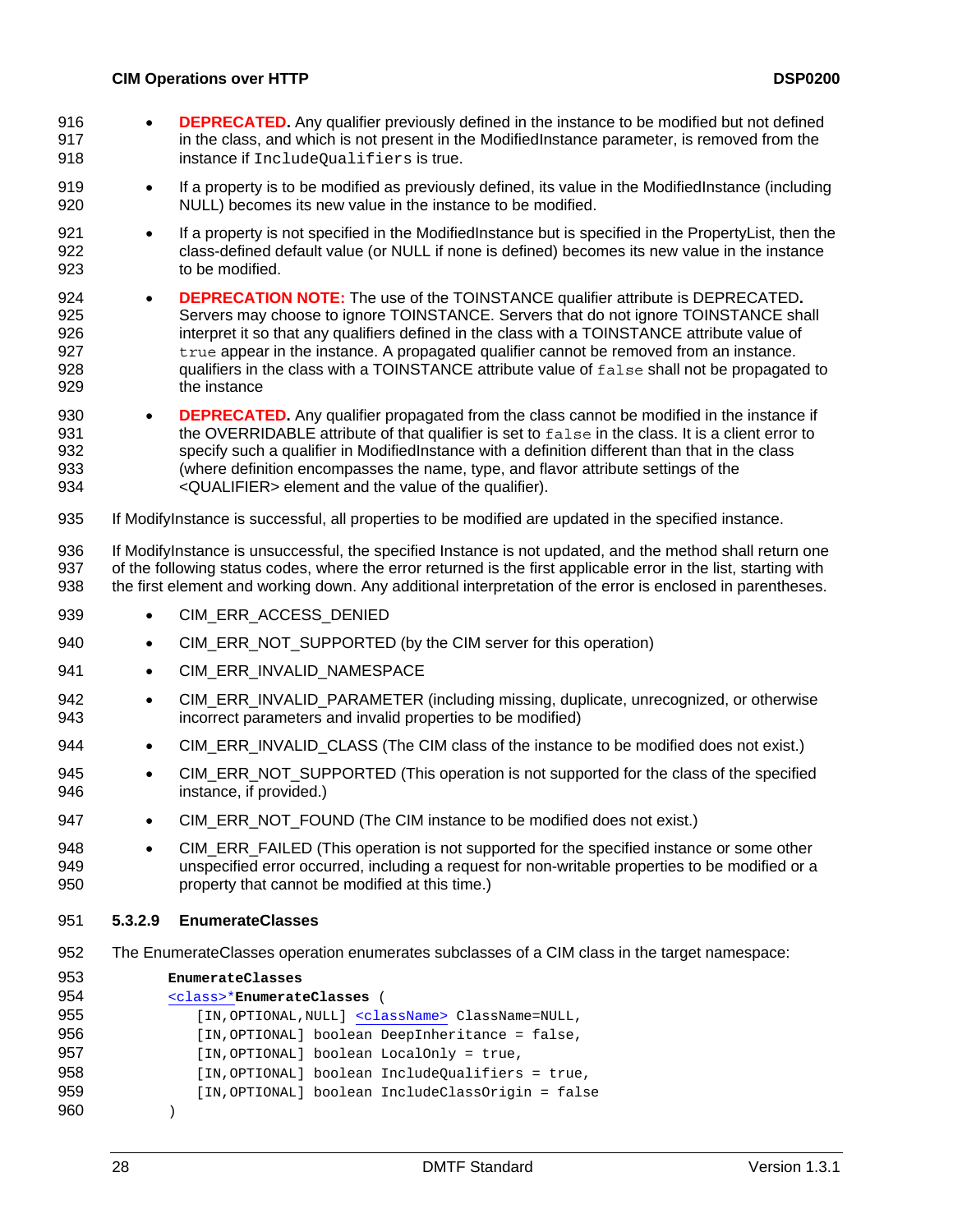- <span id="page-27-0"></span>• **DEPRECATED.** Any qualifier previously defined in the instance to be modified but not defined in the class, and which is not present in the ModifiedInstance parameter, is removed from the instance if IncludeQualifiers is true. 916 917 918
- 919 920 • If a property is to be modified as previously defined, its value in the ModifiedInstance (including NULL) becomes its new value in the instance to be modified.
- 921 922 923 • If a property is not specified in the ModifiedInstance but is specified in the PropertyList, then the class-defined default value (or NULL if none is defined) becomes its new value in the instance to be modified.
- 924 925 926 927 928 929 • **DEPRECATION NOTE:** The use of the TOINSTANCE qualifier attribute is DEPRECATED**.**  Servers may choose to ignore TOINSTANCE. Servers that do not ignore TOINSTANCE shall interpret it so that any qualifiers defined in the class with a TOINSTANCE attribute value of true appear in the instance. A propagated qualifier cannot be removed from an instance. qualifiers in the class with a TOINSTANCE attribute value of false shall not be propagated to the instance
- 930 931 932 933 934 • **DEPRECATED.** Any qualifier propagated from the class cannot be modified in the instance if the OVERRIDABLE attribute of that qualifier is set to false in the class. It is a client error to specify such a qualifier in ModifiedInstance with a definition different than that in the class (where definition encompasses the name, type, and flavor attribute settings of the <QUALIFIER> element and the value of the qualifier).
- 935 If ModifyInstance is successful, all properties to be modified are updated in the specified instance.

936 937 938 If ModifyInstance is unsuccessful, the specified Instance is not updated, and the method shall return one of the following status codes, where the error returned is the first applicable error in the list, starting with the first element and working down. Any additional interpretation of the error is enclosed in parentheses.

- 939 • CIM\_ERR\_ACCESS\_DENIED
- 940 • CIM\_ERR\_NOT\_SUPPORTED (by the CIM server for this operation)
- 941 • CIM\_ERR\_INVALID\_NAMESPACE
- 942 943 • CIM\_ERR\_INVALID\_PARAMETER (including missing, duplicate, unrecognized, or otherwise incorrect parameters and invalid properties to be modified)
- 944 • CIM\_ERR\_INVALID\_CLASS (The CIM class of the instance to be modified does not exist.)
- 945 946 • CIM\_ERR\_NOT\_SUPPORTED (This operation is not supported for the class of the specified instance, if provided.)
- 947 • CIM\_ERR\_NOT\_FOUND (The CIM instance to be modified does not exist.)
- 948 949 950 • CIM ERR FAILED (This operation is not supported for the specified instance or some other unspecified error occurred, including a request for non-writable properties to be modified or a property that cannot be modified at this time.)
- 951 **5.3.2.9 EnumerateClasses**
- 952 The EnumerateClasses operation enumerates subclasses of a CIM class in the target namespace:

| 953 | EnumerateClasses                                             |
|-----|--------------------------------------------------------------|
| 954 | <class>*EnumerateClasses (</class>                           |
| 955 | [IN, OPTIONAL, NULL] <classname> ClassName=NULL,</classname> |
| 956 | [IN, OPTIONAL] boolean DeepInheritance = false,              |
| 957 | [IN, OPTIONAL] boolean LocalOnly = true,                     |
| 958 | [IN, OPTIONAL] boolean Include Oualifiers = true,            |
| 959 | [IN, OPTIONAL] boolean IncludeClassOrigin = false            |
| 960 |                                                              |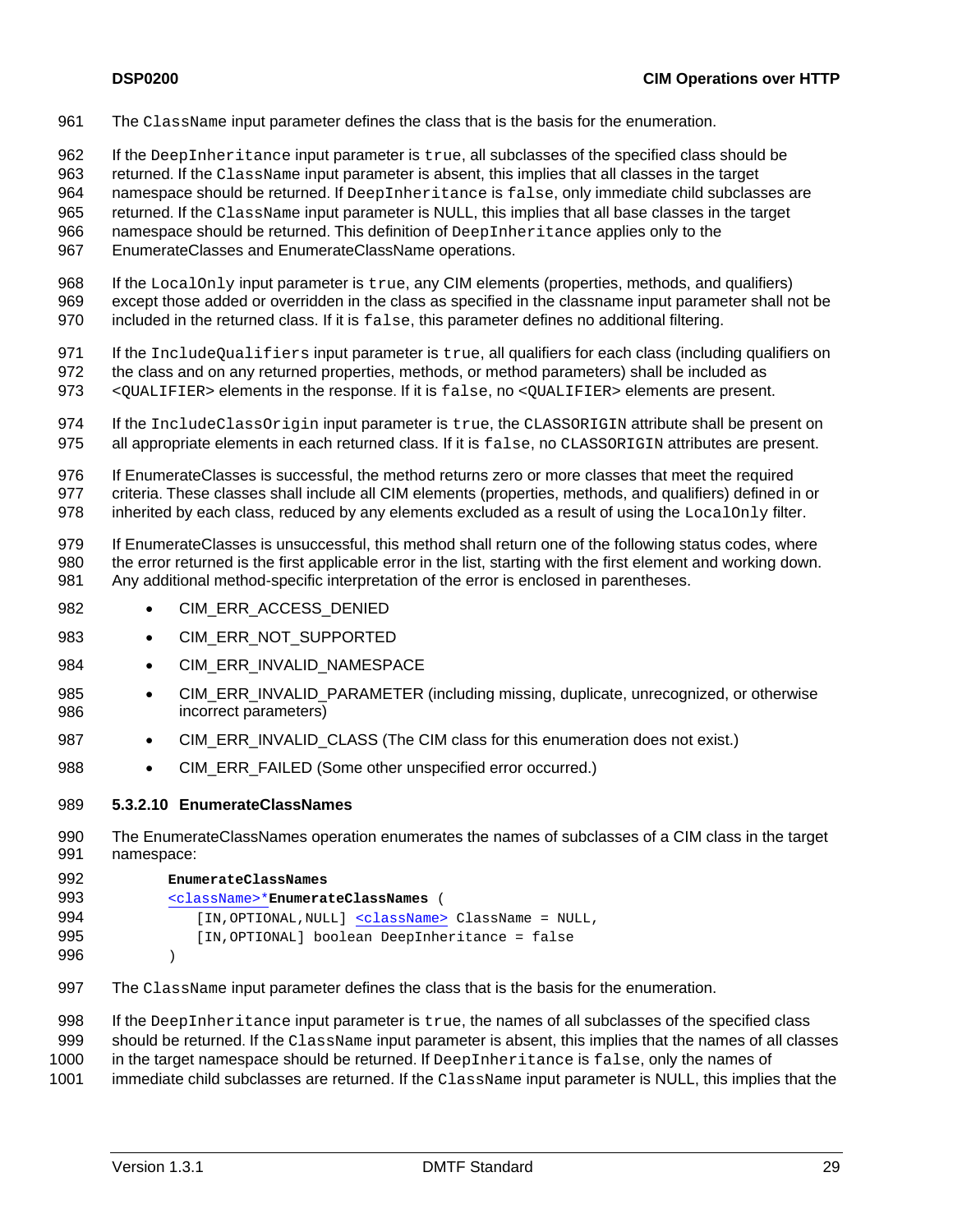- <span id="page-28-0"></span>961 The ClassName input parameter defines the class that is the basis for the enumeration.
- 962 If the DeepInheritance input parameter is true, all subclasses of the specified class should be
- 963 returned. If the ClassName input parameter is absent, this implies that all classes in the target
- 964 namespace should be returned. If DeepInheritance is false, only immediate child subclasses are
- 965 returned. If the ClassName input parameter is NULL, this implies that all base classes in the target
- 966 namespace should be returned. This definition of DeepInheritance applies only to the
- 967 EnumerateClasses and EnumerateClassName operations.
- 968 969 970 If the LocalOnly input parameter is true, any CIM elements (properties, methods, and qualifiers) except those added or overridden in the class as specified in the classname input parameter shall not be included in the returned class. If it is false, this parameter defines no additional filtering.
- 971 972 If the IncludeQualifiers input parameter is true, all qualifiers for each class (including qualifiers on the class and on any returned properties, methods, or method parameters) shall be included as
- 973 <QUALIFIER> elements in the response. If it is false, no <QUALIFIER> elements are present.
- 974 975 If the IncludeClassOrigin input parameter is true, the CLASSORIGIN attribute shall be present on all appropriate elements in each returned class. If it is false, no CLASSORIGIN attributes are present.
- 976 977 978 If EnumerateClasses is successful, the method returns zero or more classes that meet the required criteria. These classes shall include all CIM elements (properties, methods, and qualifiers) defined in or inherited by each class, reduced by any elements excluded as a result of using the LocalOnly filter.
- 979 980 981 If EnumerateClasses is unsuccessful, this method shall return one of the following status codes, where the error returned is the first applicable error in the list, starting with the first element and working down. Any additional method-specific interpretation of the error is enclosed in parentheses.
- 982 • CIM\_ERR\_ACCESS\_DENIED
- 983 • CIM\_ERR\_NOT\_SUPPORTED
- 984 • CIM\_ERR\_INVALID\_NAMESPACE
- 985 986 CIM\_ERR\_INVALID\_PARAMETER (including missing, duplicate, unrecognized, or otherwise incorrect parameters)
- 987 • CIM\_ERR\_INVALID\_CLASS (The CIM class for this enumeration does not exist.)
- 988 • CIM\_ERR\_FAILED (Some other unspecified error occurred.)
- 989 **5.3.2.10 EnumerateClassNames**
- 990 991 The EnumerateClassNames operation enumerates the names of subclasses of a CIM class in the target namespace:
- 992  **EnumerateClassNames**  993 [<className>\\*](#page-18-0)**EnumerateClassNames** ( 994 [IN, OPTIONAL, NULL] [<className>](#page-18-0) ClassName = NULL, 995 996 [IN,OPTIONAL] boolean DeepInheritance = false )
- 997 The ClassName input parameter defines the class that is the basis for the enumeration.

998 If the DeepInheritance input parameter is true, the names of all subclasses of the specified class

- 999 should be returned. If the ClassName input parameter is absent, this implies that the names of all classes
- 1000 in the target namespace should be returned. If DeepInheritance is false, only the names of
- 1001 immediate child subclasses are returned. If the ClassName input parameter is NULL, this implies that the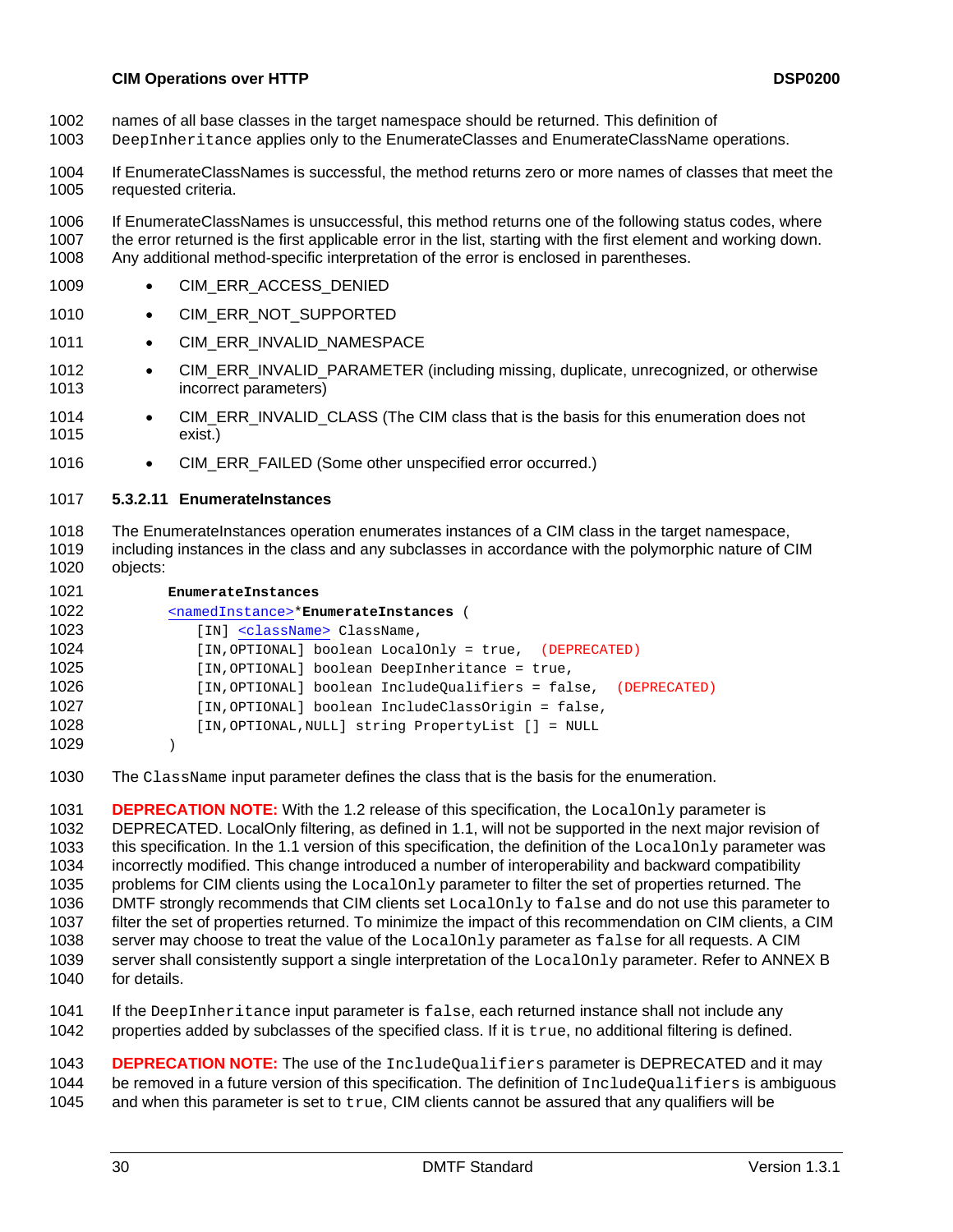- <span id="page-29-0"></span>names of all base classes in the target namespace should be returned. This definition of 1002
- DeepInheritance applies only to the EnumerateClasses and EnumerateClassName operations. 1003
- 1004 1005 If EnumerateClassNames is successful, the method returns zero or more names of classes that meet the requested criteria.
- 1006 1007 1008 If EnumerateClassNames is unsuccessful, this method returns one of the following status codes, where the error returned is the first applicable error in the list, starting with the first element and working down. Any additional method-specific interpretation of the error is enclosed in parentheses.
- 1009 • CIM\_ERR\_ACCESS\_DENIED
- 1010 • CIM\_ERR\_NOT\_SUPPORTED
- 1011 • CIM\_ERR\_INVALID\_NAMESPACE
- 1012 1013 • CIM\_ERR\_INVALID\_PARAMETER (including missing, duplicate, unrecognized, or otherwise incorrect parameters)
- 1014 1015 • CIM\_ERR\_INVALID\_CLASS (The CIM class that is the basis for this enumeration does not exist.)
- 1016 • CIM\_ERR\_FAILED (Some other unspecified error occurred.)
- 1017 **5.3.2.11 EnumerateInstances**
- 1018 1019 1020 The EnumerateInstances operation enumerates instances of a CIM class in the target namespace, including instances in the class and any subclasses in accordance with the polymorphic nature of CIM objects:

| 1021 | EnumerateInstances                                             |
|------|----------------------------------------------------------------|
| 1022 | <namedinstance>*EnumerateInstances</namedinstance>             |
| 1023 | [IN] <classname> ClassName,</classname>                        |
| 1024 | [IN, OPTIONAL] boolean LocalOnly = true, (DEPRECATED)          |
| 1025 | [IN, OPTIONAL] boolean DeepInheritance = true,                 |
| 1026 | [IN, OPTIONAL] boolean IncludeQualifiers = false, (DEPRECATED) |
| 1027 | [IN,OPTIONAL] boolean IncludeClassOrigin = false,              |
| 1028 | [IN, OPTIONAL, NULL] string PropertyList [] = NULL             |
| 1029 |                                                                |

1030 The ClassName input parameter defines the class that is the basis for the enumeration.

1031 1032 1033 1034 1035 1036 1037 1038 1039 1040 **DEPRECATION NOTE:** With the 1.2 release of this specification, the LocalOnly parameter is DEPRECATED. LocalOnly filtering, as defined in 1.1, will not be supported in the next major revision of this specification. In the 1.1 version of this specification, the definition of the LocalOnly parameter was incorrectly modified. This change introduced a number of interoperability and backward compatibility problems for CIM clients using the LocalOnly parameter to filter the set of properties returned. The DMTF strongly recommends that CIM clients set LocalOnly to false and do not use this parameter to filter the set of properties returned. To minimize the impact of this recommendation on CIM clients, a CIM server may choose to treat the value of the LocalOnly parameter as false for all requests. A CIM server shall consistently support a single interpretation of the LocalOnly parameter. Refer to [ANNEX B](#page-114-0) for details.

- 1041 If the DeepInheritance input parameter is false, each returned instance shall not include any
- 1042 properties added by subclasses of the specified class. If it is true, no additional filtering is defined.

1043 1044 1045 **DEPRECATION NOTE:** The use of the IncludeQualifiers parameter is DEPRECATED and it may be removed in a future version of this specification. The definition of IncludeQualifiers is ambiguous and when this parameter is set to true, CIM clients cannot be assured that any qualifiers will be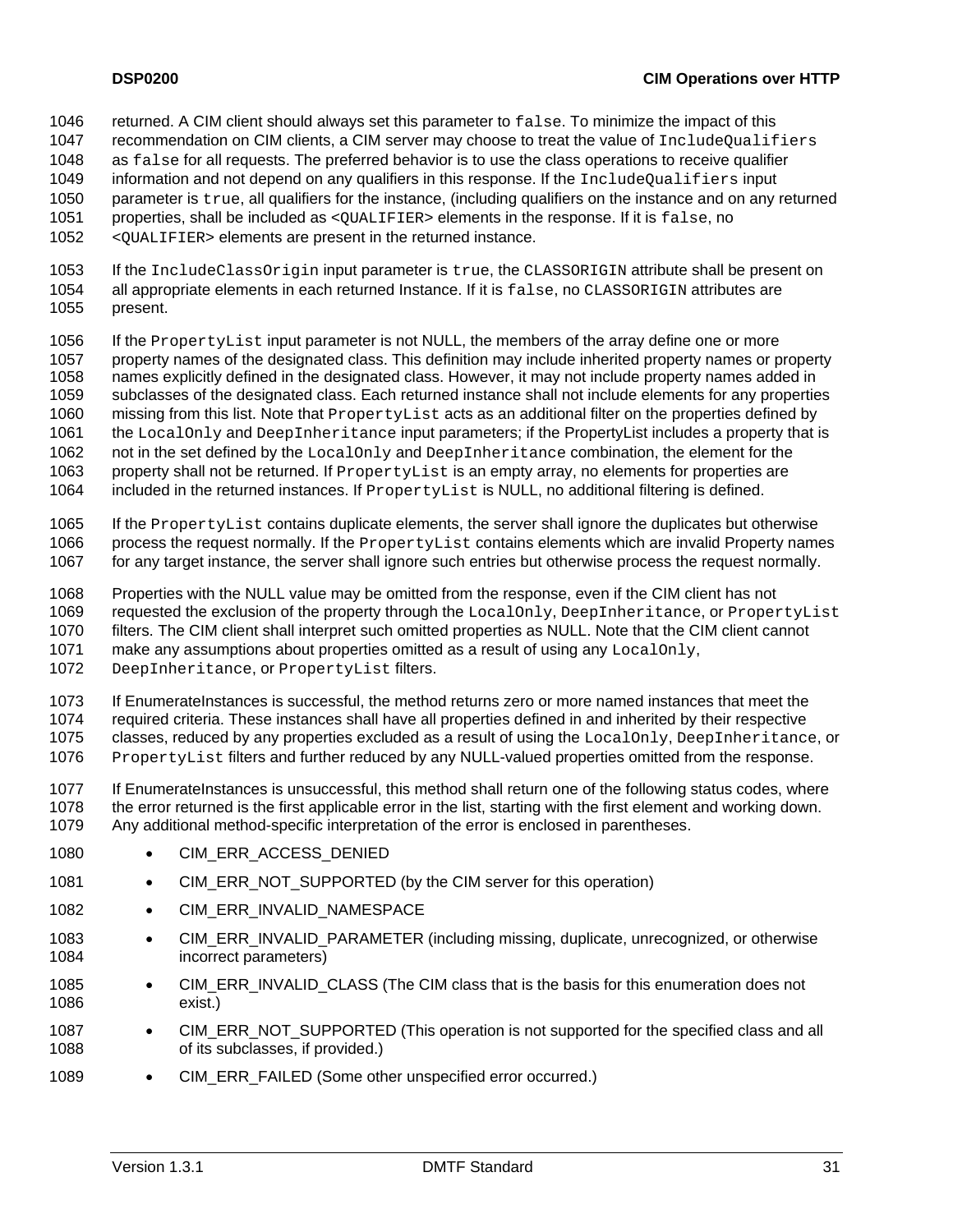- returned. A CIM client should always set this parameter to false. To minimize the impact of this 1046
- recommendation on CIM clients, a CIM server may choose to treat the value of IncludeQualifiers 1047
- as false for all requests. The preferred behavior is to use the class operations to receive qualifier 1048
- information and not depend on any qualifiers in this response. If the IncludeQualifiers input 1049
- parameter is true, all qualifiers for the instance, (including qualifiers on the instance and on any returned 1050
- properties, shall be included as <QUALIFIER> elements in the response. If it is false, no 1051
- <QUALIFIER> elements are present in the returned instance. 1052
- 1053 1054 1055 If the IncludeClassOrigin input parameter is true, the CLASSORIGIN attribute shall be present on all appropriate elements in each returned Instance. If it is false, no CLASSORIGIN attributes are present.
- 1056 1057 1058 1059 1060 1061 1062 If the PropertyList input parameter is not NULL, the members of the array define one or more property names of the designated class. This definition may include inherited property names or property names explicitly defined in the designated class. However, it may not include property names added in subclasses of the designated class. Each returned instance shall not include elements for any properties missing from this list. Note that PropertyList acts as an additional filter on the properties defined by the LocalOnly and DeepInheritance input parameters; if the PropertyList includes a property that is not in the set defined by the LocalOnly and DeepInheritance combination, the element for the
- 1063 property shall not be returned. If PropertyList is an empty array, no elements for properties are
- 1064 included in the returned instances. If PropertyList is NULL, no additional filtering is defined.
- 1065 1066 1067 If the PropertyList contains duplicate elements, the server shall ignore the duplicates but otherwise process the request normally. If the PropertyList contains elements which are invalid Property names for any target instance, the server shall ignore such entries but otherwise process the request normally.
- 1068 Properties with the NULL value may be omitted from the response, even if the CIM client has not
- 1069 requested the exclusion of the property through the LocalOnly, DeepInheritance, or PropertyList
- 1070 filters. The CIM client shall interpret such omitted properties as NULL. Note that the CIM client cannot
- 1071 make any assumptions about properties omitted as a result of using any LocalOnly,
- 1072 DeepInheritance, or PropertyList filters.
- 1073 1074 1075 1076 If EnumerateInstances is successful, the method returns zero or more named instances that meet the required criteria. These instances shall have all properties defined in and inherited by their respective classes, reduced by any properties excluded as a result of using the LocalOnly, DeepInheritance, or PropertyList filters and further reduced by any NULL-valued properties omitted from the response.
- 1077 1078 1079 If EnumerateInstances is unsuccessful, this method shall return one of the following status codes, where the error returned is the first applicable error in the list, starting with the first element and working down. Any additional method-specific interpretation of the error is enclosed in parentheses.
- 1080 • CIM\_ERR\_ACCESS\_DENIED
- 1081 • CIM\_ERR\_NOT\_SUPPORTED (by the CIM server for this operation)
- 1082 • CIM\_ERR\_INVALID\_NAMESPACE
- 1083 1084 • CIM\_ERR\_INVALID\_PARAMETER (including missing, duplicate, unrecognized, or otherwise incorrect parameters)
- 1085 1086 • CIM\_ERR\_INVALID\_CLASS (The CIM class that is the basis for this enumeration does not exist.)
- 1087 1088 • CIM\_ERR\_NOT\_SUPPORTED (This operation is not supported for the specified class and all of its subclasses, if provided.)
- 1089 • CIM\_ERR\_FAILED (Some other unspecified error occurred.)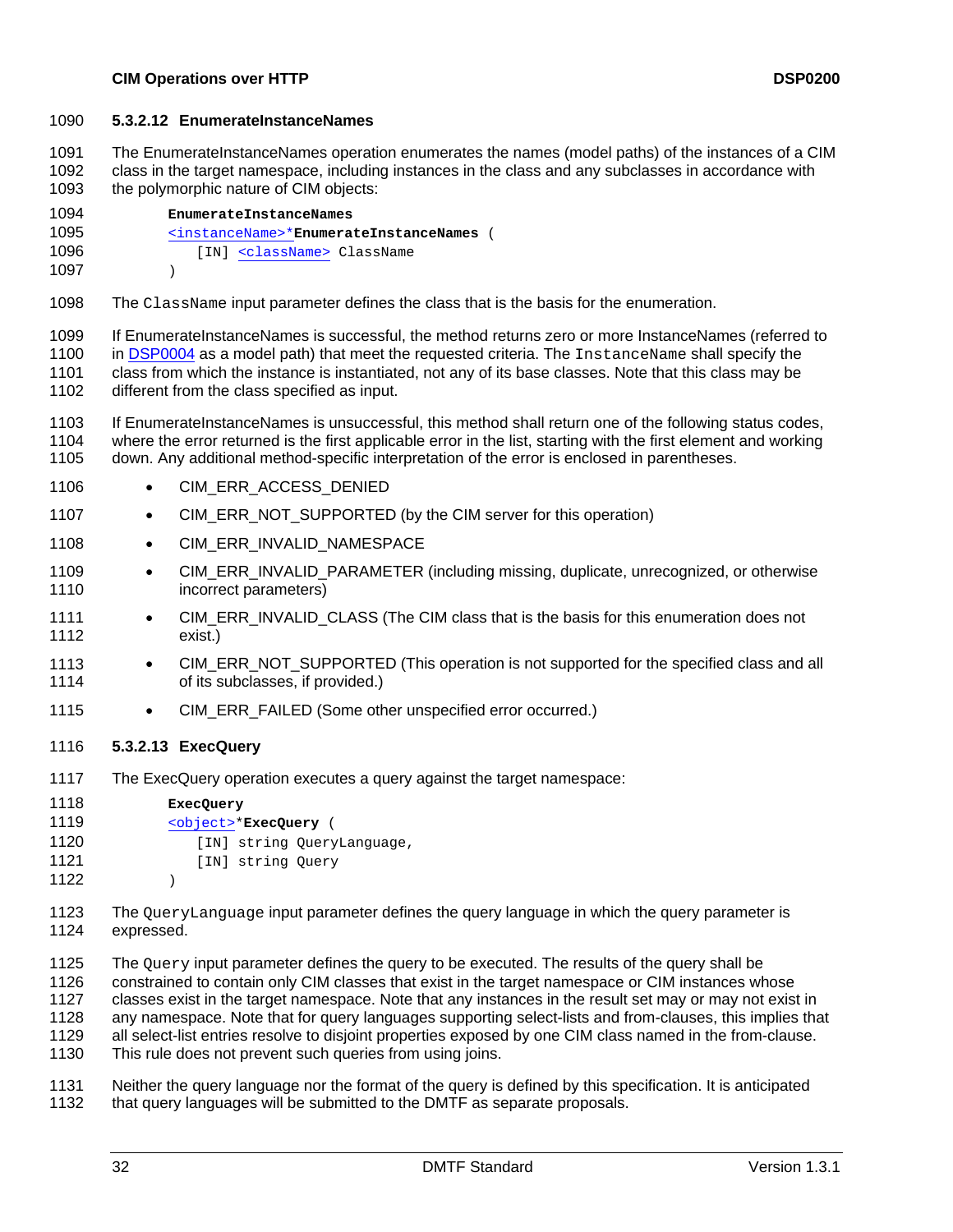#### <span id="page-31-0"></span>1090 **5.3.2.12 EnumerateInstanceNames**

The EnumerateInstanceNames operation enumerates the names (model paths) of the instances of a CIM class in the target namespace, including instances in the class and any subclasses in accordance with 1091 1092

- the polymorphic nature of CIM objects: 1093
- 1094 **EnumerateInstanceNames**  1095 [<instanceName>\\*](#page-18-0)**EnumerateInstanceNames** ( 1096 [IN] [<className>](#page-18-0) ClassName 1097 )
- 1098 The ClassName input parameter defines the class that is the basis for the enumeration.

1099 If EnumerateInstanceNames is successful, the method returns zero or more InstanceNames (referred to in [DSP0004](#page-8-0) as a model path) that meet the requested criteria. The InstanceName shall specify the class from which the instance is instantiated, not any of its base classes. Note that this class may be different from the class specified as input. 1100 1101 1102

- 1103 1104 1105 If EnumerateInstanceNames is unsuccessful, this method shall return one of the following status codes, where the error returned is the first applicable error in the list, starting with the first element and working down. Any additional method-specific interpretation of the error is enclosed in parentheses.
- 1106 • CIM\_ERR\_ACCESS\_DENIED
- 1107 • CIM\_ERR\_NOT\_SUPPORTED (by the CIM server for this operation)
- 1108 • CIM\_ERR\_INVALID\_NAMESPACE
- 1109 1110 • CIM\_ERR\_INVALID\_PARAMETER (including missing, duplicate, unrecognized, or otherwise incorrect parameters)
- 1111 1112 • CIM\_ERR\_INVALID\_CLASS (The CIM class that is the basis for this enumeration does not exist.)
- 1113 1114 • CIM\_ERR\_NOT\_SUPPORTED (This operation is not supported for the specified class and all of its subclasses, if provided.)
- 1115 • CIM\_ERR\_FAILED (Some other unspecified error occurred.)
- 1116 **5.3.2.13 ExecQuery**
- 1117 The ExecQuery operation executes a query against the target namespace:
- 1118  **ExecQuery**  1119 [<object>](#page-18-0)\***ExecQuery** ( 1120 1121 1122 [IN] string QueryLanguage, [IN] string Query  $\lambda$
- 1123 1124 The QueryLanguage input parameter defines the query language in which the query parameter is expressed.
- 1125 1126 1127 1128 1129 1130 The Query input parameter defines the query to be executed. The results of the query shall be constrained to contain only CIM classes that exist in the target namespace or CIM instances whose classes exist in the target namespace. Note that any instances in the result set may or may not exist in any namespace. Note that for query languages supporting select-lists and from-clauses, this implies that all select-list entries resolve to disjoint properties exposed by one CIM class named in the from-clause. This rule does not prevent such queries from using joins.
- 1131 1132 Neither the query language nor the format of the query is defined by this specification. It is anticipated that query languages will be submitted to the DMTF as separate proposals.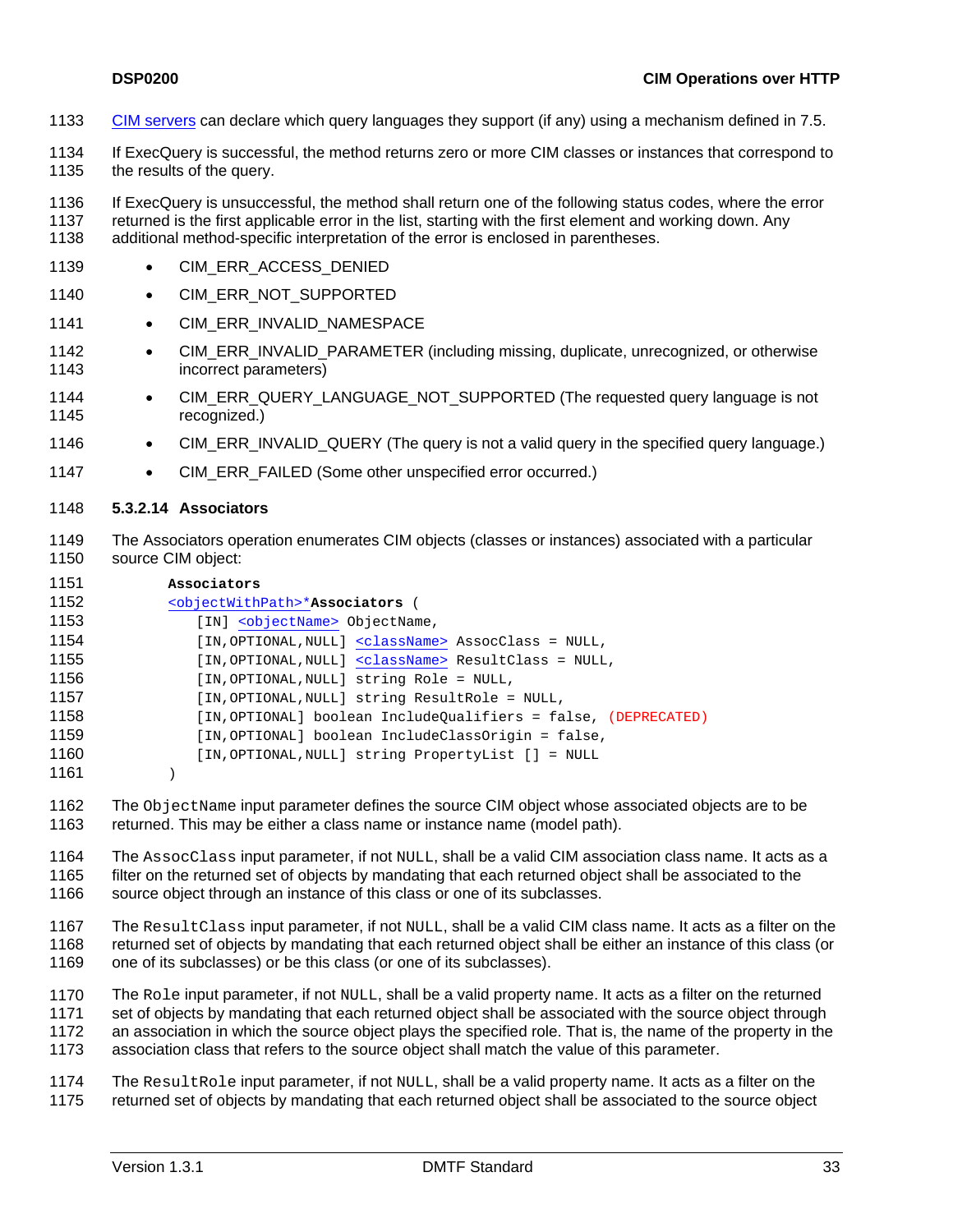<span id="page-32-0"></span>1133 [CIM servers](#page-68-0) can declare which query languages they support (if any) using a mechanism defined in [7.5](#page-85-1).

1134 1135 If ExecQuery is successful, the method returns zero or more CIM classes or instances that correspond to the results of the query.

1136 1137 1138 If ExecQuery is unsuccessful, the method shall return one of the following status codes, where the error returned is the first applicable error in the list, starting with the first element and working down. Any additional method-specific interpretation of the error is enclosed in parentheses.

- 1139 • CIM\_ERR\_ACCESS\_DENIED
- 1140 • CIM\_ERR\_NOT\_SUPPORTED
- 1141 • CIM\_ERR\_INVALID\_NAMESPACE
- 1142 1143 • CIM\_ERR\_INVALID\_PARAMETER (including missing, duplicate, unrecognized, or otherwise incorrect parameters)
- 1144 1145 • CIM\_ERR\_QUERY\_LANGUAGE\_NOT\_SUPPORTED (The requested query language is not recognized.)
- 1146 • CIM\_ERR\_INVALID\_QUERY (The query is not a valid query in the specified query language.)
- 1147 • CIM\_ERR\_FAILED (Some other unspecified error occurred.)

#### 1148 **5.3.2.14 Associators**

1149 1150 The Associators operation enumerates CIM objects (classes or instances) associated with a particular source CIM object:

| 1151 | Associators                                                      |
|------|------------------------------------------------------------------|
| 1152 | <objectwithpath>*Associators (</objectwithpath>                  |
| 1153 | [IN] <objectname> ObjectName,</objectname>                       |
| 1154 | [IN, OPTIONAL, NULL] <classname> AssocClass = NULL,</classname>  |
| 1155 | [IN, OPTIONAL, NULL] <classname> ResultClass = NULL,</classname> |
| 1156 | [IN, OPTIONAL, NULL] string Role = NULL,                         |
| 1157 | [IN, OPTIONAL, NULL] string ResultRole = NULL,                   |
| 1158 | [IN,OPTIONAL] boolean IncludeOualifiers = false, (DEPRECATED)    |
| 1159 | [IN, OPTIONAL] boolean IncludeClassOrigin = false,               |
| 1160 | [IN, OPTIONAL, NULL] string PropertyList [] = NULL               |
| 1161 |                                                                  |

1162 1163 The ObjectName input parameter defines the source CIM object whose associated objects are to be returned. This may be either a class name or instance name (model path).

1164 1165 1166 The AssocClass input parameter, if not NULL, shall be a valid CIM association class name. It acts as a filter on the returned set of objects by mandating that each returned object shall be associated to the source object through an instance of this class or one of its subclasses.

1167 1168 1169 The ResultClass input parameter, if not NULL, shall be a valid CIM class name. It acts as a filter on the returned set of objects by mandating that each returned object shall be either an instance of this class (or one of its subclasses) or be this class (or one of its subclasses).

1170 1171 1172 1173 The Role input parameter, if not NULL, shall be a valid property name. It acts as a filter on the returned set of objects by mandating that each returned object shall be associated with the source object through an association in which the source object plays the specified role. That is, the name of the property in the association class that refers to the source object shall match the value of this parameter.

1174 1175 The ResultRole input parameter, if not NULL, shall be a valid property name. It acts as a filter on the returned set of objects by mandating that each returned object shall be associated to the source object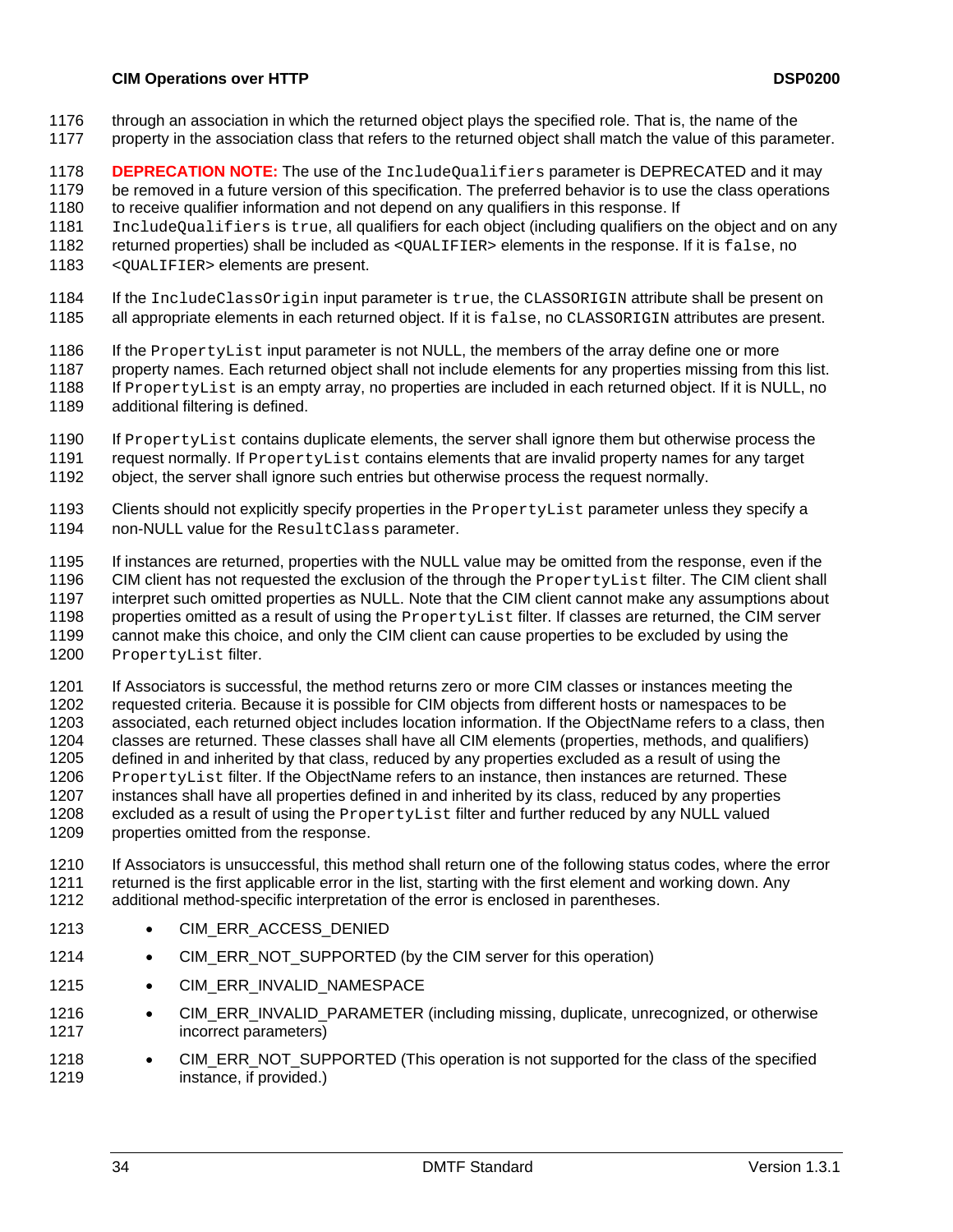- through an association in which the returned object plays the specified role. That is, the name of the 1176
- property in the association class that refers to the returned object shall match the value of this parameter. 1177

1178 **DEPRECATION NOTE:** The use of the IncludeQualifiers parameter is DEPRECATED and it may

1179 1180 be removed in a future version of this specification. The preferred behavior is to use the class operations to receive qualifier information and not depend on any qualifiers in this response. If

- 1181 IncludeQualifiers is true, all qualifiers for each object (including qualifiers on the object and on any
- 1182 returned properties) shall be included as <QUALIFIER> elements in the response. If it is false, no
- 1183 <QUALIFIER> elements are present.
- 1184 1185 If the IncludeClassOrigin input parameter is true, the CLASSORIGIN attribute shall be present on all appropriate elements in each returned object. If it is false, no CLASSORIGIN attributes are present.
- 1186 If the PropertyList input parameter is not NULL, the members of the array define one or more
- 1187 property names. Each returned object shall not include elements for any properties missing from this list.
- 1188 If PropertyList is an empty array, no properties are included in each returned object. If it is NULL, no
- 1189 additional filtering is defined.
- 1190 If PropertyList contains duplicate elements, the server shall ignore them but otherwise process the
- 1191 request normally. If PropertyList contains elements that are invalid property names for any target
- 1192 object, the server shall ignore such entries but otherwise process the request normally.
- 1193 1194 Clients should not explicitly specify properties in the PropertyList parameter unless they specify a non-NULL value for the ResultClass parameter.
- 1195 If instances are returned, properties with the NULL value may be omitted from the response, even if the
- 1196 CIM client has not requested the exclusion of the through the PropertyList filter. The CIM client shall
- 1197 1198 interpret such omitted properties as NULL. Note that the CIM client cannot make any assumptions about properties omitted as a result of using the PropertyList filter. If classes are returned, the CIM server
- 1199 cannot make this choice, and only the CIM client can cause properties to be excluded by using the
- 1200 PropertyList filter.
- 1201 1202 1203 1204 1205 1206 1207 1208 1209 If Associators is successful, the method returns zero or more CIM classes or instances meeting the requested criteria. Because it is possible for CIM objects from different hosts or namespaces to be associated, each returned object includes location information. If the ObjectName refers to a class, then classes are returned. These classes shall have all CIM elements (properties, methods, and qualifiers) defined in and inherited by that class, reduced by any properties excluded as a result of using the PropertyList filter. If the ObjectName refers to an instance, then instances are returned. These instances shall have all properties defined in and inherited by its class, reduced by any properties excluded as a result of using the PropertyList filter and further reduced by any NULL valued properties omitted from the response.
- 1210 1211 1212 If Associators is unsuccessful, this method shall return one of the following status codes, where the error returned is the first applicable error in the list, starting with the first element and working down. Any additional method-specific interpretation of the error is enclosed in parentheses.
- 1213 • CIM\_ERR\_ACCESS\_DENIED
- 1214 • CIM\_ERR\_NOT\_SUPPORTED (by the CIM server for this operation)
- 1215 • CIM\_ERR\_INVALID\_NAMESPACE
- 1216 1217 • CIM\_ERR\_INVALID\_PARAMETER (including missing, duplicate, unrecognized, or otherwise incorrect parameters)
- 1218 1219 • CIM\_ERR\_NOT\_SUPPORTED (This operation is not supported for the class of the specified instance, if provided.)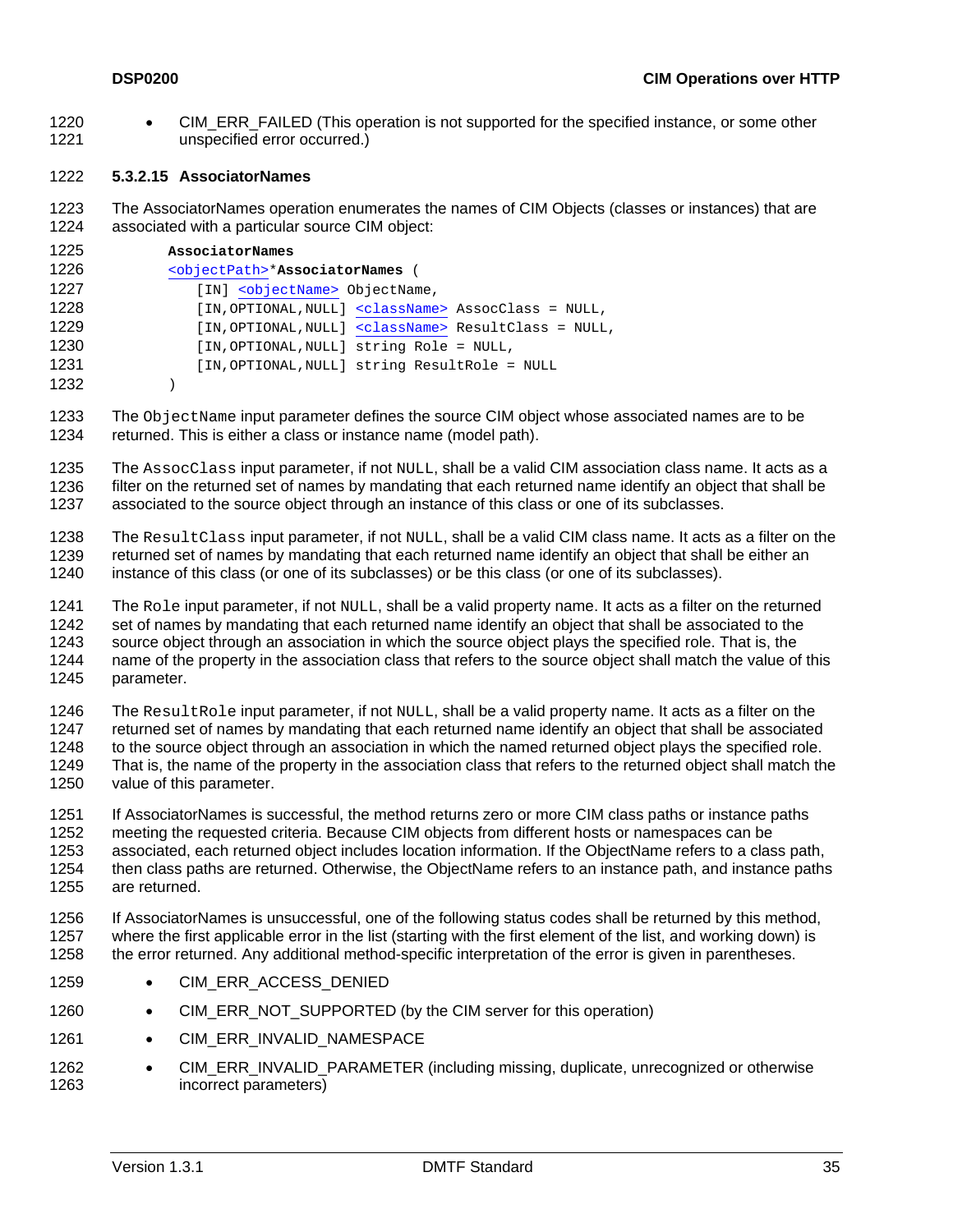<span id="page-34-0"></span>• CIM\_ERR\_FAILED (This operation is not supported for the specified instance, or some other unspecified error occurred.) 1220 1221

#### 1222 **5.3.2.15 AssociatorNames**

- 1223 1224 The AssociatorNames operation enumerates the names of CIM Objects (classes or instances) that are associated with a particular source CIM object:
- 1225  **AssociatorNames**  1226 [<objectPath>\\*](#page-18-0)**AssociatorNames** ( 1227 [IN] [<objectName>](#page-18-0) ObjectName, 1228 [IN, OPTIONAL, NULL] [<className>](#page-18-0) AssocClass = NULL, 1229 [IN, OPTIONAL, NULL] [<className>](#page-18-0) ResultClass = NULL, 1230 1231 1232 [IN,OPTIONAL,NULL] string Role = NULL, [IN,OPTIONAL,NULL] string ResultRole = NULL )
- 1233 1234 The ObjectName input parameter defines the source CIM object whose associated names are to be returned. This is either a class or instance name (model path).
- 1235 1236 1237 The AssocClass input parameter, if not NULL, shall be a valid CIM association class name. It acts as a filter on the returned set of names by mandating that each returned name identify an object that shall be associated to the source object through an instance of this class or one of its subclasses.
- 1238 1239 1240 The ResultClass input parameter, if not NULL, shall be a valid CIM class name. It acts as a filter on the returned set of names by mandating that each returned name identify an object that shall be either an instance of this class (or one of its subclasses) or be this class (or one of its subclasses).
- 1241 1242 1243 1244 The Role input parameter, if not NULL, shall be a valid property name. It acts as a filter on the returned set of names by mandating that each returned name identify an object that shall be associated to the source object through an association in which the source object plays the specified role. That is, the name of the property in the association class that refers to the source object shall match the value of this
- 1245 parameter.
- 1246 The ResultRole input parameter, if not NULL, shall be a valid property name. It acts as a filter on the
- 1247 1248 1249 returned set of names by mandating that each returned name identify an object that shall be associated to the source object through an association in which the named returned object plays the specified role. That is, the name of the property in the association class that refers to the returned object shall match the
- 1250 value of this parameter.
- 1251 1252 1253 1254 1255 If AssociatorNames is successful, the method returns zero or more CIM class paths or instance paths meeting the requested criteria. Because CIM objects from different hosts or namespaces can be associated, each returned object includes location information. If the ObjectName refers to a class path, then class paths are returned. Otherwise, the ObjectName refers to an instance path, and instance paths are returned.
- 1256 1257 1258 If AssociatorNames is unsuccessful, one of the following status codes shall be returned by this method, where the first applicable error in the list (starting with the first element of the list, and working down) is the error returned. Any additional method-specific interpretation of the error is given in parentheses.
- 1259 • CIM\_ERR\_ACCESS\_DENIED
- 1260 • CIM\_ERR\_NOT\_SUPPORTED (by the CIM server for this operation)
- 1261 • CIM\_ERR\_INVALID\_NAMESPACE
- 1262 1263 • CIM\_ERR\_INVALID\_PARAMETER (including missing, duplicate, unrecognized or otherwise incorrect parameters)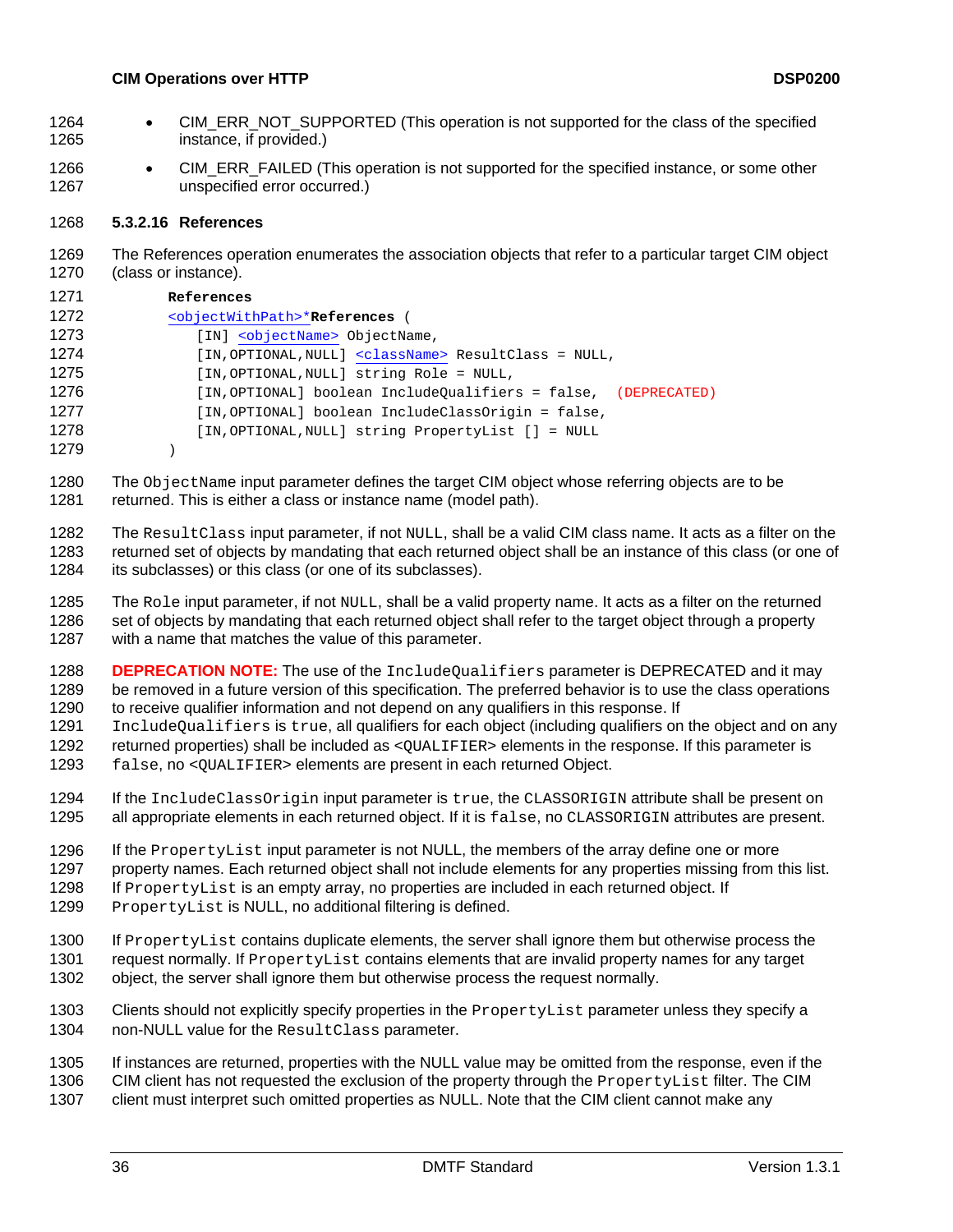- <span id="page-35-0"></span>• CIM\_ERR\_NOT\_SUPPORTED (This operation is not supported for the class of the specified instance, if provided.) 1264 1265
- 1266 1267 • CIM\_ERR\_FAILED (This operation is not supported for the specified instance, or some other unspecified error occurred.)

#### 1268 **5.3.2.16 References**

1269 1270 The References operation enumerates the association objects that refer to a particular target CIM object (class or instance).

| 1271 | References                                                       |
|------|------------------------------------------------------------------|
| 1272 | <objectwithpath>*References (</objectwithpath>                   |
| 1273 | [IN] <objectname> ObjectName,</objectname>                       |
| 1274 | [IN, OPTIONAL, NULL] <classname> ResultClass = NULL,</classname> |
| 1275 | [IN, OPTIONAL, NULL] string Role = NULL,                         |
| 1276 | [IN,OPTIONAL] boolean IncludeOualifiers = false, (DEPRECATED)    |
| 1277 | [IN, OPTIONAL] boolean IncludeClassOrigin = false,               |
| 1278 | [IN, OPTIONAL, NULL] string PropertyList [] = NULL               |
| 1279 |                                                                  |

1280 1281 The ObjectName input parameter defines the target CIM object whose referring objects are to be returned. This is either a class or instance name (model path).

1282 1283 1284 The ResultClass input parameter, if not NULL, shall be a valid CIM class name. It acts as a filter on the returned set of objects by mandating that each returned object shall be an instance of this class (or one of its subclasses) or this class (or one of its subclasses).

1285 1286 1287 The Role input parameter, if not NULL, shall be a valid property name. It acts as a filter on the returned set of objects by mandating that each returned object shall refer to the target object through a property with a name that matches the value of this parameter.

1288 1289 1290 **DEPRECATION NOTE:** The use of the IncludeQualifiers parameter is DEPRECATED and it may be removed in a future version of this specification. The preferred behavior is to use the class operations to receive qualifier information and not depend on any qualifiers in this response. If

1291 1292 IncludeQualifiers is true, all qualifiers for each object (including qualifiers on the object and on any returned properties) shall be included as <QUALIFIER> elements in the response. If this parameter is

1293 false, no <QUALIFIER> elements are present in each returned Object.

- 1294 1295 If the IncludeClassOrigin input parameter is true, the CLASSORIGIN attribute shall be present on all appropriate elements in each returned object. If it is false, no CLASSORIGIN attributes are present.
- 1296 1297 If the PropertyList input parameter is not NULL, the members of the array define one or more property names. Each returned object shall not include elements for any properties missing from this list.
- 1298 If PropertyList is an empty array, no properties are included in each returned object. If
- 1299 PropertyList is NULL, no additional filtering is defined.
- 1300 1301 1302 If PropertyList contains duplicate elements, the server shall ignore them but otherwise process the request normally. If PropertyList contains elements that are invalid property names for any target object, the server shall ignore them but otherwise process the request normally.
- 1303 1304 Clients should not explicitly specify properties in the PropertyList parameter unless they specify a non-NULL value for the ResultClass parameter.
- 1305 1306 If instances are returned, properties with the NULL value may be omitted from the response, even if the CIM client has not requested the exclusion of the property through the PropertyList filter. The CIM
- 1307 client must interpret such omitted properties as NULL. Note that the CIM client cannot make any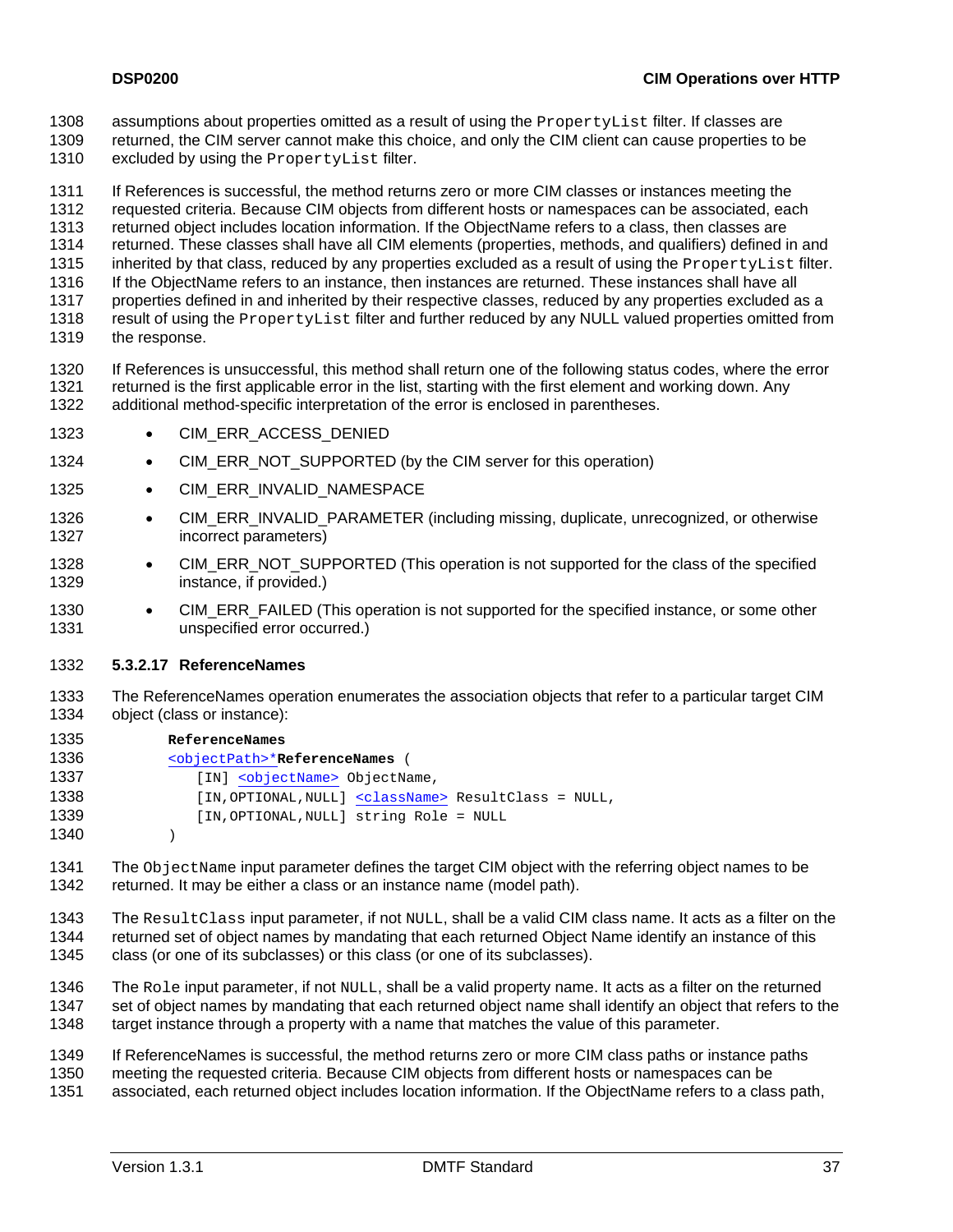- <span id="page-36-0"></span>assumptions about properties omitted as a result of using the PropertyList filter. If classes are 1308
- returned, the CIM server cannot make this choice, and only the CIM client can cause properties to be 1309 1310
- excluded by using the PropertyList filter.

1311 1312 1313 1314 1315 1316 1317 1318 1319 If References is successful, the method returns zero or more CIM classes or instances meeting the requested criteria. Because CIM objects from different hosts or namespaces can be associated, each returned object includes location information. If the ObjectName refers to a class, then classes are returned. These classes shall have all CIM elements (properties, methods, and qualifiers) defined in and inherited by that class, reduced by any properties excluded as a result of using the PropertyList filter. If the ObjectName refers to an instance, then instances are returned. These instances shall have all properties defined in and inherited by their respective classes, reduced by any properties excluded as a result of using the PropertyList filter and further reduced by any NULL valued properties omitted from the response.

1320 1321 1322 If References is unsuccessful, this method shall return one of the following status codes, where the error returned is the first applicable error in the list, starting with the first element and working down. Any additional method-specific interpretation of the error is enclosed in parentheses.

- 1323 • CIM\_ERR\_ACCESS\_DENIED
- 1324 • CIM\_ERR\_NOT\_SUPPORTED (by the CIM server for this operation)
- 1325 • CIM\_ERR\_INVALID\_NAMESPACE
- 1326 1327 • CIM\_ERR\_INVALID\_PARAMETER (including missing, duplicate, unrecognized, or otherwise incorrect parameters)
- 1328 1329 • CIM\_ERR\_NOT\_SUPPORTED (This operation is not supported for the class of the specified instance, if provided.)
- 1330 1331 • CIM\_ERR\_FAILED (This operation is not supported for the specified instance, or some other unspecified error occurred.)

#### 1332 **5.3.2.17 ReferenceNames**

1333 1334 The ReferenceNames operation enumerates the association objects that refer to a particular target CIM object (class or instance):

| 1335 | ReferenceNames                                                   |
|------|------------------------------------------------------------------|
| 1336 | <objectpath>*ReferenceNames (</objectpath>                       |
| 1337 | [IN] <objectname> ObjectName,</objectname>                       |
| 1338 | [IN, OPTIONAL, NULL] <classname> ResultClass = NULL,</classname> |
| 1339 | [IN, OPTIONAL, NULL] string Role = NULL                          |
| 1340 |                                                                  |

- 1341 1342 The ObjectName input parameter defines the target CIM object with the referring object names to be returned. It may be either a class or an instance name (model path).
- 1343 1344 1345 The ResultClass input parameter, if not NULL, shall be a valid CIM class name. It acts as a filter on the returned set of object names by mandating that each returned Object Name identify an instance of this class (or one of its subclasses) or this class (or one of its subclasses).
- 1346 1347 1348 The Role input parameter, if not NULL, shall be a valid property name. It acts as a filter on the returned set of object names by mandating that each returned object name shall identify an object that refers to the target instance through a property with a name that matches the value of this parameter.
- 1349 If ReferenceNames is successful, the method returns zero or more CIM class paths or instance paths
- 1350 meeting the requested criteria. Because CIM objects from different hosts or namespaces can be
- 1351 associated, each returned object includes location information. If the ObjectName refers to a class path,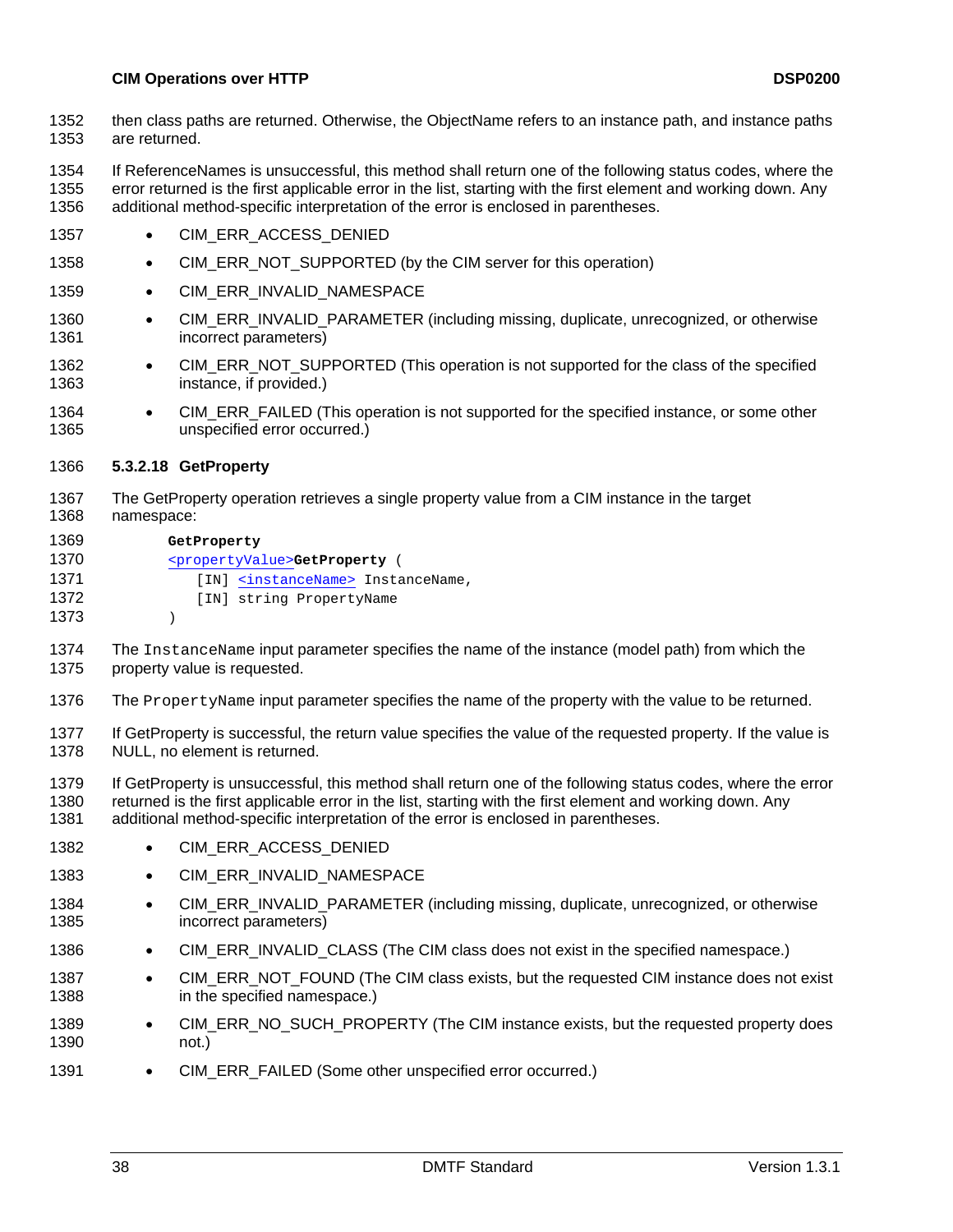<span id="page-37-0"></span>then class paths are returned. Otherwise, the ObjectName refers to an instance path, and instance paths are returned. 1352 1353

1354 1355 1356 If ReferenceNames is unsuccessful, this method shall return one of the following status codes, where the error returned is the first applicable error in the list, starting with the first element and working down. Any additional method-specific interpretation of the error is enclosed in parentheses.

- 1357 CIM\_ERR\_ACCESS\_DENIED
- 1358 • CIM\_ERR\_NOT\_SUPPORTED (by the CIM server for this operation)
- 1359 • CIM\_ERR\_INVALID\_NAMESPACE
- 1360 1361 • CIM\_ERR\_INVALID\_PARAMETER (including missing, duplicate, unrecognized, or otherwise incorrect parameters)
- 1362 1363 • CIM\_ERR\_NOT\_SUPPORTED (This operation is not supported for the class of the specified instance, if provided.)
- 1364 1365 • CIM\_ERR\_FAILED (This operation is not supported for the specified instance, or some other unspecified error occurred.)

#### 1366 **5.3.2.18 GetProperty**

- 1367 1368 The GetProperty operation retrieves a single property value from a CIM instance in the target namespace:
- 1369  **GetProperty**  1370 [<propertyValue>](#page-18-0)**GetProperty** ( 1371 [IN] [<instanceName>](#page-18-0) InstanceName, 1372 1373 [IN] string PropertyName  $\lambda$
- 1374 1375 The InstanceName input parameter specifies the name of the instance (model path) from which the property value is requested.
- 1376 The PropertyName input parameter specifies the name of the property with the value to be returned.
- 1377 1378 If GetProperty is successful, the return value specifies the value of the requested property. If the value is NULL, no element is returned.
- 1379 1380 1381 If GetProperty is unsuccessful, this method shall return one of the following status codes, where the error returned is the first applicable error in the list, starting with the first element and working down. Any additional method-specific interpretation of the error is enclosed in parentheses.
- 1382 • CIM\_ERR\_ACCESS\_DENIED
- 1383 • CIM\_ERR\_INVALID\_NAMESPACE
- 1384 1385 • CIM\_ERR\_INVALID\_PARAMETER (including missing, duplicate, unrecognized, or otherwise incorrect parameters)
- 1386 • CIM\_ERR\_INVALID\_CLASS (The CIM class does not exist in the specified namespace.)
- 1387 1388 • CIM\_ERR\_NOT\_FOUND (The CIM class exists, but the requested CIM instance does not exist in the specified namespace.)
- 1389 1390 • CIM\_ERR\_NO\_SUCH\_PROPERTY (The CIM instance exists, but the requested property does not.)
- 1391 • CIM\_ERR\_FAILED (Some other unspecified error occurred.)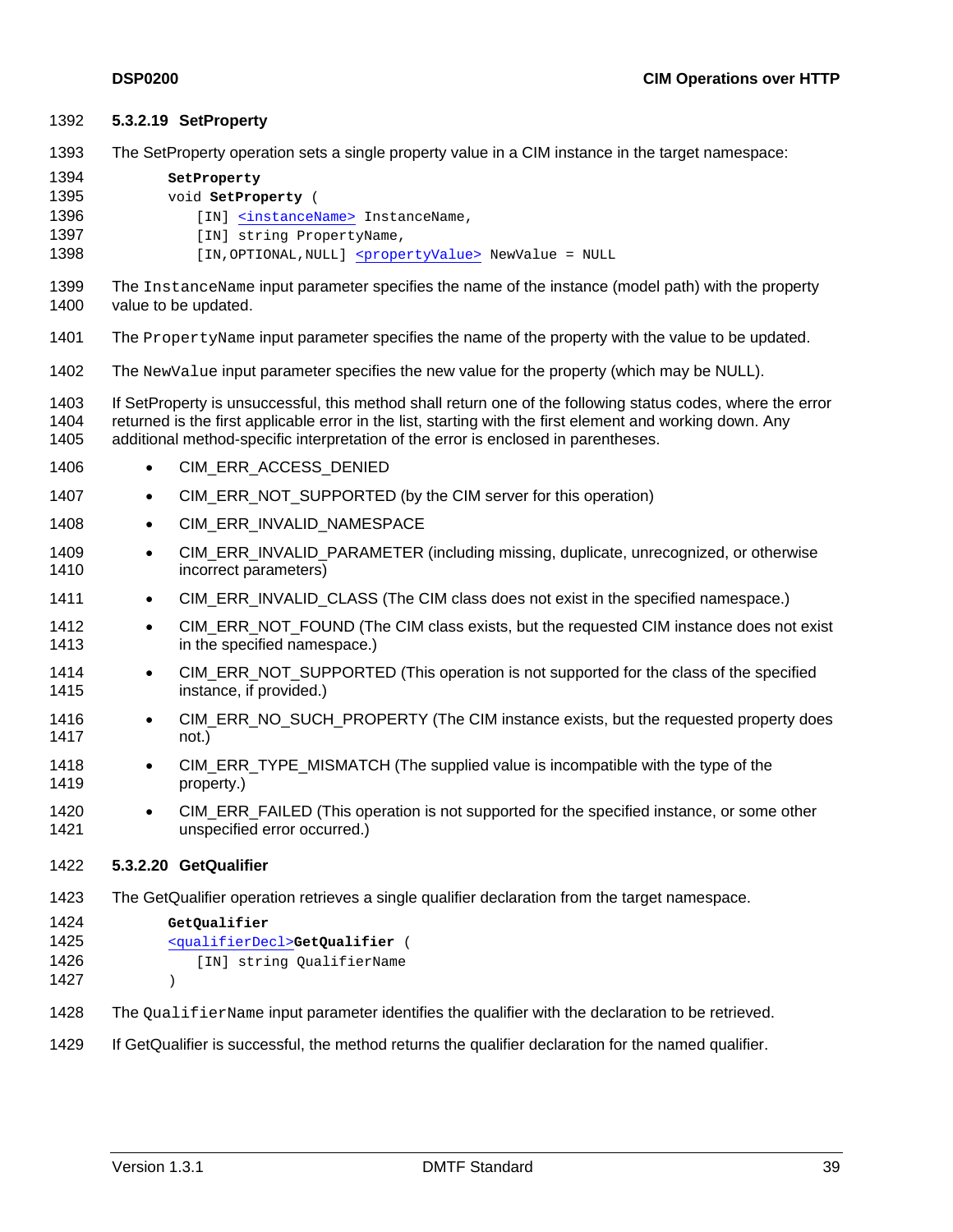#### <span id="page-38-0"></span>1392 **5.3.2.19 SetProperty**

- 1393 The SetProperty operation sets a single property value in a CIM instance in the target namespace:
- 1394  **SetProperty**
- 1395 void **SetProperty** ( 1396 [IN] [<instanceName>](#page-18-0) InstanceName, 1397 [IN] string PropertyName, 1398 [IN, OPTIONAL, NULL] [<propertyValue>](#page-18-0) NewValue = NULL
- 1399 1400 The InstanceName input parameter specifies the name of the instance (model path) with the property value to be updated.
- 1401 The PropertyName input parameter specifies the name of the property with the value to be updated.
- 1402 The NewValue input parameter specifies the new value for the property (which may be NULL).
- 1403 1404 1405 If SetProperty is unsuccessful, this method shall return one of the following status codes, where the error returned is the first applicable error in the list, starting with the first element and working down. Any additional method-specific interpretation of the error is enclosed in parentheses.
- 1406 • CIM\_ERR\_ACCESS\_DENIED
- 1407 • CIM\_ERR\_NOT\_SUPPORTED (by the CIM server for this operation)
- 1408 • CIM\_ERR\_INVALID\_NAMESPACE
- 1409 1410 • CIM\_ERR\_INVALID\_PARAMETER (including missing, duplicate, unrecognized, or otherwise incorrect parameters)
- 1411 • CIM\_ERR\_INVALID\_CLASS (The CIM class does not exist in the specified namespace.)
- 1412 1413 • CIM\_ERR\_NOT\_FOUND (The CIM class exists, but the requested CIM instance does not exist in the specified namespace.)
- 1414 1415 • CIM\_ERR\_NOT\_SUPPORTED (This operation is not supported for the class of the specified instance, if provided.)
- 1416 1417 • CIM\_ERR\_NO\_SUCH\_PROPERTY (The CIM instance exists, but the requested property does not.)
- 1418 1419 • CIM\_ERR\_TYPE\_MISMATCH (The supplied value is incompatible with the type of the property.)
- 1420 1421 • CIM\_ERR\_FAILED (This operation is not supported for the specified instance, or some other unspecified error occurred.)

## 1422 **5.3.2.20 GetQualifier**

- 1423 The GetQualifier operation retrieves a single qualifier declaration from the target namespace.
- 1424  **GetQualifier**  1425 [<qualifierDecl>](#page-18-0)**GetQualifier** ( 1426 1427 [IN] string QualifierName )
- 1428 The  $\alpha$ ualifierName input parameter identifies the qualifier with the declaration to be retrieved.
- 1429 If GetQualifier is successful, the method returns the qualifier declaration for the named qualifier.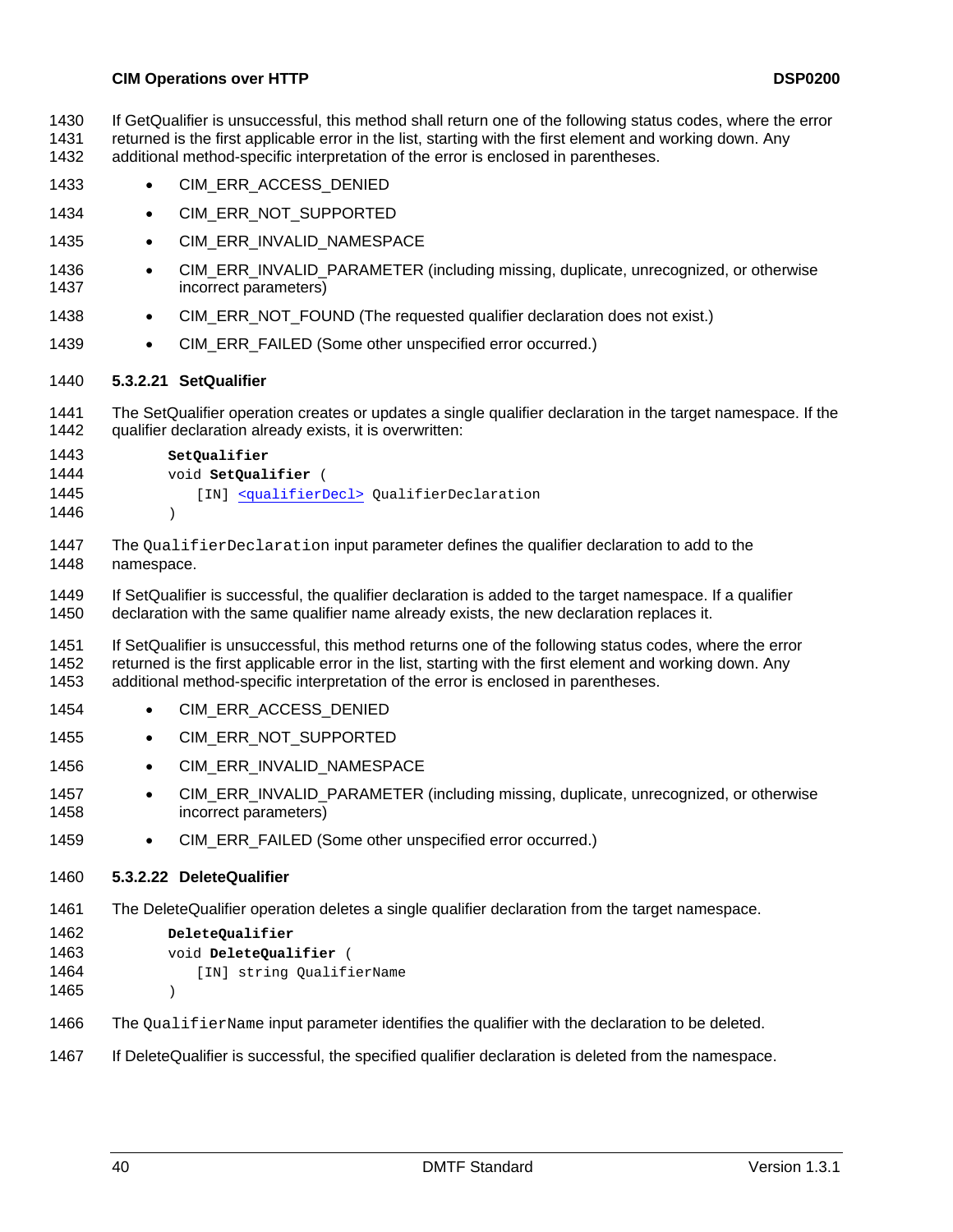<span id="page-39-0"></span>If GetQualifier is unsuccessful, this method shall return one of the following status codes, where the error 1430

returned is the first applicable error in the list, starting with the first element and working down. Any additional method-specific interpretation of the error is enclosed in parentheses. 1431 1432

- 1433 CIM\_ERR\_ACCESS\_DENIED
- 1434 • CIM\_ERR\_NOT\_SUPPORTED
- 1435 • CIM\_ERR\_INVALID\_NAMESPACE
- 1436 1437 • CIM\_ERR\_INVALID\_PARAMETER (including missing, duplicate, unrecognized, or otherwise incorrect parameters)
- 1438 • CIM\_ERR\_NOT\_FOUND (The requested qualifier declaration does not exist.)
- 1439 • CIM\_ERR\_FAILED (Some other unspecified error occurred.)

## 1440 **5.3.2.21 SetQualifier**

1441 1442 The SetQualifier operation creates or updates a single qualifier declaration in the target namespace. If the qualifier declaration already exists, it is overwritten:

| 1443 | SetOualifier                                              |
|------|-----------------------------------------------------------|
| 1444 | void SetQualifier (                                       |
| 1445 | [IN] <qualifierdecl> OualifierDeclaration</qualifierdecl> |
| 1446 |                                                           |

1447 1448 The QualifierDeclaration input parameter defines the qualifier declaration to add to the namespace.

1449 1450 If SetQualifier is successful, the qualifier declaration is added to the target namespace. If a qualifier declaration with the same qualifier name already exists, the new declaration replaces it.

1451 1452 1453 If SetQualifier is unsuccessful, this method returns one of the following status codes, where the error returned is the first applicable error in the list, starting with the first element and working down. Any additional method-specific interpretation of the error is enclosed in parentheses.

- 1454 CIM\_ERR\_ACCESS\_DENIED
- 1455 • CIM\_ERR\_NOT\_SUPPORTED
- 1456 • CIM\_ERR\_INVALID\_NAMESPACE
- 1457 1458 • CIM\_ERR\_INVALID\_PARAMETER (including missing, duplicate, unrecognized, or otherwise incorrect parameters)
- 1459 • CIM\_ERR\_FAILED (Some other unspecified error occurred.)
- 1460 **5.3.2.22 DeleteQualifier**
- 1461 The DeleteQualifier operation deletes a single qualifier declaration from the target namespace.
- 1462 1463 1464  **DeleteQualifier**  void **DeleteQualifier** ( [IN] string QualifierName )
- 1465
- 1466 The QualifierName input parameter identifies the qualifier with the declaration to be deleted.
- 1467 If DeleteQualifier is successful, the specified qualifier declaration is deleted from the namespace.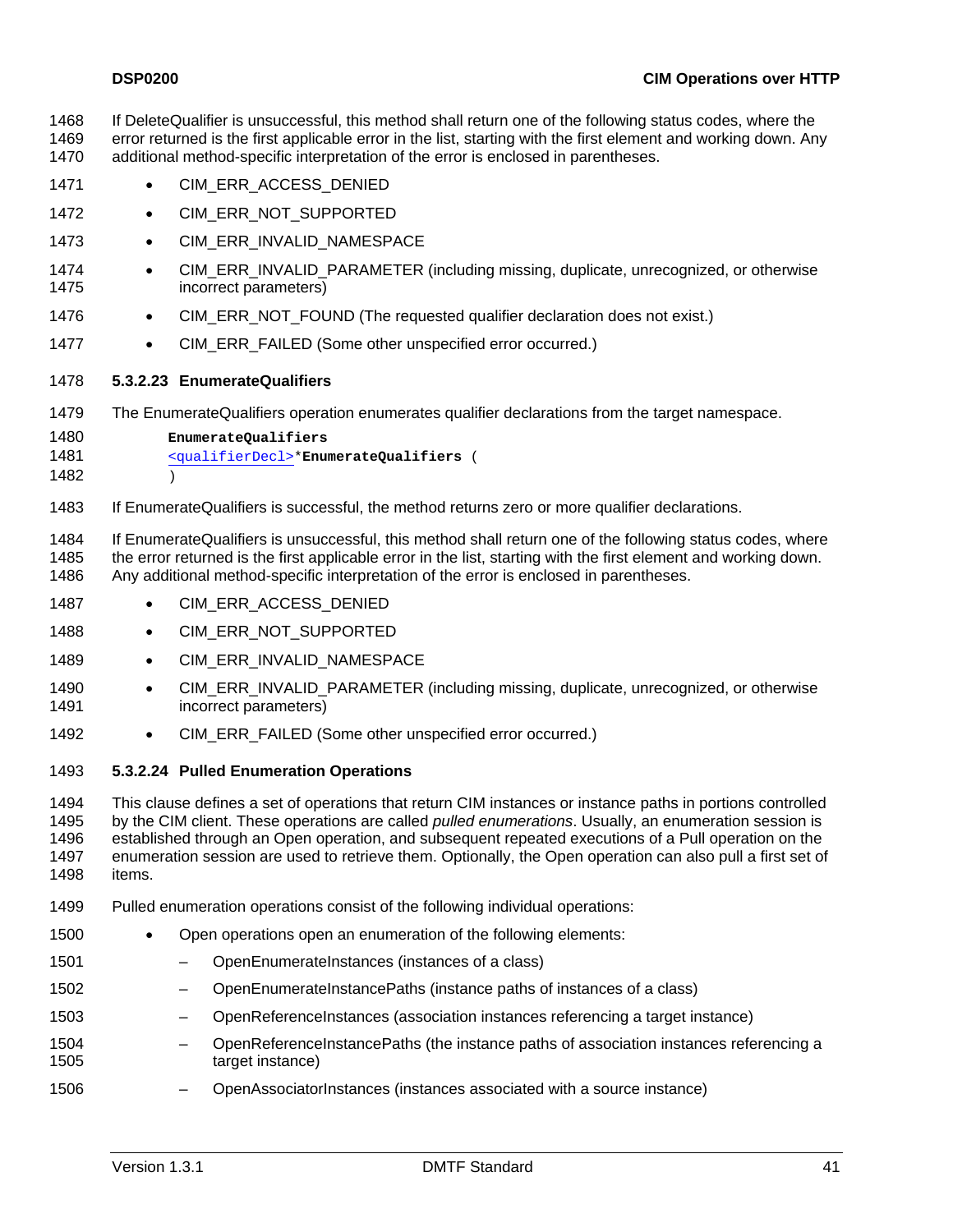If DeleteQualifier is unsuccessful, this method shall return one of the following status codes, where the error returned is the first applicable error in the list, starting with the first element and working down. Any additional method-specific interpretation of the error is enclosed in parentheses. 1468 1469 1470

- 1471 CIM\_ERR\_ACCESS\_DENIED
- 1472 • CIM\_ERR\_NOT\_SUPPORTED
- 1473 • CIM\_ERR\_INVALID\_NAMESPACE
- 1474 1475 • CIM\_ERR\_INVALID\_PARAMETER (including missing, duplicate, unrecognized, or otherwise incorrect parameters)
- 1476 • CIM\_ERR\_NOT\_FOUND (The requested qualifier declaration does not exist.)
- 1477 • CIM\_ERR\_FAILED (Some other unspecified error occurred.)

#### 1478 **5.3.2.23 EnumerateQualifiers**

1479 The EnumerateQualifiers operation enumerates qualifier declarations from the target namespace.

| 1480 | EnumerateOualifiers                                 |  |
|------|-----------------------------------------------------|--|
| 1481 | <gualifierdecl>*EnumerateOualifiers</gualifierdecl> |  |
| 1482 |                                                     |  |

1483 If EnumerateQualifiers is successful, the method returns zero or more qualifier declarations.

1484 1485 1486 If EnumerateQualifiers is unsuccessful, this method shall return one of the following status codes, where the error returned is the first applicable error in the list, starting with the first element and working down. Any additional method-specific interpretation of the error is enclosed in parentheses.

- 1487 CIM\_ERR\_ACCESS\_DENIED
- 1488 • CIM\_ERR\_NOT\_SUPPORTED
- 1489 • CIM\_ERR\_INVALID\_NAMESPACE
- 1490 1491 • CIM\_ERR\_INVALID\_PARAMETER (including missing, duplicate, unrecognized, or otherwise incorrect parameters)
- 1492 • CIM\_ERR\_FAILED (Some other unspecified error occurred.)

#### 1493 **5.3.2.24 Pulled Enumeration Operations**

1494 1495 1496 1497 1498 This clause defines a set of operations that return CIM instances or instance paths in portions controlled by the CIM client. These operations are called *pulled enumerations*. Usually, an enumeration session is established through an Open operation, and subsequent repeated executions of a Pull operation on the enumeration session are used to retrieve them. Optionally, the Open operation can also pull a first set of items.

- 1499 Pulled enumeration operations consist of the following individual operations:
- 1500 • Open operations open an enumeration of the following elements:
- 1501 – OpenEnumerateInstances (instances of a class)
- 1502 – OpenEnumerateInstancePaths (instance paths of instances of a class)
- 1503 – OpenReferenceInstances (association instances referencing a target instance)
- 1504 1505 – OpenReferenceInstancePaths (the instance paths of association instances referencing a target instance)
- 1506 – OpenAssociatorInstances (instances associated with a source instance)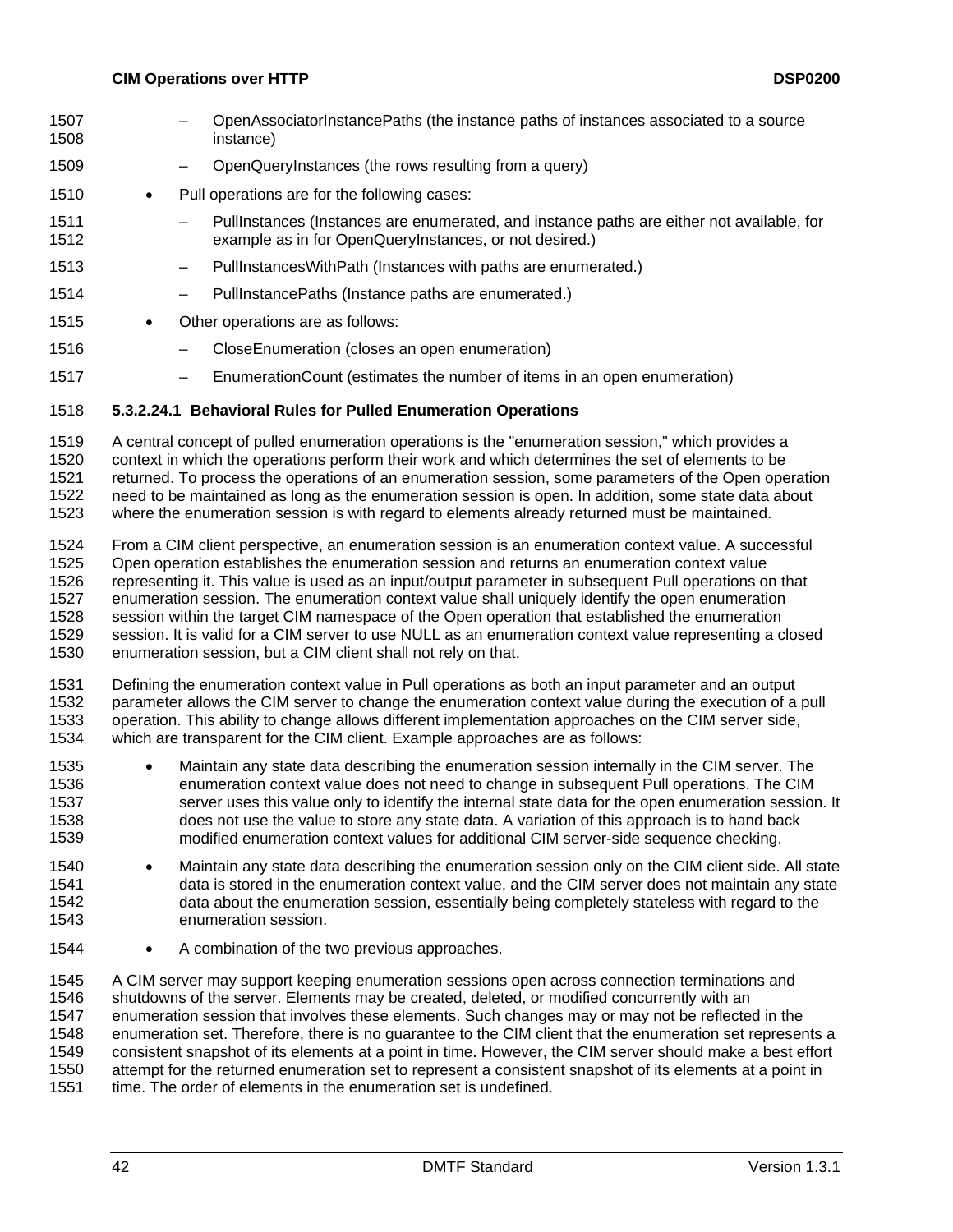- OpenAssociatorInstancePaths (the instance paths of instances associated to a source instance) 1507 1508 1509 1510 1511 1512 1513 1514 – OpenQueryInstances (the rows resulting from a query) • Pull operations are for the following cases: – PullInstances (Instances are enumerated, and instance paths are either not available, for example as in for OpenQueryInstances, or not desired.) – PullInstancesWithPath (Instances with paths are enumerated.) – PullInstancePaths (Instance paths are enumerated.)
- 1515 • Other operations are as follows:
- 1516 – CloseEnumeration (closes an open enumeration)
- 1517 – EnumerationCount (estimates the number of items in an open enumeration)

## <span id="page-41-0"></span>1518 **5.3.2.24.1 Behavioral Rules for Pulled Enumeration Operations**

1519 1520 1521 1522 1523 A central concept of pulled enumeration operations is the "enumeration session," which provides a context in which the operations perform their work and which determines the set of elements to be returned. To process the operations of an enumeration session, some parameters of the Open operation need to be maintained as long as the enumeration session is open. In addition, some state data about where the enumeration session is with regard to elements already returned must be maintained.

1524 1525 1526 1527 1528 1529 1530 From a CIM client perspective, an enumeration session is an enumeration context value. A successful Open operation establishes the enumeration session and returns an enumeration context value representing it. This value is used as an input/output parameter in subsequent Pull operations on that enumeration session. The enumeration context value shall uniquely identify the open enumeration session within the target CIM namespace of the Open operation that established the enumeration session. It is valid for a CIM server to use NULL as an enumeration context value representing a closed enumeration session, but a CIM client shall not rely on that.

1531 1532 1533 1534 Defining the enumeration context value in Pull operations as both an input parameter and an output parameter allows the CIM server to change the enumeration context value during the execution of a pull operation. This ability to change allows different implementation approaches on the CIM server side, which are transparent for the CIM client. Example approaches are as follows:

- 1535 1536 1537 1538 1539 • Maintain any state data describing the enumeration session internally in the CIM server. The enumeration context value does not need to change in subsequent Pull operations. The CIM server uses this value only to identify the internal state data for the open enumeration session. It does not use the value to store any state data. A variation of this approach is to hand back modified enumeration context values for additional CIM server-side sequence checking.
- 1540 1541 1542 1543 • Maintain any state data describing the enumeration session only on the CIM client side. All state data is stored in the enumeration context value, and the CIM server does not maintain any state data about the enumeration session, essentially being completely stateless with regard to the enumeration session.
- 1544 • A combination of the two previous approaches.

1545 1546 1547 1548 1549 1550 1551 A CIM server may support keeping enumeration sessions open across connection terminations and shutdowns of the server. Elements may be created, deleted, or modified concurrently with an enumeration session that involves these elements. Such changes may or may not be reflected in the enumeration set. Therefore, there is no guarantee to the CIM client that the enumeration set represents a consistent snapshot of its elements at a point in time. However, the CIM server should make a best effort attempt for the returned enumeration set to represent a consistent snapshot of its elements at a point in time. The order of elements in the enumeration set is undefined.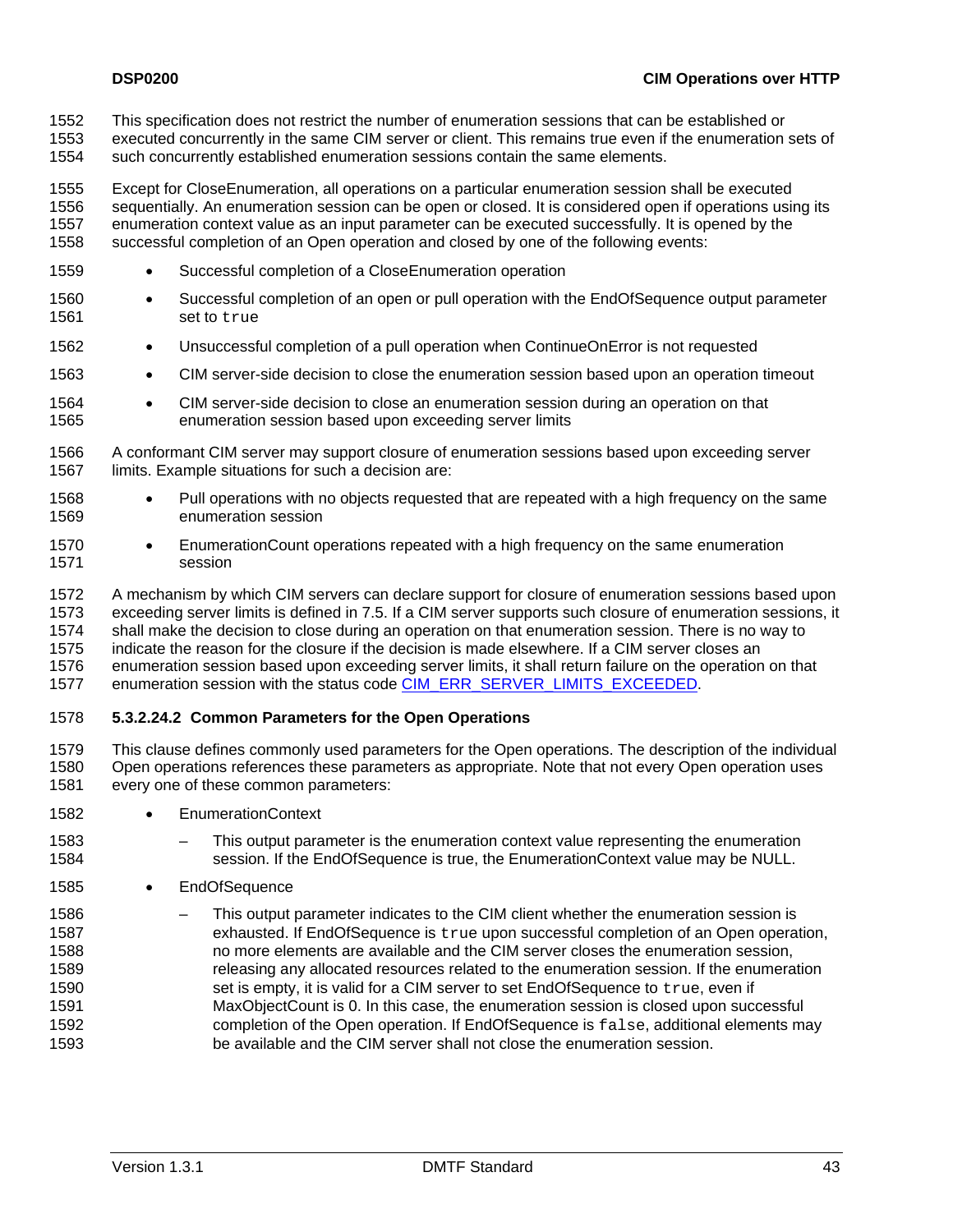- This specification does not restrict the number of enumeration sessions that can be established or 1552
- executed concurrently in the same CIM server or client. This remains true even if the enumeration sets of such concurrently established enumeration sessions contain the same elements. 1553 1554

1555 1556 1557 1558 Except for CloseEnumeration, all operations on a particular enumeration session shall be executed sequentially. An enumeration session can be open or closed. It is considered open if operations using its enumeration context value as an input parameter can be executed successfully. It is opened by the successful completion of an Open operation and closed by one of the following events:

- 1559 • Successful completion of a CloseEnumeration operation
- 1560 1561 • Successful completion of an open or pull operation with the EndOfSequence output parameter set to true
- 1562 • Unsuccessful completion of a pull operation when ContinueOnError is not requested
- 1563 • CIM server-side decision to close the enumeration session based upon an operation timeout
- 1564 1565 • CIM server-side decision to close an enumeration session during an operation on that enumeration session based upon exceeding server limits
- 1566 1567 A conformant CIM server may support closure of enumeration sessions based upon exceeding server limits. Example situations for such a decision are:
- 1568 1569 • Pull operations with no objects requested that are repeated with a high frequency on the same enumeration session
- 1570 1571 • EnumerationCount operations repeated with a high frequency on the same enumeration session
- 1572 1573 1574 1575 1576 A mechanism by which CIM servers can declare support for closure of enumeration sessions based upon exceeding server limits is defined in [7.5.](#page-85-0) If a CIM server supports such closure of enumeration sessions, it shall make the decision to close during an operation on that enumeration session. There is no way to indicate the reason for the closure if the decision is made elsewhere. If a CIM server closes an enumeration session based upon exceeding server limits, it shall return failure on the operation on that 1577 enumeration session with the status code [CIM\\_ERR\\_SERVER\\_LIMITS\\_EXCEEDED](#page-17-0).

## <span id="page-42-0"></span>1578 **5.3.2.24.2 Common Parameters for the Open Operations**

- 1579 1580 1581 This clause defines commonly used parameters for the Open operations. The description of the individual Open operations references these parameters as appropriate. Note that not every Open operation uses every one of these common parameters:
- 1582 • EnumerationContext
- 1583

- 1584 – This output parameter is the enumeration context value representing the enumeration session. If the EndOfSequence is true, the EnumerationContext value may be NULL.
- 1585 • EndOfSequence
- 1586 1587 1588 1589 1590 1591 1592 1593 – This output parameter indicates to the CIM client whether the enumeration session is exhausted. If EndOfSequence is true upon successful completion of an Open operation, no more elements are available and the CIM server closes the enumeration session, releasing any allocated resources related to the enumeration session. If the enumeration set is empty, it is valid for a CIM server to set EndOfSequence to true, even if MaxObjectCount is 0. In this case, the enumeration session is closed upon successful completion of the Open operation. If EndOfSequence is false, additional elements may be available and the CIM server shall not close the enumeration session.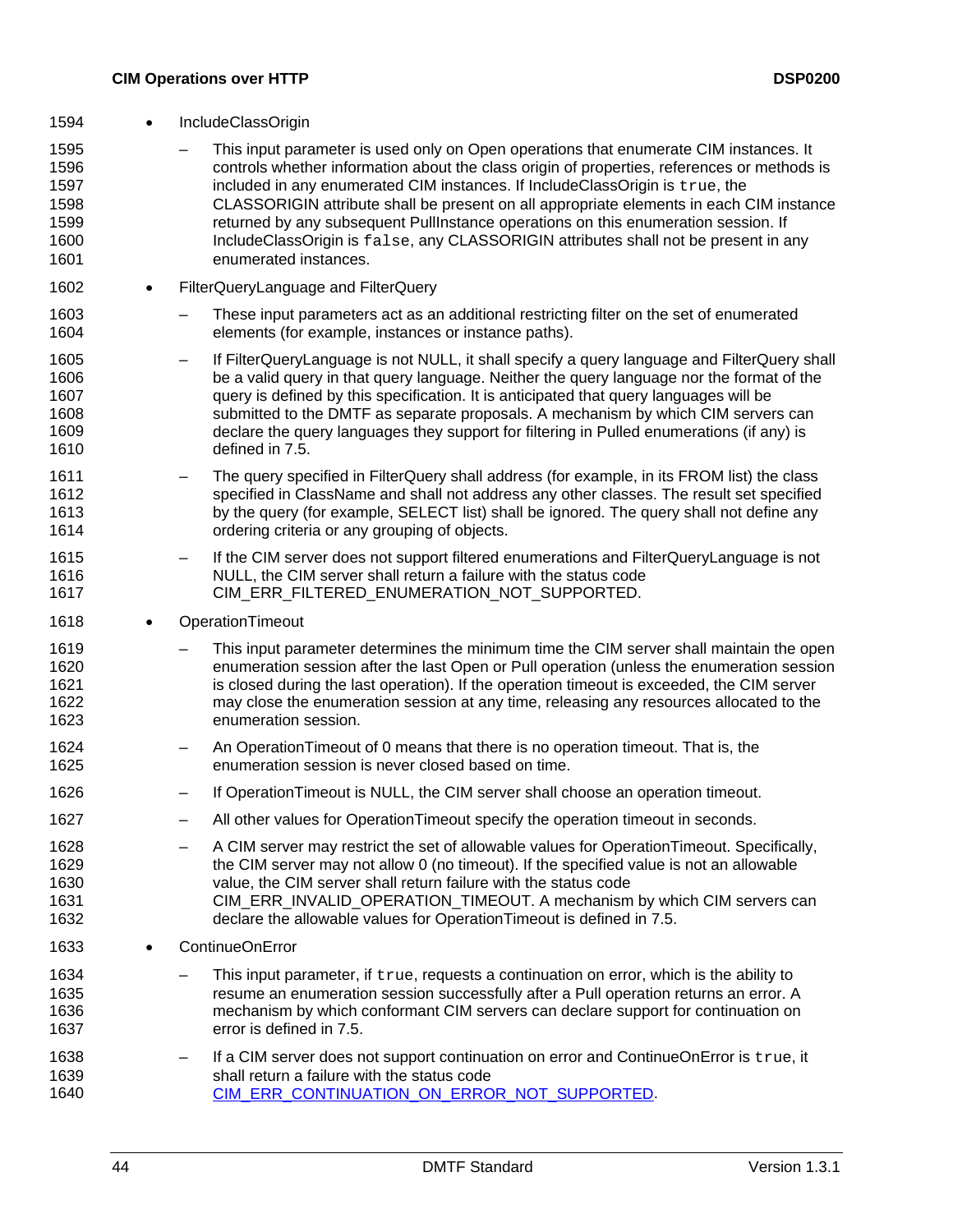| 1594                                                 | $\bullet$ | IncludeClassOrigin                                                                                                                                                                                                                                                                                                                                                                                                                                                                                                                                                    |
|------------------------------------------------------|-----------|-----------------------------------------------------------------------------------------------------------------------------------------------------------------------------------------------------------------------------------------------------------------------------------------------------------------------------------------------------------------------------------------------------------------------------------------------------------------------------------------------------------------------------------------------------------------------|
| 1595<br>1596<br>1597<br>1598<br>1599<br>1600<br>1601 |           | This input parameter is used only on Open operations that enumerate CIM instances. It<br>controls whether information about the class origin of properties, references or methods is<br>included in any enumerated CIM instances. If IncludeClassOrigin is true, the<br>CLASSORIGIN attribute shall be present on all appropriate elements in each CIM instance<br>returned by any subsequent PullInstance operations on this enumeration session. If<br>IncludeClassOrigin is false, any CLASSORIGIN attributes shall not be present in any<br>enumerated instances. |
| 1602                                                 | $\bullet$ | FilterQueryLanguage and FilterQuery                                                                                                                                                                                                                                                                                                                                                                                                                                                                                                                                   |
| 1603<br>1604                                         |           | These input parameters act as an additional restricting filter on the set of enumerated<br>elements (for example, instances or instance paths).                                                                                                                                                                                                                                                                                                                                                                                                                       |
| 1605<br>1606<br>1607<br>1608<br>1609<br>1610         |           | If FilterQueryLanguage is not NULL, it shall specify a query language and FilterQuery shall<br>—<br>be a valid query in that query language. Neither the query language nor the format of the<br>query is defined by this specification. It is anticipated that query languages will be<br>submitted to the DMTF as separate proposals. A mechanism by which CIM servers can<br>declare the query languages they support for filtering in Pulled enumerations (if any) is<br>defined in 7.5.                                                                          |
| 1611<br>1612<br>1613<br>1614                         |           | The query specified in FilterQuery shall address (for example, in its FROM list) the class<br>specified in ClassName and shall not address any other classes. The result set specified<br>by the query (for example, SELECT list) shall be ignored. The query shall not define any<br>ordering criteria or any grouping of objects.                                                                                                                                                                                                                                   |
| 1615<br>1616<br>1617                                 |           | If the CIM server does not support filtered enumerations and FilterQueryLanguage is not<br>NULL, the CIM server shall return a failure with the status code<br>CIM_ERR_FILTERED_ENUMERATION_NOT_SUPPORTED.                                                                                                                                                                                                                                                                                                                                                            |
| 1618                                                 | $\bullet$ | OperationTimeout                                                                                                                                                                                                                                                                                                                                                                                                                                                                                                                                                      |
| 1619<br>1620<br>1621<br>1622<br>1623                 |           | This input parameter determines the minimum time the CIM server shall maintain the open<br>enumeration session after the last Open or Pull operation (unless the enumeration session<br>is closed during the last operation). If the operation timeout is exceeded, the CIM server<br>may close the enumeration session at any time, releasing any resources allocated to the<br>enumeration session.                                                                                                                                                                 |
| 1624<br>1625                                         |           | An Operation Timeout of 0 means that there is no operation timeout. That is, the<br>enumeration session is never closed based on time.                                                                                                                                                                                                                                                                                                                                                                                                                                |
| 1626                                                 |           | If OperationTimeout is NULL, the CIM server shall choose an operation timeout.                                                                                                                                                                                                                                                                                                                                                                                                                                                                                        |
| 1627                                                 |           | All other values for OperationTimeout specify the operation timeout in seconds.                                                                                                                                                                                                                                                                                                                                                                                                                                                                                       |
| 1628<br>1629<br>1630<br>1631<br>1632                 |           | A CIM server may restrict the set of allowable values for OperationTimeout. Specifically,<br>the CIM server may not allow 0 (no timeout). If the specified value is not an allowable<br>value, the CIM server shall return failure with the status code<br>CIM_ERR_INVALID_OPERATION_TIMEOUT. A mechanism by which CIM servers can<br>declare the allowable values for Operation Timeout is defined in 7.5.                                                                                                                                                           |
| 1633                                                 | $\bullet$ | ContinueOnError                                                                                                                                                                                                                                                                                                                                                                                                                                                                                                                                                       |
| 1634<br>1635<br>1636<br>1637                         |           | This input parameter, if true, requests a continuation on error, which is the ability to<br>resume an enumeration session successfully after a Pull operation returns an error. A<br>mechanism by which conformant CIM servers can declare support for continuation on<br>error is defined in 7.5.                                                                                                                                                                                                                                                                    |
| 1638<br>1639                                         |           | If a CIM server does not support continuation on error and ContinueOnError is true, it<br>shall return a failure with the status code                                                                                                                                                                                                                                                                                                                                                                                                                                 |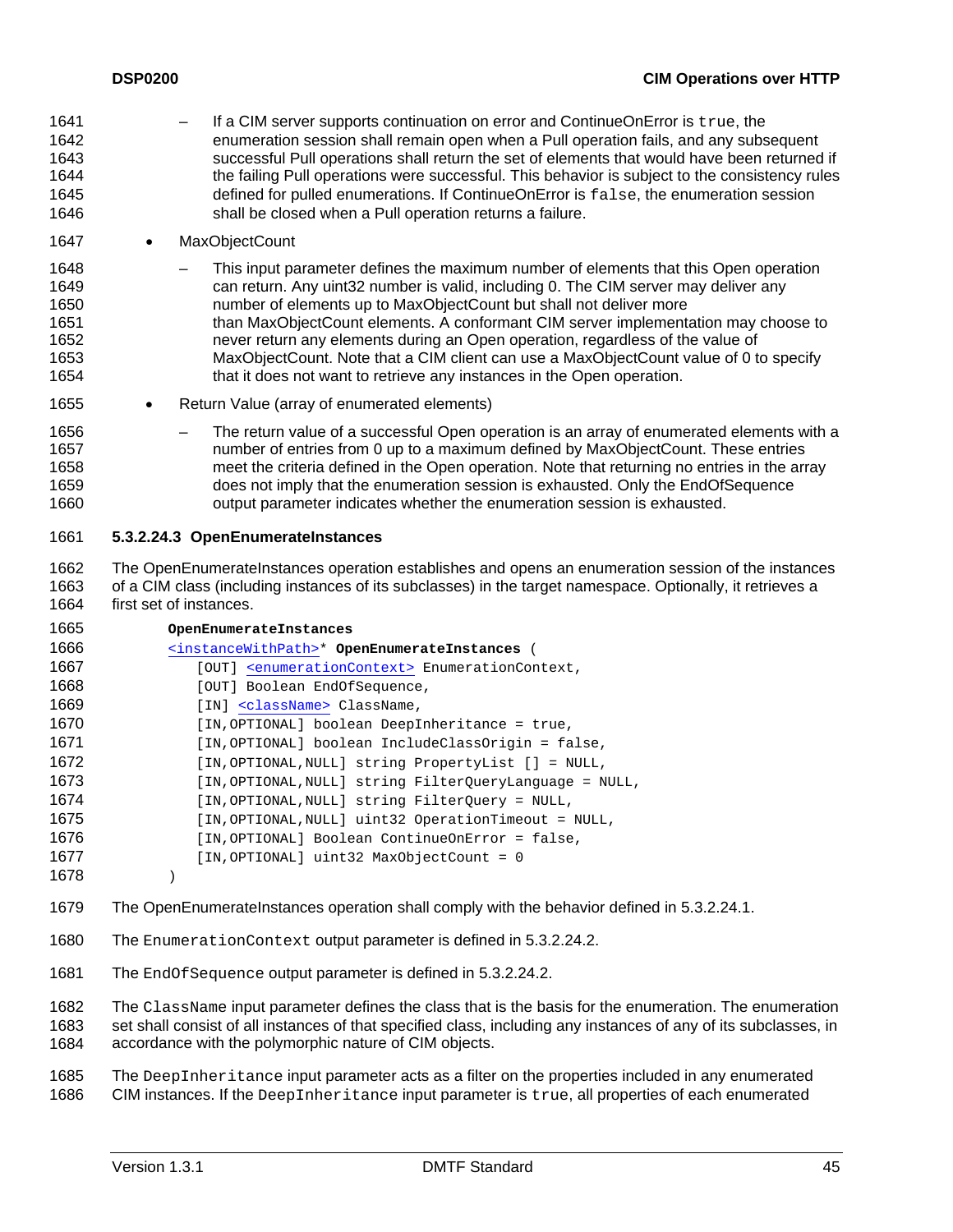- <span id="page-44-0"></span>If a CIM server supports continuation on error and ContinueOnError is  $true$ , the enumeration session shall remain open when a Pull operation fails, and any subsequent successful Pull operations shall return the set of elements that would have been returned if the failing Pull operations were successful. This behavior is subject to the consistency rules defined for pulled enumerations. If ContinueOnError is false, the enumeration session shall be closed when a Pull operation returns a failure. 1641 1642 1643 1644 1645 1646
- 1647 MaxObjectCount
- 1648 1649 1650 1651 1652 1653 1654 – This input parameter defines the maximum number of elements that this Open operation can return. Any uint32 number is valid, including 0. The CIM server may deliver any number of elements up to MaxObjectCount but shall not deliver more than MaxObjectCount elements. A conformant CIM server implementation may choose to never return any elements during an Open operation, regardless of the value of MaxObjectCount. Note that a CIM client can use a MaxObjectCount value of 0 to specify that it does not want to retrieve any instances in the Open operation.
- 1655 • Return Value (array of enumerated elements)
- 1656 1657 1658 1659 1660 – The return value of a successful Open operation is an array of enumerated elements with a number of entries from 0 up to a maximum defined by MaxObjectCount. These entries meet the criteria defined in the Open operation. Note that returning no entries in the array does not imply that the enumeration session is exhausted. Only the EndOfSequence output parameter indicates whether the enumeration session is exhausted.

#### 1661 **5.3.2.24.3 OpenEnumerateInstances**

1662 1663 1664 The OpenEnumerateInstances operation establishes and opens an enumeration session of the instances of a CIM class (including instances of its subclasses) in the target namespace. Optionally, it retrieves a first set of instances.

| 1665 | OpenEnumerateInstances                                              |
|------|---------------------------------------------------------------------|
| 1666 | <instancewithpath>* OpenEnumerateInstances (</instancewithpath>     |
| 1667 | [OUT] <enumerationcontext> EnumerationContext,</enumerationcontext> |
| 1668 | [OUT] Boolean EndOfSequence,                                        |
| 1669 | [IN] <classname> ClassName,</classname>                             |
| 1670 | [IN, OPTIONAL] boolean DeepInheritance = true,                      |
| 1671 | [IN, OPTIONAL] boolean IncludeClassOrigin = false,                  |
| 1672 | [IN, OPTIONAL, NULL] string PropertyList [] = NULL,                 |
| 1673 | [IN, OPTIONAL, NULL] string FilterQueryLanguage = NULL,             |
| 1674 | [IN, OPTIONAL, NULL] string FilterQuery = NULL,                     |
| 1675 | [IN, OPTIONAL, NULL] uint32 OperationTimeout = NULL,                |
| 1676 | [IN, OPTIONAL] Boolean ContinueOnError = false,                     |
| 1677 | [IN, OPTIONAL] uint32 MaxObjectCount = 0                            |
| 1678 |                                                                     |

- 1679 The OpenEnumerateInstances operation shall comply with the behavior defined in [5.3.2.24.1](#page-41-0).
- 1680 The EnumerationContext output parameter is defined in [5.3.2.24.2](#page-42-0).
- 1681 The EndOfSequence output parameter is defined in [5.3.2.24.2](#page-42-0).

1682 1683 1684 The ClassName input parameter defines the class that is the basis for the enumeration. The enumeration set shall consist of all instances of that specified class, including any instances of any of its subclasses, in accordance with the polymorphic nature of CIM objects.

1685 The DeepInheritance input parameter acts as a filter on the properties included in any enumerated

1686 CIM instances. If the DeepInheritance input parameter is true, all properties of each enumerated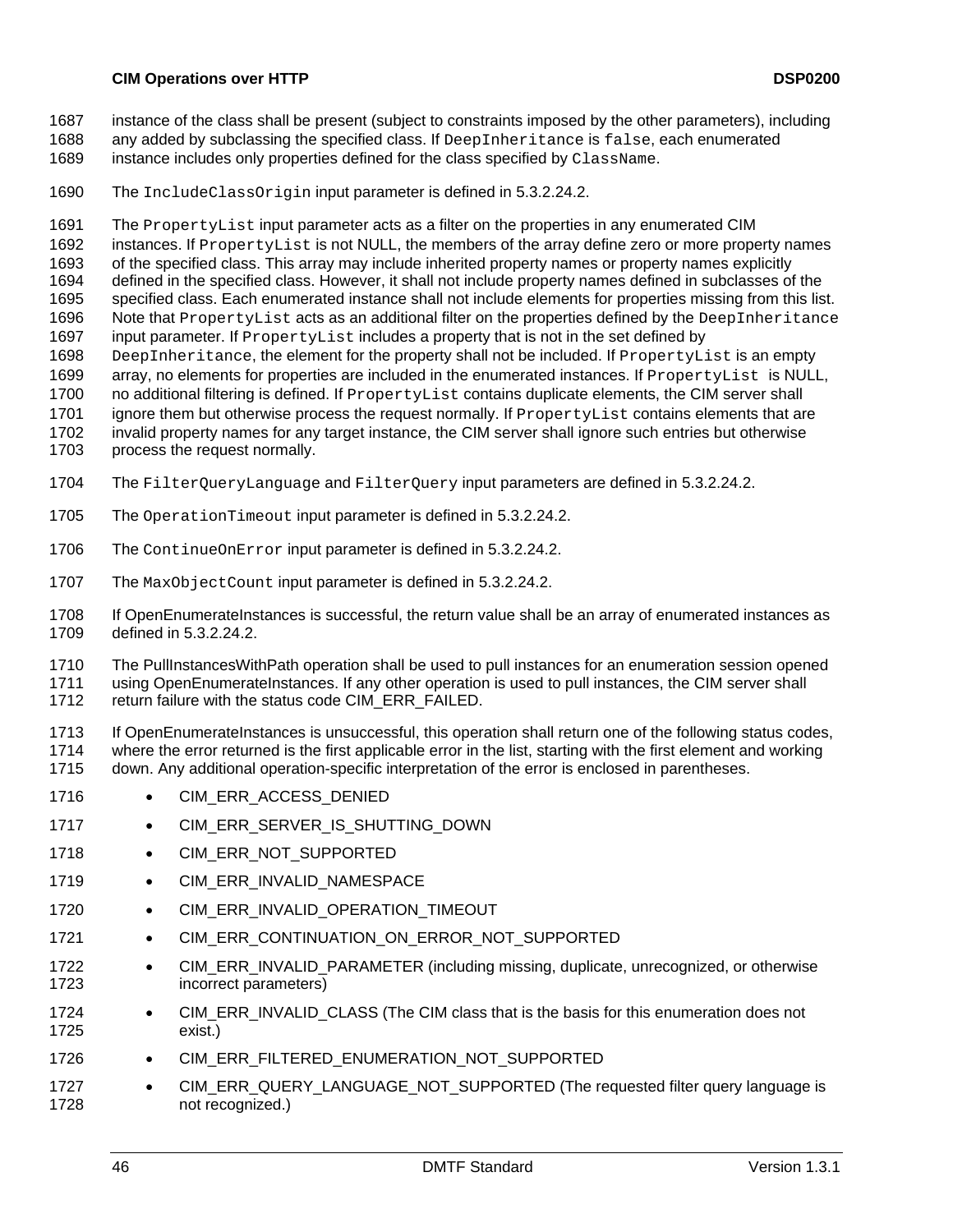- instance of the class shall be present (subject to constraints imposed by the other parameters), including 1687
- any added by subclassing the specified class. If DeepInheritance is false, each enumerated 1688
- instance includes only properties defined for the class specified by ClassName. 1689
- 1690 The IncludeClassOrigin input parameter is defined in [5.3.2.24.2](#page-42-0).

1691 1692 1693 1694 1695 1696 1697 The PropertyList input parameter acts as a filter on the properties in any enumerated CIM instances. If PropertyList is not NULL, the members of the array define zero or more property names of the specified class. This array may include inherited property names or property names explicitly defined in the specified class. However, it shall not include property names defined in subclasses of the specified class. Each enumerated instance shall not include elements for properties missing from this list. Note that PropertyList acts as an additional filter on the properties defined by the DeepInheritance input parameter. If PropertyList includes a property that is not in the set defined by

- 1698 DeepInheritance, the element for the property shall not be included. If PropertyList is an empty
- 1699 array, no elements for properties are included in the enumerated instances. If PropertyList is NULL,
- 1700 no additional filtering is defined. If PropertyList contains duplicate elements, the CIM server shall
- 1701 ignore them but otherwise process the request normally. If PropertyList contains elements that are
- 1702 1703 invalid property names for any target instance, the CIM server shall ignore such entries but otherwise process the request normally.
- 1704 The FilterQueryLanguage and FilterQuery input parameters are defined in [5.3.2.24.2.](#page-42-0)
- 1705 The OperationTimeout input parameter is defined in [5.3.2.24.2](#page-42-0).
- 1706 The ContinueOnError input parameter is defined in [5.3.2.24.2](#page-42-0).
- 1707 The MaxObjectCount input parameter is defined in [5.3.2.24.2](#page-42-0).
- 1708 1709 If OpenEnumerateInstances is successful, the return value shall be an array of enumerated instances as defined in [5.3.2.24.2.](#page-42-0)
- 1710 The PullInstancesWithPath operation shall be used to pull instances for an enumeration session opened
- 1711 1712 using OpenEnumerateInstances. If any other operation is used to pull instances, the CIM server shall return failure with the status code CIM\_ERR\_FAILED.
- 1713 1714 1715 If OpenEnumerateInstances is unsuccessful, this operation shall return one of the following status codes, where the error returned is the first applicable error in the list, starting with the first element and working down. Any additional operation-specific interpretation of the error is enclosed in parentheses.
- 1716 • CIM\_ERR\_ACCESS\_DENIED
- 1717 • CIM\_ERR\_SERVER\_IS\_SHUTTING\_DOWN
- 1718 • CIM\_ERR\_NOT\_SUPPORTED
- 1719 • CIM\_ERR\_INVALID\_NAMESPACE
- 1720 • CIM\_ERR\_INVALID\_OPERATION\_TIMEOUT
- 1721 • CIM\_ERR\_CONTINUATION\_ON\_ERROR\_NOT\_SUPPORTED
- 1722 1723 • CIM\_ERR\_INVALID\_PARAMETER (including missing, duplicate, unrecognized, or otherwise incorrect parameters)
- 1724 1725 • CIM\_ERR\_INVALID\_CLASS (The CIM class that is the basis for this enumeration does not exist.)
- 1726 • CIM\_ERR\_FILTERED\_ENUMERATION\_NOT\_SUPPORTED
- 1727 1728 • CIM\_ERR\_QUERY\_LANGUAGE\_NOT\_SUPPORTED (The requested filter query language is not recognized.)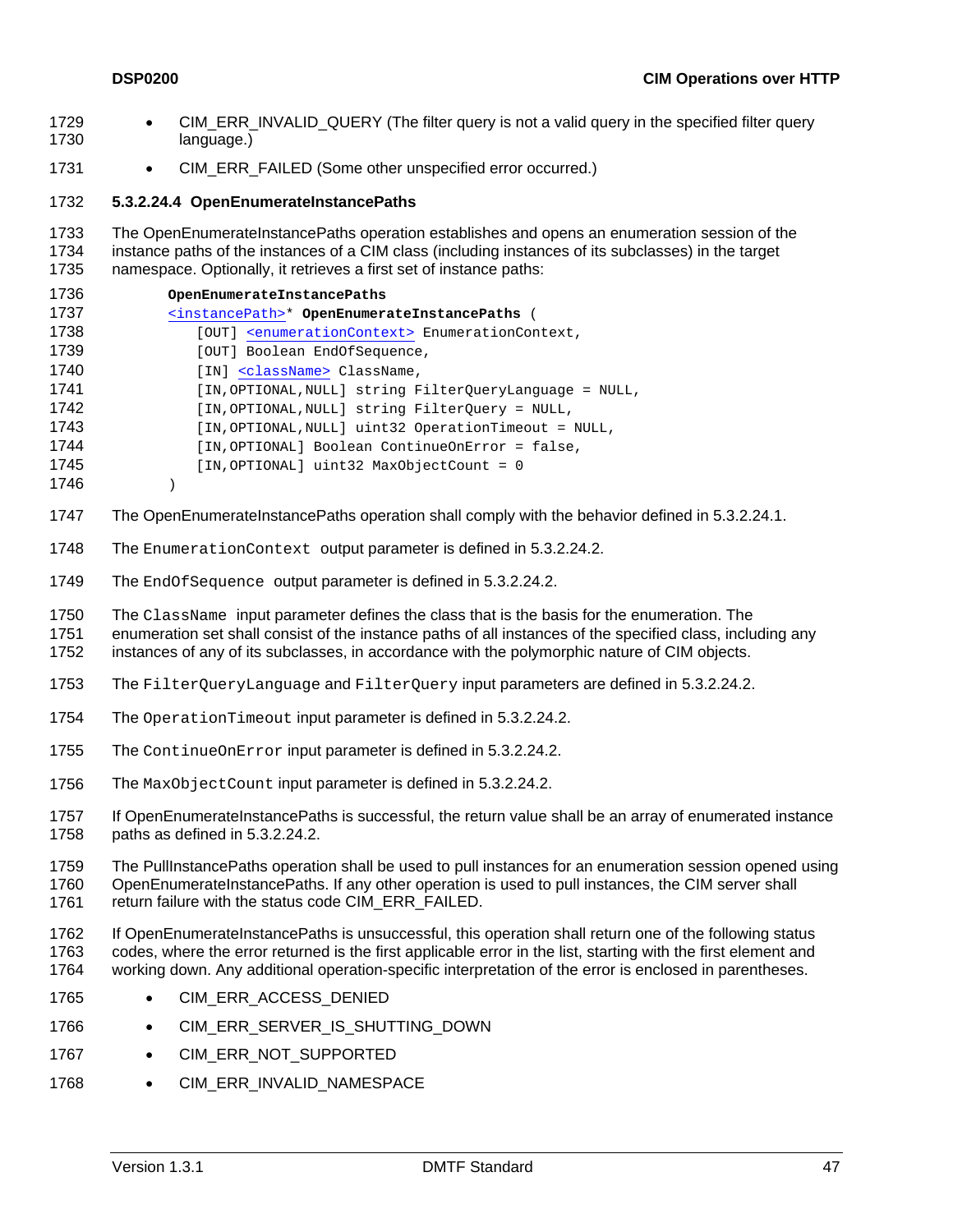- <span id="page-46-0"></span>• CIM\_ERR\_INVALID\_QUERY (The filter query is not a valid query in the specified filter query language.) 1729 1730
- 1731 • CIM\_ERR\_FAILED (Some other unspecified error occurred.)

#### 1732 **5.3.2.24.4 OpenEnumerateInstancePaths**

- 1733 1734 1735 The OpenEnumerateInstancePaths operation establishes and opens an enumeration session of the instance paths of the instances of a CIM class (including instances of its subclasses) in the target namespace. Optionally, it retrieves a first set of instance paths:
- 1736  **OpenEnumerateInstancePaths**

| 1737 | <instancepath>* OpenEnumerateInstancePaths (</instancepath>         |
|------|---------------------------------------------------------------------|
| 1738 | [OUT] <enumerationcontext> EnumerationContext,</enumerationcontext> |
| 1739 | [OUT] Boolean EndOfSequence,                                        |
| 1740 | [IN] <classname> ClassName,</classname>                             |
| 1741 | [IN, OPTIONAL, NULL] string FilterQueryLanguage = NULL,             |
| 1742 | [IN, OPTIONAL, NULL] string FilterQuery = NULL,                     |
| 1743 | [IN, OPTIONAL, NULL] uint32 OperationTimeout = NULL,                |
| 1744 | [IN, OPTIONAL] Boolean ContinueOnError = false,                     |
| 1745 | [IN, OPTIONAL] uint32 MaxObjectCount = 0                            |
| 1746 |                                                                     |

- 1747 The OpenEnumerateInstancePaths operation shall comply with the behavior defined in [5.3.2.24.1.](#page-41-0)
- 1748 The EnumerationContext output parameter is defined in [5.3.2.24.2.](#page-42-0)
- 1749 The EndOfSequence output parameter is defined in [5.3.2.24.2.](#page-42-0)

1750 The ClassName input parameter defines the class that is the basis for the enumeration. The

- 1751 1752 enumeration set shall consist of the instance paths of all instances of the specified class, including any instances of any of its subclasses, in accordance with the polymorphic nature of CIM objects.
- 1753 The FilterQueryLanguage and FilterQuery input parameters are defined in [5.3.2.24.2.](#page-42-0)
- 1754 The OperationTimeout input parameter is defined in [5.3.2.24.2](#page-42-0).
- 1755 The ContinueOnError input parameter is defined in [5.3.2.24.2](#page-42-0).
- 1756 The MaxObjectCount input parameter is defined in [5.3.2.24.2](#page-42-0).
- 1757 1758 If OpenEnumerateInstancePaths is successful, the return value shall be an array of enumerated instance paths as defined in [5.3.2.24.2](#page-42-0).
- 1759 1760 1761 The PullInstancePaths operation shall be used to pull instances for an enumeration session opened using OpenEnumerateInstancePaths. If any other operation is used to pull instances, the CIM server shall return failure with the status code CIM\_ERR\_FAILED.
- 1762 1763 1764 If OpenEnumerateInstancePaths is unsuccessful, this operation shall return one of the following status codes, where the error returned is the first applicable error in the list, starting with the first element and working down. Any additional operation-specific interpretation of the error is enclosed in parentheses.
- 1765 • CIM\_ERR\_ACCESS\_DENIED
- 1766 • CIM\_ERR\_SERVER\_IS\_SHUTTING\_DOWN
- 1767 • CIM\_ERR\_NOT\_SUPPORTED
- 1768 • CIM\_ERR\_INVALID\_NAMESPACE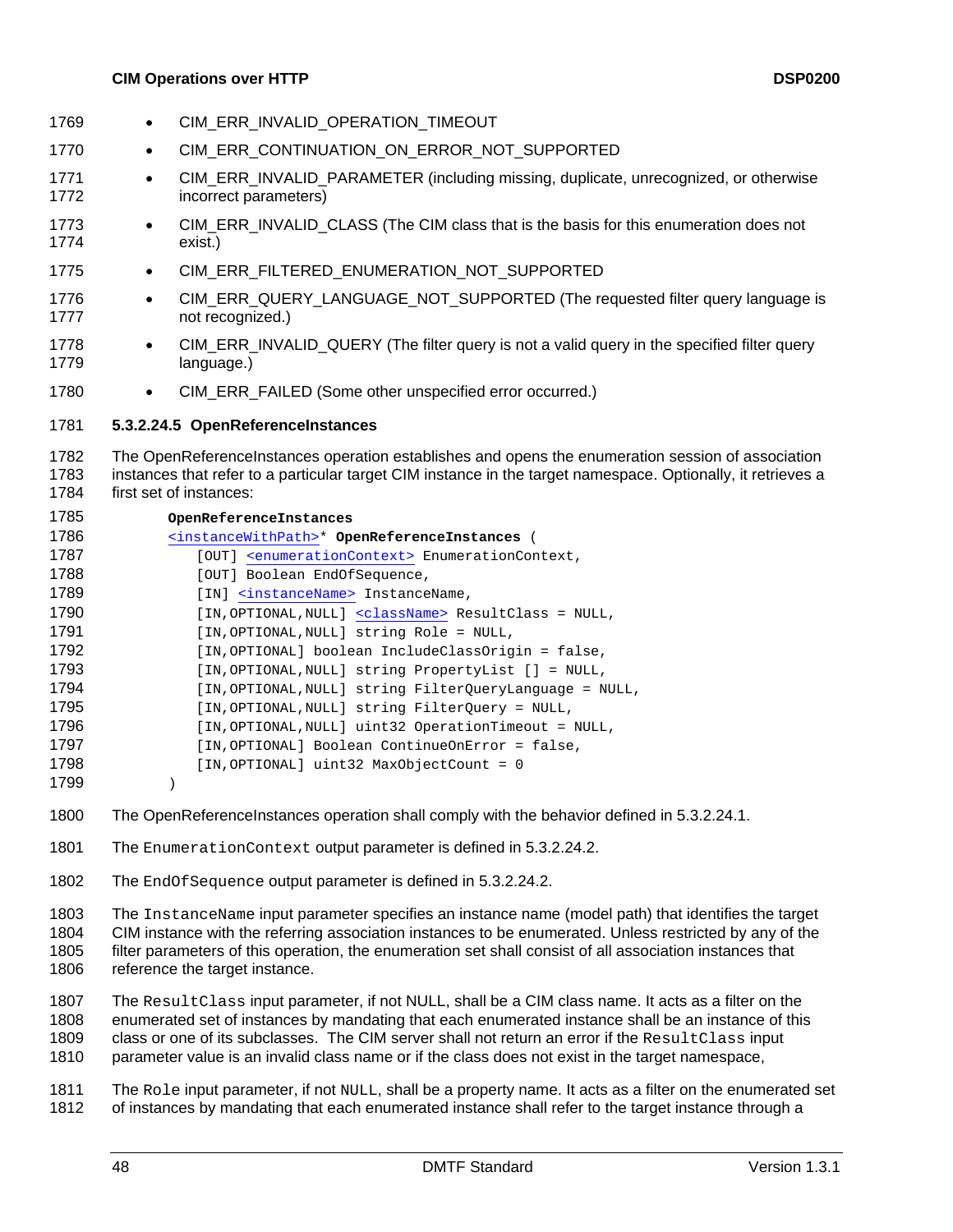<span id="page-47-0"></span>

| 1769                         | $\bullet$ | CIM_ERR_INVALID_OPERATION_TIMEOUT                                                                                                                                                                                                                                                                                                                                                                                    |
|------------------------------|-----------|----------------------------------------------------------------------------------------------------------------------------------------------------------------------------------------------------------------------------------------------------------------------------------------------------------------------------------------------------------------------------------------------------------------------|
| 1770                         | $\bullet$ | CIM_ERR_CONTINUATION_ON_ERROR_NOT_SUPPORTED                                                                                                                                                                                                                                                                                                                                                                          |
| 1771<br>1772                 | $\bullet$ | CIM_ERR_INVALID_PARAMETER (including missing, duplicate, unrecognized, or otherwise<br>incorrect parameters)                                                                                                                                                                                                                                                                                                         |
| 1773<br>1774                 | $\bullet$ | CIM_ERR_INVALID_CLASS (The CIM class that is the basis for this enumeration does not<br>exist.)                                                                                                                                                                                                                                                                                                                      |
| 1775                         | $\bullet$ | CIM_ERR_FILTERED_ENUMERATION_NOT_SUPPORTED                                                                                                                                                                                                                                                                                                                                                                           |
| 1776<br>1777                 | $\bullet$ | CIM_ERR_QUERY_LANGUAGE_NOT_SUPPORTED (The requested filter query language is<br>not recognized.)                                                                                                                                                                                                                                                                                                                     |
| 1778<br>1779                 | $\bullet$ | CIM_ERR_INVALID_QUERY (The filter query is not a valid query in the specified filter query<br>language.)                                                                                                                                                                                                                                                                                                             |
| 1780                         | $\bullet$ | CIM_ERR_FAILED (Some other unspecified error occurred.)                                                                                                                                                                                                                                                                                                                                                              |
| 1781                         |           | 5.3.2.24.5 OpenReferenceInstances                                                                                                                                                                                                                                                                                                                                                                                    |
| 1782<br>1783<br>1784         |           | The OpenReferenceInstances operation establishes and opens the enumeration session of association<br>instances that refer to a particular target CIM instance in the target namespace. Optionally, it retrieves a<br>first set of instances:                                                                                                                                                                         |
| 1785                         |           | OpenReferenceInstances                                                                                                                                                                                                                                                                                                                                                                                               |
| 1786                         |           | <instancewithpath>* OpenReferenceInstances (</instancewithpath>                                                                                                                                                                                                                                                                                                                                                      |
| 1787                         |           | [OUT] <enumerationcontext> EnumerationContext,</enumerationcontext>                                                                                                                                                                                                                                                                                                                                                  |
| 1788                         |           | [OUT] Boolean EndOfSequence,                                                                                                                                                                                                                                                                                                                                                                                         |
| 1789                         |           | [IN] <instancename> InstanceName,</instancename>                                                                                                                                                                                                                                                                                                                                                                     |
| 1790                         |           | [IN, OPTIONAL, NULL] <classname> ResultClass = NULL,</classname>                                                                                                                                                                                                                                                                                                                                                     |
| 1791                         |           | [IN, OPTIONAL, NULL] string Role = NULL,                                                                                                                                                                                                                                                                                                                                                                             |
| 1792                         |           | [IN, OPTIONAL] boolean IncludeClassOrigin = false,                                                                                                                                                                                                                                                                                                                                                                   |
| 1793                         |           | [IN, OPTIONAL, NULL] string PropertyList [] = NULL,                                                                                                                                                                                                                                                                                                                                                                  |
| 1794                         |           | [IN, OPTIONAL, NULL] string FilterQueryLanguage = NULL,                                                                                                                                                                                                                                                                                                                                                              |
| 1795                         |           | [IN, OPTIONAL, NULL] string FilterQuery = NULL,                                                                                                                                                                                                                                                                                                                                                                      |
| 1796                         |           | [IN, OPTIONAL, NULL] uint32 OperationTimeout = NULL,                                                                                                                                                                                                                                                                                                                                                                 |
| 1797                         |           | [IN, OPTIONAL] Boolean ContinueOnError = false,                                                                                                                                                                                                                                                                                                                                                                      |
| 1798                         |           | [IN, OPTIONAL] uint32 MaxObjectCount = 0                                                                                                                                                                                                                                                                                                                                                                             |
| 1799                         | $\lambda$ |                                                                                                                                                                                                                                                                                                                                                                                                                      |
| 1800                         |           | The OpenReferenceInstances operation shall comply with the behavior defined in 5.3.2.24.1.                                                                                                                                                                                                                                                                                                                           |
| 1801                         |           | The EnumerationContext output parameter is defined in 5.3.2.24.2.                                                                                                                                                                                                                                                                                                                                                    |
| 1802                         |           | The EndOf Sequence output parameter is defined in 5.3.2.24.2.                                                                                                                                                                                                                                                                                                                                                        |
| 1803<br>1804<br>1805<br>1806 |           | The InstanceName input parameter specifies an instance name (model path) that identifies the target<br>CIM instance with the referring association instances to be enumerated. Unless restricted by any of the<br>filter parameters of this operation, the enumeration set shall consist of all association instances that<br>reference the target instance.                                                         |
| 1807<br>1808<br>1809<br>1810 |           | The Result Class input parameter, if not NULL, shall be a CIM class name. It acts as a filter on the<br>enumerated set of instances by mandating that each enumerated instance shall be an instance of this<br>class or one of its subclasses. The CIM server shall not return an error if the ResultClass input<br>parameter value is an invalid class name or if the class does not exist in the target namespace, |
|                              |           |                                                                                                                                                                                                                                                                                                                                                                                                                      |

1811 1812 The Role input parameter, if not NULL, shall be a property name. It acts as a filter on the enumerated set of instances by mandating that each enumerated instance shall refer to the target instance through a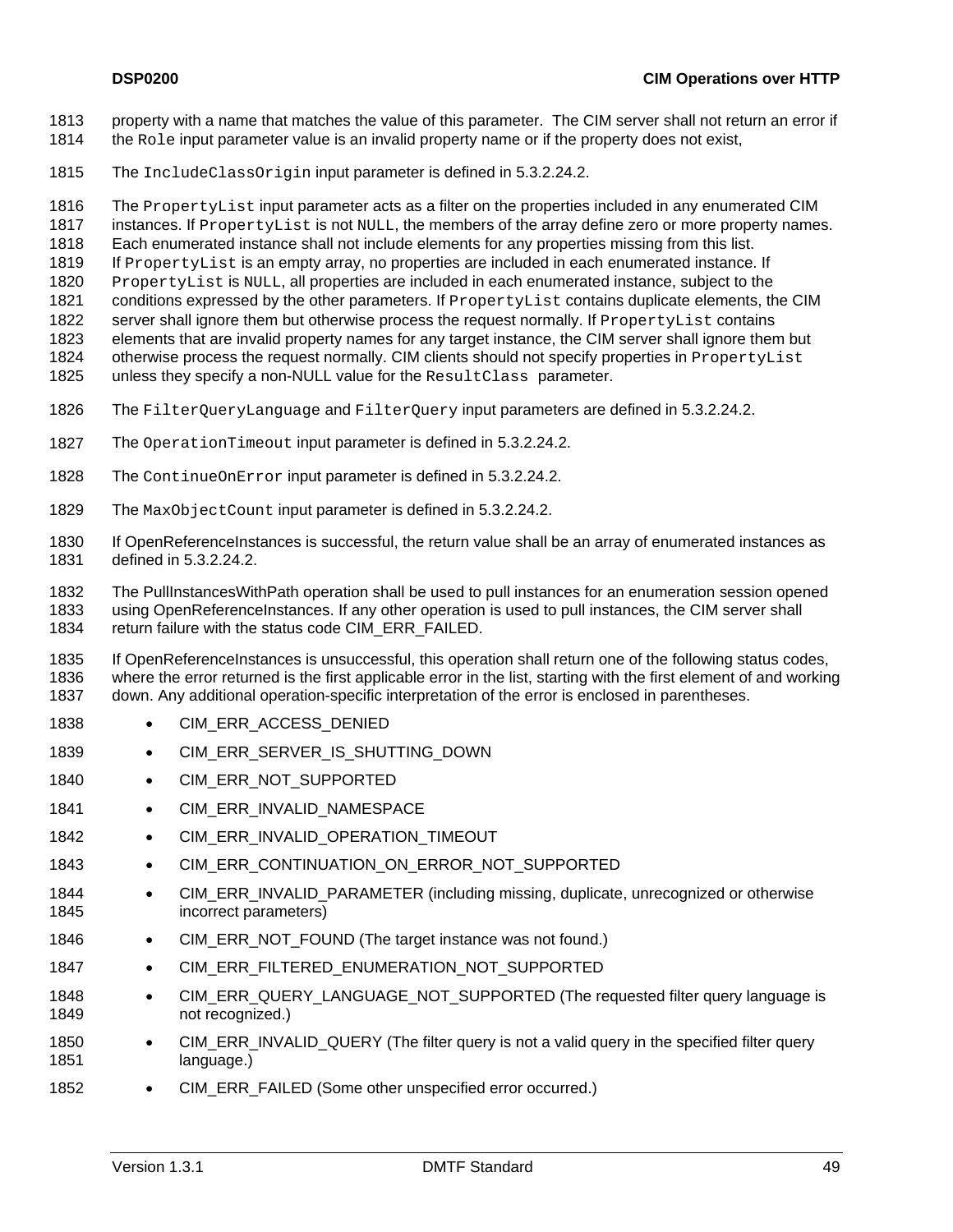- property with a name that matches the value of this parameter. The CIM server shall not return an error if 1813
- the Role input parameter value is an invalid property name or if the property does not exist, 1814
- 1815 The IncludeClassOrigin input parameter is defined in [5.3.2.24.2](#page-42-0).

1816 The PropertyList input parameter acts as a filter on the properties included in any enumerated CIM

1817 instances. If PropertyList is not NULL, the members of the array define zero or more property names.

1818 Each enumerated instance shall not include elements for any properties missing from this list.

1819 If PropertyList is an empty array, no properties are included in each enumerated instance. If

1820 PropertyList is NULL, all properties are included in each enumerated instance, subject to the

1821 conditions expressed by the other parameters. If PropertyList contains duplicate elements, the CIM

1822 1823 server shall ignore them but otherwise process the request normally. If PropertyList contains elements that are invalid property names for any target instance, the CIM server shall ignore them but

1824 otherwise process the request normally. CIM clients should not specify properties in PropertyList

1825 unless they specify a non-NULL value for the ResultClass parameter.

- 1826 The FilterQueryLanguage and FilterQuery input parameters are defined in [5.3.2.24.2.](#page-42-0)
- 1827 The OperationTimeout input parameter is defined in [5.3.2.24.2](#page-42-0).
- 1828 The ContinueOnError input parameter is defined in [5.3.2.24.2](#page-42-0).
- 1829 The MaxObjectCount input parameter is defined in [5.3.2.24.2](#page-42-0).
- 1830 1831 If OpenReferenceInstances is successful, the return value shall be an array of enumerated instances as defined in [5.3.2.24.2.](#page-42-0)

1832 The PullInstancesWithPath operation shall be used to pull instances for an enumeration session opened

1833 1834 using OpenReferenceInstances. If any other operation is used to pull instances, the CIM server shall return failure with the status code CIM\_ERR\_FAILED.

1835 1836 1837 If OpenReferenceInstances is unsuccessful, this operation shall return one of the following status codes, where the error returned is the first applicable error in the list, starting with the first element of and working down. Any additional operation-specific interpretation of the error is enclosed in parentheses.

- 1838 • CIM\_ERR\_ACCESS\_DENIED
- 1839 • CIM\_ERR\_SERVER\_IS\_SHUTTING\_DOWN
- 1840 • CIM\_ERR\_NOT\_SUPPORTED
- 1841 • CIM\_ERR\_INVALID\_NAMESPACE
- 1842 • CIM\_ERR\_INVALID\_OPERATION\_TIMEOUT
- 1843 • CIM\_ERR\_CONTINUATION\_ON\_ERROR\_NOT\_SUPPORTED
- 1844 1845 • CIM\_ERR\_INVALID\_PARAMETER (including missing, duplicate, unrecognized or otherwise incorrect parameters)
- 1846 • CIM\_ERR\_NOT\_FOUND (The target instance was not found.)
- 1847 • CIM\_ERR\_FILTERED\_ENUMERATION\_NOT\_SUPPORTED
- 1848 1849 • CIM\_ERR\_QUERY\_LANGUAGE\_NOT\_SUPPORTED (The requested filter query language is not recognized.)
- 1850 1851 • CIM\_ERR\_INVALID\_QUERY (The filter query is not a valid query in the specified filter query language.)
- 1852 CIM\_ERR\_FAILED (Some other unspecified error occurred.)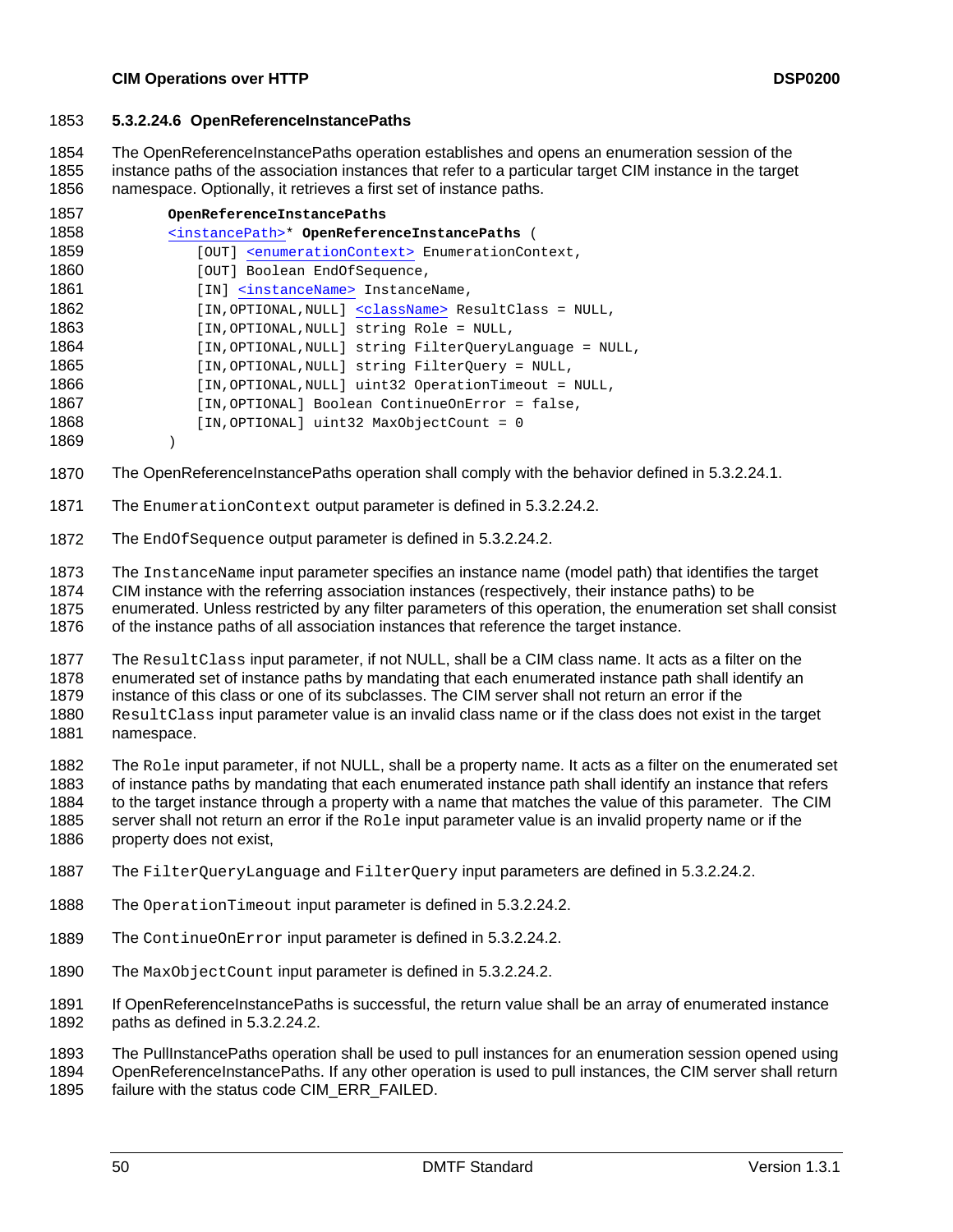### <span id="page-49-0"></span>1853 **5.3.2.24.6 OpenReferenceInstancePaths**

The OpenReferenceInstancePaths operation establishes and opens an enumeration session of the instance paths of the association instances that refer to a particular target CIM instance in the target namespace. Optionally, it retrieves a first set of instance paths. 1854 1855 1856

| 1857 | OpenReferenceInstancePaths                                          |
|------|---------------------------------------------------------------------|
| 1858 | <instancepath>* OpenReferenceInstancePaths (</instancepath>         |
| 1859 | [OUT] <enumerationcontext> EnumerationContext,</enumerationcontext> |
| 1860 | [OUT] Boolean EndOfSequence,                                        |
| 1861 | [IN] <instancename> InstanceName,</instancename>                    |
| 1862 | [IN, OPTIONAL, NULL] <classname> ResultClass = NULL,</classname>    |
| 1863 | [IN, OPTIONAL, NULL] string Role = NULL,                            |
| 1864 | [IN, OPTIONAL, NULL] string FilterQueryLanguage = NULL,             |
| 1865 | [IN, OPTIONAL, NULL] string FilterOuery = NULL,                     |
| 1866 | [IN, OPTIONAL, NULL] uint32 OperationTimeout = NULL,                |
| 1867 | [IN, OPTIONAL] Boolean ContinueOnError = false,                     |
| 1868 | [IN, OPTIONAL] uint32 MaxObjectCount = 0                            |
| 1869 |                                                                     |

- 1870 The OpenReferenceInstancePaths operation shall comply with the behavior defined in [5.3.2.24.1](#page-41-0).
- 1871 The EnumerationContext output parameter is defined in [5.3.2.24.2](#page-42-0).
- 1872 The EndOfSequence output parameter is defined in [5.3.2.24.2](#page-42-0).

1873 The InstanceName input parameter specifies an instance name (model path) that identifies the target

1874 CIM instance with the referring association instances (respectively, their instance paths) to be

1875 enumerated. Unless restricted by any filter parameters of this operation, the enumeration set shall consist

1876 of the instance paths of all association instances that reference the target instance.

1877 1878 The ResultClass input parameter, if not NULL, shall be a CIM class name. It acts as a filter on the enumerated set of instance paths by mandating that each enumerated instance path shall identify an

1879 instance of this class or one of its subclasses. The CIM server shall not return an error if the

- 1880 1881 ResultClass input parameter value is an invalid class name or if the class does not exist in the target namespace.
- 1882 The Role input parameter, if not NULL, shall be a property name. It acts as a filter on the enumerated set
- 1883 1884 of instance paths by mandating that each enumerated instance path shall identify an instance that refers to the target instance through a property with a name that matches the value of this parameter. The CIM
- 1885 1886 server shall not return an error if the Role input parameter value is an invalid property name or if the property does not exist,
- 1887 The FilterQueryLanguage and FilterQuery input parameters are defined in [5.3.2.24.2.](#page-42-0)
- 1888 The OperationTimeout input parameter is defined in [5.3.2.24.2](#page-42-0).
- 1889 The ContinueOnError input parameter is defined in [5.3.2.24.2](#page-42-0).
- 1890 The MaxObjectCount input parameter is defined in [5.3.2.24.2](#page-42-0).
- 1891 1892 If OpenReferenceInstancePaths is successful, the return value shall be an array of enumerated instance paths as defined in [5.3.2.24.2](#page-42-0).
- 1893 1894 The PullInstancePaths operation shall be used to pull instances for an enumeration session opened using OpenReferenceInstancePaths. If any other operation is used to pull instances, the CIM server shall return

1895 failure with the status code CIM\_ERR\_FAILED.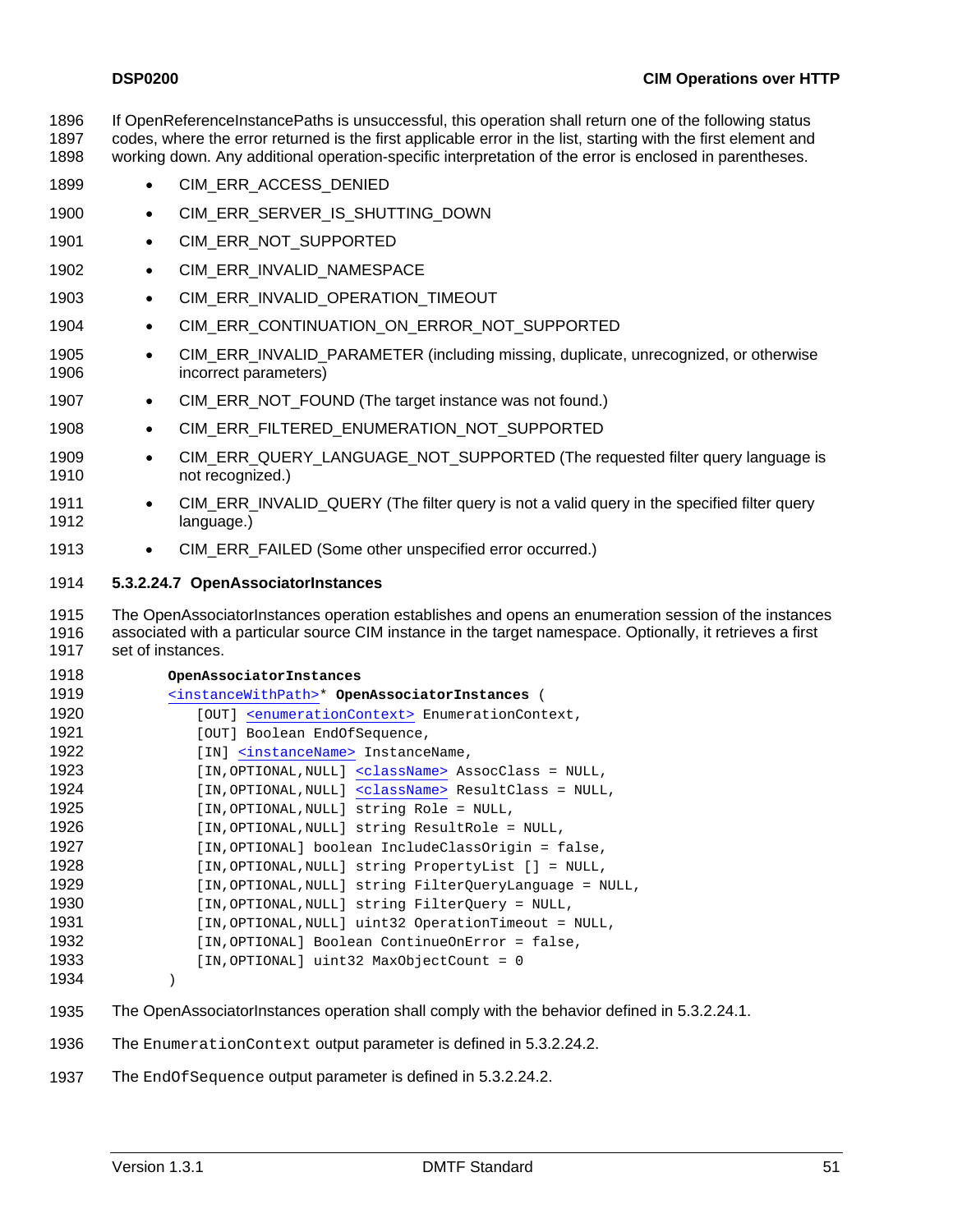<span id="page-50-0"></span>If OpenReferenceInstancePaths is unsuccessful, this operation shall return one of the following status codes, where the error returned is the first applicable error in the list, starting with the first element and working down. Any additional operation-specific interpretation of the error is enclosed in parentheses. 1896 1897 1898

- 1899 CIM\_ERR\_ACCESS\_DENIED
- 1900 • CIM\_ERR\_SERVER\_IS\_SHUTTING\_DOWN
- 1901 • CIM\_ERR\_NOT\_SUPPORTED
- 1902 • CIM\_ERR\_INVALID\_NAMESPACE
- 1903 • CIM\_ERR\_INVALID\_OPERATION\_TIMEOUT
- 1904 • CIM\_ERR\_CONTINUATION\_ON\_ERROR\_NOT\_SUPPORTED
- 1905 1906 • CIM\_ERR\_INVALID\_PARAMETER (including missing, duplicate, unrecognized, or otherwise incorrect parameters)
- 1907 • CIM\_ERR\_NOT\_FOUND (The target instance was not found.)
- 1908 • CIM\_ERR\_FILTERED\_ENUMERATION\_NOT\_SUPPORTED
- 1909 1910 • CIM\_ERR\_QUERY\_LANGUAGE\_NOT\_SUPPORTED (The requested filter query language is not recognized.)
- 1911 1912 • CIM\_ERR\_INVALID\_QUERY (The filter query is not a valid query in the specified filter query language.)
- 1913 • CIM\_ERR\_FAILED (Some other unspecified error occurred.)

#### 1914 **5.3.2.24.7 OpenAssociatorInstances**

1915 1916 The OpenAssociatorInstances operation establishes and opens an enumeration session of the instances associated with a particular source CIM instance in the target namespace. Optionally, it retrieves a first

1917 set of instances.

1918

| 1918 | OpenAssociatorInstances                                             |
|------|---------------------------------------------------------------------|
| 1919 | <instancewithpath>* OpenAssociatorInstances (</instancewithpath>    |
| 1920 | [OUT] <enumerationcontext> EnumerationContext,</enumerationcontext> |
| 1921 | [OUT] Boolean EndOfSequence,                                        |
| 1922 | [IN] <instancename> InstanceName,</instancename>                    |
| 1923 | [IN, OPTIONAL, NULL] <classname> AssocClass = NULL,</classname>     |
| 1924 | [IN, OPTIONAL, NULL] <classname> ResultClass = NULL,</classname>    |
| 1925 | [IN, OPTIONAL, NULL] string Role = NULL,                            |
| 1926 | [IN, OPTIONAL, NULL] string ResultRole = NULL,                      |
| 1927 | [IN,OPTIONAL] boolean IncludeClassOrigin = false,                   |
| 1928 | [IN, OPTIONAL, NULL] string PropertyList [] = NULL,                 |
| 1929 | [IN, OPTIONAL, NULL] string FilterQueryLanguage = NULL,             |
| 1930 | [IN, OPTIONAL, NULL] string FilterOuery = NULL,                     |
| 1931 | [IN, OPTIONAL, NULL] uint32 OperationTimeout = NULL,                |
| 1932 | [IN, OPTIONAL] Boolean ContinueOnError = false,                     |
| 1933 | [IN, OPTIONAL] uint32 MaxObjectCount = 0                            |
| 1934 |                                                                     |

- 1935 The OpenAssociatorInstances operation shall comply with the behavior defined in [5.3.2.24.1.](#page-41-0)
- 1936 The EnumerationContext output parameter is defined in [5.3.2.24.2](#page-42-0).
- 1937 The EndOfSequence output parameter is defined in [5.3.2.24.2](#page-42-0).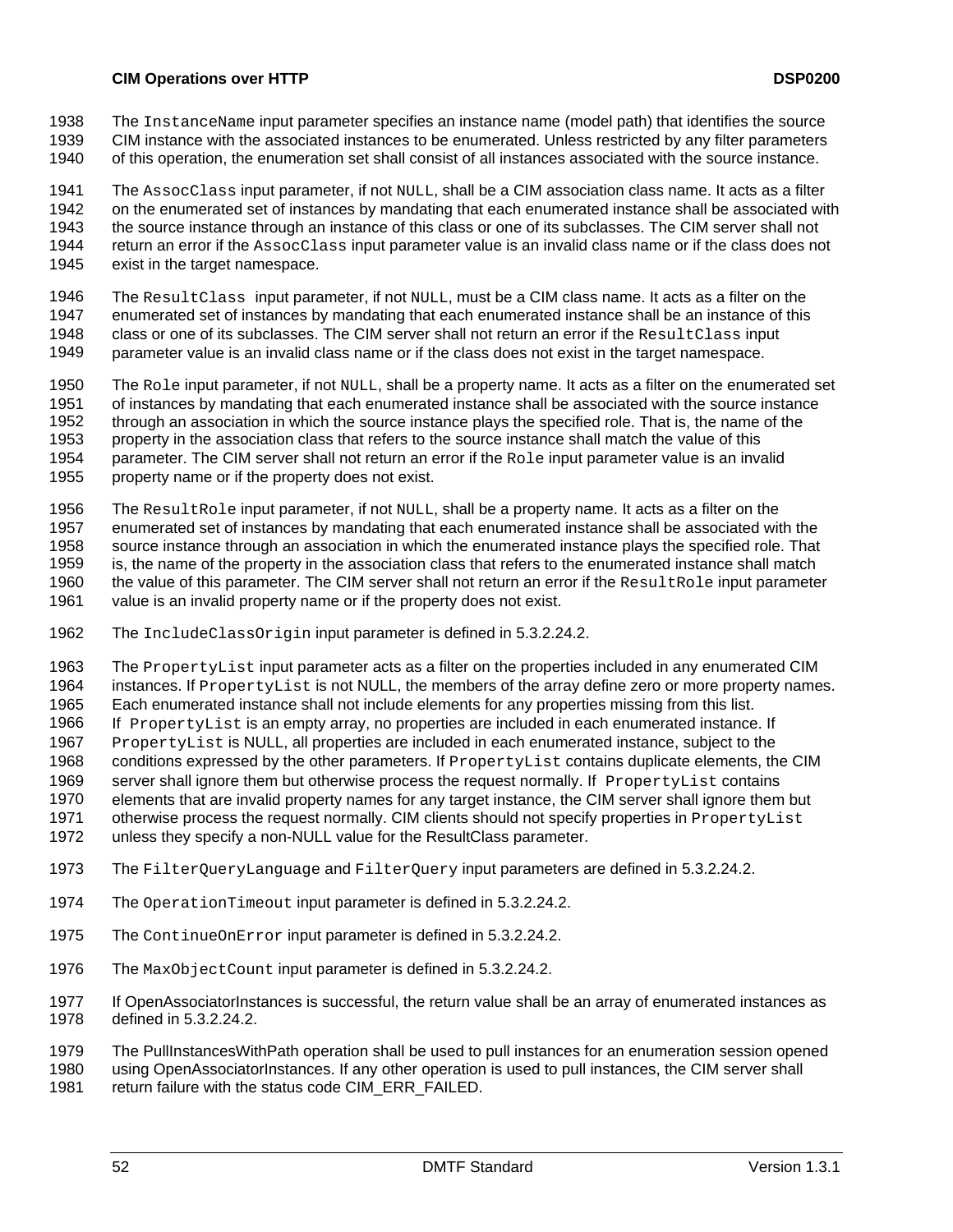#### **CIM Operations over HTTP DESP0200**

The InstanceName input parameter specifies an instance name (model path) that identifies the source CIM instance with the associated instances to be enumerated. Unless restricted by any filter parameters 1938 1939

of this operation, the enumeration set shall consist of all instances associated with the source instance. 1940

1941 1942 1943 1944 1945 The AssocClass input parameter, if not NULL, shall be a CIM association class name. It acts as a filter on the enumerated set of instances by mandating that each enumerated instance shall be associated with the source instance through an instance of this class or one of its subclasses. The CIM server shall not return an error if the AssocClass input parameter value is an invalid class name or if the class does not exist in the target namespace.

1946 1947 1948 1949 The ResultClass input parameter, if not NULL, must be a CIM class name. It acts as a filter on the enumerated set of instances by mandating that each enumerated instance shall be an instance of this class or one of its subclasses. The CIM server shall not return an error if the ResultClass input parameter value is an invalid class name or if the class does not exist in the target namespace.

1950 1951 1952 1953 1954 1955 The Role input parameter, if not NULL, shall be a property name. It acts as a filter on the enumerated set of instances by mandating that each enumerated instance shall be associated with the source instance through an association in which the source instance plays the specified role. That is, the name of the property in the association class that refers to the source instance shall match the value of this parameter. The CIM server shall not return an error if the Role input parameter value is an invalid property name or if the property does not exist.

1956 1957 1958 1959 1960 1961 The ResultRole input parameter, if not NULL, shall be a property name. It acts as a filter on the enumerated set of instances by mandating that each enumerated instance shall be associated with the source instance through an association in which the enumerated instance plays the specified role. That is, the name of the property in the association class that refers to the enumerated instance shall match the value of this parameter. The CIM server shall not return an error if the ResultRole input parameter value is an invalid property name or if the property does not exist.

- 1962 The IncludeClassOrigin input parameter is defined in [5.3.2.24.2](#page-42-0).
- 1963 The PropertyList input parameter acts as a filter on the properties included in any enumerated CIM
- 1964 instances. If PropertyList is not NULL, the members of the array define zero or more property names.
- 1965 Each enumerated instance shall not include elements for any properties missing from this list.
- 1966 If PropertyList is an empty array, no properties are included in each enumerated instance. If
- 1967 PropertyList is NULL, all properties are included in each enumerated instance, subject to the
- 1968 conditions expressed by the other parameters. If PropertyList contains duplicate elements, the CIM
- 1969 1970 server shall ignore them but otherwise process the request normally. If PropertyList contains elements that are invalid property names for any target instance, the CIM server shall ignore them but
- 1971 otherwise process the request normally. CIM clients should not specify properties in PropertyList
- 1972 unless they specify a non-NULL value for the ResultClass parameter.
- 1973 The FilterQueryLanguage and FilterQuery input parameters are defined in [5.3.2.24.2.](#page-42-0)
- 1974 The OperationTimeout input parameter is defined in [5.3.2.24.2](#page-42-0).
- 1975 The ContinueOnError input parameter is defined in [5.3.2.24.2](#page-42-0).
- 1976 The MaxObjectCount input parameter is defined in [5.3.2.24.2](#page-42-0).
- 1977 1978 If OpenAssociatorInstances is successful, the return value shall be an array of enumerated instances as defined in [5.3.2.24.2.](#page-42-0)
- 1979 The PullInstancesWithPath operation shall be used to pull instances for an enumeration session opened
- 1980 1981 using OpenAssociatorInstances. If any other operation is used to pull instances, the CIM server shall return failure with the status code CIM\_ERR\_FAILED.
-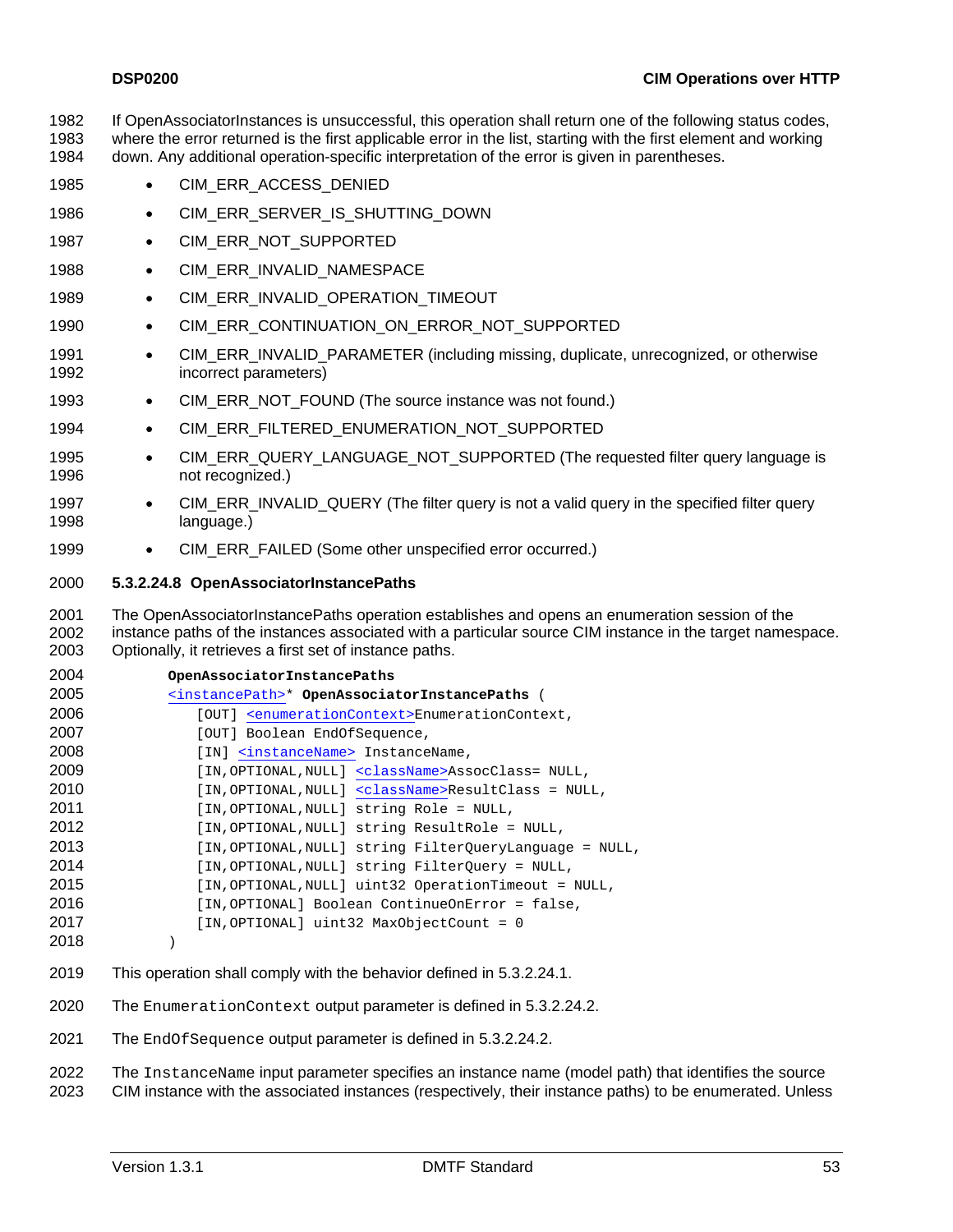<span id="page-52-0"></span>If OpenAssociatorInstances is unsuccessful, this operation shall return one of the following status codes, where the error returned is the first applicable error in the list, starting with the first element and working down. Any additional operation-specific interpretation of the error is given in parentheses. 1982 1983 1984

- 1985 CIM\_ERR\_ACCESS\_DENIED
- 1986 • CIM\_ERR\_SERVER\_IS\_SHUTTING\_DOWN
- 1987 • CIM\_ERR\_NOT\_SUPPORTED
- 1988 • CIM\_ERR\_INVALID\_NAMESPACE
- 1989 • CIM\_ERR\_INVALID\_OPERATION\_TIMEOUT
- 1990 • CIM\_ERR\_CONTINUATION\_ON\_ERROR\_NOT\_SUPPORTED
- 1991 1992 • CIM\_ERR\_INVALID\_PARAMETER (including missing, duplicate, unrecognized, or otherwise incorrect parameters)
- 1993 • CIM\_ERR\_NOT\_FOUND (The source instance was not found.)
- 1994 • CIM\_ERR\_FILTERED\_ENUMERATION\_NOT\_SUPPORTED
- 1995 1996 • CIM\_ERR\_QUERY\_LANGUAGE\_NOT\_SUPPORTED (The requested filter query language is not recognized.)
- 1997 1998 • CIM\_ERR\_INVALID\_QUERY (The filter query is not a valid query in the specified filter query language.)
- 1999 • CIM\_ERR\_FAILED (Some other unspecified error occurred.)

#### 2000 **5.3.2.24.8 OpenAssociatorInstancePaths**

2001 2002 2003 The OpenAssociatorInstancePaths operation establishes and opens an enumeration session of the instance paths of the instances associated with a particular source CIM instance in the target namespace. Optionally, it retrieves a first set of instance paths.

| 2004 | OpenAssociatorInstancePaths |
|------|-----------------------------|
|------|-----------------------------|

| 2005 | <instancepath>* OpenAssociatorInstancePaths (</instancepath>       |
|------|--------------------------------------------------------------------|
| 2006 | [OUT] <enumerationcontext>EnumerationContext,</enumerationcontext> |
| 2007 | [OUT] Boolean EndOfSequence,                                       |
| 2008 | [IN] <instancename> InstanceName,</instancename>                   |
| 2009 | [IN, OPTIONAL, NULL] <classname>AssocClass= NULL,</classname>      |
| 2010 | [IN, OPTIONAL, NULL] <classname>ResultClass = NULL,</classname>    |
| 2011 | [IN, OPTIONAL, NULL] string Role = NULL,                           |
| 2012 | [IN, OPTIONAL, NULL] string ResultRole = NULL,                     |
| 2013 | [IN, OPTIONAL, NULL] string FilterQueryLanguage = NULL,            |
| 2014 | [IN, OPTIONAL, NULL] string FilterQuery = NULL,                    |
| 2015 | [IN, OPTIONAL, NULL] uint32 OperationTimeout = NULL,               |
| 2016 | [IN, OPTIONAL] Boolean ContinueOnError = false,                    |
| 2017 | [IN, OPTIONAL] uint32 MaxObjectCount = 0                           |
| 2018 |                                                                    |

- 2019 This operation shall comply with the behavior defined in [5.3.2.24.1.](#page-41-0)
- 2020 The EnumerationContext output parameter is defined in [5.3.2.24.2](#page-42-0).

2021 The EndOfSequence output parameter is defined in [5.3.2.24.2](#page-42-0).

2022 2023 The InstanceName input parameter specifies an instance name (model path) that identifies the source CIM instance with the associated instances (respectively, their instance paths) to be enumerated. Unless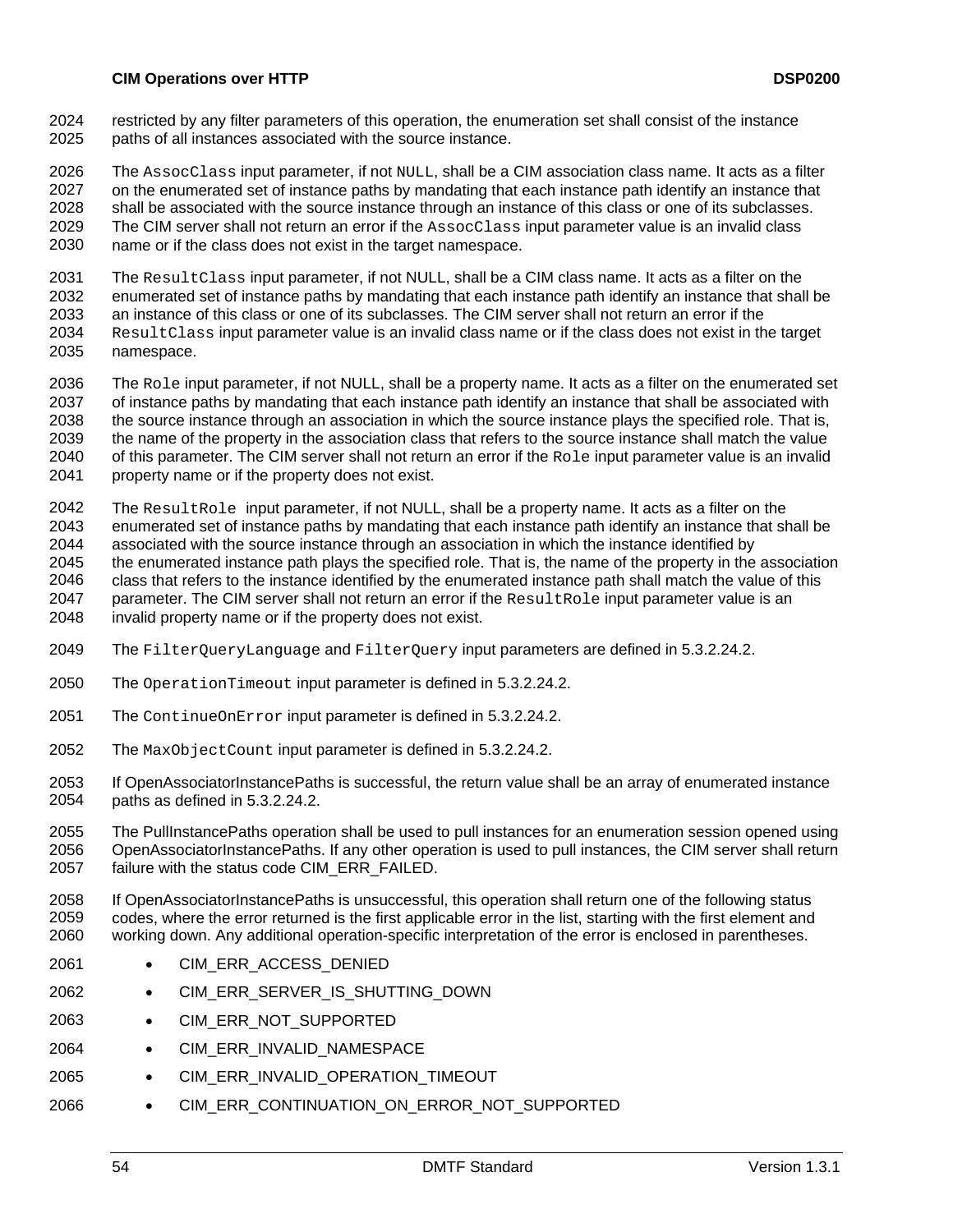restricted by any filter parameters of this operation, the enumeration set shall consist of the instance paths of all instances associated with the source instance. 2024 2025

2026 2027 2028 2029 2030 The AssocClass input parameter, if not NULL, shall be a CIM association class name. It acts as a filter on the enumerated set of instance paths by mandating that each instance path identify an instance that shall be associated with the source instance through an instance of this class or one of its subclasses. The CIM server shall not return an error if the AssocClass input parameter value is an invalid class name or if the class does not exist in the target namespace.

2031 2032 2033 2034 2035 The ResultClass input parameter, if not NULL, shall be a CIM class name. It acts as a filter on the enumerated set of instance paths by mandating that each instance path identify an instance that shall be an instance of this class or one of its subclasses. The CIM server shall not return an error if the ResultClass input parameter value is an invalid class name or if the class does not exist in the target namespace.

2036 2037 2038 2039 2040 2041 The Role input parameter, if not NULL, shall be a property name. It acts as a filter on the enumerated set of instance paths by mandating that each instance path identify an instance that shall be associated with the source instance through an association in which the source instance plays the specified role. That is, the name of the property in the association class that refers to the source instance shall match the value of this parameter. The CIM server shall not return an error if the Role input parameter value is an invalid property name or if the property does not exist.

2042 2043 2044 2045 2046 2047 2048 The ResultRole input parameter, if not NULL, shall be a property name. It acts as a filter on the enumerated set of instance paths by mandating that each instance path identify an instance that shall be associated with the source instance through an association in which the instance identified by the enumerated instance path plays the specified role. That is, the name of the property in the association class that refers to the instance identified by the enumerated instance path shall match the value of this parameter. The CIM server shall not return an error if the ResultRole input parameter value is an invalid property name or if the property does not exist.

- 2049 The FilterQueryLanguage and FilterQuery input parameters are defined in [5.3.2.24.2.](#page-42-0)
- 2050 The OperationTimeout input parameter is defined in [5.3.2.24.2](#page-42-0).
- 2051 The ContinueOnError input parameter is defined in [5.3.2.24.2](#page-42-0).
- 2052 The MaxObjectCount input parameter is defined in [5.3.2.24.2](#page-42-0).
- 2053 2054 If OpenAssociatorInstancePaths is successful, the return value shall be an array of enumerated instance paths as defined in [5.3.2.24.2](#page-42-0).

2055 2056 2057 The PullInstancePaths operation shall be used to pull instances for an enumeration session opened using OpenAssociatorInstancePaths. If any other operation is used to pull instances, the CIM server shall return failure with the status code CIM\_ERR\_FAILED.

2058 2059 2060 If OpenAssociatorInstancePaths is unsuccessful, this operation shall return one of the following status codes, where the error returned is the first applicable error in the list, starting with the first element and working down. Any additional operation-specific interpretation of the error is enclosed in parentheses.

- 2061 • CIM\_ERR\_ACCESS\_DENIED
- 2062 • CIM\_ERR\_SERVER\_IS\_SHUTTING\_DOWN
- 2063 • CIM\_ERR\_NOT\_SUPPORTED
- 2064 • CIM\_ERR\_INVALID\_NAMESPACE
- 2065 • CIM\_ERR\_INVALID\_OPERATION\_TIMEOUT
- 2066 • CIM\_ERR\_CONTINUATION\_ON\_ERROR\_NOT\_SUPPORTED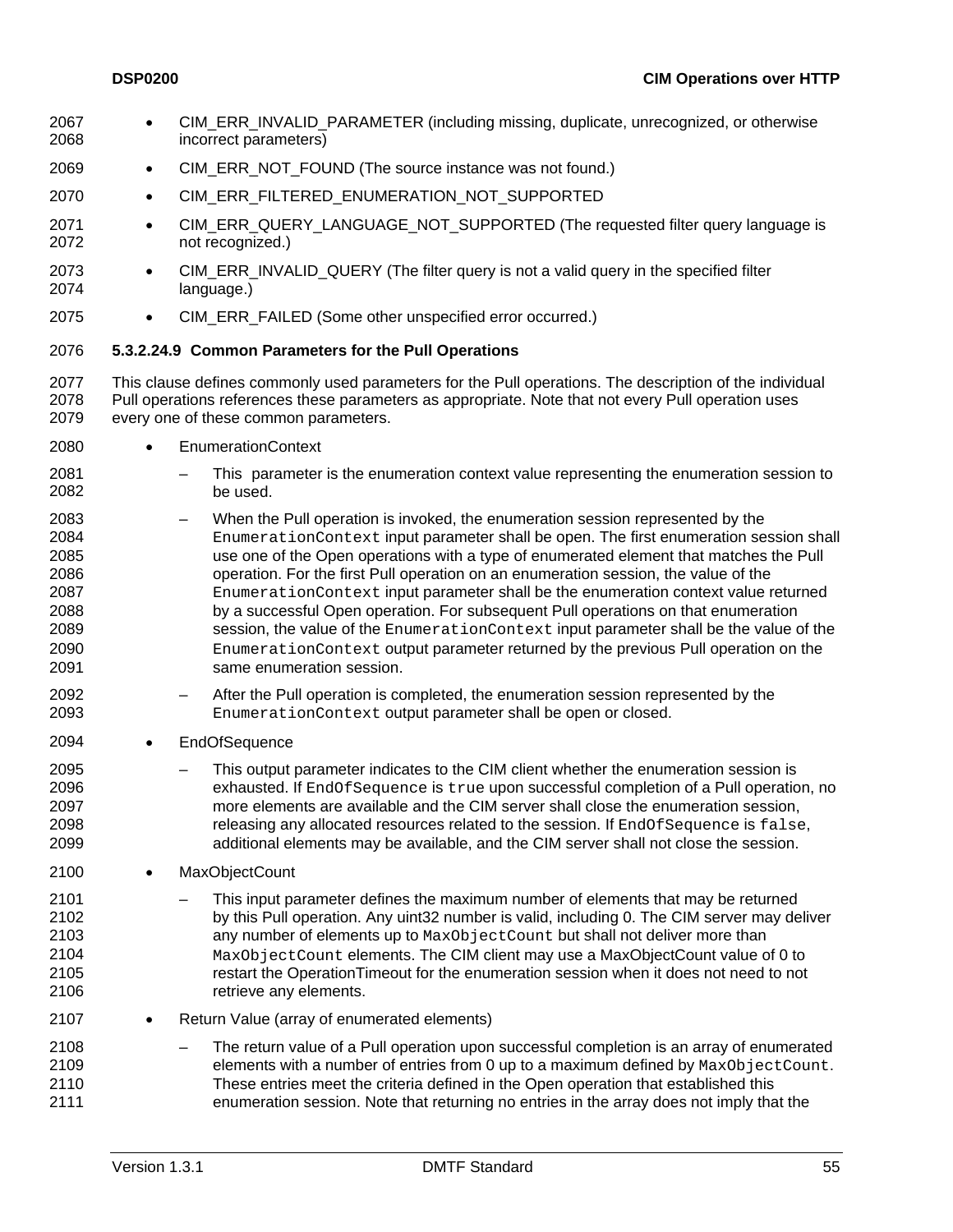<span id="page-54-0"></span>• CIM\_ERR\_INVALID\_PARAMETER (including missing, duplicate, unrecognized, or otherwise incorrect parameters) 2067 2068 2069 2070 2071 2072 2073 2074 2075 2077 2078 2079 2080 2081 2082 2083 2084 2085 2086 2087 2088 2089 2090 2091 2092 2093 2094 2095 2096 2097 2098 2099 2100 2101 2102 2103 2104 2105 2106 2107 2108 2109 2110 2111 • CIM\_ERR\_NOT\_FOUND (The source instance was not found.) • CIM\_ERR\_FILTERED\_ENUMERATION\_NOT\_SUPPORTED • CIM\_ERR\_QUERY\_LANGUAGE\_NOT\_SUPPORTED (The requested filter query language is not recognized.) • CIM ERR INVALID QUERY (The filter query is not a valid query in the specified filter language.) • CIM\_ERR\_FAILED (Some other unspecified error occurred.) 2076 **5.3.2.24.9 Common Parameters for the Pull Operations**  This clause defines commonly used parameters for the Pull operations. The description of the individual Pull operations references these parameters as appropriate. Note that not every Pull operation uses every one of these common parameters. • EnumerationContext – This parameter is the enumeration context value representing the enumeration session to be used. – When the Pull operation is invoked, the enumeration session represented by the EnumerationContext input parameter shall be open. The first enumeration session shall use one of the Open operations with a type of enumerated element that matches the Pull operation. For the first Pull operation on an enumeration session, the value of the EnumerationContext input parameter shall be the enumeration context value returned by a successful Open operation. For subsequent Pull operations on that enumeration session, the value of the EnumerationContext input parameter shall be the value of the EnumerationContext output parameter returned by the previous Pull operation on the same enumeration session. – After the Pull operation is completed, the enumeration session represented by the EnumerationContext output parameter shall be open or closed. • EndOfSequence – This output parameter indicates to the CIM client whether the enumeration session is exhausted. If EndOfSequence is true upon successful completion of a Pull operation, no more elements are available and the CIM server shall close the enumeration session, releasing any allocated resources related to the session. If EndOfSequence is false, additional elements may be available, and the CIM server shall not close the session. **MaxObjectCount** This input parameter defines the maximum number of elements that may be returned by this Pull operation. Any uint32 number is valid, including 0. The CIM server may deliver any number of elements up to MaxObjectCount but shall not deliver more than MaxObjectCount elements. The CIM client may use a MaxObjectCount value of 0 to restart the OperationTimeout for the enumeration session when it does not need to not retrieve any elements. • Return Value (array of enumerated elements) – The return value of a Pull operation upon successful completion is an array of enumerated elements with a number of entries from 0 up to a maximum defined by MaxObjectCount. These entries meet the criteria defined in the Open operation that established this enumeration session. Note that returning no entries in the array does not imply that the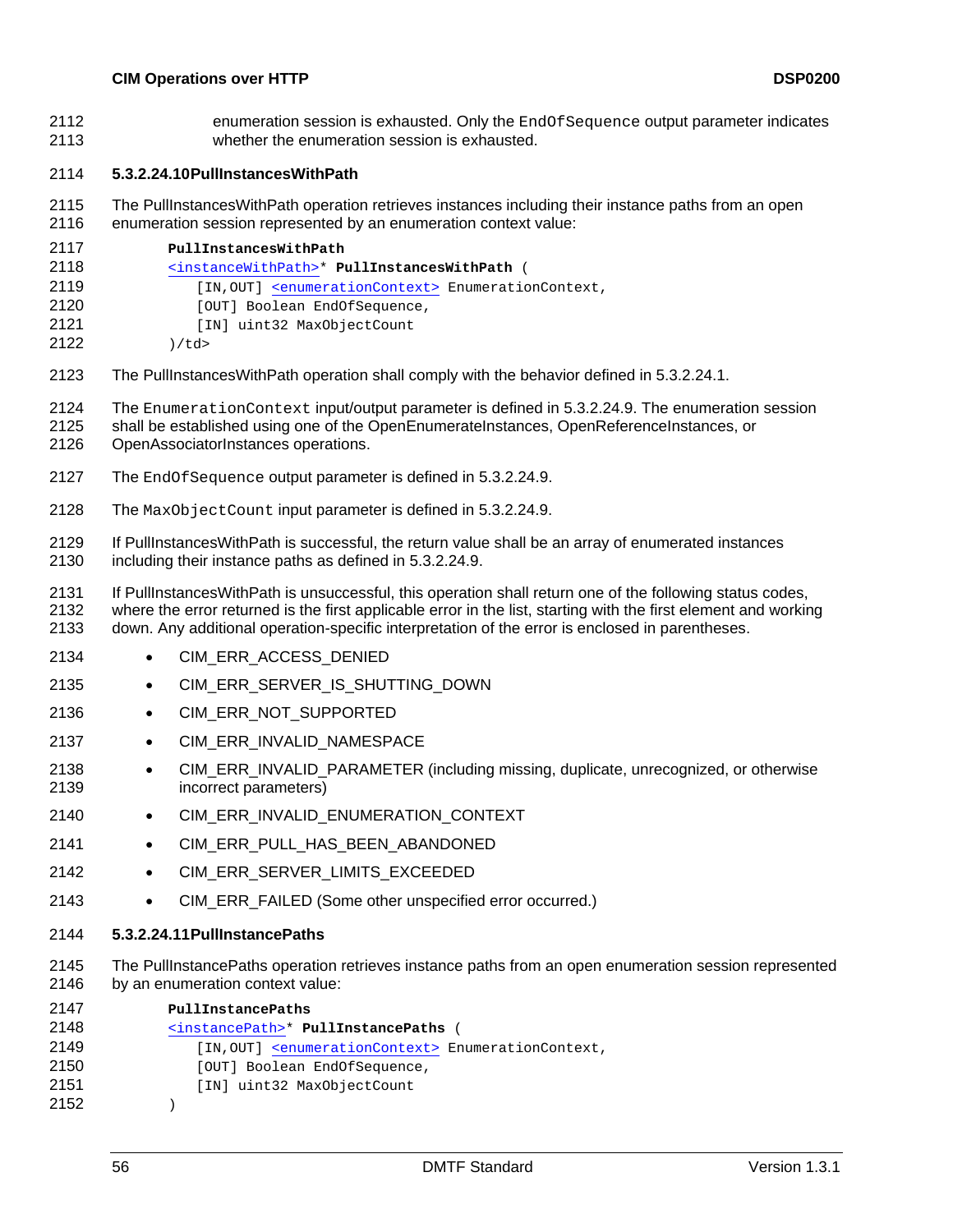### **CIM Operations over HTTP DEPO200**

<span id="page-55-0"></span>enumeration session is exhausted. Only the EndOfSequence output parameter indicates whether the enumeration session is exhausted. 2112 2113

#### 2114 **5.3.2.24.10PullInstancesWithPath**

- 2115 2116 The PullInstancesWithPath operation retrieves instances including their instance paths from an open enumeration session represented by an enumeration context value:
- 2117  **PullInstancesWithPath**  2118 [<instanceWithPath>](#page-18-0)\* **PullInstancesWithPath** ( 2119 [IN, OUT] [<enumerationContext>](#page-18-0) EnumerationContext, 2120 2121 2122 [OUT] Boolean EndOfSequence, [IN] uint32 MaxObjectCount )/td>
- 2123 The PullInstancesWithPath operation shall comply with the behavior defined in [5.3.2.24.1](#page-41-0).
- 2124 The EnumerationContext input/output parameter is defined in [5.3.2.24.9.](#page-54-0) The enumeration session
- 2125 2126 shall be established using one of the OpenEnumerateInstances, OpenReferenceInstances, or OpenAssociatorInstances operations.
- 2127 The EndOfSequence output parameter is defined in [5.3.2.24.9](#page-54-0).
- 2128 The MaxObjectCount input parameter is defined in [5.3.2.24.9](#page-54-0).
- 2129 2130 If PullInstancesWithPath is successful, the return value shall be an array of enumerated instances including their instance paths as defined in [5.3.2.24.9.](#page-54-0)
- 2131 2132 2133 If PullInstancesWithPath is unsuccessful, this operation shall return one of the following status codes, where the error returned is the first applicable error in the list, starting with the first element and working down. Any additional operation-specific interpretation of the error is enclosed in parentheses.
- 2134 • CIM\_ERR\_ACCESS\_DENIED
- 2135 • CIM\_ERR\_SERVER\_IS\_SHUTTING\_DOWN
- 2136 • CIM\_ERR\_NOT\_SUPPORTED
- 2137 • CIM\_ERR\_INVALID\_NAMESPACE
- 2138 2139 • CIM\_ERR\_INVALID\_PARAMETER (including missing, duplicate, unrecognized, or otherwise incorrect parameters)
- 2140 • CIM\_ERR\_INVALID\_ENUMERATION\_CONTEXT
- 2141 • CIM\_ERR\_PULL\_HAS\_BEEN\_ABANDONED
- 2142 • CIM\_ERR\_SERVER\_LIMITS\_EXCEEDED
- 2143 • CIM\_ERR\_FAILED (Some other unspecified error occurred.)
- 2144 **5.3.2.24.11PullInstancePaths**
- 2145 2146 The PullInstancePaths operation retrieves instance paths from an open enumeration session represented by an enumeration context value:

| 2147 | PullInstancePaths                                                       |
|------|-------------------------------------------------------------------------|
| 2148 | <instancepath>* PullInstancePaths (</instancepath>                      |
| 2149 | [IN, OUT] <enumerationcontext> EnumerationContext,</enumerationcontext> |
| 2150 | [OUT] Boolean EndOfSequence,                                            |
| 2151 | [IN] uint32 MaxObjectCount                                              |
| 2152 |                                                                         |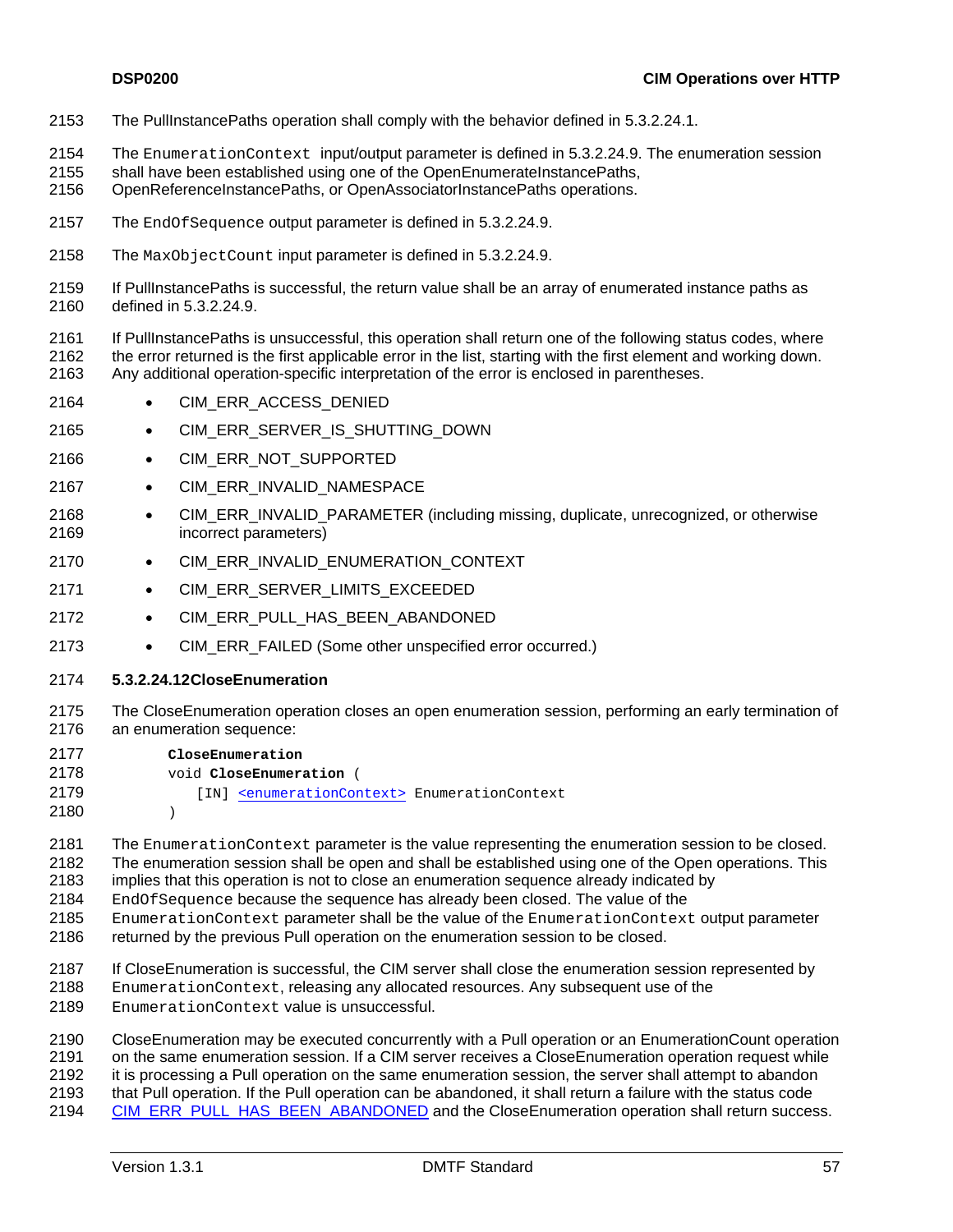- <span id="page-56-0"></span>2153 The PullInstancePaths operation shall comply with the behavior defined in [5.3.2.24.1](#page-41-0).
- 2154 The EnumerationContext input/output parameter is defined in [5.3.2.24.9](#page-54-0). The enumeration session
- 2155 2156 shall have been established using one of the OpenEnumerateInstancePaths, OpenReferenceInstancePaths, or OpenAssociatorInstancePaths operations.
- 
- 2157 The EndOfSequence output parameter is defined in [5.3.2.24.9](#page-54-0).
- 2158 The MaxObjectCount input parameter is defined in [5.3.2.24.9](#page-54-0).
- 2159 2160 If PullInstancePaths is successful, the return value shall be an array of enumerated instance paths as defined in [5.3.2.24.9.](#page-54-0)
- 2161 2162 2163 If PullInstancePaths is unsuccessful, this operation shall return one of the following status codes, where the error returned is the first applicable error in the list, starting with the first element and working down. Any additional operation-specific interpretation of the error is enclosed in parentheses.
- 2164 • CIM\_ERR\_ACCESS\_DENIED
- 2165 • CIM\_ERR\_SERVER\_IS\_SHUTTING\_DOWN
- 2166 • CIM\_ERR\_NOT\_SUPPORTED
- 2167 • CIM\_ERR\_INVALID\_NAMESPACE
- 2168 2169 • CIM\_ERR\_INVALID\_PARAMETER (including missing, duplicate, unrecognized, or otherwise incorrect parameters)
- 2170 • CIM\_ERR\_INVALID\_ENUMERATION\_CONTEXT
- 2171 • CIM\_ERR\_SERVER\_LIMITS\_EXCEEDED
- 2172 • CIM\_ERR\_PULL\_HAS\_BEEN\_ABANDONED
- 2173 • CIM\_ERR\_FAILED (Some other unspecified error occurred.)
- 2174 **5.3.2.24.12CloseEnumeration**
- 2175 2176 The CloseEnumeration operation closes an open enumeration session, performing an early termination of an enumeration sequence:
- 2177 2178  **CloseEnumeration**  void **CloseEnumeration** ( 2179 [IN] [<enumerationContext>](#page-18-0) EnumerationContext 2180 )
- 2181 The EnumerationContext parameter is the value representing the enumeration session to be closed.
- 2182 2183 The enumeration session shall be open and shall be established using one of the Open operations. This
- 2184 implies that this operation is not to close an enumeration sequence already indicated by EndOfSequence because the sequence has already been closed. The value of the
- 2185 EnumerationContext parameter shall be the value of the EnumerationContext output parameter
- 2186 returned by the previous Pull operation on the enumeration session to be closed.
- 2187 If CloseEnumeration is successful, the CIM server shall close the enumeration session represented by
- 2188 EnumerationContext, releasing any allocated resources. Any subsequent use of the
- 2189 EnumerationContext value is unsuccessful.
- 2190 CloseEnumeration may be executed concurrently with a Pull operation or an EnumerationCount operation
- 2191 2192 on the same enumeration session. If a CIM server receives a CloseEnumeration operation request while it is processing a Pull operation on the same enumeration session, the server shall attempt to abandon
- 2193 that Pull operation. If the Pull operation can be abandoned, it shall return a failure with the status code
- 2194 [CIM\\_ERR\\_PULL\\_HAS\\_BEEN\\_ABANDONED](#page-17-0) and the CloseEnumeration operation shall return success.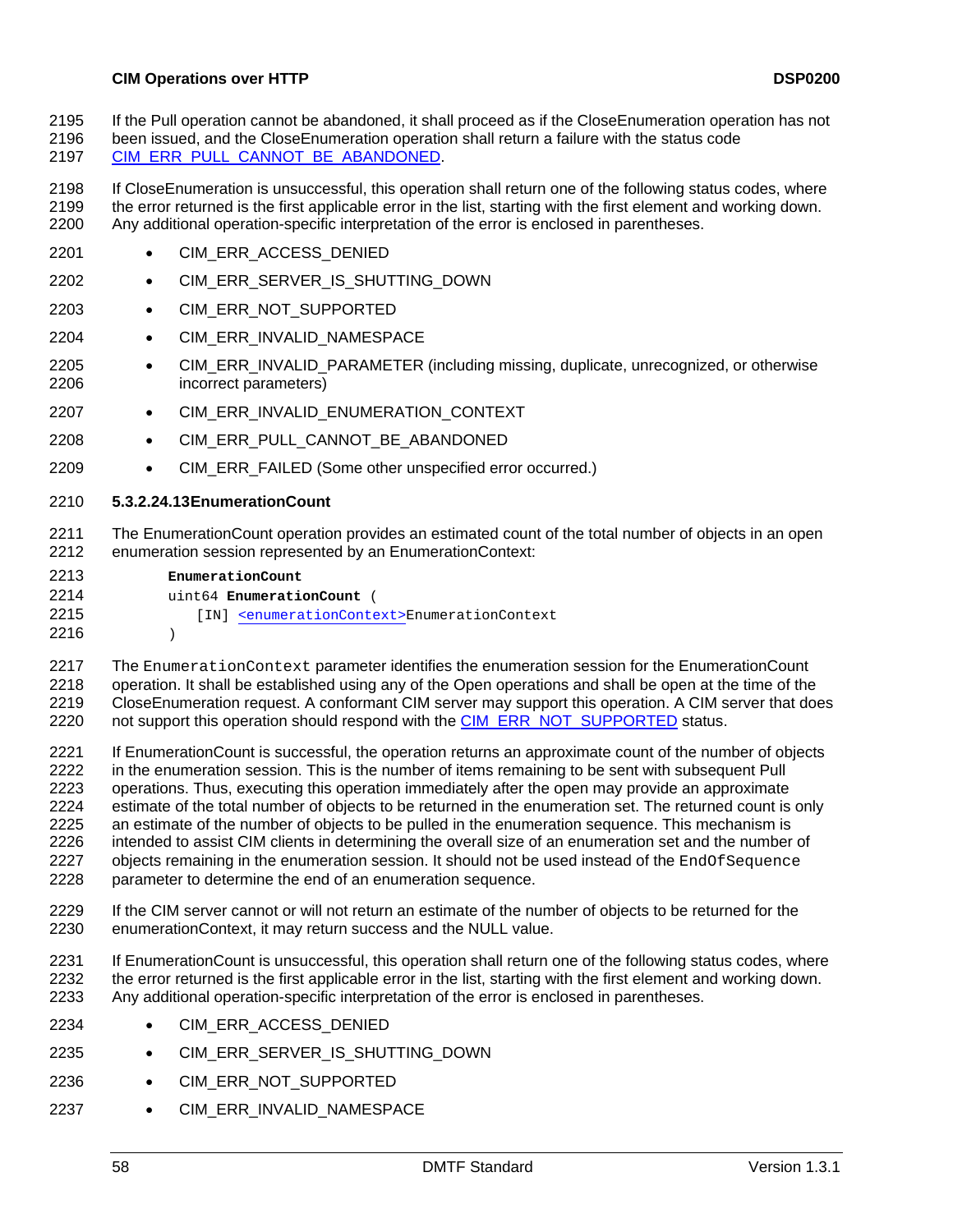## **CIM Operations over HTTP DESP0200**

- <span id="page-57-0"></span>If the Pull operation cannot be abandoned, it shall proceed as if the CloseEnumeration operation has not 2195
- been issued, and the CloseEnumeration operation shall return a failure with the status code 2196
- 2197 [CIM\\_ERR\\_PULL\\_CANNOT\\_BE\\_ABANDONED](#page-17-0).

2198 2199 2200 If CloseEnumeration is unsuccessful, this operation shall return one of the following status codes, where the error returned is the first applicable error in the list, starting with the first element and working down. Any additional operation-specific interpretation of the error is enclosed in parentheses.

- 2201 CIM\_ERR\_ACCESS\_DENIED
- 2202 • CIM\_ERR\_SERVER\_IS\_SHUTTING\_DOWN
- 2203 • CIM\_ERR\_NOT\_SUPPORTED
- 2204 • CIM\_ERR\_INVALID\_NAMESPACE
- 2205 2206 • CIM\_ERR\_INVALID\_PARAMETER (including missing, duplicate, unrecognized, or otherwise incorrect parameters)
- 2207 • CIM\_ERR\_INVALID\_ENUMERATION\_CONTEXT
- 2208 • CIM\_ERR\_PULL\_CANNOT\_BE\_ABANDONED
- 2209 • CIM\_ERR\_FAILED (Some other unspecified error occurred.)
- 2210 **5.3.2.24.13EnumerationCount**
- 2211 2212 The EnumerationCount operation provides an estimated count of the total number of objects in an open enumeration session represented by an EnumerationContext:
- 2213 2214  **EnumerationCount**  uint64 **EnumerationCount** ( 2215 [IN] [<enumerationContext>](#page-18-0)EnumerationContext 2216 )
- 2217 2218 2219<br>2220 The EnumerationContext parameter identifies the enumeration session for the EnumerationCount operation. It shall be established using any of the Open operations and shall be open at the time of the CloseEnumeration request. A conformant CIM server may support this operation. A CIM server that does not support this operation should respond with the [CIM\\_ERR\\_NOT\\_SUPPORTED](#page-16-0) status.
- 2221 2222 2223 2224 2225 2226 2227 2228 If EnumerationCount is successful, the operation returns an approximate count of the number of objects in the enumeration session. This is the number of items remaining to be sent with subsequent Pull operations. Thus, executing this operation immediately after the open may provide an approximate estimate of the total number of objects to be returned in the enumeration set. The returned count is only an estimate of the number of objects to be pulled in the enumeration sequence. This mechanism is intended to assist CIM clients in determining the overall size of an enumeration set and the number of objects remaining in the enumeration session. It should not be used instead of the EndOfSequence parameter to determine the end of an enumeration sequence.
- 2229 2230 If the CIM server cannot or will not return an estimate of the number of objects to be returned for the enumerationContext, it may return success and the NULL value.
- 2231 2232 2233 If EnumerationCount is unsuccessful, this operation shall return one of the following status codes, where the error returned is the first applicable error in the list, starting with the first element and working down. Any additional operation-specific interpretation of the error is enclosed in parentheses.
- 2234 • CIM\_ERR\_ACCESS\_DENIED
- 2235 • CIM\_ERR\_SERVER\_IS\_SHUTTING\_DOWN
- 2236 • CIM\_ERR\_NOT\_SUPPORTED
- 2237 • CIM\_ERR\_INVALID\_NAMESPACE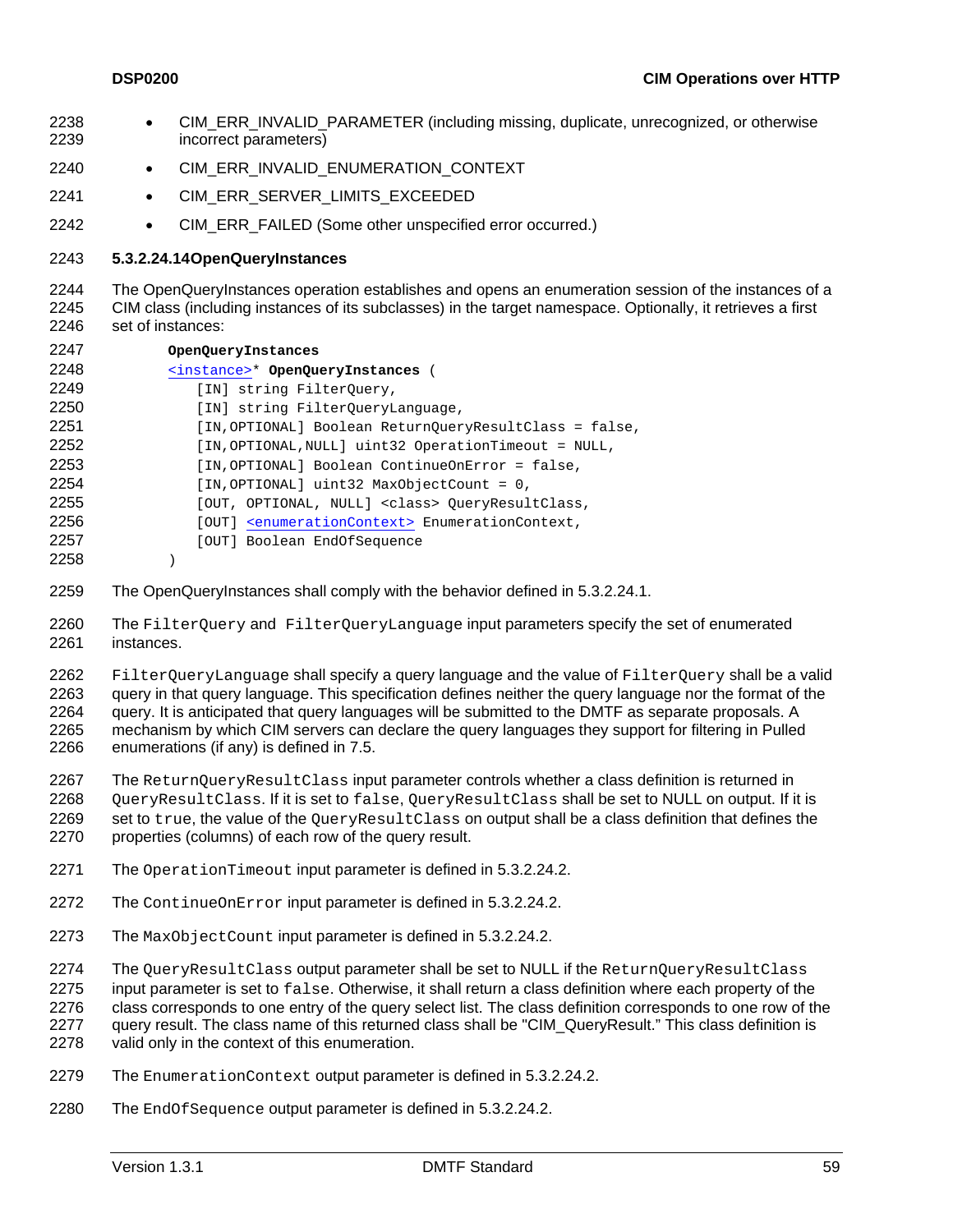- <span id="page-58-0"></span>• CIM\_ERR\_INVALID\_PARAMETER (including missing, duplicate, unrecognized, or otherwise incorrect parameters) 2238 2239
- 2240 • CIM\_ERR\_INVALID\_ENUMERATION\_CONTEXT
- 2241 • CIM\_ERR\_SERVER\_LIMITS\_EXCEEDED
- 2242 • CIM\_ERR\_FAILED (Some other unspecified error occurred.)

#### 2243 **5.3.2.24.14OpenQueryInstances**

2244 2245 2246 The OpenQueryInstances operation establishes and opens an enumeration session of the instances of a CIM class (including instances of its subclasses) in the target namespace. Optionally, it retrieves a first set of instances:

| 2247 | OpenQueryInstances                                                  |
|------|---------------------------------------------------------------------|
| 2248 | <instance>* OpenQueryInstances (</instance>                         |
| 2249 | [IN] string FilterOuery,                                            |
| 2250 | [IN] string FilterOueryLanguage,                                    |
| 2251 | [IN, OPTIONAL] Boolean ReturnOueryResultClass = false,              |
| 2252 | [IN, OPTIONAL, NULL] uint32 OperationTimeout = NULL,                |
| 2253 | [IN, OPTIONAL] Boolean ContinueOnError = false,                     |
| 2254 | $[IN, OPTIONAL]$ uint32 MaxObjectCount = 0,                         |
| 2255 | [OUT, OPTIONAL, NULL] <class> QueryResultClass,</class>             |
| 2256 | [OUT] <enumerationcontext> EnumerationContext,</enumerationcontext> |
| 2257 | [OUT] Boolean EndOfSequence                                         |
| 2258 |                                                                     |

2259 The OpenQueryInstances shall comply with the behavior defined in [5.3.2.24.1](#page-41-0).

2260 2261 The FilterQuery and FilterQueryLanguage input parameters specify the set of enumerated instances.

2262 2263 2264 2265 2266 FilterQueryLanguage shall specify a query language and the value of FilterQuery shall be a valid query in that query language. This specification defines neither the query language nor the format of the query. It is anticipated that query languages will be submitted to the DMTF as separate proposals. A mechanism by which CIM servers can declare the query languages they support for filtering in Pulled enumerations (if any) is defined in [7.5.](#page-85-0)

- 2267 2268 2269 2270 The ReturnQueryResultClass input parameter controls whether a class definition is returned in QueryResultClass. If it is set to false, QueryResultClass shall be set to NULL on output. If it is set to true, the value of the OueryResultClass on output shall be a class definition that defines the properties (columns) of each row of the query result.
- 2271 The OperationTimeout input parameter is defined in [5.3.2.24.2](#page-42-0).
- 2272 The ContinueOnError input parameter is defined in [5.3.2.24.2](#page-42-0).
- 2273 The MaxObjectCount input parameter is defined in [5.3.2.24.2](#page-42-0).

2274 2275 2276 2277 2278 The QueryResultClass output parameter shall be set to NULL if the ReturnQueryResultClass input parameter is set to false. Otherwise, it shall return a class definition where each property of the class corresponds to one entry of the query select list. The class definition corresponds to one row of the query result. The class name of this returned class shall be "CIM\_QueryResult." This class definition is valid only in the context of this enumeration.

- 2279 The EnumerationContext output parameter is defined in [5.3.2.24.2](#page-42-0).
- 2280 The EndOfSequence output parameter is defined in [5.3.2.24.2](#page-42-0).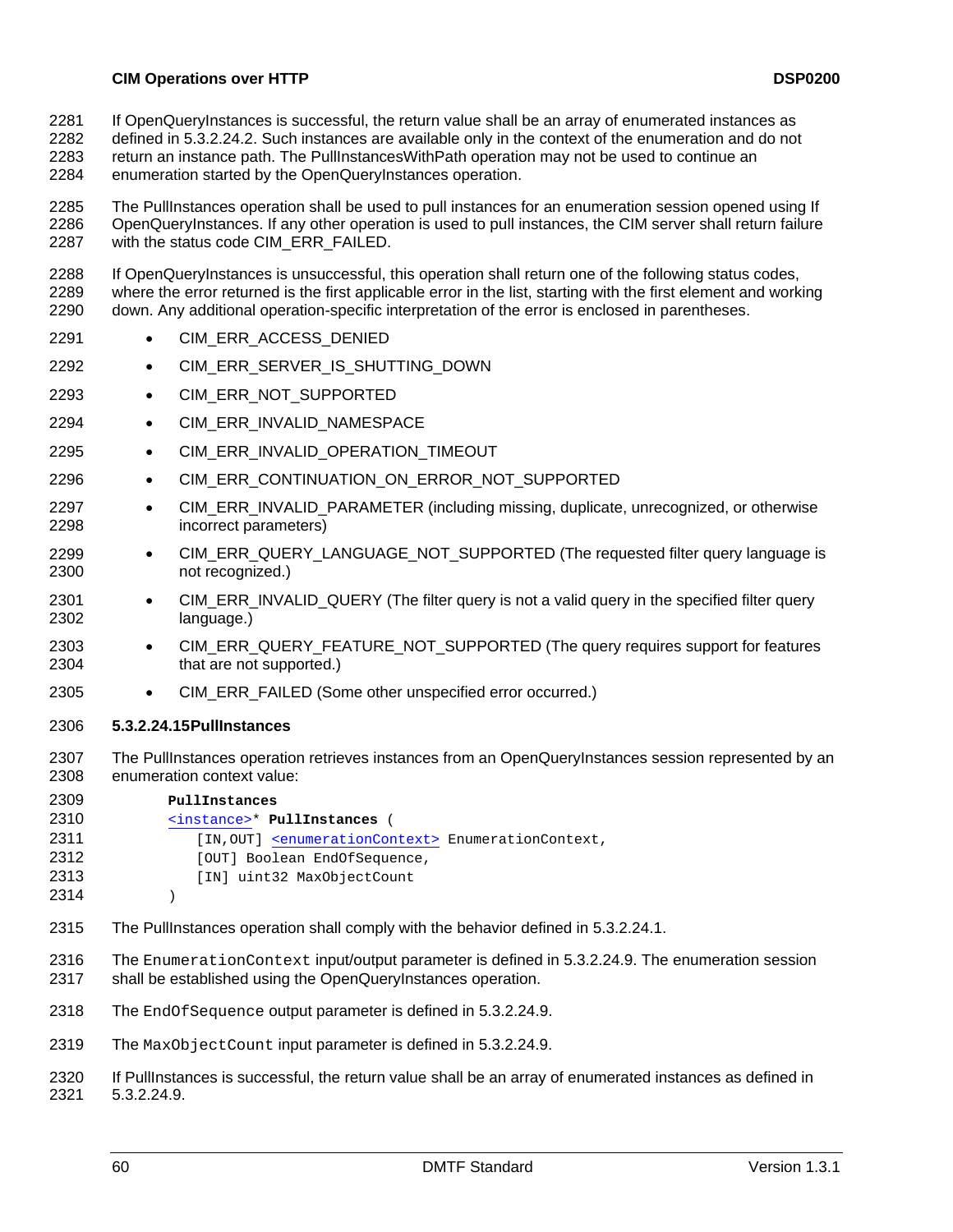### **CIM Operations over HTTP DESP0200**

<span id="page-59-0"></span>If OpenQueryInstances is successful, the return value shall be an array of enumerated instances as 2281

defined in [5.3.2.24.2.](#page-42-0) Such instances are available only in the context of the enumeration and do not 2282 2283 2284 return an instance path. The PullInstancesWithPath operation may not be used to continue an enumeration started by the OpenQueryInstances operation.

2285 2286 2287 The PullInstances operation shall be used to pull instances for an enumeration session opened using If OpenQueryInstances. If any other operation is used to pull instances, the CIM server shall return failure with the status code CIM\_ERR\_FAILED.

2288 2289 2290 If OpenQueryInstances is unsuccessful, this operation shall return one of the following status codes, where the error returned is the first applicable error in the list, starting with the first element and working down. Any additional operation-specific interpretation of the error is enclosed in parentheses.

- 2291 • CIM\_ERR\_ACCESS\_DENIED
- 2292 • CIM\_ERR\_SERVER\_IS\_SHUTTING\_DOWN
- 2293 • CIM\_ERR\_NOT\_SUPPORTED
- 2294 • CIM\_ERR\_INVALID\_NAMESPACE
- 2295 • CIM\_ERR\_INVALID\_OPERATION\_TIMEOUT
- 2296 • CIM\_ERR\_CONTINUATION\_ON\_ERROR\_NOT\_SUPPORTED
- 2297 2298 • CIM\_ERR\_INVALID\_PARAMETER (including missing, duplicate, unrecognized, or otherwise incorrect parameters)
- 2299 2300 • CIM\_ERR\_QUERY\_LANGUAGE\_NOT\_SUPPORTED (The requested filter query language is not recognized.)
- 2301 2302 • CIM\_ERR\_INVALID\_QUERY (The filter query is not a valid query in the specified filter query language.)
- 2303 2304 • CIM\_ERR\_QUERY\_FEATURE\_NOT\_SUPPORTED (The query requires support for features that are not supported.)
- 2305 • CIM\_ERR\_FAILED (Some other unspecified error occurred.)

## 2306 **5.3.2.24.15PullInstances**

2307 2308 The PullInstances operation retrieves instances from an OpenQueryInstances session represented by an enumeration context value:

- 2309  **PullInstances**  2310 [<instance>](#page-18-0)\* **PullInstances** ( 2311 [IN, OUT] [<enumerationContext>](#page-18-0) EnumerationContext, 2312 2313 2314 [OUT] Boolean EndOfSequence, [IN] uint32 MaxObjectCount )
- 2315 The PullInstances operation shall comply with the behavior defined in [5.3.2.24.1.](#page-41-0)
- 2316 2317 The EnumerationContext input/output parameter is defined in [5.3.2.24.9.](#page-54-0) The enumeration session shall be established using the OpenQueryInstances operation.
- 2318 The EndOfSequence output parameter is defined in [5.3.2.24.9](#page-54-0).
- 2319 The MaxObjectCount input parameter is defined in [5.3.2.24.9](#page-54-0).
- 2320 2321 If PullInstances is successful, the return value shall be an array of enumerated instances as defined in [5.3.2.24.9](#page-54-0).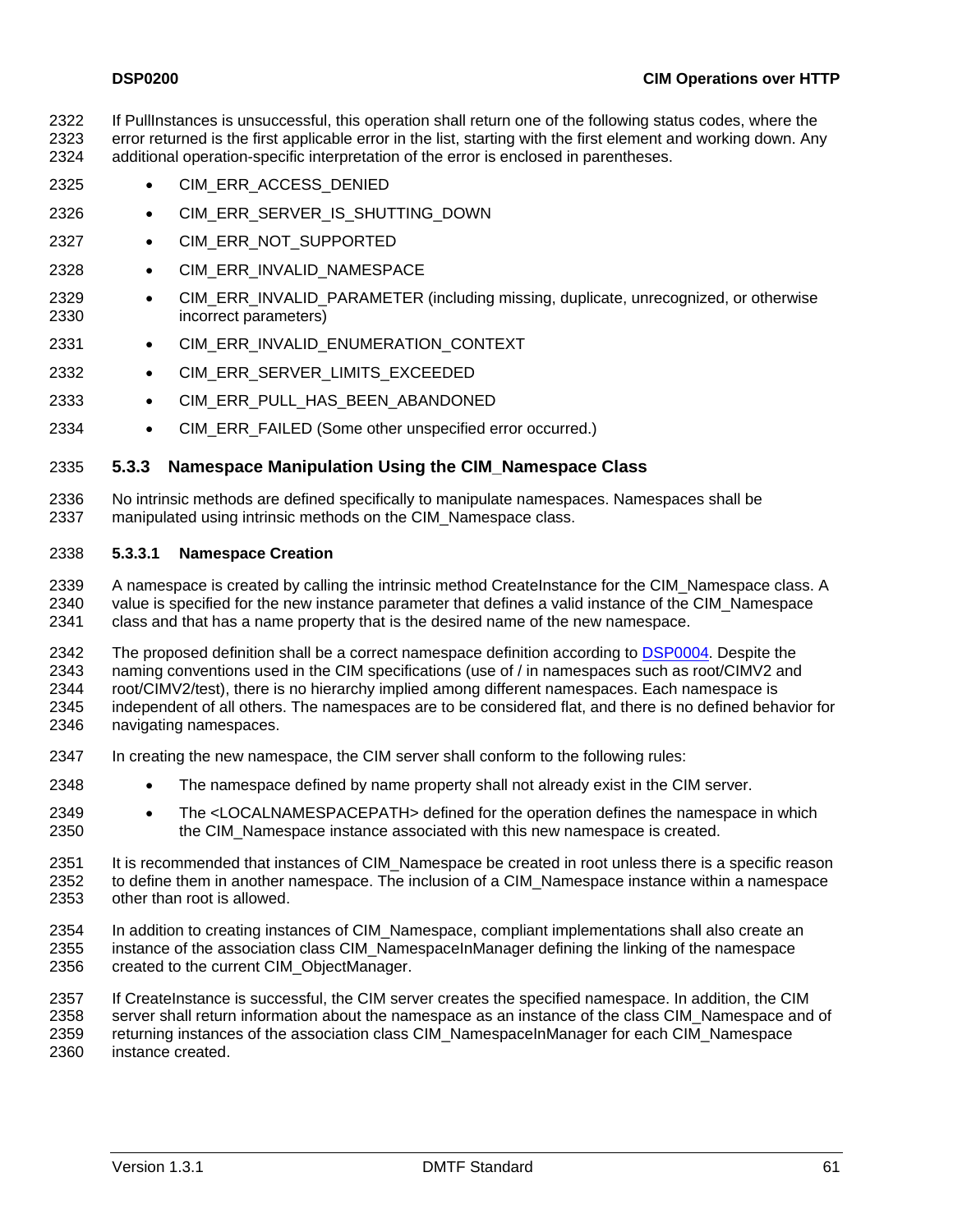If PullInstances is unsuccessful, this operation shall return one of the following status codes, where the error returned is the first applicable error in the list, starting with the first element and working down. Any additional operation-specific interpretation of the error is enclosed in parentheses. 2322 2323 2324

- 2325 CIM\_ERR\_ACCESS\_DENIED
- 2326 • CIM\_ERR\_SERVER\_IS\_SHUTTING\_DOWN
- 2327 • CIM\_ERR\_NOT\_SUPPORTED
- 2328 • CIM\_ERR\_INVALID\_NAMESPACE
- 2329 2330 • CIM\_ERR\_INVALID\_PARAMETER (including missing, duplicate, unrecognized, or otherwise incorrect parameters)
- 2331 • CIM\_ERR\_INVALID\_ENUMERATION\_CONTEXT
- 2332 • CIM\_ERR\_SERVER\_LIMITS\_EXCEEDED
- 2333 • CIM\_ERR\_PULL\_HAS\_BEEN\_ABANDONED
- 2334 • CIM\_ERR\_FAILED (Some other unspecified error occurred.)

## 2335 **5.3.3 Namespace Manipulation Using the CIM\_Namespace Class**

2336 2337 No intrinsic methods are defined specifically to manipulate namespaces. Namespaces shall be manipulated using intrinsic methods on the CIM\_Namespace class.

#### 2338 **5.3.3.1 Namespace Creation**

2339 2340 2341 A namespace is created by calling the intrinsic method CreateInstance for the CIM\_Namespace class. A value is specified for the new instance parameter that defines a valid instance of the CIM\_Namespace class and that has a name property that is the desired name of the new namespace.

The proposed definition shall be a correct namespace definition according to [DSP0004.](#page-8-0) Despite the naming conventions used in the CIM specifications (use of / in namespaces such as root/CIMV2 and root/CIMV2/test), there is no hierarchy implied among different namespaces. Each namespace is independent of all others. The namespaces are to be considered flat, and there is no defined behavior for navigating namespaces. 2342 2343 2344 2345 2346

- 2347 In creating the new namespace, the CIM server shall conform to the following rules:
- 2348 • The namespace defined by name property shall not already exist in the CIM server.
- 2349 2350 • The <LOCALNAMESPACEPATH> defined for the operation defines the namespace in which the CIM\_Namespace instance associated with this new namespace is created.
- 2351 2352 2353 It is recommended that instances of CIM\_Namespace be created in root unless there is a specific reason to define them in another namespace. The inclusion of a CIM\_Namespace instance within a namespace other than root is allowed.
- 2354 2355 2356 In addition to creating instances of CIM Namespace, compliant implementations shall also create an instance of the association class CIM\_NamespaceInManager defining the linking of the namespace created to the current CIM\_ObjectManager.

2357 2358 2359 2360 If CreateInstance is successful, the CIM server creates the specified namespace. In addition, the CIM server shall return information about the namespace as an instance of the class CIM\_Namespace and of returning instances of the association class CIM\_NamespaceInManager for each CIM\_Namespace instance created.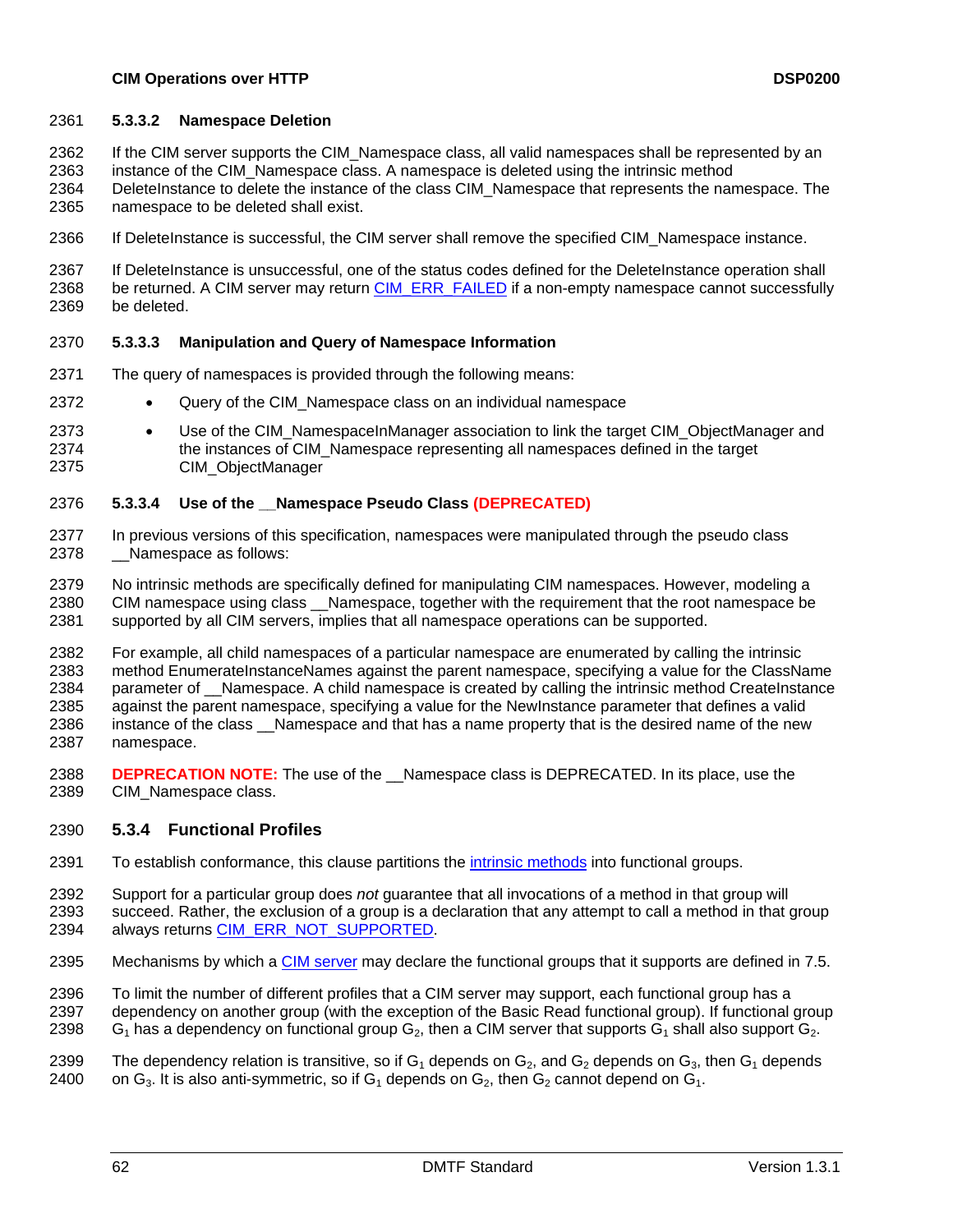### 2361 **5.3.3.2 Namespace Deletion**

- If the CIM server supports the CIM\_Namespace class, all valid namespaces shall be represented by an 2362
- instance of the CIM\_Namespace class. A namespace is deleted using the intrinsic method 2363
- DeleteInstance to delete the instance of the class CIM\_Namespace that represents the namespace. The namespace to be deleted shall exist. 2364 2365
- 2366 If DeleteInstance is successful, the CIM server shall remove the specified CIM\_Namespace instance.

2367 If DeleteInstance is unsuccessful, one of the status codes defined for the DeleteInstance operation shall be returned. A CIM server may return [CIM\\_ERR\\_FAILED](#page-16-0) if a non-empty namespace cannot successfully be deleted. 2368 2369

## 2370 **5.3.3.3 Manipulation and Query of Namespace Information**

- 2371 The query of namespaces is provided through the following means:
- 2372 • Query of the CIM\_Namespace class on an individual namespace
- 2373 2374 2375 • Use of the CIM NamespaceInManager association to link the target CIM ObjectManager and the instances of CIM\_Namespace representing all namespaces defined in the target CIM\_ObjectManager

#### 2376 **5.3.3.4 Use of the \_\_Namespace Pseudo Class (DEPRECATED)**

- 2377 2378 In previous versions of this specification, namespaces were manipulated through the pseudo class Namespace as follows:
- 2379 2380 2381 No intrinsic methods are specifically defined for manipulating CIM namespaces. However, modeling a CIM namespace using class Namespace, together with the requirement that the root namespace be supported by all CIM servers, implies that all namespace operations can be supported.
- 2382 2383 2384 2385 2386 2387 For example, all child namespaces of a particular namespace are enumerated by calling the intrinsic method EnumerateInstanceNames against the parent namespace, specifying a value for the ClassName parameter of Namespace. A child namespace is created by calling the intrinsic method CreateInstance against the parent namespace, specifying a value for the NewInstance parameter that defines a valid instance of the class \_\_Namespace and that has a name property that is the desired name of the new namespace.
- 2388 2389 **DEPRECATION NOTE:** The use of the Namespace class is DEPRECATED. In its place, use the CIM\_Namespace class.

#### 2390 **5.3.4 Functional Profiles**

- 2391 To establish conformance, this clause partitions the [intrinsic methods](#page-14-0) into functional groups.
- 2392 2393 Support for a particular group does *not* guarantee that all invocations of a method in that group will succeed. Rather, the exclusion of a group is a declaration that any attempt to call a method in that group 2394 always returns [CIM\\_ERR\\_NOT\\_SUPPORTED.](#page-16-0)
- 2395 Mechanisms by which a [CIM server](#page-68-0) may declare the functional groups that it supports are defined in [7.5](#page-85-0).
- 2396 To limit the number of different profiles that a CIM server may support, each functional group has a
- 2397 2398 dependency on another group (with the exception of the Basic Read functional group). If functional group  $G_1$  has a dependency on functional group  $G_2$ , then a CIM server that supports  $G_1$  shall also support  $G_2$ .
- 2399 2400 The dependency relation is transitive, so if  $G_1$  depends on  $G_2$ , and  $G_2$  depends on  $G_3$ , then  $G_1$  depends on  $G_3$ . It is also anti-symmetric, so if  $G_1$  depends on  $G_2$ , then  $G_2$  cannot depend on  $G_1$ .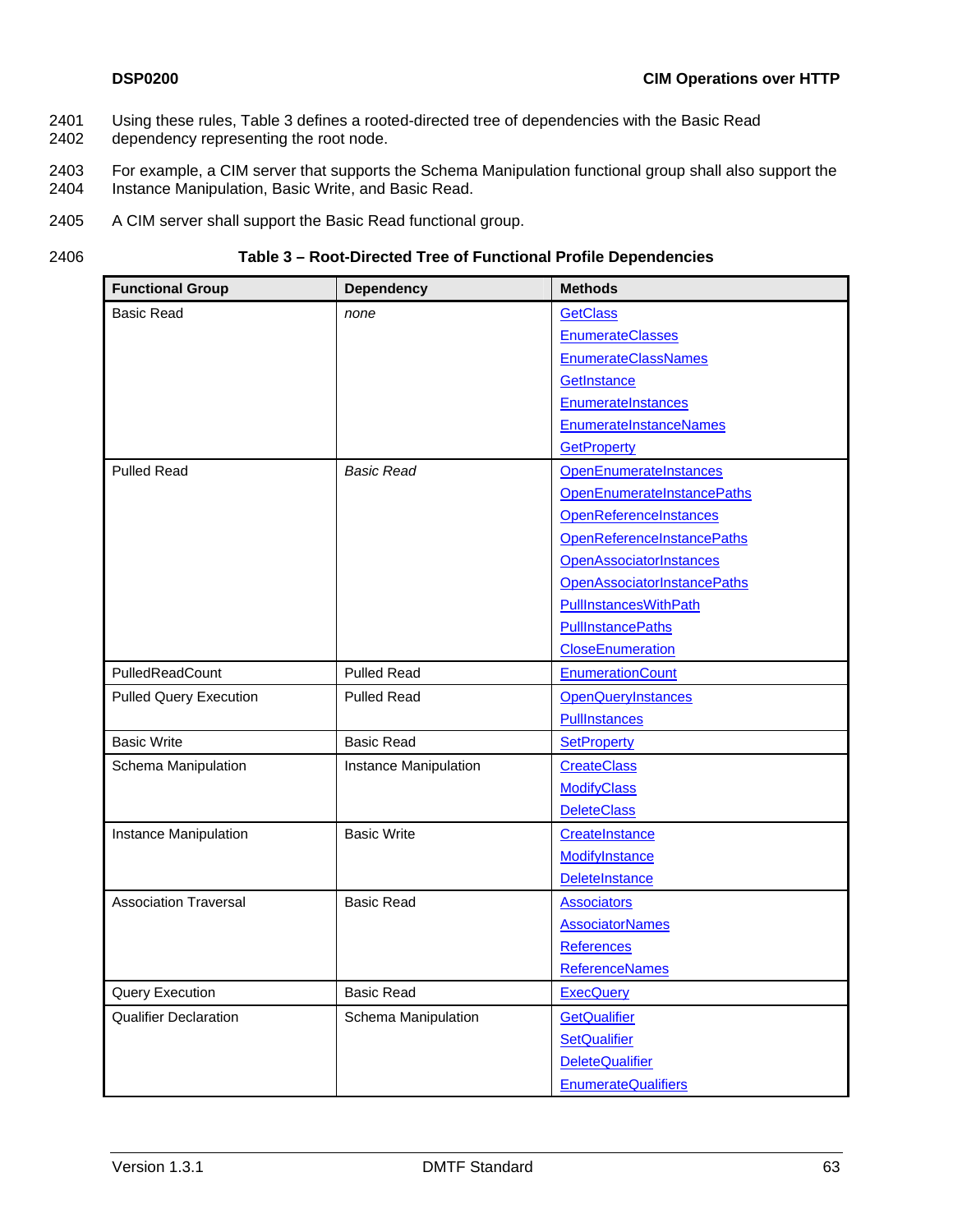- Using these rules, [Table 3](#page-62-0) defines a rooted-directed tree of dependencies with the Basic Read dependency representing the root node. 2401 2402
- 2403 2404 For example, a CIM server that supports the Schema Manipulation functional group shall also support the Instance Manipulation, Basic Write, and Basic Read.
- 2405 A CIM server shall support the Basic Read functional group.
- <span id="page-62-0"></span>2406

## **Table 3 – Root-Directed Tree of Functional Profile Dependencies**

| <b>Functional Group</b>       | <b>Dependency</b>     | <b>Methods</b>                 |
|-------------------------------|-----------------------|--------------------------------|
| <b>Basic Read</b>             | none                  | <b>GetClass</b>                |
|                               |                       | <b>EnumerateClasses</b>        |
|                               |                       | <b>EnumerateClassNames</b>     |
|                               |                       | GetInstance                    |
|                               |                       | EnumerateInstances             |
|                               |                       | <b>EnumerateInstanceNames</b>  |
|                               |                       | GetProperty                    |
| <b>Pulled Read</b>            | <b>Basic Read</b>     | <b>OpenEnumerateInstances</b>  |
|                               |                       | OpenEnumerateInstancePaths     |
|                               |                       | <b>OpenReferenceInstances</b>  |
|                               |                       | OpenReferenceInstancePaths     |
|                               |                       | <b>OpenAssociatorInstances</b> |
|                               |                       | OpenAssociatorInstancePaths    |
|                               |                       | <b>PullInstancesWithPath</b>   |
|                               |                       | <b>PullInstancePaths</b>       |
|                               |                       | <b>CloseEnumeration</b>        |
| PulledReadCount               | <b>Pulled Read</b>    | <b>EnumerationCount</b>        |
| <b>Pulled Query Execution</b> | <b>Pulled Read</b>    | <b>OpenQueryInstances</b>      |
|                               |                       | <b>PullInstances</b>           |
| <b>Basic Write</b>            | <b>Basic Read</b>     | SetProperty                    |
| Schema Manipulation           | Instance Manipulation | <b>CreateClass</b>             |
|                               |                       | <b>ModifyClass</b>             |
|                               |                       | <b>DeleteClass</b>             |
| Instance Manipulation         | <b>Basic Write</b>    | CreateInstance                 |
|                               |                       | <b>ModifyInstance</b>          |
|                               |                       | <b>DeleteInstance</b>          |
| <b>Association Traversal</b>  | <b>Basic Read</b>     | <b>Associators</b>             |
|                               |                       | <b>AssociatorNames</b>         |
|                               |                       | <b>References</b>              |
|                               |                       | <b>ReferenceNames</b>          |
| Query Execution               | <b>Basic Read</b>     | <b>ExecQuery</b>               |
| <b>Qualifier Declaration</b>  | Schema Manipulation   | <b>GetQualifier</b>            |
|                               |                       | <b>SetQualifier</b>            |
|                               |                       | <b>DeleteQualifier</b>         |
|                               |                       | <b>EnumerateQualifiers</b>     |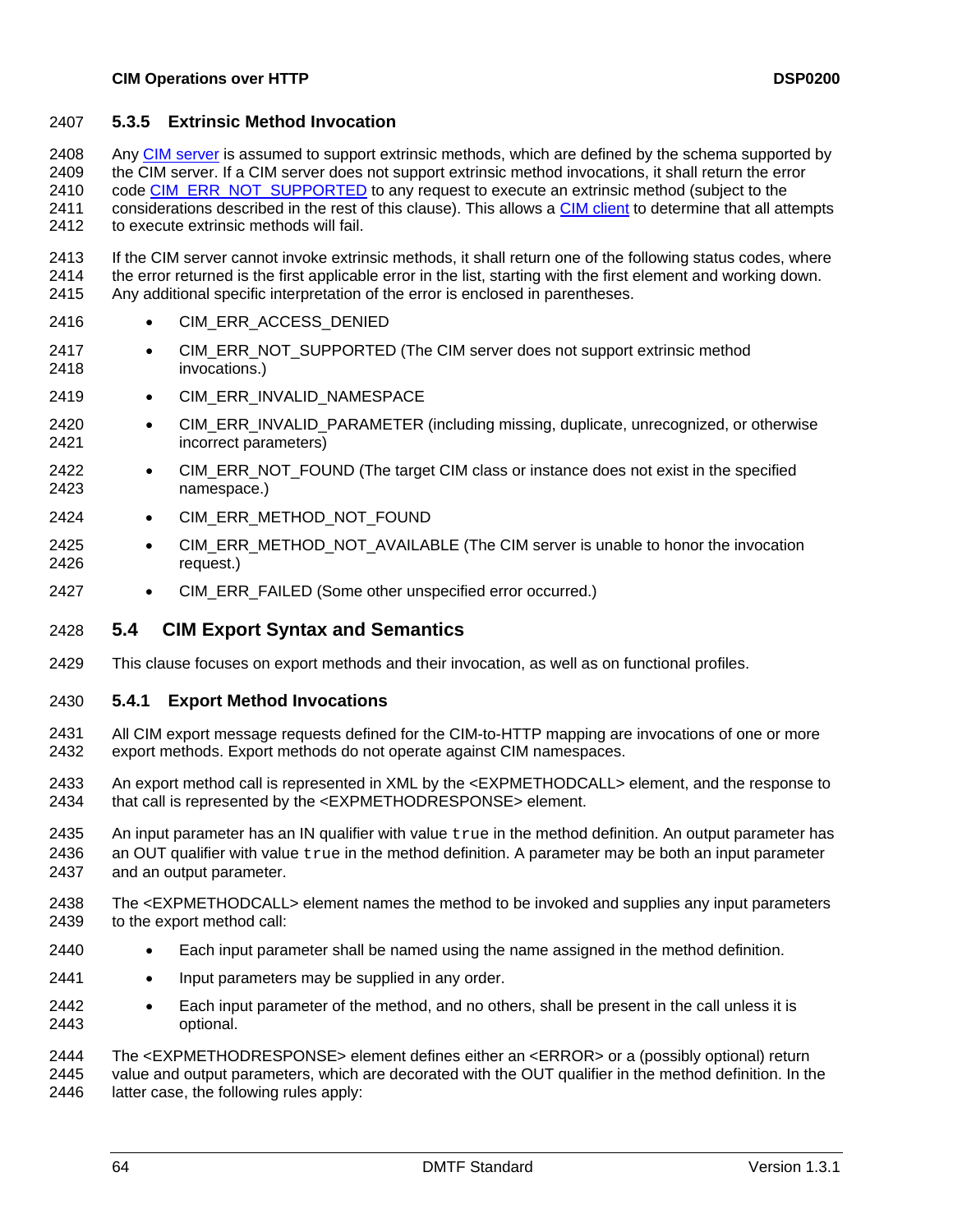## 2407 **5.3.5 Extrinsic Method Invocation**

Any [CIM server](#page-68-0) is assumed to support extrinsic methods, which are defined by the schema supported by the CIM server. If a CIM server does not support extrinsic method invocations, it shall return the error code [CIM\\_ERR\\_NOT\\_SUPPORTED](#page-16-0) to any request to execute an extrinsic method (subject to the 2408 2409 considerations described in the rest of this clause). This allows a [CIM client](#page-68-0) to determine that all attempts 2410 to execute extrinsic methods will fail. 2411 2412

2413 2414 2415 If the CIM server cannot invoke extrinsic methods, it shall return one of the following status codes, where the error returned is the first applicable error in the list, starting with the first element and working down. Any additional specific interpretation of the error is enclosed in parentheses.

- 2416 • CIM\_ERR\_ACCESS\_DENIED
- 2417 2418 • CIM\_ERR\_NOT\_SUPPORTED (The CIM server does not support extrinsic method invocations.)
- 2419 • CIM\_ERR\_INVALID\_NAMESPACE
- 2420 2421 • CIM\_ERR\_INVALID\_PARAMETER (including missing, duplicate, unrecognized, or otherwise incorrect parameters)
- 2422 2423 • CIM\_ERR\_NOT\_FOUND (The target CIM class or instance does not exist in the specified namespace.)
- 2424 • CIM\_ERR\_METHOD\_NOT\_FOUND
- 2425 2426 • CIM\_ERR\_METHOD\_NOT\_AVAILABLE (The CIM server is unable to honor the invocation request.)
- 2427 • CIM\_ERR\_FAILED (Some other unspecified error occurred.)
- 2428 **5.4 CIM Export Syntax and Semantics**
- 2429 This clause focuses on export methods and their invocation, as well as on functional profiles.

## 2430 **5.4.1 Export Method Invocations**

- 2431 2432 All CIM export message requests defined for the CIM-to-HTTP mapping are invocations of one or more export methods. Export methods do not operate against CIM namespaces.
- 2433 2434 An export method call is represented in XML by the <EXPMETHODCALL> element, and the response to that call is represented by the <EXPMETHODRESPONSE> element.
- 2435 2436 2437 An input parameter has an IN qualifier with value true in the method definition. An output parameter has an OUT qualifier with value true in the method definition. A parameter may be both an input parameter and an output parameter.
- 2438 2439 The <EXPMETHODCALL> element names the method to be invoked and supplies any input parameters to the export method call:
- 2440 • Each input parameter shall be named using the name assigned in the method definition.
- 2441 • Input parameters may be supplied in any order.
	- Each input parameter of the method, and no others, shall be present in the call unless it is optional.

2444 2445 2446 The <EXPMETHODRESPONSE> element defines either an <ERROR> or a (possibly optional) return value and output parameters, which are decorated with the OUT qualifier in the method definition. In the latter case, the following rules apply:

2442 2443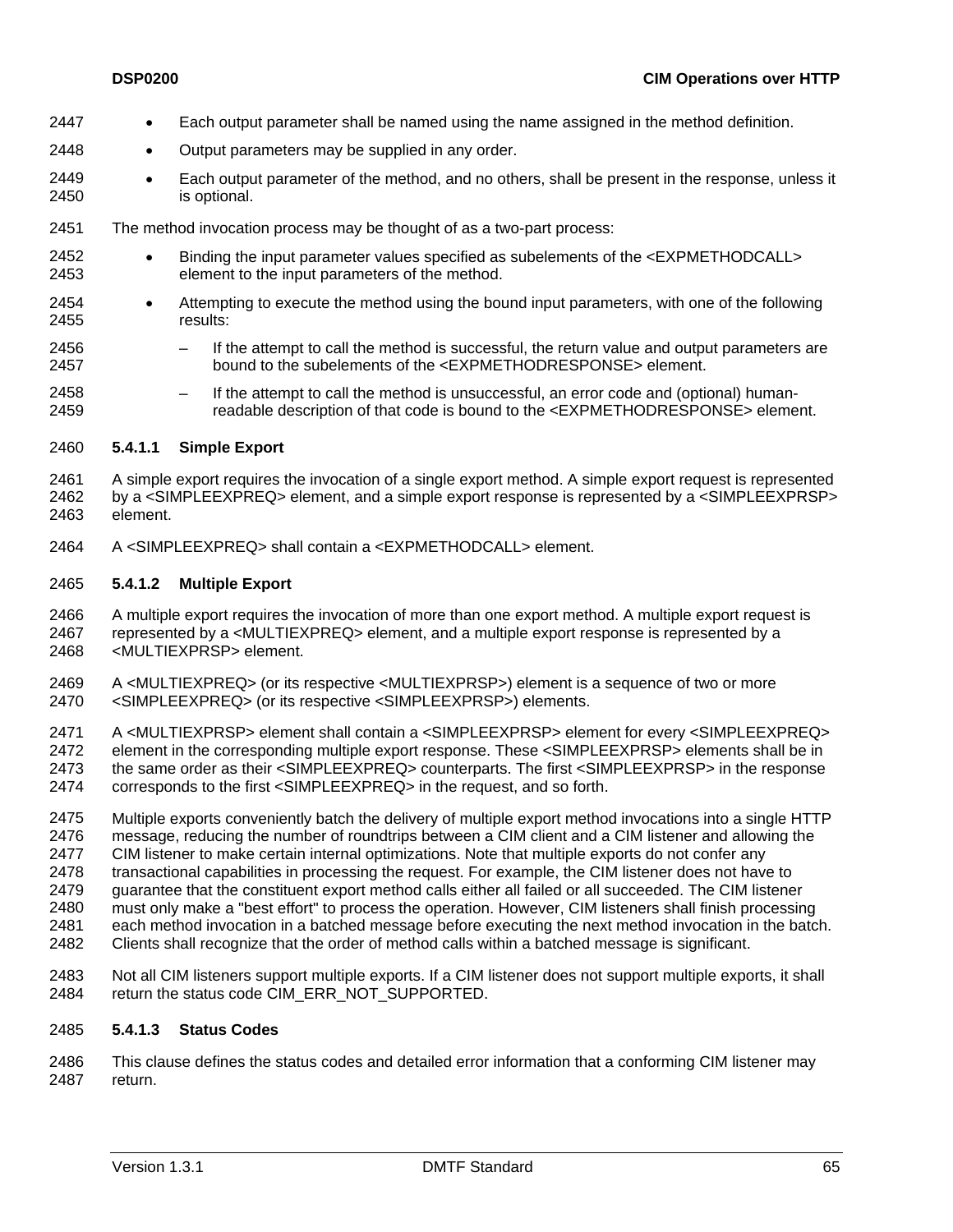- 2447 Each output parameter shall be named using the name assigned in the method definition.
- 2448 • Output parameters may be supplied in any order.
- 2449 2450 • Each output parameter of the method, and no others, shall be present in the response, unless it is optional.
- 2451 The method invocation process may be thought of as a two-part process:
- 2452 2453 • Binding the input parameter values specified as subelements of the <EXPMETHODCALL> element to the input parameters of the method.
- 2454 2455 • Attempting to execute the method using the bound input parameters, with one of the following results:
- 2456 2457 – If the attempt to call the method is successful, the return value and output parameters are bound to the subelements of the <EXPMETHODRESPONSE> element.
- 2458 2459 If the attempt to call the method is unsuccessful, an error code and (optional) humanreadable description of that code is bound to the <EXPMETHODRESPONSE> element.

#### 2460 **5.4.1.1 Simple Export**

2461 2462 2463 A simple export requires the invocation of a single export method. A simple export request is represented by a <SIMPLEEXPREQ> element, and a simple export response is represented by a <SIMPLEEXPRSP> element.

2464 A <SIMPLEEXPREQ> shall contain a <EXPMETHODCALL> element.

#### 2465 **5.4.1.2 Multiple Export**

2466 2467 2468 A multiple export requires the invocation of more than one export method. A multiple export request is represented by a <MULTIEXPREQ> element, and a multiple export response is represented by a <MULTIEXPRSP> element.

2469 2470 A <MULTIEXPREQ> (or its respective <MULTIEXPRSP>) element is a sequence of two or more <SIMPLEEXPREQ> (or its respective <SIMPLEEXPRSP>) elements.

2471 2472 2473 2474 A <MULTIEXPRSP> element shall contain a <SIMPLEEXPRSP> element for every <SIMPLEEXPREQ> element in the corresponding multiple export response. These <SIMPLEEXPRSP> elements shall be in the same order as their <SIMPLEEXPREQ> counterparts. The first <SIMPLEEXPRSP> in the response corresponds to the first <SIMPLEEXPREQ> in the request, and so forth.

- 2475 2476 2477 2478 2479 2480 2481 2482 Multiple exports conveniently batch the delivery of multiple export method invocations into a single HTTP message, reducing the number of roundtrips between a CIM client and a CIM listener and allowing the CIM listener to make certain internal optimizations. Note that multiple exports do not confer any transactional capabilities in processing the request. For example, the CIM listener does not have to guarantee that the constituent export method calls either all failed or all succeeded. The CIM listener must only make a "best effort" to process the operation. However, CIM listeners shall finish processing each method invocation in a batched message before executing the next method invocation in the batch. Clients shall recognize that the order of method calls within a batched message is significant.
- 2483 2484 Not all CIM listeners support multiple exports. If a CIM listener does not support multiple exports, it shall return the status code CIM\_ERR\_NOT\_SUPPORTED.

## 2485 **5.4.1.3 Status Codes**

2486 2487 This clause defines the status codes and detailed error information that a conforming CIM listener may return.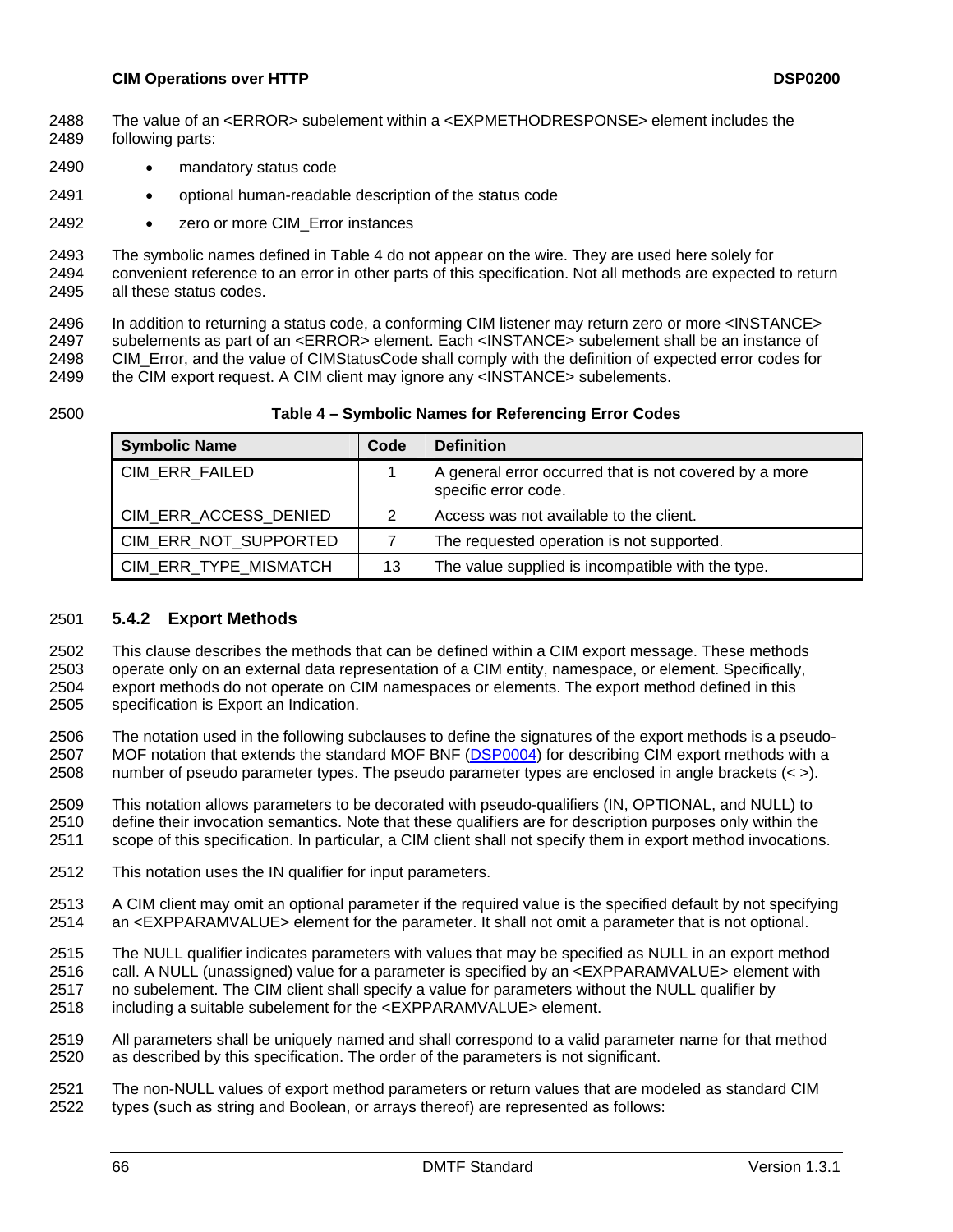- The value of an <ERROR> subelement within a <EXPMETHODRESPONSE> element includes the following parts: 2488 2489
- 2490 • mandatory status code
- 2491 • optional human-readable description of the status code
- 2492 • zero or more CIM\_Error instances

2493 2494 2495 The symbolic names defined in [Table 4](#page-65-0) do not appear on the wire. They are used here solely for convenient reference to an error in other parts of this specification. Not all methods are expected to return all these status codes.

2496 2497 2498 2499 In addition to returning a status code, a conforming CIM listener may return zero or more <INSTANCE> subelements as part of an <ERROR> element. Each <INSTANCE> subelement shall be an instance of CIM\_Error, and the value of CIMStatusCode shall comply with the definition of expected error codes for the CIM export request. A CIM client may ignore any <INSTANCE> subelements.

<span id="page-65-0"></span>2500

**Table 4 – Symbolic Names for Referencing Error Codes** 

| <b>Symbolic Name</b>  | Code | <b>Definition</b>                                                              |
|-----------------------|------|--------------------------------------------------------------------------------|
| CIM ERR FAILED        |      | A general error occurred that is not covered by a more<br>specific error code. |
| CIM ERR ACCESS DENIED | 2    | Access was not available to the client.                                        |
| CIM_ERR_NOT_SUPPORTED |      | The requested operation is not supported.                                      |
| CIM ERR TYPE MISMATCH | 13   | The value supplied is incompatible with the type.                              |

### 2501 **5.4.2 Export Methods**

This clause describes the methods that can be defined within a CIM export message. These methods operate only on an external data representation of a CIM entity, namespace, or element. Specifically, export methods do not operate on CIM namespaces or elements. The export method defined in this specification is Export an Indication. 2502 2503 2504 2505

2506 The notation used in the following subclauses to define the signatures of the export methods is a pseudo-MOF notation that extends the standard MOF BNF [\(DSP0004\)](#page-8-0) for describing CIM export methods with a number of pseudo parameter types. The pseudo parameter types are enclosed in angle brackets (< >). 2507 2508

2509 2510 This notation allows parameters to be decorated with pseudo-qualifiers (IN, OPTIONAL, and NULL) to define their invocation semantics. Note that these qualifiers are for description purposes only within the

2511 scope of this specification. In particular, a CIM client shall not specify them in export method invocations.

2512 This notation uses the IN qualifier for input parameters.

2513 2514 A CIM client may omit an optional parameter if the required value is the specified default by not specifying an <EXPPARAMVALUE> element for the parameter. It shall not omit a parameter that is not optional.

2515 2516 The NULL qualifier indicates parameters with values that may be specified as NULL in an export method call. A NULL (unassigned) value for a parameter is specified by an <EXPPARAMVALUE> element with

- 2517 no subelement. The CIM client shall specify a value for parameters without the NULL qualifier by
- 2518 including a suitable subelement for the <EXPPARAMVALUE> element.
- 2519 2520 All parameters shall be uniquely named and shall correspond to a valid parameter name for that method as described by this specification. The order of the parameters is not significant.

2521 2522 The non-NULL values of export method parameters or return values that are modeled as standard CIM types (such as string and Boolean, or arrays thereof) are represented as follows: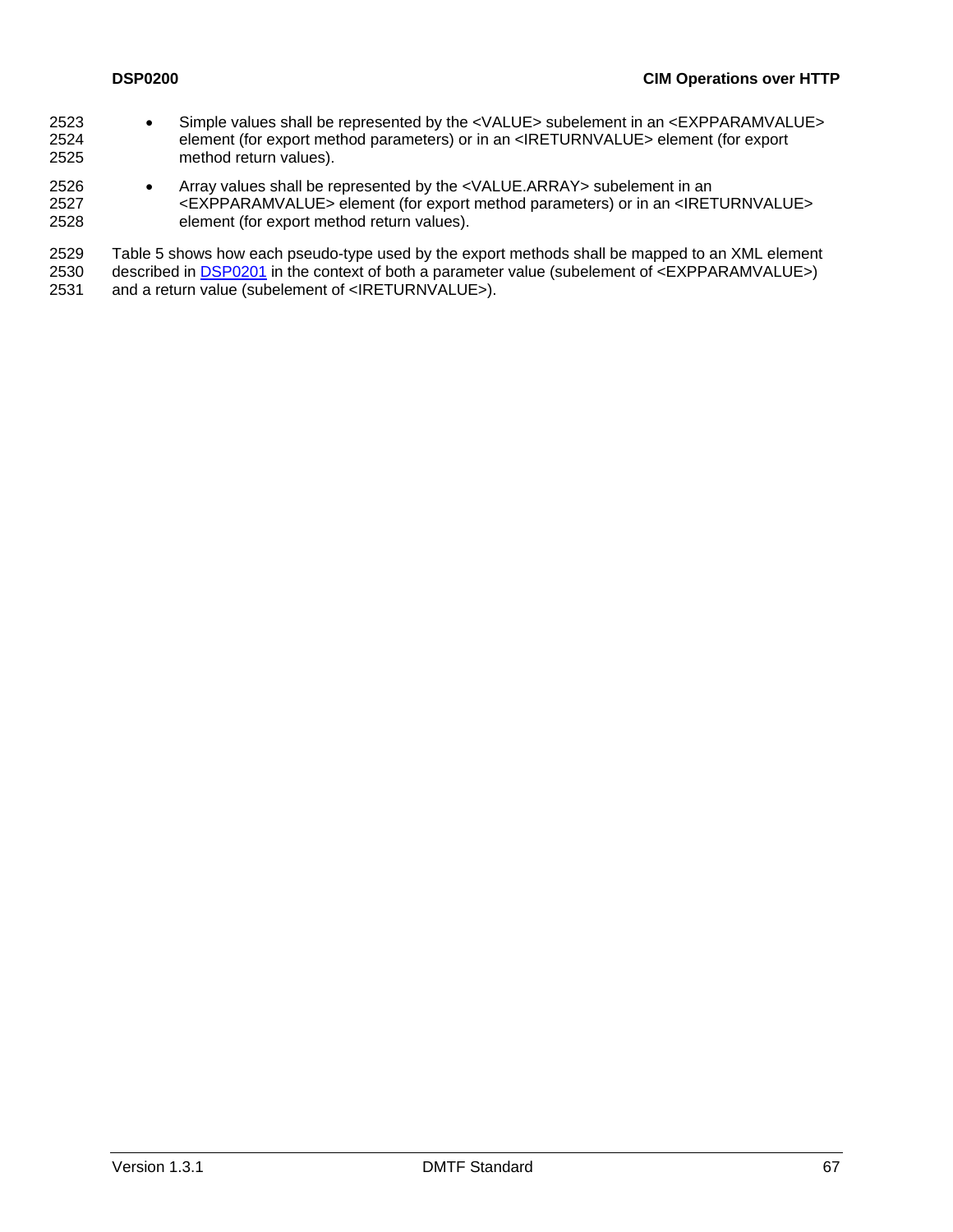- Simple values shall be represented by the <VALUE> subelement in an <EXPPARAMVALUE> element (for export method parameters) or in an <IRETURNVALUE> element (for export method return values). 2523 2524 2525 2526 • Array values shall be represented by the <VALUE.ARRAY> subelement in an
- 2527 2528 <EXPPARAMVALUE> element (for export method parameters) or in an <IRETURNVALUE> element (for export method return values).

2529 [Table 5](#page-67-0) shows how each pseudo-type used by the export methods shall be mapped to an XML element described in [DSP0201](#page-8-0) in the context of both a parameter value (subelement of <EXPPARAMVALUE>) 2530

and a return value (subelement of <IRETURNVALUE>). 2531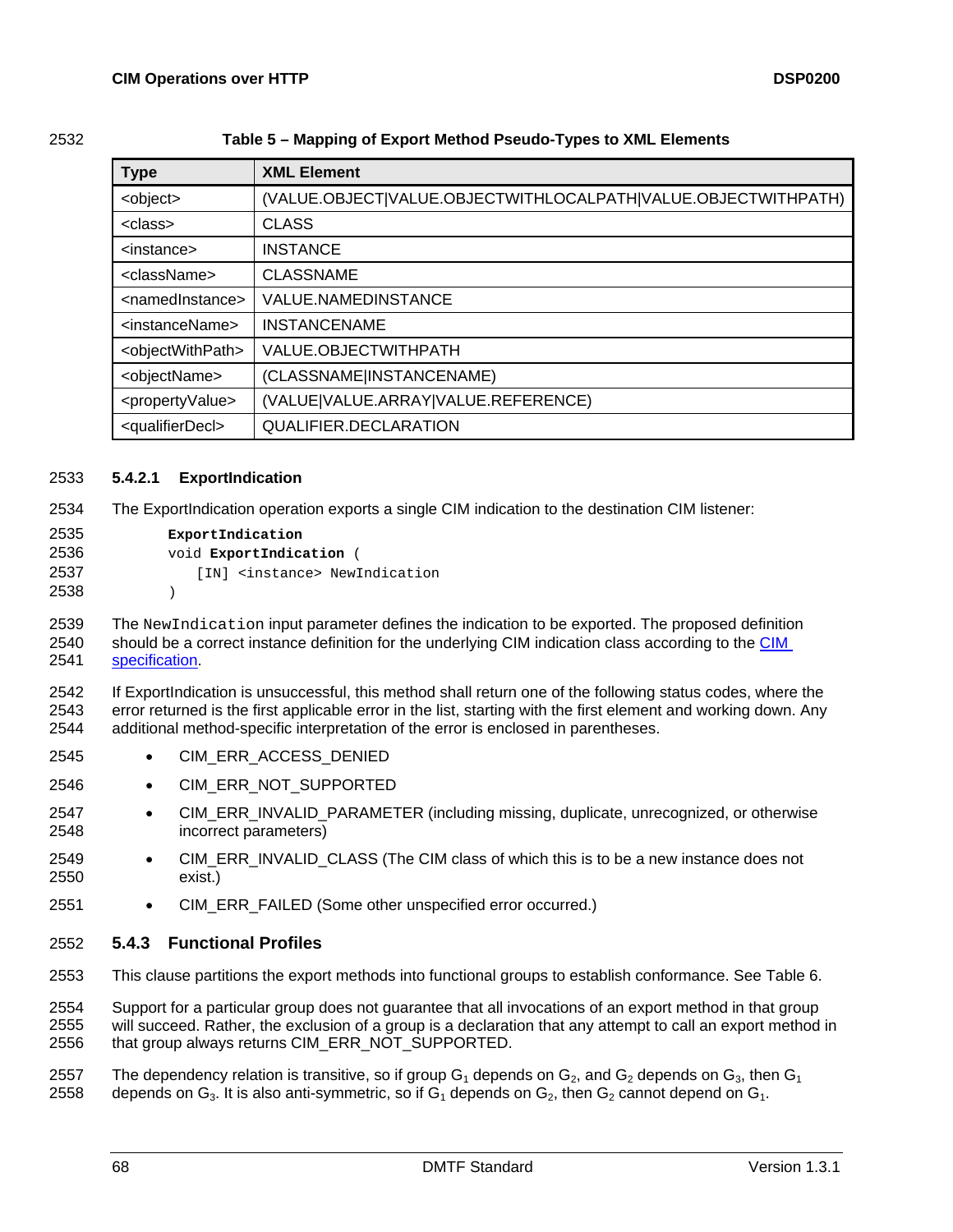## <span id="page-67-0"></span>2532 **Table 5 – Mapping of Export Method Pseudo-Types to XML Elements**

| <b>Type</b>                       | <b>XML Element</b>                                            |
|-----------------------------------|---------------------------------------------------------------|
| <object></object>                 | (VALUE.OBJECT VALUE.OBJECTWITHLOCALPATH VALUE.OBJECTWITHPATH) |
| <class></class>                   | <b>CLASS</b>                                                  |
| <instance></instance>             | <b>INSTANCE</b>                                               |
| <classname></classname>           | <b>CLASSNAME</b>                                              |
| <namedinstance></namedinstance>   | <b>VALUE.NAMEDINSTANCE</b>                                    |
| <instancename></instancename>     | <b>INSTANCENAME</b>                                           |
| <objectwithpath></objectwithpath> | VALUE.OBJECTWITHPATH                                          |
| <objectname></objectname>         | (CLASSNAME INSTANCENAME)                                      |
| <propertyvalue></propertyvalue>   | (VALUE VALUE.ARRAY VALUE.REFERENCE)                           |
| <qualifierdecl></qualifierdecl>   | <b>QUALIFIER.DECLARATION</b>                                  |

## 2533 **5.4.2.1 ExportIndication**

2534 The ExportIndication operation exports a single CIM indication to the destination CIM listener:

| 2535 | ExportIndication                         |
|------|------------------------------------------|
| 2536 | void <b>ExportIndication</b> (           |
| 2537 | [IN] <instance> NewIndication</instance> |
| 2538 |                                          |

- 2539 The NewIndication input parameter defines the indication to be exported. The proposed definition 2540 should be a correct instance definition for the underlying [CIM](#page-0-0) indication class according to the CIM 2541 [specification](#page-0-0).
- 2542 2543 2544 If ExportIndication is unsuccessful, this method shall return one of the following status codes, where the error returned is the first applicable error in the list, starting with the first element and working down. Any additional method-specific interpretation of the error is enclosed in parentheses.
- 2545 • CIM\_ERR\_ACCESS\_DENIED
- 2546 • CIM\_ERR\_NOT\_SUPPORTED
- 2547 2548 • CIM\_ERR\_INVALID\_PARAMETER (including missing, duplicate, unrecognized, or otherwise incorrect parameters)
- 2549 2550 • CIM\_ERR\_INVALID\_CLASS (The CIM class of which this is to be a new instance does not exist.)
- 2551 • CIM\_ERR\_FAILED (Some other unspecified error occurred.)

## 2552 **5.4.3 Functional Profiles**

2553 This clause partitions the export methods into functional groups to establish conformance. See [Table 6.](#page-68-1)

2554 2555 2556 Support for a particular group does not guarantee that all invocations of an export method in that group will succeed. Rather, the exclusion of a group is a declaration that any attempt to call an export method in that group always returns CIM\_ERR\_NOT\_SUPPORTED.

2557 2558 The dependency relation is transitive, so if group  $G_1$  depends on  $G_2$ , and  $G_2$  depends on  $G_3$ , then  $G_1$ depends on  $G_3$ . It is also anti-symmetric, so if  $G_1$  depends on  $G_2$ , then  $G_2$  cannot depend on  $G_1$ .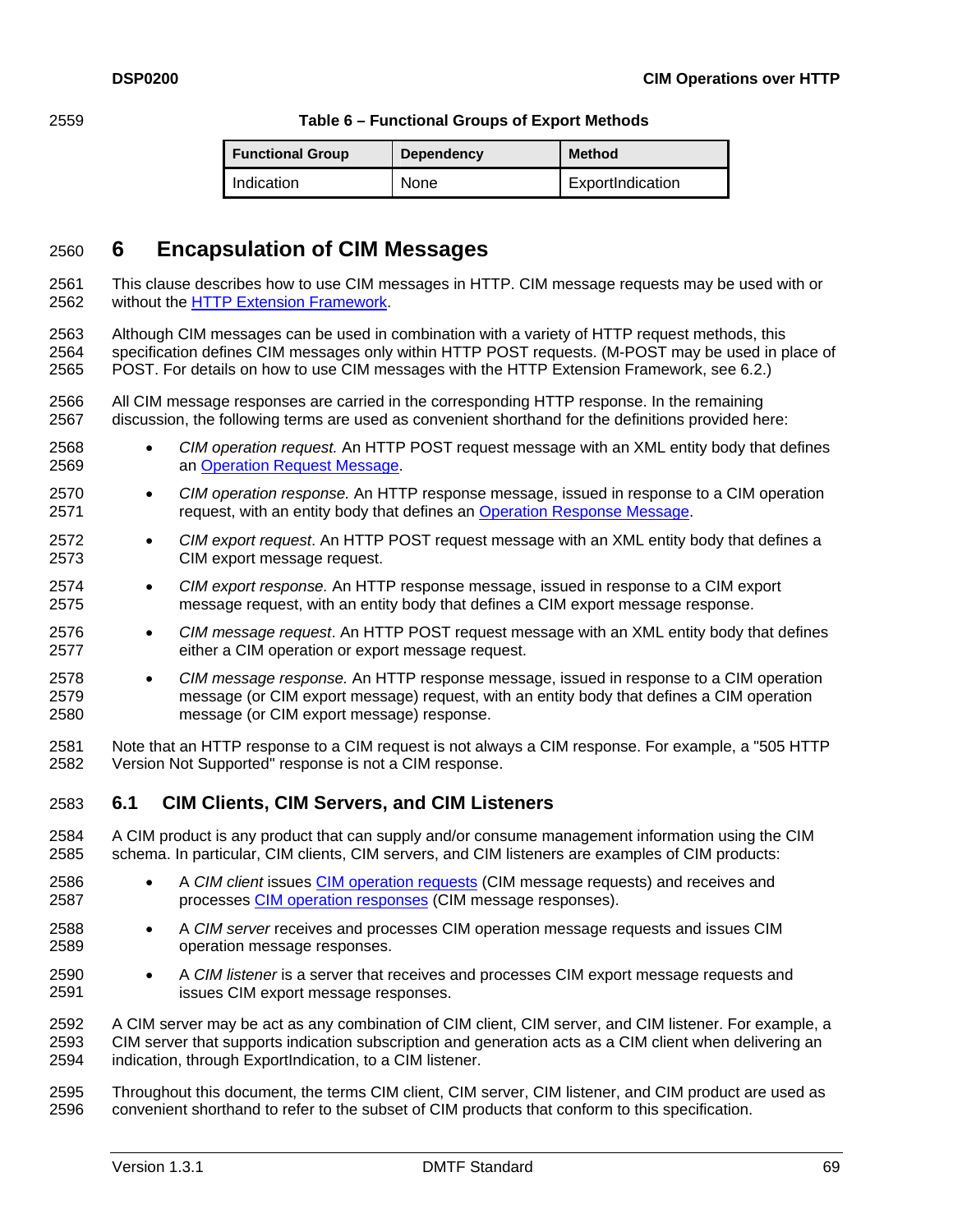<span id="page-68-0"></span>

### <span id="page-68-1"></span>2559 **Table 6 – Functional Groups of Export Methods**

| <b>Functional Group</b> | <b>Dependency</b> | <b>Method</b>    |
|-------------------------|-------------------|------------------|
| Indication              | None              | ExportIndication |

# 2560 **6 Encapsulation of CIM Messages**

This clause describes how to use CIM messages in HTTP. CIM message requests may be used with or 2562 without the [HTTP Extension Framework.](http://www.ietf.org/rfc/rfc2774.txt) 2561

2563 2564 2565 Although CIM messages can be used in combination with a variety of HTTP request methods, this specification defines CIM messages only within HTTP POST requests. (M-POST may be used in place of POST. For details on how to use CIM messages with the HTTP Extension Framework, see [6.2.](#page-69-0))

2566 2567 All CIM message responses are carried in the corresponding HTTP response. In the remaining discussion, the following terms are used as convenient shorthand for the definitions provided here:

- 2568 • *CIM operation request.* An HTTP POST request message with an XML entity body that defines 2569 an [Operation Request Message](#page-13-0).
- 2570 *CIM operation response.* An HTTP response message, issued in response to a CIM operation 2571 request, with an entity body that defines an [Operation Response Message](#page-13-0).
- 2572 2573 • *CIM export request*. An HTTP POST request message with an XML entity body that defines a CIM export message request.
- 2574 2575 • *CIM export response.* An HTTP response message, issued in response to a CIM export message request, with an entity body that defines a CIM export message response.
- 2576 2577 • *CIM message request*. An HTTP POST request message with an XML entity body that defines either a CIM operation or export message request.
- 2578 2579 2580 • *CIM message response.* An HTTP response message, issued in response to a CIM operation message (or CIM export message) request, with an entity body that defines a CIM operation message (or CIM export message) response.
- 2581 2582 Note that an HTTP response to a CIM request is not always a CIM response. For example, a "505 HTTP Version Not Supported" response is not a CIM response.

## 2583 **6.1 CIM Clients, CIM Servers, and CIM Listeners**

- 2584 2585 A CIM product is any product that can supply and/or consume management information using the CIM schema. In particular, CIM clients, CIM servers, and CIM listeners are examples of CIM products:
- A *CIM client* issues [CIM operation requests](#page-68-0) (CIM message requests) and receives and 2587 **[CIM operation responses](#page-68-0) (CIM message responses).** 2586
- 2588 2589 • A *CIM server* receives and processes CIM operation message requests and issues CIM operation message responses.
- 2590 2591 • A *CIM listener* is a server that receives and processes CIM export message requests and issues CIM export message responses.

2592 2593 2594 A CIM server may be act as any combination of CIM client, CIM server, and CIM listener. For example, a CIM server that supports indication subscription and generation acts as a CIM client when delivering an indication, through ExportIndication, to a CIM listener.

2595 2596 Throughout this document, the terms CIM client, CIM server, CIM listener, and CIM product are used as convenient shorthand to refer to the subset of CIM products that conform to this specification.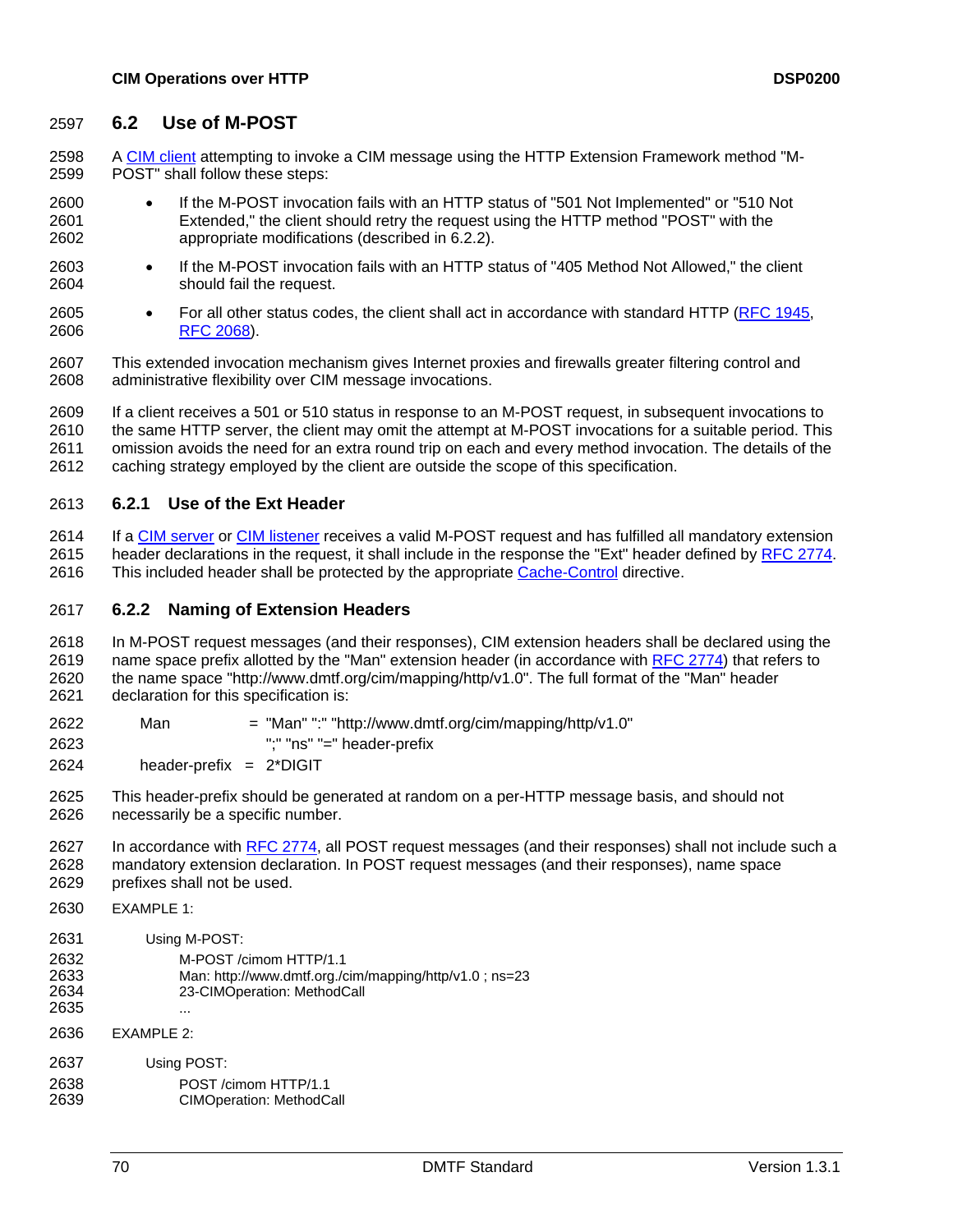## <span id="page-69-0"></span>2597 **6.2 Use of M-POST**

A [CIM client](#page-68-0) attempting to invoke a CIM message using the HTTP Extension Framework method "M-POST" shall follow these steps: 2598 2599

- 2600 2601 2602 • If the M-POST invocation fails with an HTTP status of "501 Not Implemented" or "510 Not Extended," the client should retry the request using the HTTP method "POST" with the appropriate modifications (described in [6.2.2\)](#page-69-1).
- 2603 2604 • If the M-POST invocation fails with an HTTP status of "405 Method Not Allowed," the client should fail the request.
- 2605 For all other status codes, the client shall act in accordance with standard HTTP ([RFC 1945](#page-8-0), 2606 [RFC 2068\)](#page-8-0).
- 2607 2608 This extended invocation mechanism gives Internet proxies and firewalls greater filtering control and administrative flexibility over CIM message invocations.

2609 2610 2611 2612 If a client receives a 501 or 510 status in response to an M-POST request, in subsequent invocations to the same HTTP server, the client may omit the attempt at M-POST invocations for a suitable period. This omission avoids the need for an extra round trip on each and every method invocation. The details of the caching strategy employed by the client are outside the scope of this specification.

## 2613 **6.2.1 Use of the Ext Header**

If a [CIM server](#page-68-0) or [CIM listener](#page-68-0) receives a valid M-POST request and has fulfilled all mandatory extension header declarations in the request, it shall include in the response the "Ext" header defined by [RFC 2774.](#page-9-0) 2614 2616 This included header shall be protected by the appropriate [Cache-Control](#page-0-0) directive. 2615

## <span id="page-69-1"></span>2617 **6.2.2 Naming of Extension Headers**

2618 In M-POST request messages (and their responses), CIM extension headers shall be declared using the name space prefix allotted by the "Man" extension header (in accordance with [RFC 2774\)](#page-9-0) that refers to the name space "http://www.dmtf.org/cim/mapping/http/v1.0". The full format of the "Man" header declaration for this specification is: 2619 2620 2621

| 2622 | Man | = "Man" ":" "http://www.dmtf.org/cim/mapping/http/v1.0" |
|------|-----|---------------------------------------------------------|
| 2623 |     | ";" "ns" "=" header-prefix                              |

2624 header-prefix  $= 2*DIGIT$ 

- 2625 2626 This header-prefix should be generated at random on a per-HTTP message basis, and should not necessarily be a specific number.
- In accordance with [RFC 2774,](#page-9-0) all POST request messages (and their responses) shall not include such a mandatory extension declaration. In POST request messages (and their responses), name space prefixes shall not be used. 2627 2628 2629
- 2630 EXAMPLE 1:
- 2631 Using M-POST:
- 2632 2633 2634 2635 M-POST /cimom HTTP/1.1 Man: http://www.dmtf.org./cim/mapping/http/v1.0 ; ns=23 23-CIMOperation: MethodCall ...
- 2636 EXAMPLE 2:
- 2637 2638 2639 Using POST: POST /cimom HTTP/1.1 CIMOperation: MethodCall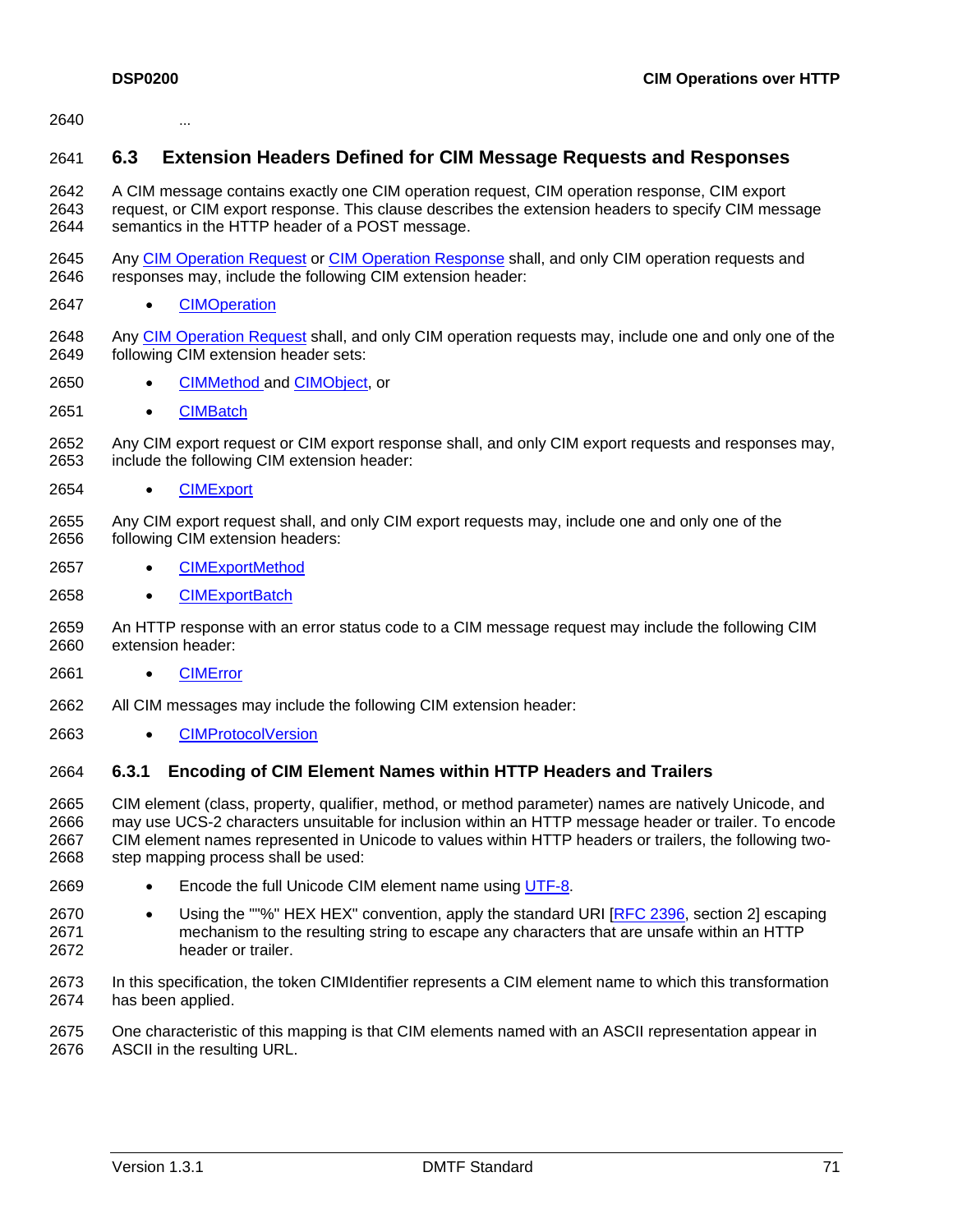2640 ...

## 2641 **6.3 Extension Headers Defined for CIM Message Requests and Responses**

2642 2643 2644 A CIM message contains exactly one CIM operation request, CIM operation response, CIM export request, or CIM export response. This clause describes the extension headers to specify CIM message semantics in the HTTP header of a POST message.

- Any [CIM Operation Request](#page-68-0) or [CIM Operation Response](#page-68-0) shall, and only CIM operation requests and responses may, include the following CIM extension header: 2645 2646
- 2647 [CIMOperation](#page-72-0)
- Any [CIM Operation Request](#page-68-0) shall, and only CIM operation requests may, include one and only one of the following CIM extension header sets: 2648 2649
- 2650 [CIMMethod a](#page-74-0)nd [CIMObject](#page-74-0), or
- 2651 [CIMBatch](#page-76-0)
- 2652 2653 Any CIM export request or CIM export response shall, and only CIM export requests and responses may, include the following CIM extension header:
- 2654 [CIMExport](#page-73-0)
- 2655 2656 Any CIM export request shall, and only CIM export requests may, include one and only one of the following CIM extension headers:
- 2657 [CIMExportMethod](#page-75-0)
- 2658 [CIMExportBatch](#page-77-0)
- 2659 2660 An HTTP response with an error status code to a CIM message request may include the following CIM extension header:
- 2661 [CIMError](#page-77-0)
- 2662 All CIM messages may include the following CIM extension header:
- 2663 [CIMProtocolVersion](#page-73-0)

#### 2664 **6.3.1 Encoding of CIM Element Names within HTTP Headers and Trailers**

2665 2666 2667 2668 CIM element (class, property, qualifier, method, or method parameter) names are natively Unicode, and may use UCS-2 characters unsuitable for inclusion within an HTTP message header or trailer. To encode CIM element names represented in Unicode to values within HTTP headers or trailers, the following twostep mapping process shall be used:

- 2669 Encode the full Unicode CIM element name using [UTF-8.](#page-8-0)
- Using the ""%" HEX HEX" convention, apply the standard URI **[\[RFC 2396](#page-8-0), section 2]** escaping mechanism to the resulting string to escape any characters that are unsafe within an HTTP header or trailer. 2670 2671 2672
- 2673 2674 In this specification, the token CIMIdentifier represents a CIM element name to which this transformation has been applied.

2675 2676 One characteristic of this mapping is that CIM elements named with an ASCII representation appear in ASCII in the resulting URL.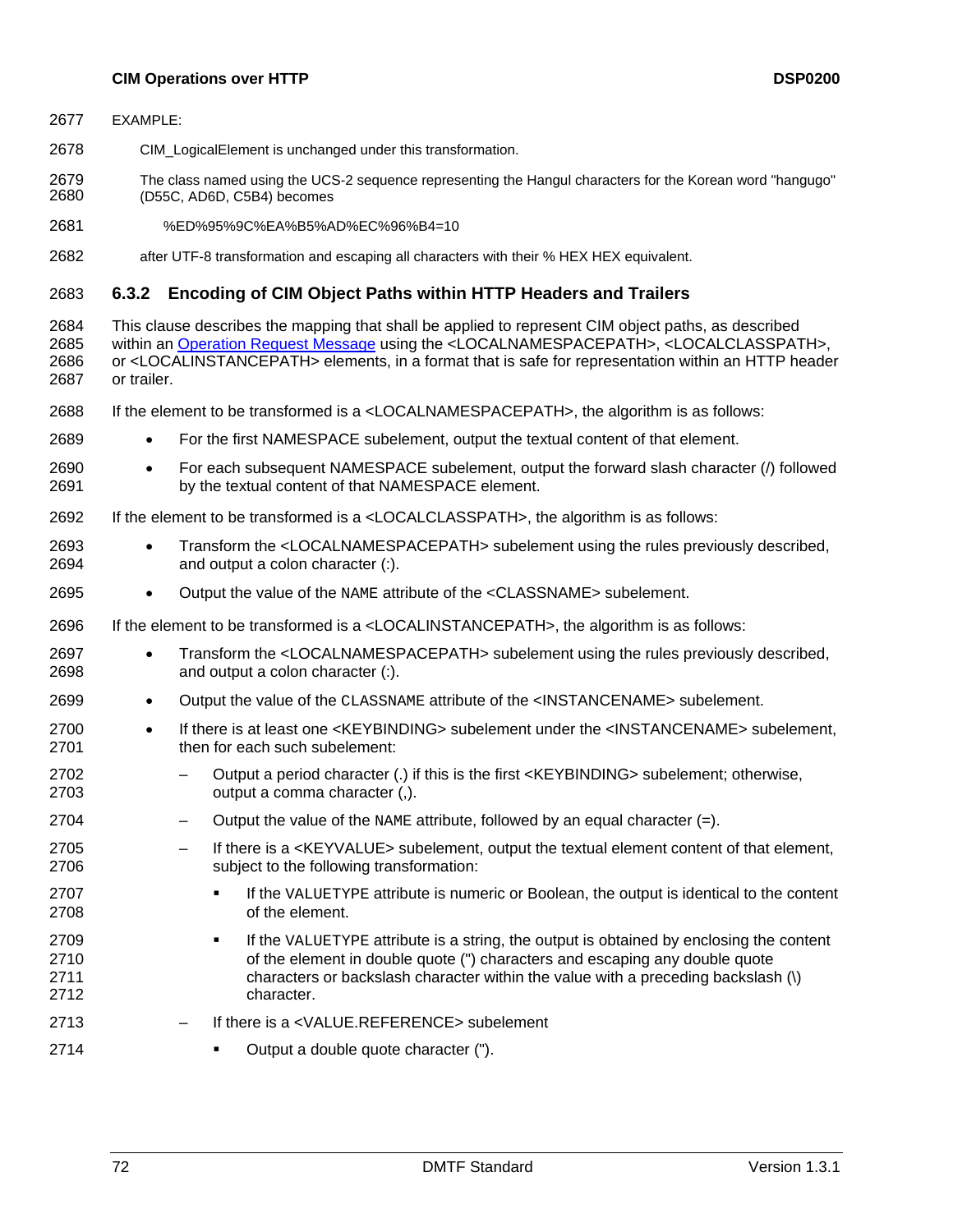- 2677 EXAMPLE:
- 2678 CIM\_LogicalElement is unchanged under this transformation.
- 2679 2680 The class named using the UCS-2 sequence representing the Hangul characters for the Korean word "hangugo" (D55C, AD6D, C5B4) becomes
- 2681 %ED%95%9C%EA%B5%AD%EC%96%B4=10
- 2682 after UTF-8 transformation and escaping all characters with their % HEX HEX equivalent.

### 2683 **6.3.2 Encoding of CIM Object Paths within HTTP Headers and Trailers**

- 2684 This clause describes the mapping that shall be applied to represent CIM object paths, as described within an [Operation Request Message](#page-13-0) using the <LOCALNAMESPACEPATH>, <LOCALCLASSPATH>, or <LOCALINSTANCEPATH> elements, in a format that is safe for representation within an HTTP header or trailer. 2685 2686 2687
- 2688 If the element to be transformed is a <LOCALNAMESPACEPATH>, the algorithm is as follows:
- 2689 • For the first NAMESPACE subelement, output the textual content of that element.
- 2690 2691 • For each subsequent NAMESPACE subelement, output the forward slash character (/) followed by the textual content of that NAMESPACE element.
- 2692 If the element to be transformed is a <LOCALCLASSPATH>, the algorithm is as follows:
- 2693 2694 • Transform the <LOCALNAMESPACEPATH> subelement using the rules previously described, and output a colon character (:).
- 2695 • Output the value of the NAME attribute of the <CLASSNAME> subelement.
- 2696 If the element to be transformed is a <LOCALINSTANCEPATH>, the algorithm is as follows:
- 2697 2698 • Transform the <LOCALNAMESPACEPATH> subelement using the rules previously described, and output a colon character (:).
- 2699 • Output the value of the CLASSNAME attribute of the <INSTANCENAME> subelement.
- 2700 2701 • If there is at least one <KEYBINDING> subelement under the <INSTANCENAME> subelement, then for each such subelement:
- 2702 2703 – Output a period character (.) if this is the first <KEYBINDING> subelement; otherwise, output a comma character (,).
- 2704 Output the value of the NAME attribute, followed by an equal character  $(=)$ .
- 2705 2706 – If there is a <KEYVALUE> subelement, output the textual element content of that element, subject to the following transformation:
	- If the VALUETYPE attribute is numeric or Boolean, the output is identical to the content of the element.
	- If the VALUETYPE attribute is a string, the output is obtained by enclosing the content of the element in double quote (") characters and escaping any double quote characters or backslash character within the value with a preceding backslash (\) character.
- 2713 – If there is a <VALUE.REFERENCE> subelement
	- Output a double quote character (").

2714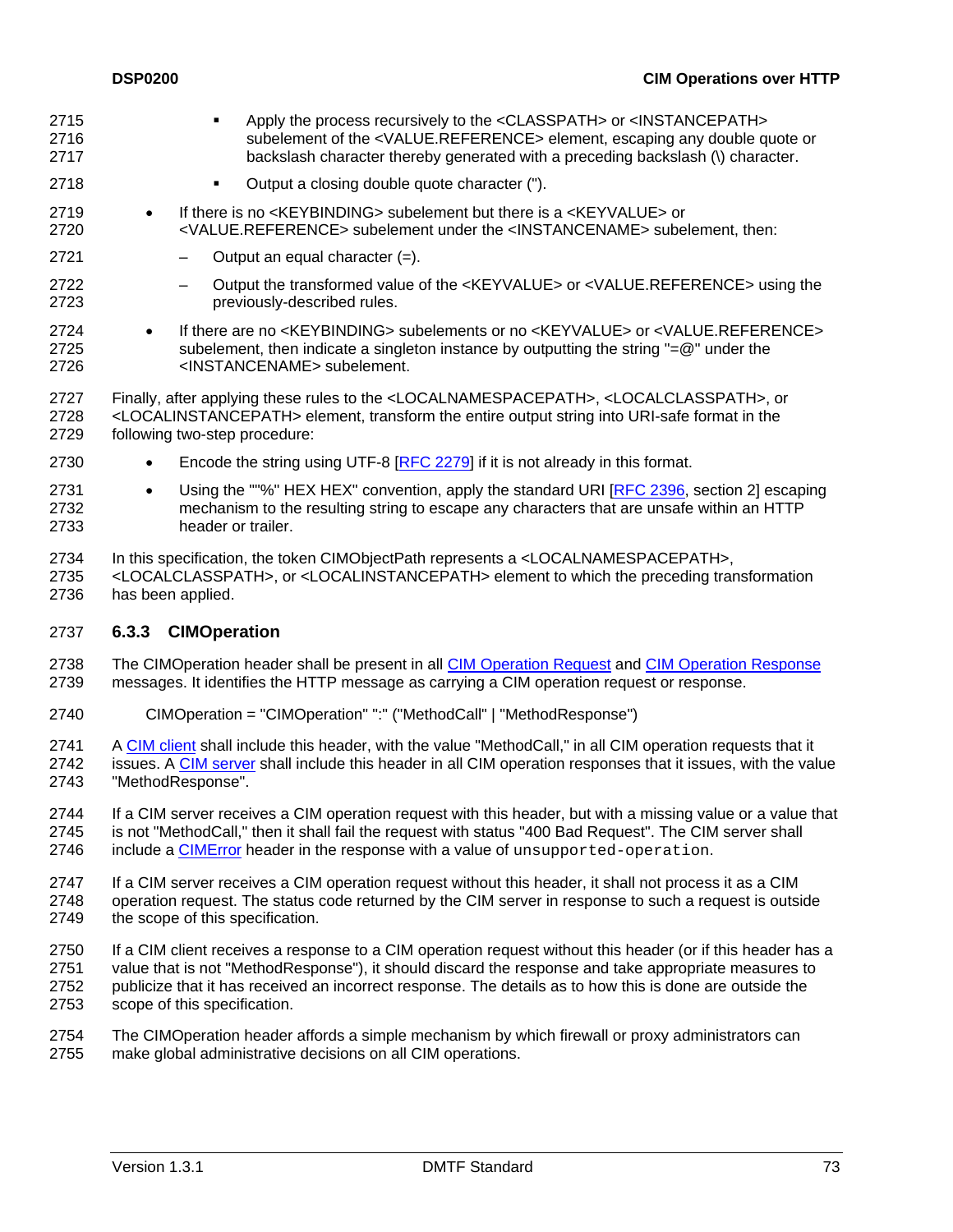- <span id="page-72-0"></span> Apply the process recursively to the <CLASSPATH> or <INSTANCEPATH> subelement of the <VALUE.REFERENCE> element, escaping any double quote or backslash character thereby generated with a preceding backslash (\) character. 2715 2716 2717 2718 Output a closing double quote character (").
- 2719 2720 • If there is no <KEYBINDING> subelement but there is a <KEYVALUE> or <VALUE.REFERENCE> subelement under the <INSTANCENAME> subelement, then:
- 2721 Output an equal character  $(=)$ .
- 2722 2723 – Output the transformed value of the <KEYVALUE> or <VALUE.REFERENCE> using the previously-described rules.
- 2724 2725 2726 • If there are no <KEYBINDING> subelements or no <KEYVALUE> or <VALUE.REFERENCE> subelement, then indicate a singleton instance by outputting the string "=@" under the <INSTANCENAME> subelement.
- 2727 2728 2729 Finally, after applying these rules to the <LOCALNAMESPACEPATH>, <LOCALCLASSPATH>, or <LOCALINSTANCEPATH> element, transform the entire output string into URI-safe format in the following two-step procedure:
- 2730 Encode the string using UTF-8 [\[RFC 2279\]](#page-8-0) if it is not already in this format.
- Using the ""%" HEX HEX" convention, apply the standard URI [\[RFC 2396](#page-8-0), section 2] escaping mechanism to the resulting string to escape any characters that are unsafe within an HTTP header or trailer. 2731 2732 2733
- 2734 2735 2736 In this specification, the token CIMObjectPath represents a <LOCALNAMESPACEPATH>, <LOCALCLASSPATH>, or <LOCALINSTANCEPATH> element to which the preceding transformation has been applied.

# 2737 **6.3.3 CIMOperation**

- The CIMOperation header shall be present in all [CIM Operation Request](#page-68-0) and [CIM Operation Response](#page-68-0) messages. It identifies the HTTP message as carrying a CIM operation request or response. 2738 2739
- 2740 CIMOperation = "CIMOperation" ":" ("MethodCall" | "MethodResponse")

A [CIM client](#page-68-0) shall include this header, with the value "MethodCall," in all CIM operation requests that it issues. A [CIM server](#page-68-0) shall include this header in all CIM operation responses that it issues, with the value 2741 "MethodResponse". 2742 2743

- 2744 2745 If a CIM server receives a CIM operation request with this header, but with a missing value or a value that is not "MethodCall," then it shall fail the request with status "400 Bad Request". The CIM server shall 2746 include a [CIMError](#page-77-0) header in the response with a value of unsupported-operation.
- 2747 2748 2749 If a CIM server receives a CIM operation request without this header, it shall not process it as a CIM operation request. The status code returned by the CIM server in response to such a request is outside the scope of this specification.
- 2750 2751 2752 2753 If a CIM client receives a response to a CIM operation request without this header (or if this header has a value that is not "MethodResponse"), it should discard the response and take appropriate measures to publicize that it has received an incorrect response. The details as to how this is done are outside the scope of this specification.
- 2754 2755 The CIMOperation header affords a simple mechanism by which firewall or proxy administrators can make global administrative decisions on all CIM operations.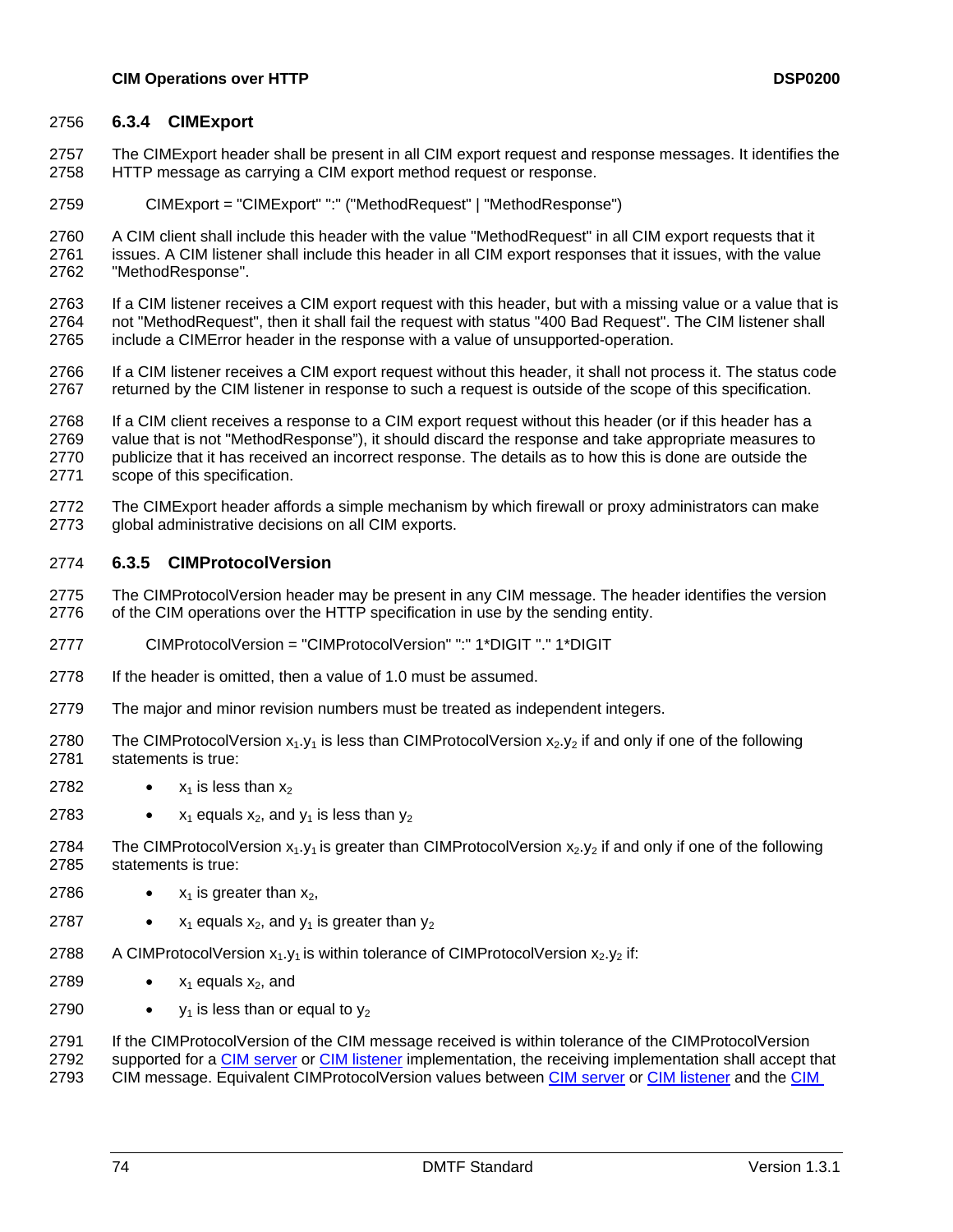# <span id="page-73-0"></span>2756 **6.3.4 CIMExport**

- The CIMExport header shall be present in all CIM export request and response messages. It identifies the HTTP message as carrying a CIM export method request or response. 2757 2758
- 2759 CIMExport = "CIMExport" ":" ("MethodRequest" | "MethodResponse")

2760 2761 2762 A CIM client shall include this header with the value "MethodRequest" in all CIM export requests that it issues. A CIM listener shall include this header in all CIM export responses that it issues, with the value "MethodResponse".

2763 2764 2765 If a CIM listener receives a CIM export request with this header, but with a missing value or a value that is not "MethodRequest", then it shall fail the request with status "400 Bad Request". The CIM listener shall include a CIMError header in the response with a value of unsupported-operation.

2766 2767 If a CIM listener receives a CIM export request without this header, it shall not process it. The status code returned by the CIM listener in response to such a request is outside of the scope of this specification.

2768 2769 2770 2771 If a CIM client receives a response to a CIM export request without this header (or if this header has a value that is not "MethodResponse"), it should discard the response and take appropriate measures to publicize that it has received an incorrect response. The details as to how this is done are outside the scope of this specification.

2772 2773 The CIMExport header affords a simple mechanism by which firewall or proxy administrators can make global administrative decisions on all CIM exports.

# 2774 **6.3.5 CIMProtocolVersion**

2775 2776 The CIMProtocolVersion header may be present in any CIM message. The header identifies the version of the CIM operations over the HTTP specification in use by the sending entity.

- 2777 CIMProtocolVersion = "CIMProtocolVersion" ":" 1\*DIGIT "." 1\*DIGIT
- 2778 If the header is omitted, then a value of 1.0 must be assumed.
- 2779 The major and minor revision numbers must be treated as independent integers.
- 2780 2781 The CIMProtocolVersion  $x_1, y_1$  is less than CIMProtocolVersion  $x_2, y_2$  if and only if one of the following statements is true:
- 2782 •  $x_1$  is less than  $x_2$
- 2783 •  $x_1$  equals  $x_2$ , and  $y_1$  is less than  $y_2$
- 2784 2785 The CIMProtocolVersion  $x_1,y_1$  is greater than CIMProtocolVersion  $x_2,y_2$  if and only if one of the following statements is true:
- 2786 •  $x_1$  is greater than  $x_2$ ,
- 2787 •  $x_1$  equals  $x_2$ , and  $y_1$  is greater than  $y_2$
- 2788 A CIMProtocolVersion  $x_1 \cdot y_1$  is within tolerance of CIMProtocolVersion  $x_2 \cdot y_2$  if:
- 2789 •  $x_1$  equals  $x_2$ , and
- 2790 •  $y_1$  is less than or equal to  $y_2$

2791 If the CIMProtocolVersion of the CIM message received is within tolerance of the CIMProtocolVersion supported for a [CIM server](#page-68-0) or [CIM listener](#page-68-0) implementation, the receiving implementation shall accept that 2793 CIM message. Equivalent CIMProtocolVersion values between [CIM server](#page-68-0) or [CIM listener](#page-68-0) and the CIM 2792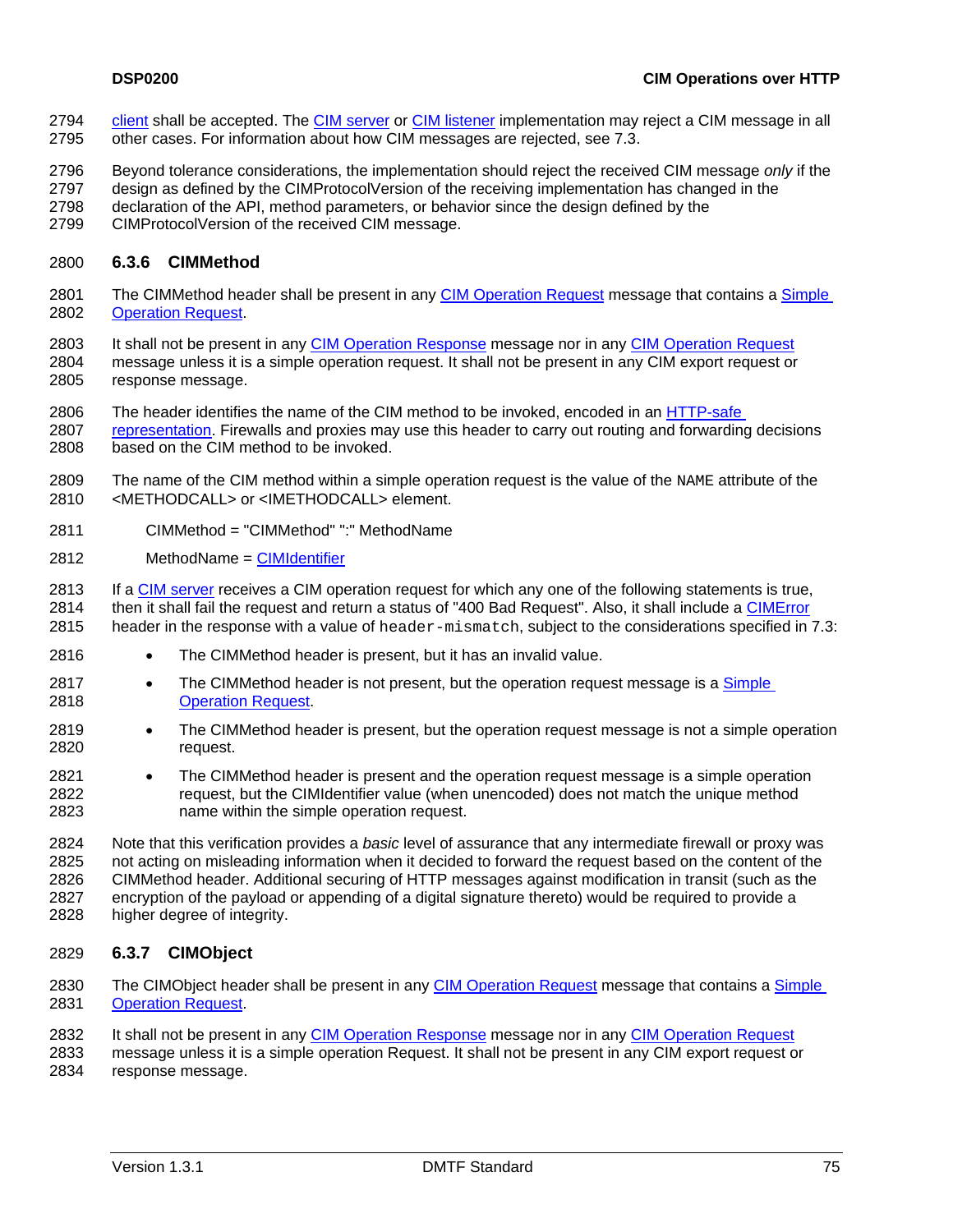- [client](#page-68-0) shall be accepted. The [CIM server](#page-68-0) or [CIM listener](#page-68-0) implementation may reject a CIM message in all other cases. For information about how CIM messages are rejected, see [7.3.](#page-83-0) 2794 2795
- 2796 Beyond tolerance considerations, the implementation should reject the received CIM message *only* if the
- 2797 design as defined by the CIMProtocolVersion of the receiving implementation has changed in the
- 2798 declaration of the API, method parameters, or behavior since the design defined by the
- 2799 CIMProtocolVersion of the received CIM message.

### 2800 **6.3.6 CIMMethod**

- 2801 The CIMMethod header shall be present in any [CIM Operation Request](#page-68-0) message that contains a Simple 2802 [Operation Request.](#page-13-0)
- It shall not be present in any [CIM Operation Response](#page-68-0) message nor in any [CIM Operation Request](#page-68-0) message unless it is a simple operation request. It shall not be present in any CIM export request or response message. 2803 2804 2805
- 2806 The header identifies the name of the CIM method to be invoked, encoded in an HTTP-safe
- [representation.](#page-70-0) Firewalls and proxies may use this header to carry out routing and forwarding decisions based on the CIM method to be invoked. 2807 2808

2809 2810 The name of the CIM method within a simple operation request is the value of the NAME attribute of the <METHODCALL> or <IMETHODCALL> element.

- 2811 CIMMethod = "CIMMethod" ":" MethodName
- 2812 MethodName = [CIMIdentifier](#page-70-0)
- If a [CIM server](#page-68-0) receives a CIM operation request for which any one of the following statements is true, then it shall fail the request and return a status of "400 Bad Request". Also, it shall include a *[CIMError](#page-77-0)* 2813 2814
- header in the response with a value of header-mismatch, subject to the considerations specified in [7.3:](#page-83-0) 2815
- 2816 • The CIMMethod header is present, but it has an invalid value.
- 2817 The CIMMethod header is not present, but the operation request message is a Simple 2818 [Operation Request](#page-13-0).
- 2819 2820 • The CIMMethod header is present, but the operation request message is not a simple operation request.
- 2821 2822 2823 • The CIMMethod header is present and the operation request message is a simple operation request, but the CIMIdentifier value (when unencoded) does not match the unique method name within the simple operation request.
- 2824 2825 2826 2827 2828 Note that this verification provides a *basic* level of assurance that any intermediate firewall or proxy was not acting on misleading information when it decided to forward the request based on the content of the CIMMethod header. Additional securing of HTTP messages against modification in transit (such as the encryption of the payload or appending of a digital signature thereto) would be required to provide a higher degree of integrity.

# 2829 **6.3.7 CIMObject**

- 2830 The CIMObject header shall be present in any [CIM Operation Request](#page-68-0) message that contains a Simple 2831 [Operation Request.](#page-13-0)
- It shall not be present in any [CIM Operation Response](#page-68-0) message nor in any [CIM Operation Request](#page-68-0) 2832
- message unless it is a simple operation Request. It shall not be present in any CIM export request or response message. 2833 2834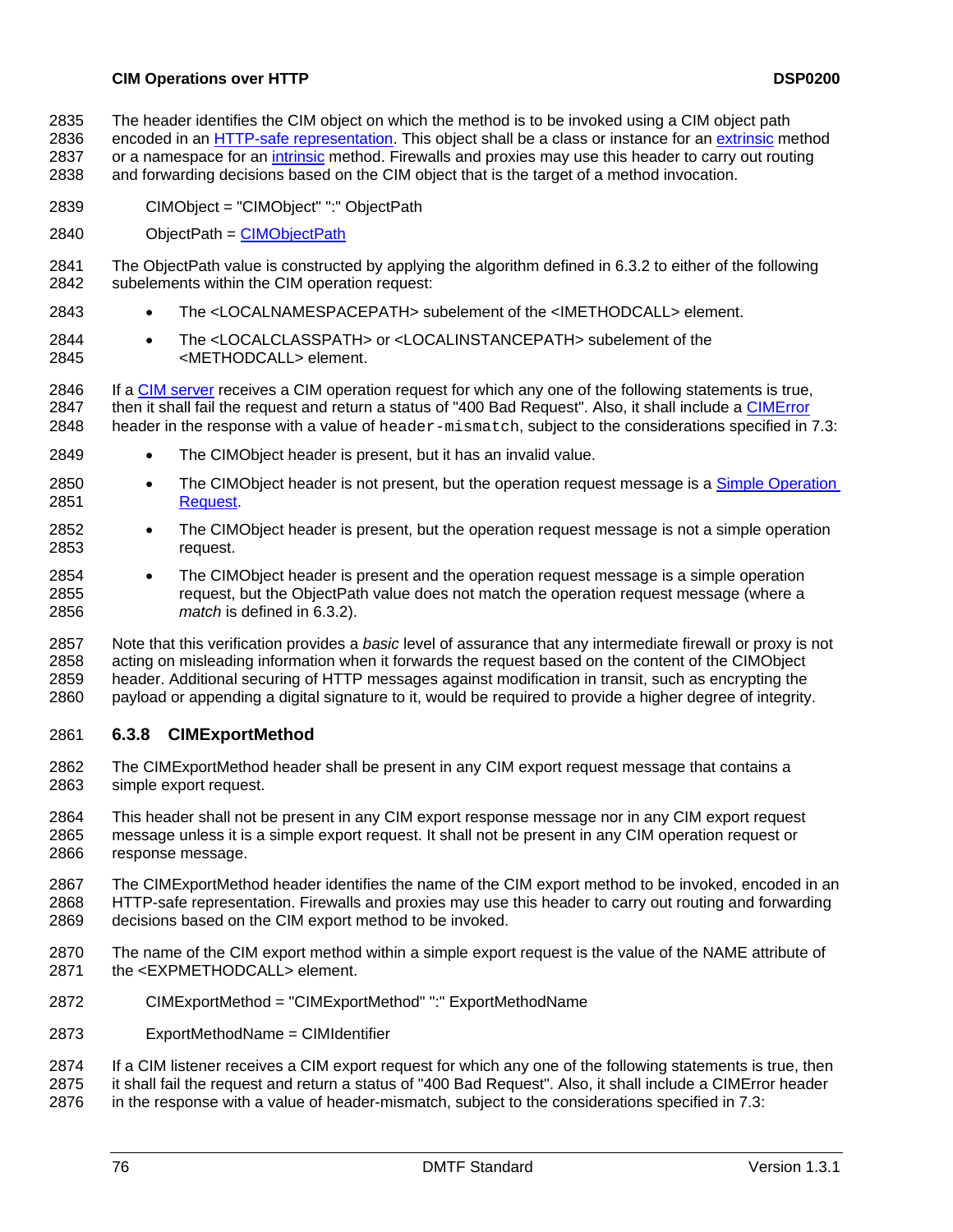#### **CIM Operations over HTTP DESP0200**

The header identifies the CIM object on which the method is to be invoked using a CIM object path encoded in an [HTTP-safe representation.](#page-71-0) This object shall be a class or instance for an [extrinsic](#page-14-0) method 2835 or a namespace for an *intrinsic* method. Firewalls and proxies may use this header to carry out routing 2836 2837

and forwarding decisions based on the CIM object that is the target of a method invocation. 2838

- 2839 CIMObject = "CIMObject" ":" ObjectPath
- 2840 ObjectPath = [CIMObjectPath](#page-72-0)
- 2841 2842 The ObjectPath value is constructed by applying the algorithm defined in [6.3.2](#page-71-1) to either of the following subelements within the CIM operation request:
- 2843 • The <LOCALNAMESPACEPATH> subelement of the <IMETHODCALL> element.

```
2844 
2845 
           • The <LOCALCLASSPATH> or <LOCALINSTANCEPATH> subelement of the 
               <METHODCALL> element.
```
- If a [CIM server](#page-68-0) receives a CIM operation request for which any one of the following statements is true, then it shall fail the request and return a status of "400 Bad Request". Also, it shall include a *[CIMError](#page-77-0)* 2846 header in the response with a value of header-mismatch, subject to the considerations specified in [7.3:](#page-83-0) 2847 2848
- 2849 The CIMObject header is present, but it has an invalid value.
- 2850 The CIMObject header is not present, but the operation request message is a Simple Operation 2851 [Request](#page-13-0).
- 2852 2853 • The CIMObject header is present, but the operation request message is not a simple operation request.
- 2854 2855 2856 • The CIMObject header is present and the operation request message is a simple operation request, but the ObjectPath value does not match the operation request message (where a match is defined in [6.3.2\)](#page-71-1).
- 2857 2858 2859 2860 Note that this verification provides a *basic* level of assurance that any intermediate firewall or proxy is not acting on misleading information when it forwards the request based on the content of the CIMObject header. Additional securing of HTTP messages against modification in transit, such as encrypting the payload or appending a digital signature to it, would be required to provide a higher degree of integrity.

# 2861 **6.3.8 CIMExportMethod**

- 2862 2863 The CIMExportMethod header shall be present in any CIM export request message that contains a simple export request.
- 2864 2865 2866 This header shall not be present in any CIM export response message nor in any CIM export request message unless it is a simple export request. It shall not be present in any CIM operation request or response message.
- 2867 2868 2869 The CIMExportMethod header identifies the name of the CIM export method to be invoked, encoded in an HTTP-safe representation. Firewalls and proxies may use this header to carry out routing and forwarding decisions based on the CIM export method to be invoked.
- 2870 2871 The name of the CIM export method within a simple export request is the value of the NAME attribute of the <EXPMETHODCALL> element.
- 2872 CIMExportMethod = "CIMExportMethod" ":" ExportMethodName
- 2873 ExportMethodName = CIMIdentifier

2874 2875 If a CIM listener receives a CIM export request for which any one of the following statements is true, then it shall fail the request and return a status of "400 Bad Request". Also, it shall include a CIMError header

2876 in the response with a value of header-mismatch, subject to the considerations specified in [7.3:](#page-83-0)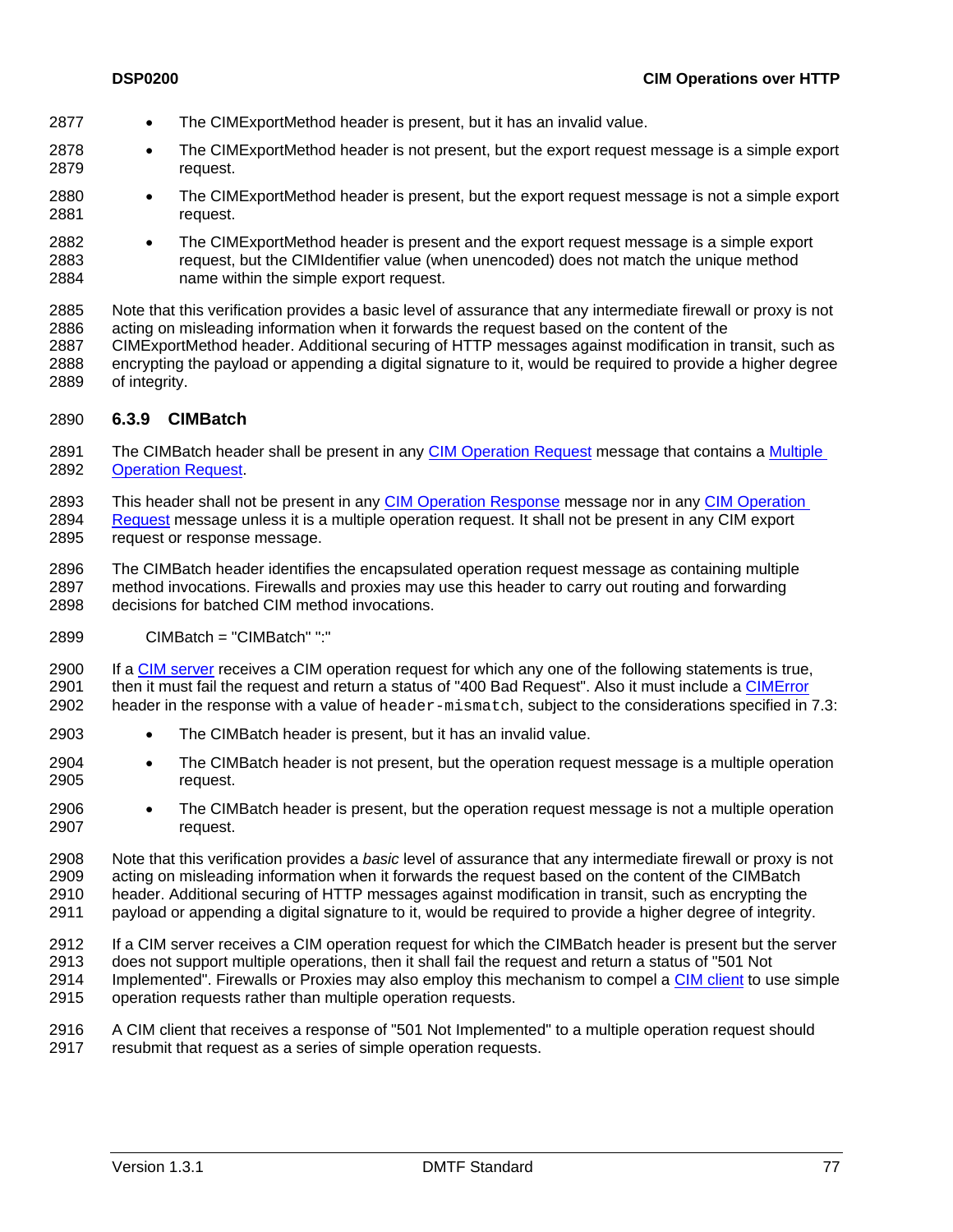- 2877 The CIMExportMethod header is present, but it has an invalid value.
- 2878 2879 • The CIMExportMethod header is not present, but the export request message is a simple export request.
- 2880 2881 • The CIMExportMethod header is present, but the export request message is not a simple export request.
- 2882 2883 2884 • The CIMExportMethod header is present and the export request message is a simple export request, but the CIMIdentifier value (when unencoded) does not match the unique method name within the simple export request.
- 2885 2886 2887 2888 2889 Note that this verification provides a basic level of assurance that any intermediate firewall or proxy is not acting on misleading information when it forwards the request based on the content of the CIMExportMethod header. Additional securing of HTTP messages against modification in transit, such as encrypting the payload or appending a digital signature to it, would be required to provide a higher degree of integrity.

#### 2890 **6.3.9 CIMBatch**

2891 The CIMBatch header shall be present in any [CIM Operation Request](#page-68-0) message that contains a [Multiple](#page-13-0)  2892 [Operation Request.](#page-13-0)

- 2893 This header shall not be present in any [CIM Operation Response](#page-68-0) message nor in any [CIM Operation](#page-68-0)  [Request](#page-68-0) message unless it is a multiple operation request. It shall not be present in any CIM export request or response message. 2894 2895
- 2896 2897 2898 The CIMBatch header identifies the encapsulated operation request message as containing multiple method invocations. Firewalls and proxies may use this header to carry out routing and forwarding decisions for batched CIM method invocations.
- 2899 CIMBatch = "CIMBatch" ":"
- If a [CIM server](#page-68-0) receives a CIM operation request for which any one of the following statements is true, then it must fail the request and return a status of "400 Bad Request". Also it must include a [CIMError](#page-77-0) 2900 header in the response with a value of header-mismatch, subject to the considerations specified in [7.3:](#page-83-0) 2901 2902
- 2903 The CIMBatch header is present, but it has an invalid value.
- 2904 2905 • The CIMBatch header is not present, but the operation request message is a multiple operation request.
- 2906 2907 • The CIMBatch header is present, but the operation request message is not a multiple operation request.
- 2908 2909 2910 2911 Note that this verification provides a *basic* level of assurance that any intermediate firewall or proxy is not acting on misleading information when it forwards the request based on the content of the CIMBatch header. Additional securing of HTTP messages against modification in transit, such as encrypting the payload or appending a digital signature to it, would be required to provide a higher degree of integrity.
- 2912 2913 If a CIM server receives a CIM operation request for which the CIMBatch header is present but the server does not support multiple operations, then it shall fail the request and return a status of "501 Not
- Implemented". Firewalls or Proxies may also employ this mechanism to compel a [CIM client](#page-68-0) to use simple operation requests rather than multiple operation requests. 2914 2915
- 2916 2917 A CIM client that receives a response of "501 Not Implemented" to a multiple operation request should resubmit that request as a series of simple operation requests.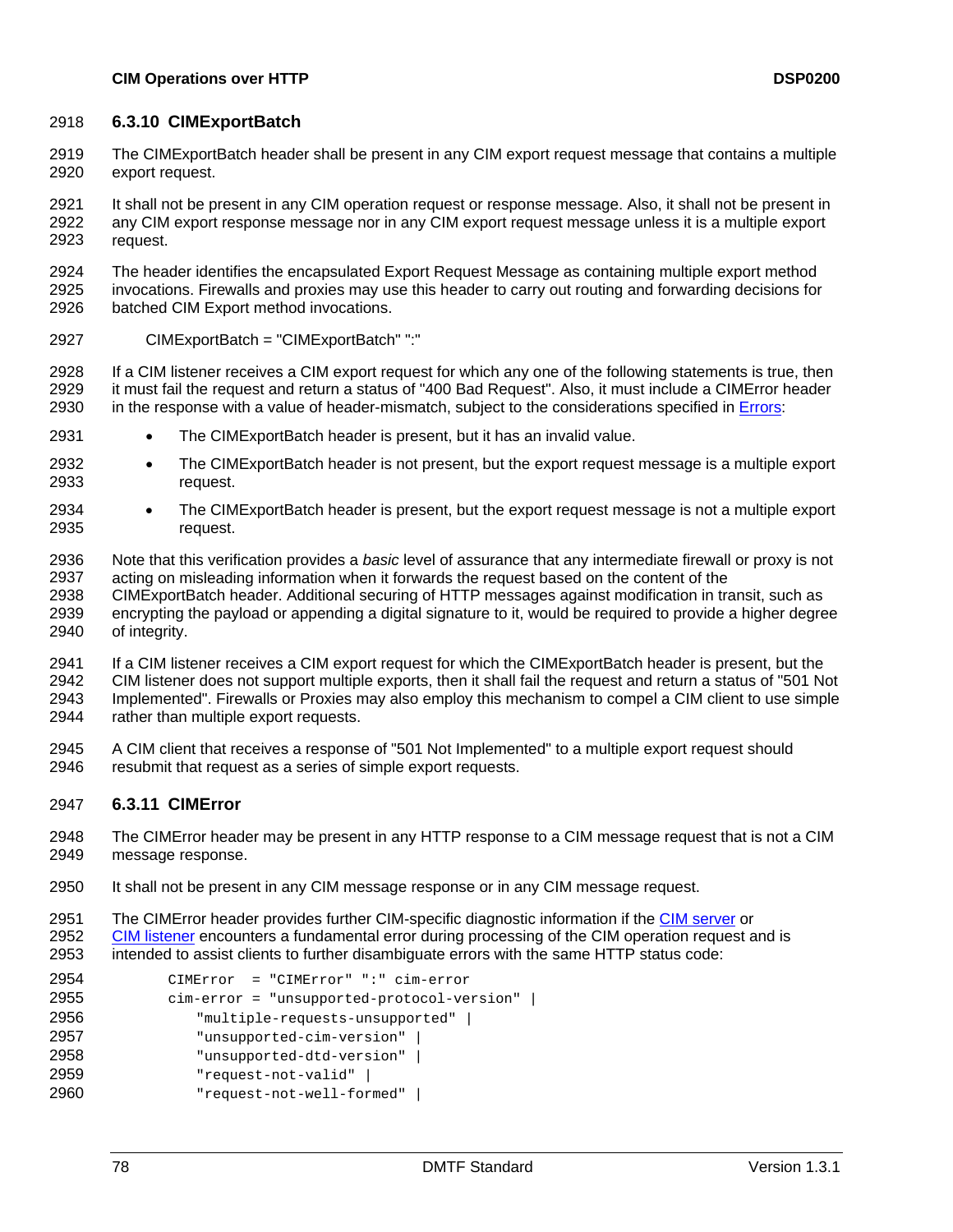# <span id="page-77-0"></span>2918 **6.3.10 CIMExportBatch**

- The CIMExportBatch header shall be present in any CIM export request message that contains a multiple export request. 2919 2920
- 2921 2922 2923 It shall not be present in any CIM operation request or response message. Also, it shall not be present in any CIM export response message nor in any CIM export request message unless it is a multiple export request.

2924 2925 2926 The header identifies the encapsulated Export Request Message as containing multiple export method invocations. Firewalls and proxies may use this header to carry out routing and forwarding decisions for batched CIM Export method invocations.

2927 CIMExportBatch = "CIMExportBatch" ":"

2928 2929 If a CIM listener receives a CIM export request for which any one of the following statements is true, then it must fail the request and return a status of "400 Bad Request". Also, it must include a CIMError header 2930 in the response with a value of header-mismatch, subject to the considerations specified in [Errors](#page-83-1):

- 2931 • The CIMExportBatch header is present, but it has an invalid value.
- 2932 2933 • The CIMExportBatch header is not present, but the export request message is a multiple export request.
- 2934 2935 • The CIMExportBatch header is present, but the export request message is not a multiple export request.
- 2936 2937 Note that this verification provides a *basic* level of assurance that any intermediate firewall or proxy is not acting on misleading information when it forwards the request based on the content of the
- 2938 2939 2940 CIMExportBatch header. Additional securing of HTTP messages against modification in transit, such as encrypting the payload or appending a digital signature to it, would be required to provide a higher degree of integrity.
- 2941 2942 2943 2944 If a CIM listener receives a CIM export request for which the CIMExportBatch header is present, but the CIM listener does not support multiple exports, then it shall fail the request and return a status of "501 Not Implemented". Firewalls or Proxies may also employ this mechanism to compel a CIM client to use simple rather than multiple export requests.
- 2945 2946 A CIM client that receives a response of "501 Not Implemented" to a multiple export request should resubmit that request as a series of simple export requests.

# 2947 **6.3.11 CIMError**

2948 2949 The CIMError header may be present in any HTTP response to a CIM message request that is not a CIM message response.

- 2950 It shall not be present in any CIM message response or in any CIM message request.
- 2951 The CIMError header provides further CIM-specific diagnostic information if the [CIM server](#page-68-0) or [CIM listener](#page-68-0) encounters a fundamental error during processing of the CIM operation request and is intended to assist clients to further disambiguate errors with the same HTTP status code: 2952 2953

| 2954 | CIMError = "CIMError" ":" cim-error          |
|------|----------------------------------------------|
| 2955 | $cim-error = "unsupported-protocol-version"$ |
| 2956 | "multiple-requests-unsupported"              |
| 2957 | "unsupported-cim-version"                    |
| 2958 | "unsupported-dtd-version"                    |
| 2959 | "request-not-valid"                          |
| 2960 | "request-not-well-formed"                    |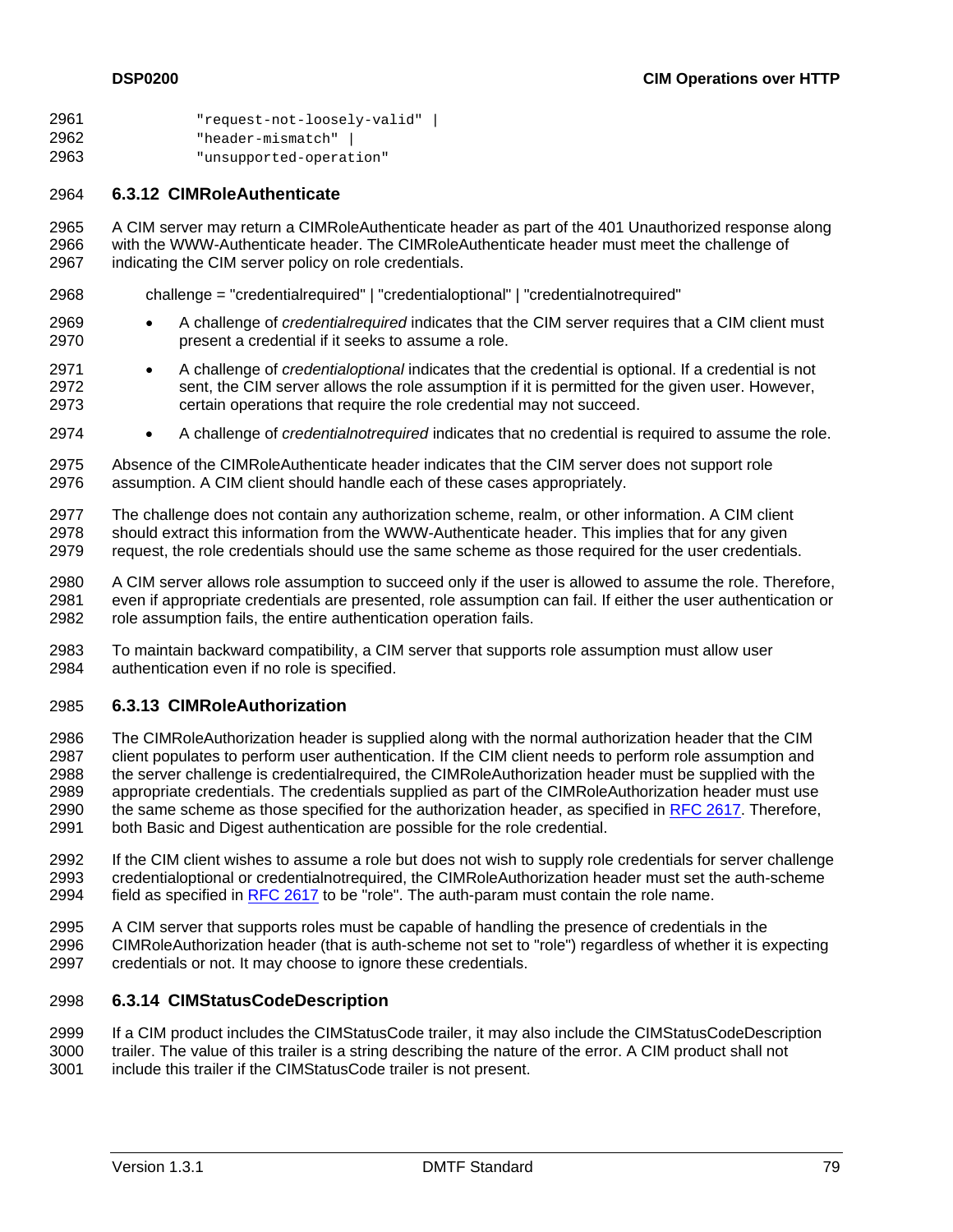| 2961 | "request-not-loosely-valid" |
|------|-----------------------------|
| 2962 | " $header-mismatch"$        |
| 2963 | "unsupported-operation"     |

#### 2964 **6.3.12 CIMRoleAuthenticate**

2965 2966 2967 A CIM server may return a CIMRoleAuthenticate header as part of the 401 Unauthorized response along with the WWW-Authenticate header. The CIMRoleAuthenticate header must meet the challenge of indicating the CIM server policy on role credentials.

- 2968 challenge = "credentialrequired" | "credentialoptional" | "credentialnotrequired"
- 2969 2970 • A challenge of *credentialrequired* indicates that the CIM server requires that a CIM client must present a credential if it seeks to assume a role.
- 2971 2972 2973 • A challenge of *credentialoptional* indicates that the credential is optional. If a credential is not sent, the CIM server allows the role assumption if it is permitted for the given user. However, certain operations that require the role credential may not succeed.
- 2974 • A challenge of *credentialnotrequired* indicates that no credential is required to assume the role.
- 2975 2976 Absence of the CIMRoleAuthenticate header indicates that the CIM server does not support role assumption. A CIM client should handle each of these cases appropriately.
- 2977 2978 2979 The challenge does not contain any authorization scheme, realm, or other information. A CIM client should extract this information from the WWW-Authenticate header. This implies that for any given request, the role credentials should use the same scheme as those required for the user credentials.
- 2980 2981 2982 A CIM server allows role assumption to succeed only if the user is allowed to assume the role. Therefore, even if appropriate credentials are presented, role assumption can fail. If either the user authentication or role assumption fails, the entire authentication operation fails.
- 2983 2984 To maintain backward compatibility, a CIM server that supports role assumption must allow user authentication even if no role is specified.

#### 2985 **6.3.13 CIMRoleAuthorization**

2986 2987 2988 2989 The CIMRoleAuthorization header is supplied along with the normal authorization header that the CIM client populates to perform user authentication. If the CIM client needs to perform role assumption and the server challenge is credentialrequired, the CIMRoleAuthorization header must be supplied with the appropriate credentials. The credentials supplied as part of the CIMRoleAuthorization header must use the same scheme as those specified for the authorization header, as specified in [RFC 2617](#page-9-0). Therefore, both Basic and Digest authentication are possible for the role credential. 2990 2991

- 2992 2993 If the CIM client wishes to assume a role but does not wish to supply role credentials for server challenge credentialoptional or credentialnotrequired, the CIMRoleAuthorization header must set the auth-scheme 2994 field as specified in [RFC 2617](#page-9-0) to be "role". The auth-param must contain the role name.
- 2995 2996 A CIM server that supports roles must be capable of handling the presence of credentials in the CIMRoleAuthorization header (that is auth-scheme not set to "role") regardless of whether it is expecting
- 2997 credentials or not. It may choose to ignore these credentials.

# 2998 **6.3.14 CIMStatusCodeDescription**

2999 If a CIM product includes the CIMStatusCode trailer, it may also include the CIMStatusCodeDescription

3000 3001 trailer. The value of this trailer is a string describing the nature of the error. A CIM product shall not include this trailer if the CIMStatusCode trailer is not present.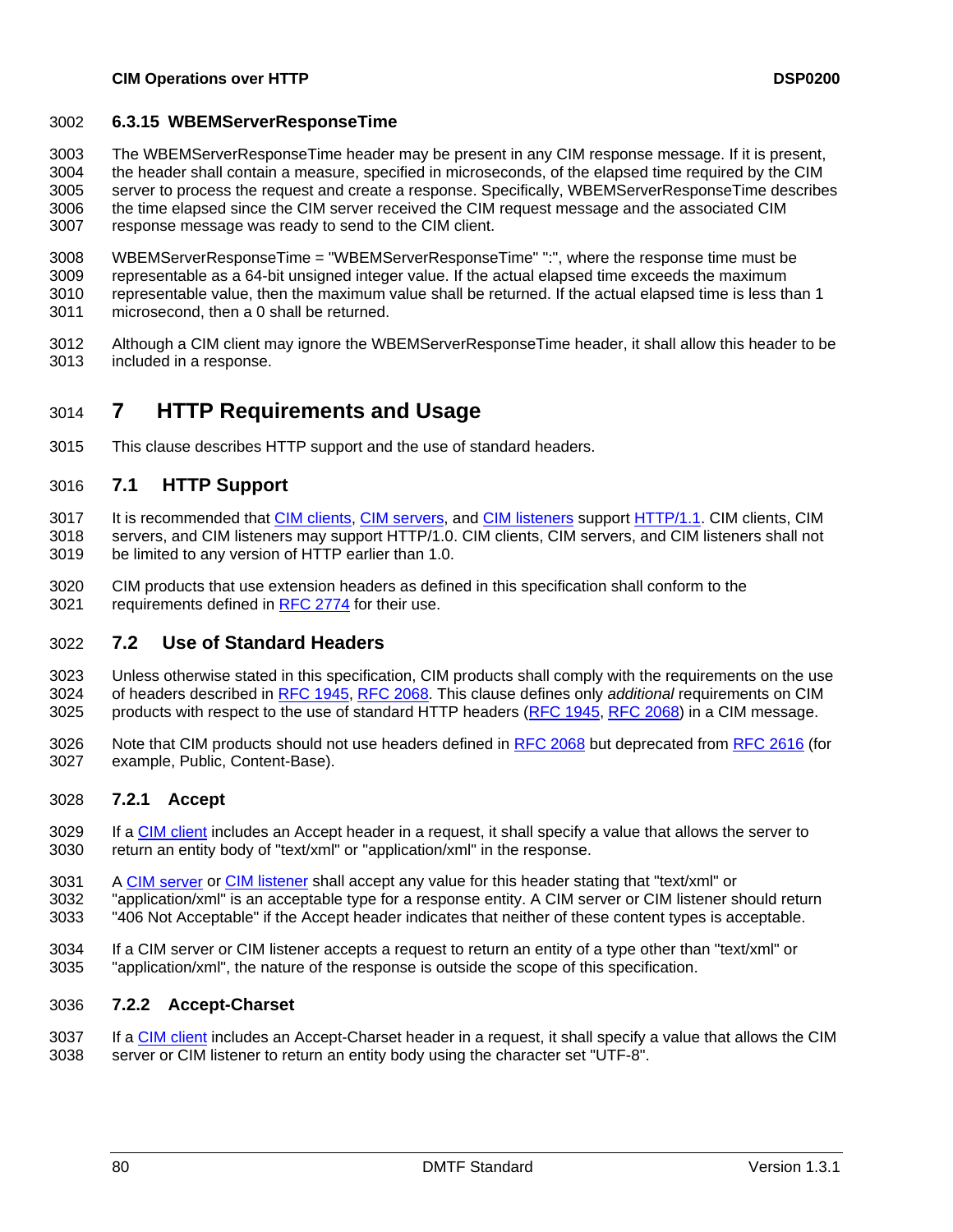#### 3002 **6.3.15 WBEMServerResponseTime**

The WBEMServerResponseTime header may be present in any CIM response message. If it is present, the header shall contain a measure, specified in microseconds, of the elapsed time required by the CIM server to process the request and create a response. Specifically, WBEMServerResponseTime describes the time elapsed since the CIM server received the CIM request message and the associated CIM response message was ready to send to the CIM client. 3003 3004 3005 3006 3007

3008 3009 3010 3011 WBEMServerResponseTime = "WBEMServerResponseTime" ":", where the response time must be representable as a 64-bit unsigned integer value. If the actual elapsed time exceeds the maximum representable value, then the maximum value shall be returned. If the actual elapsed time is less than 1 microsecond, then a 0 shall be returned.

3012 3013 Although a CIM client may ignore the WBEMServerResponseTime header, it shall allow this header to be included in a response.

# 3014 **7 HTTP Requirements and Usage**

3015 This clause describes HTTP support and the use of standard headers.

# 3016 **7.1 HTTP Support**

- It is recommended that [CIM clients, CIM servers](#page-68-0), and [CIM listeners](#page-68-0) support [HTTP/1.1](#page-8-0). CIM clients, CIM servers, and CIM listeners may support HTTP/1.0. CIM clients, CIM servers, and CIM listeners shall not be limited to any version of HTTP earlier than 1.0. 3017 3018 3019
- 3020 CIM products that use extension headers as defined in this specification shall conform to the 3021 requirements defined in [RFC 2774](#page-9-0) for their use.

# 3022 **7.2 Use of Standard Headers**

- 3023 Unless otherwise stated in this specification, CIM products shall comply with the requirements on the use of headers described in [RFC 1945](#page-8-0), [RFC 2068.](#page-8-0) This clause defines only *additional* requirements on CIM 3025 products with respect to the use of standard HTTP headers ([RFC 1945,](#page-8-0) [RFC 2068\)](#page-8-0) in a CIM message. 3024
- Note that CIM products should not use headers defined in [RFC 2068](#page-8-0) but deprecated from [RFC 2616](#page-9-0) (for example, Public, Content-Base). 3026 3027

# 3028 **7.2.1 Accept**

- If a [CIM client](#page-68-0) includes an Accept header in a request, it shall specify a value that allows the server to return an entity body of "text/xml" or "application/xml" in the response. 3029 3030
- A [CIM server](#page-68-0) or [CIM listener](#page-68-0) shall accept any value for this header stating that "text/xml" or 3031
- "application/xml" is an acceptable type for a response entity. A CIM server or CIM listener should return "406 Not Acceptable" if the Accept header indicates that neither of these content types is acceptable. 3032 3033
- 3034 3035 If a CIM server or CIM listener accepts a request to return an entity of a type other than "text/xml" or "application/xml", the nature of the response is outside the scope of this specification.

#### 3036 **7.2.2 Accept-Charset**

If a [CIM client](#page-68-0) includes an Accept-Charset header in a request, it shall specify a value that allows the CIM server or CIM listener to return an entity body using the character set "UTF-8". 3037 3038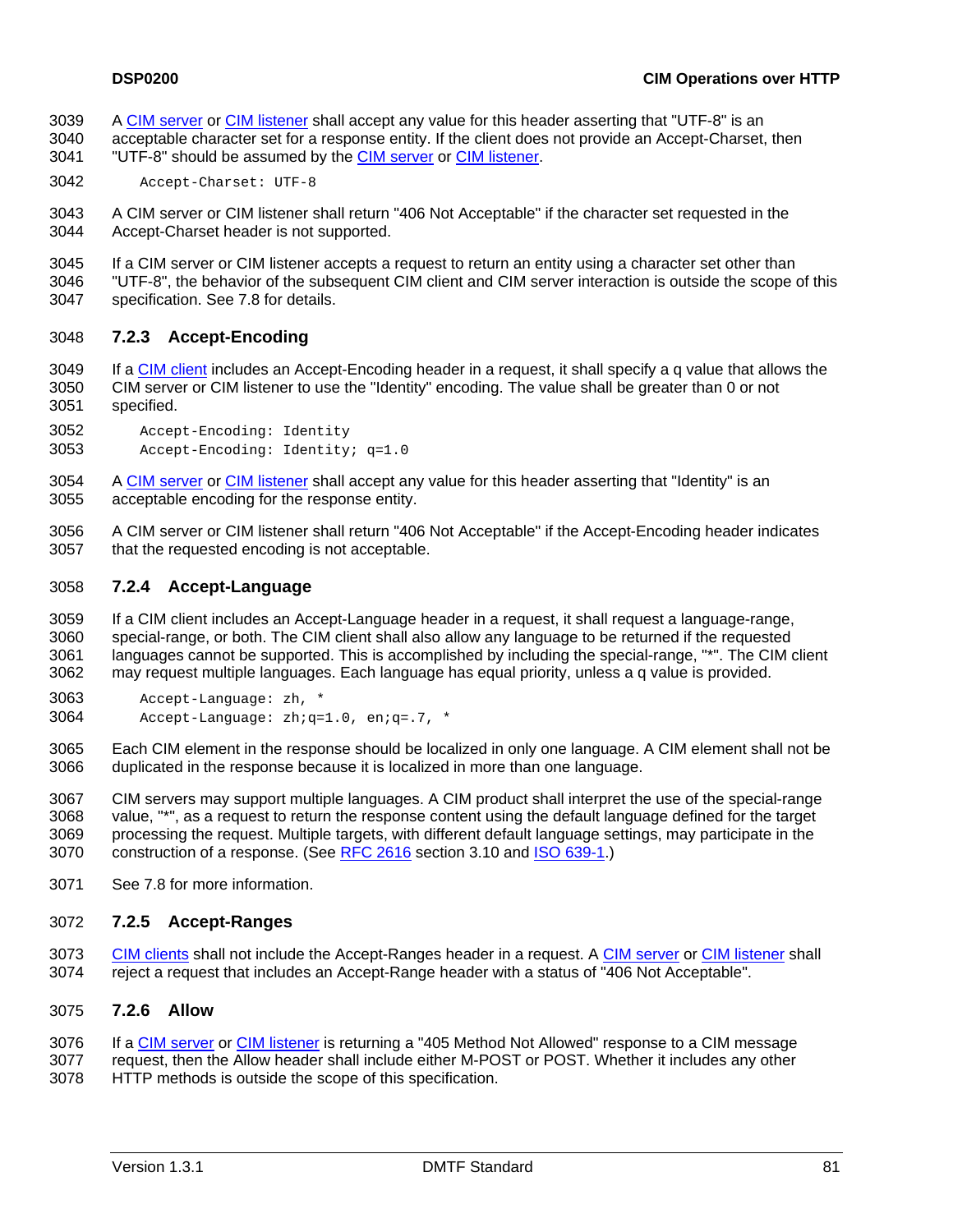- <span id="page-80-0"></span>A [CIM server](#page-68-0) or [CIM listener](#page-68-0) shall accept any value for this header asserting that "UTF-8" is an acceptable character set for a response entity. If the client does not provide an Accept-Charset, then 3039 3040
- "UTF-8" should be assumed by the 3041 [CIM server](#page-68-0) or [CIM listener](#page-68-0).
- 3042 Accept-Charset: UTF-8
- 3043 3044 A CIM server or CIM listener shall return "406 Not Acceptable" if the character set requested in the Accept-Charset header is not supported.
- 3045 If a CIM server or CIM listener accepts a request to return an entity using a character set other than
- 3046 3047 "UTF-8", the behavior of the subsequent CIM client and CIM server interaction is outside the scope of this specification. See [7.8](#page-90-0) for details.

# 3048 **7.2.3 Accept-Encoding**

- If a [CIM client](#page-68-0) includes an Accept-Encoding header in a request, it shall specify a q value that allows the CIM server or CIM listener to use the "Identity" encoding. The value shall be greater than 0 or not specified. 3049 3050 3051
- 3052 3053 Accept-Encoding: Identity Accept-Encoding: Identity; q=1.0
- A [CIM server](#page-68-0) or [CIM listener](#page-68-0) shall accept any value for this header asserting that "Identity" is an acceptable encoding for the response entity. 3054 3055
- 3056 3057 A CIM server or CIM listener shall return "406 Not Acceptable" if the Accept-Encoding header indicates that the requested encoding is not acceptable.

# 3058 **7.2.4 Accept-Language**

- 3059 3060 3061 3062 If a CIM client includes an Accept-Language header in a request, it shall request a language-range, special-range, or both. The CIM client shall also allow any language to be returned if the requested languages cannot be supported. This is accomplished by including the special-range, "\*". The CIM client may request multiple languages. Each language has equal priority, unless a q value is provided.
- 3063 3064 Accept-Language: zh, \* Accept-Language: zh;q=1.0, en;q=.7, \*
- 3065 3066 Each CIM element in the response should be localized in only one language. A CIM element shall not be duplicated in the response because it is localized in more than one language.
- 3067 3068 3069 CIM servers may support multiple languages. A CIM product shall interpret the use of the special-range value, "\*", as a request to return the response content using the default language defined for the target processing the request. Multiple targets, with different default language settings, may participate in the 3070 construction of a response. (See [RFC 2616](#page-9-0) section 3.10 and [ISO 639-1.](http://www.loc.gov/standards/iso639-2/englangn.html))
- 3071 See [7.8](#page-90-0) for more information.

# 3072 **7.2.5 Accept-Ranges**

[CIM clients](#page-68-0) shall not include the Accept-Ranges header in a request. A [CIM server](#page-68-0) or [CIM listener](#page-68-0) shall reject a request that includes an Accept-Range header with a status of "406 Not Acceptable". 3073 3074

# 3075 **7.2.6 Allow**

- If a [CIM server](#page-68-0) or [CIM listener](#page-68-0) is returning a "405 Method Not Allowed" response to a CIM message request, then the Allow header shall include either M-POST or POST. Whether it includes any other 3076 3077
- HTTP methods is outside the scope of this specification. 3078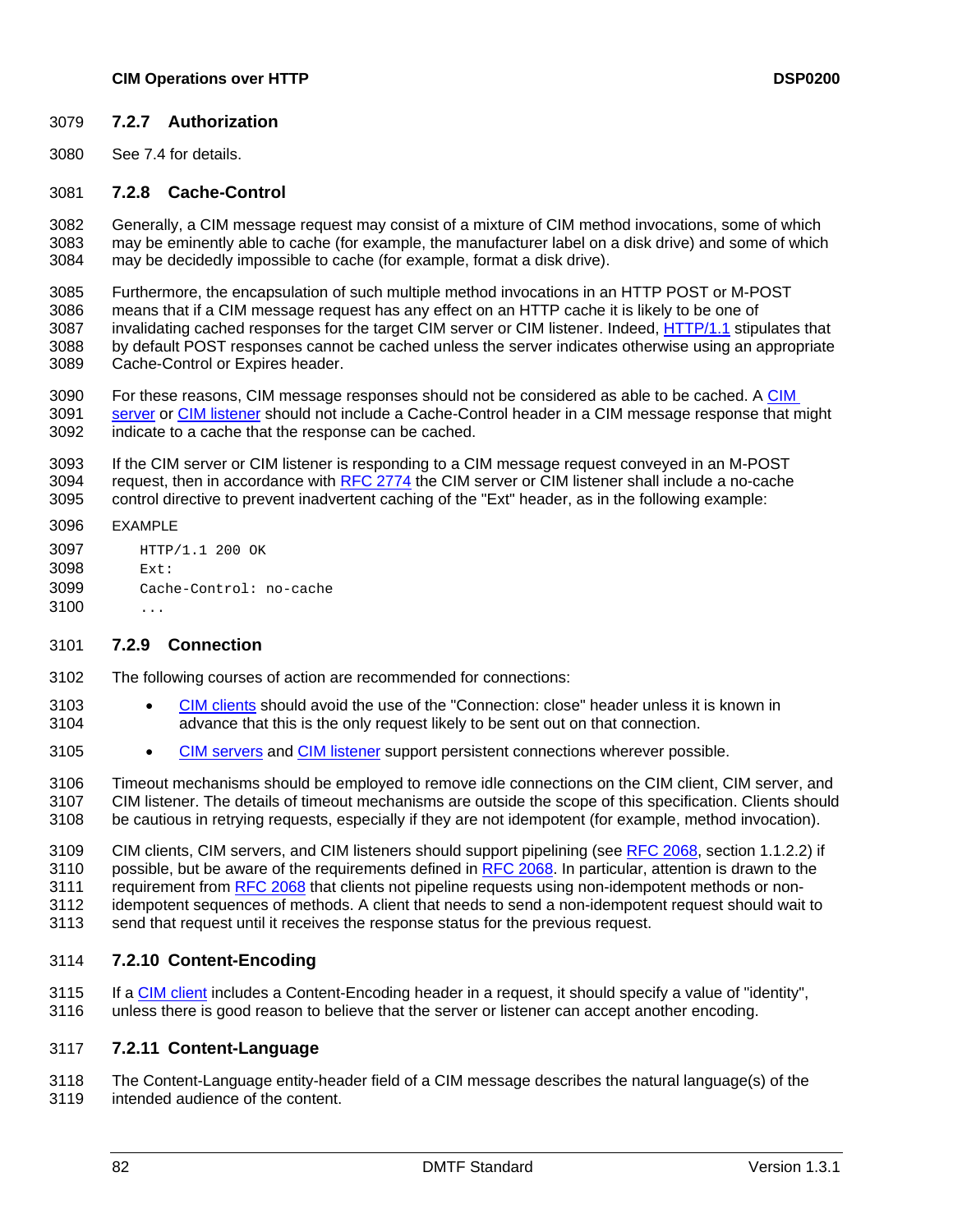### <span id="page-81-1"></span>3079 **7.2.7 Authorization**

3080 See [7.4](#page-84-0) for details.

# <span id="page-81-0"></span>3081 **7.2.8 Cache-Control**

3082 3083 3084 Generally, a CIM message request may consist of a mixture of CIM method invocations, some of which may be eminently able to cache (for example, the manufacturer label on a disk drive) and some of which may be decidedly impossible to cache (for example, format a disk drive).

3085 3086 Furthermore, the encapsulation of such multiple method invocations in an HTTP POST or M-POST means that if a CIM message request has any effect on an HTTP cache it is likely to be one of invalidating cached responses for the target CIM server or CIM listener. Indeed, [HTTP/1.1](#page-8-0) stipulates that by default POST responses cannot be cached unless the server indicates otherwise using an appropriate Cache-Control or Expires header. 3087 3088 3089

3090 For these reasons, [CIM](#page-68-0) message responses should not be considered as able to be cached. A CIM [server](#page-68-0) or [CIM listener](#page-68-0) should not include a Cache-Control header in a CIM message response that might indicate to a cache that the response can be cached. 3091 3092

3093 If the CIM server or CIM listener is responding to a CIM message request conveyed in an M-POST request, then in accordance with [RFC 2774](#page-9-0) the CIM server or CIM listener shall include a no-cache control directive to prevent inadvertent caching of the "Ext" header, as in the following example: 3094 3095

```
3096 
        EXAMPLE
```
3097 3098 3099 3100 HTTP/1.1 200 OK Ext: Cache-Control: no-cache

# 3101 **7.2.9 Connection**

- 3102 The following courses of action are recommended for connections:
- [CIM clients](#page-68-0) should avoid the use of the "Connection: close" header unless it is known in advance that this is the only request likely to be sent out on that connection. 3103 3104
- 3105 [CIM servers](#page-68-0) and [CIM listener](#page-68-0) support persistent connections wherever possible.

3106 3107 3108 Timeout mechanisms should be employed to remove idle connections on the CIM client, CIM server, and CIM listener. The details of timeout mechanisms are outside the scope of this specification. Clients should be cautious in retrying requests, especially if they are not idempotent (for example, method invocation).

CIM clients, CIM servers, and CIM listeners should support pipelining (see [RFC 2068](#page-8-0), section 1.1.2.2) if possible, but be aware of the requirements defined in [RFC 2068.](#page-8-0) In particular, attention is drawn to the 3109 requirement from [RFC 2068](#page-8-0) that clients not pipeline requests using non-idempotent methods or non-3110 idempotent sequences of methods. A client that needs to send a non-idempotent request should wait to send that request until it receives the response status for the previous request. 3111 3112 3113

# 3114 **7.2.10 Content-Encoding**

If a [CIM client](#page-68-0) includes a Content-Encoding header in a request, it should specify a value of "identity", unless there is good reason to believe that the server or listener can accept another encoding. 3115 3116

# 3117 **7.2.11 Content-Language**

3118 3119 The Content-Language entity-header field of a CIM message describes the natural language(s) of the intended audience of the content.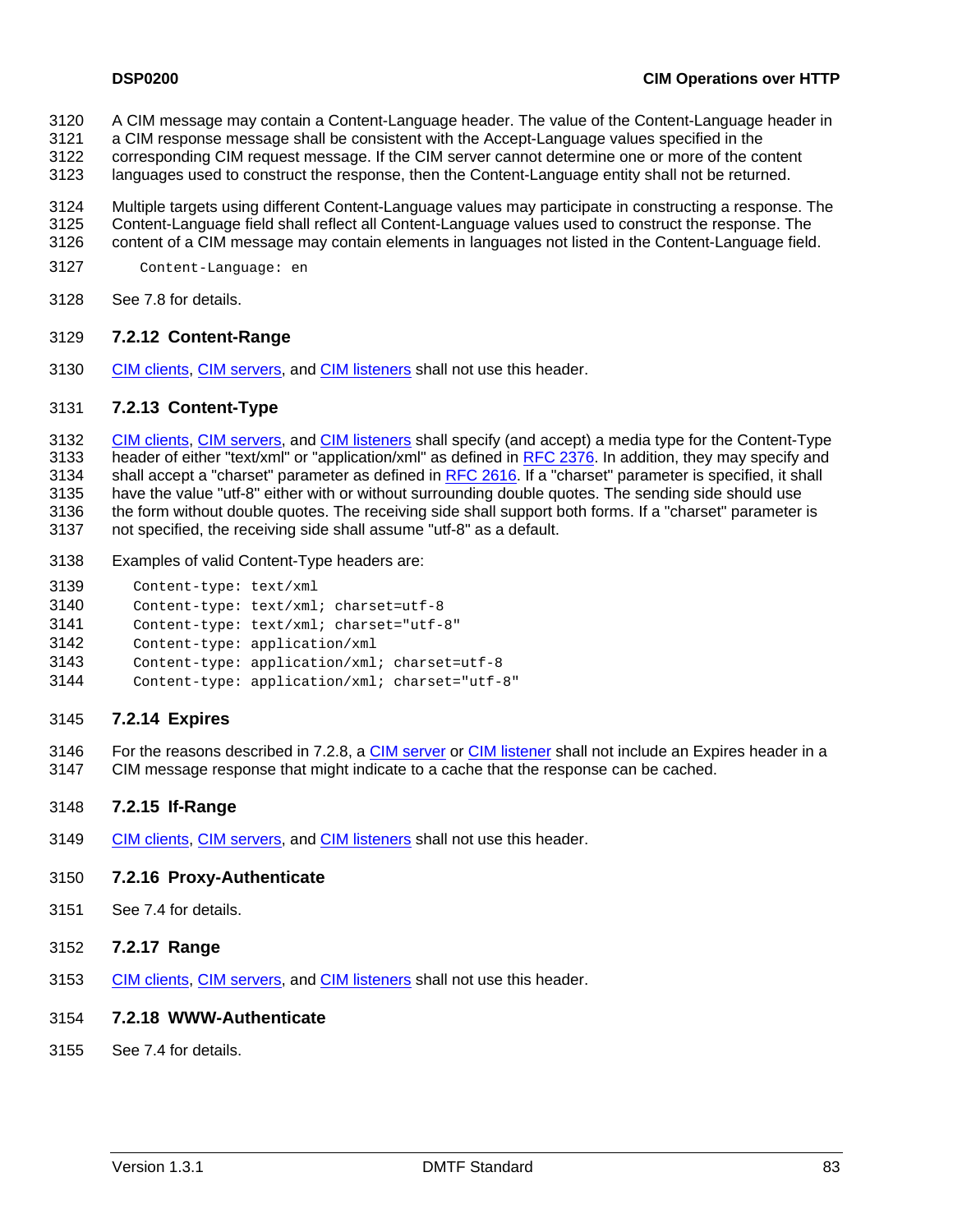- A CIM message may contain a Content-Language header. The value of the Content-Language header in 3120
- a CIM response message shall be consistent with the Accept-Language values specified in the 3121
- corresponding CIM request message. If the CIM server cannot determine one or more of the content 3122
- languages used to construct the response, then the Content-Language entity shall not be returned. 3123
- 3124 3125 3126 Multiple targets using different Content-Language values may participate in constructing a response. The Content-Language field shall reflect all Content-Language values used to construct the response. The content of a CIM message may contain elements in languages not listed in the Content-Language field.
- 3127 Content-Language: en
- 3128 See [7.8](#page-90-0) for details.

# 3129 **7.2.12 Content-Range**

3130 [CIM clients](#page-68-0), [CIM servers,](#page-68-0) and [CIM listeners](#page-68-0) shall not use this header.

# 3131 **7.2.13 Content-Type**

[CIM clients](#page-68-0), [CIM servers,](#page-68-0) and [CIM listeners](#page-68-0) shall specify (and accept) a media type for the Content-Type header of either "text/xml" or "application/xml" as defined in [RFC 2376.](#page-8-0) In addition, they may specify and 3132 shall accept a "charset" parameter as defined in [RFC 2616.](#page-9-0) If a "charset" parameter is specified, it shall 3133 have the value "utf-8" either with or without surrounding double quotes. The sending side should use the form without double quotes. The receiving side shall support both forms. If a "charset" parameter is not specified, the receiving side shall assume "utf-8" as a default. 3134 3135 3136 3137

- 3138 Examples of valid Content-Type headers are:
- 3139 Content-type: text/xml
- 3140 Content-type: text/xml; charset=utf-8
- 3141 Content-type: text/xml; charset="utf-8"
- 3142 Content-type: application/xml
- 3143 3144 Content-type: application/xml; charset=utf-8 Content-type: application/xml; charset="utf-8"
- 

# 3145 **7.2.14 Expires**

For the reasons described in [7.2.8,](#page-81-0) a [CIM server](#page-68-0) or [CIM listener](#page-68-0) shall not include an Expires header in a CIM message response that might indicate to a cache that the response can be cached. 3146 3147

# 3148 **7.2.15 If-Range**

3149 [CIM clients](#page-68-0), [CIM servers,](#page-68-0) and [CIM listeners](#page-68-0) shall not use this header.

#### 3150 **7.2.16 Proxy-Authenticate**

- 3151 See [7.4](#page-84-0) for details.
- 3152 **7.2.17 Range**
- 3153 [CIM clients](#page-68-0), [CIM servers,](#page-68-0) and [CIM listeners](#page-68-0) shall not use this header.

# 3154 **7.2.18 WWW-Authenticate**

3155 See [7.4](#page-84-0) for details.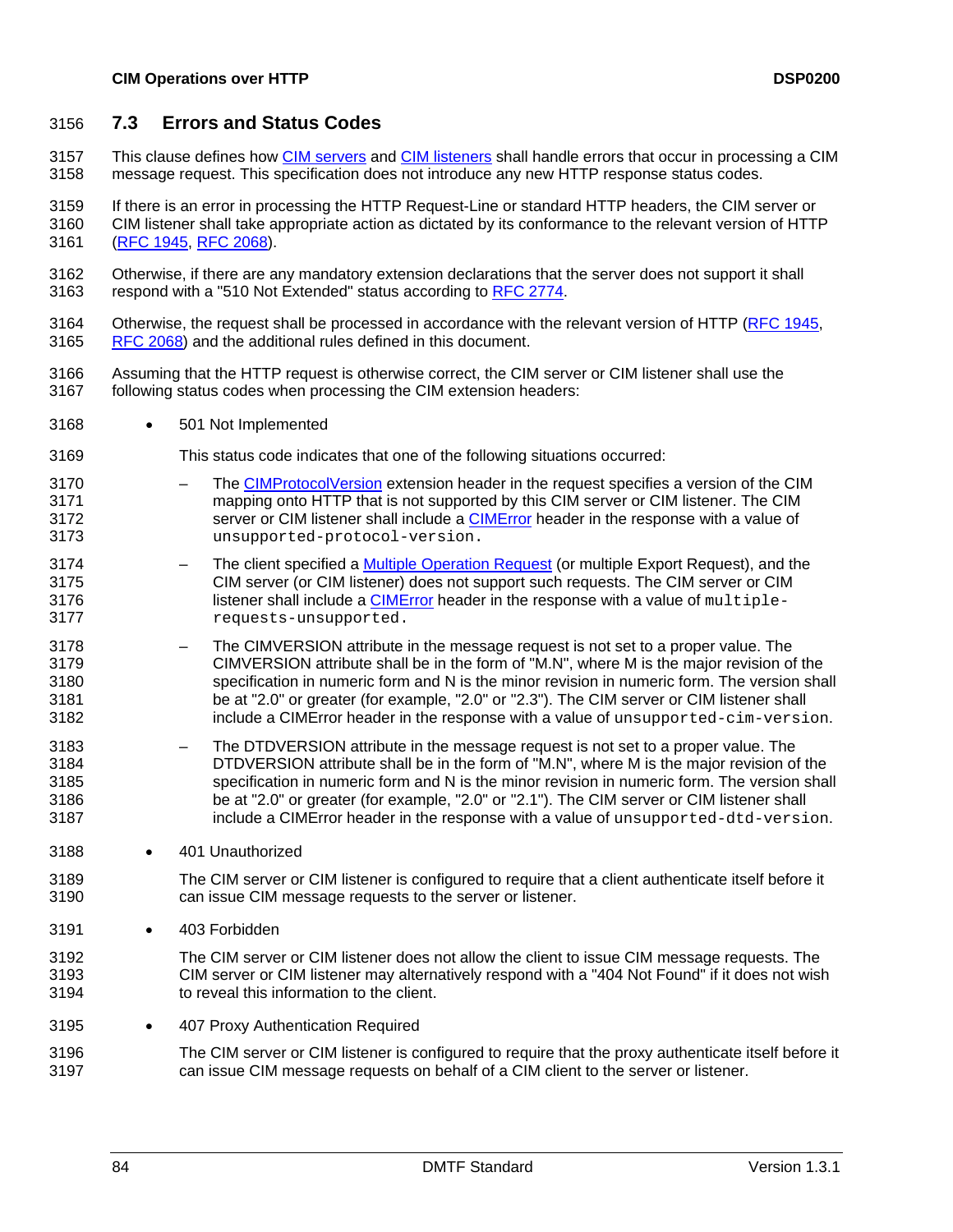# <span id="page-83-1"></span><span id="page-83-0"></span>3156 **7.3 Errors and Status Codes**

This clause defines how [CIM servers](#page-68-0) and [CIM listeners](#page-68-0) shall handle errors that occur in processing a CIM message request. This specification does not introduce any new HTTP response status codes. 3157 3158

3159 3160 If there is an error in processing the HTTP Request-Line or standard HTTP headers, the CIM server or CIM listener shall take appropriate action as dictated by its conformance to the relevant version of HTTP 3161 [\(RFC 1945, RFC 2068](#page-8-0)).

- 3162 Otherwise, if there are any mandatory extension declarations that the server does not support it shall 3163 respond with a "510 Not Extended" status according to [RFC 2774](#page-9-0).
- 3164 Otherwise, the request shall be processed in accordance with the relevant version of HTTP ([RFC 1945](#page-8-0), 3165 [RFC 2068\)](#page-8-0) and the additional rules defined in this document.
- 3166 3167 Assuming that the HTTP request is otherwise correct, the CIM server or CIM listener shall use the following status codes when processing the CIM extension headers:
- 3168 • 501 Not Implemented
- 3169 This status code indicates that one of the following situations occurred:
- The [CIMProtocolVersion](#page-73-0) extension header in the request specifies a version of the CIM mapping onto HTTP that is not supported by this CIM server or CIM listener. The CIM server or CIM listener shall include a **CIMError** header in the response with a value of 3170 3171 unsupported-protocol-version. 3172 3173
- The client specified a [Multiple Operation Request](#page-13-0) (or multiple Export Request), and the CIM server (or CIM listener) does not support such requests. The CIM server or CIM listener shall include a <u>CIMError</u> header in the response with a value of  $\tt{multiple-}$ 3174 3175 requests-unsupported. 3176 3177
- 3178 3179 3180 3181 3182 – The CIMVERSION attribute in the message request is not set to a proper value. The CIMVERSION attribute shall be in the form of "M.N", where M is the major revision of the specification in numeric form and N is the minor revision in numeric form. The version shall be at "2.0" or greater (for example, "2.0" or "2.3"). The CIM server or CIM listener shall include a CIMError header in the response with a value of unsupported-cim-version.
- 3183 3184 3185 3186 3187 – The DTDVERSION attribute in the message request is not set to a proper value. The DTDVERSION attribute shall be in the form of "M.N", where M is the major revision of the specification in numeric form and N is the minor revision in numeric form. The version shall be at "2.0" or greater (for example, "2.0" or "2.1"). The CIM server or CIM listener shall include a CIMError header in the response with a value of unsupported-dtd-version.
- 3188 • 401 Unauthorized
- 3189 3190 The CIM server or CIM listener is configured to require that a client authenticate itself before it can issue CIM message requests to the server or listener.
- 3191 • 403 Forbidden
- 3192 3193 3194 The CIM server or CIM listener does not allow the client to issue CIM message requests. The CIM server or CIM listener may alternatively respond with a "404 Not Found" if it does not wish to reveal this information to the client.
- 3195 • 407 Proxy Authentication Required
- 3196 3197 The CIM server or CIM listener is configured to require that the proxy authenticate itself before it can issue CIM message requests on behalf of a CIM client to the server or listener.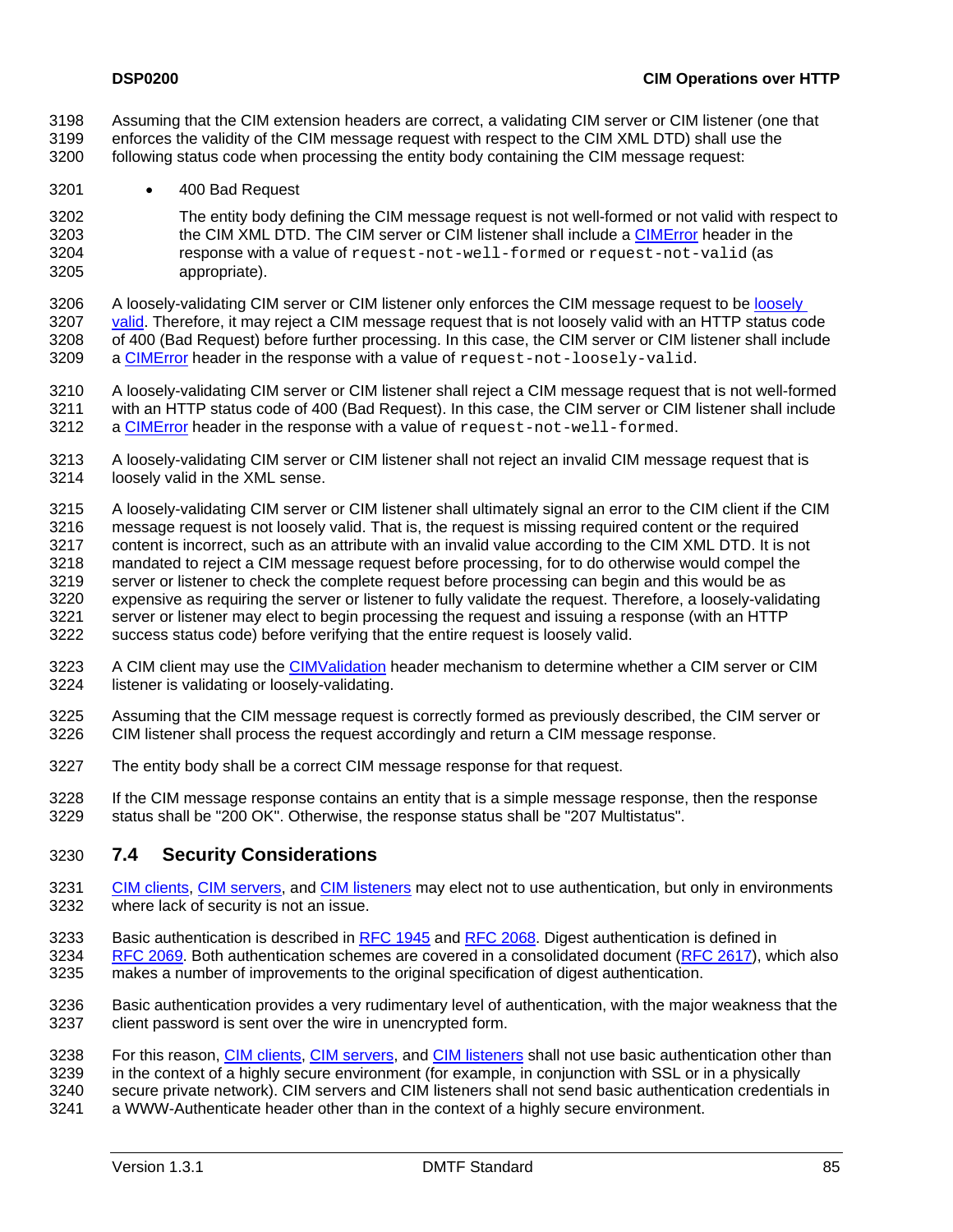Assuming that the CIM extension headers are correct, a validating CIM server or CIM listener (one that enforces the validity of the CIM message request with respect to the CIM XML DTD) shall use the 3198 3199

- following status code when processing the entity body containing the CIM message request: 3200
- 3201 • 400 Bad Request
- 3202 The entity body defining the CIM message request is not well-formed or not valid with respect to the CIM XML DTD. The CIM server or CIM listener shall include a [CIMError](#page-77-0) header in the response with a value of request-not-well-formed or request-not-valid (as appropriate). 3203 3204 3205

3206 A loosely-validating CIM server or CIM listener only enforces the CIM message request to be [loosely](#page-12-0)  [valid.](#page-12-0) Therefore, it may reject a CIM message request that is not loosely valid with an HTTP status code of 400 (Bad Request) before further processing. In this case, the CIM server or CIM listener shall include 3209 a [CIMError](#page-77-0) header in the response with a value of request-not-loosely-valid. 3207 3208

3210 3211 A loosely-validating CIM server or CIM listener shall reject a CIM message request that is not well-formed with an HTTP status code of 400 (Bad Request). In this case, the CIM server or CIM listener shall include 3212 a [CIMError](#page-77-0) header in the response with a value of request-not-well-formed.

- 3213 3214 A loosely-validating CIM server or CIM listener shall not reject an invalid CIM message request that is loosely valid in the XML sense.
- 3215 3216 3217 3218 3219 3220 3221 3222 A loosely-validating CIM server or CIM listener shall ultimately signal an error to the CIM client if the CIM message request is not loosely valid. That is, the request is missing required content or the required content is incorrect, such as an attribute with an invalid value according to the CIM XML DTD. It is not mandated to reject a CIM message request before processing, for to do otherwise would compel the server or listener to check the complete request before processing can begin and this would be as expensive as requiring the server or listener to fully validate the request. Therefore, a loosely-validating server or listener may elect to begin processing the request and issuing a response (with an HTTP success status code) before verifying that the entire request is loosely valid.
- A CIM client may use the [CIMValidation](#page-89-0) header mechanism to determine whether a CIM server or CIM listener is validating or loosely-validating. 3223 3224
- 3225 3226 Assuming that the CIM message request is correctly formed as previously described, the CIM server or CIM listener shall process the request accordingly and return a CIM message response.
- 3227 The entity body shall be a correct CIM message response for that request.
- 3228 3229 If the CIM message response contains an entity that is a simple message response, then the response status shall be "200 OK". Otherwise, the response status shall be "207 Multistatus".

# <span id="page-84-0"></span>3230 **7.4 Security Considerations**

- [CIM clients](#page-68-0), [CIM servers,](#page-68-0) and [CIM listeners](#page-68-0) may elect not to use authentication, but only in environments where lack of security is not an issue. 3231 3232
- 3233 Basic authentication is described in [RFC 1945](#page-8-0) and [RFC 2068](#page-8-0). Digest authentication is defined in [RFC 2069.](#page-8-0) Both authentication schemes are covered in a consolidated document ([RFC 2617](#page-9-0)), which also makes a number of improvements to the original specification of digest authentication. 3234 3235
- 3236 3237 Basic authentication provides a very rudimentary level of authentication, with the major weakness that the client password is sent over the wire in unencrypted form.
- For this reason, [CIM clients, CIM servers](#page-68-0), and [CIM listeners](#page-68-0) shall not use basic authentication other than in the context of a highly secure environment (for example, in conjunction with SSL or in a physically secure private network). CIM servers and CIM listeners shall not send basic authentication credentials in 3238 3239 3240
- a WWW-Authenticate header other than in the context of a highly secure environment. 3241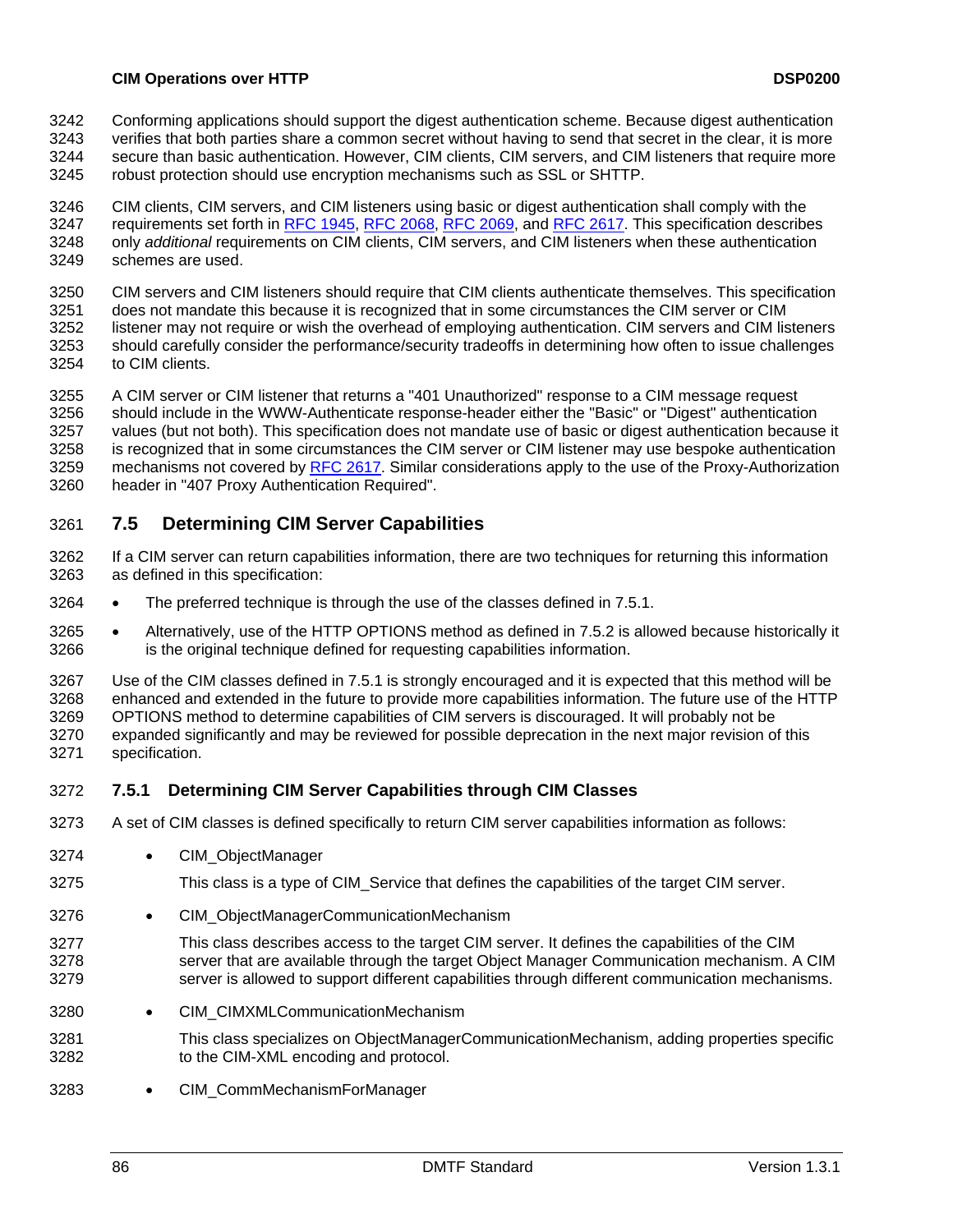- Conforming applications should support the digest authentication scheme. Because digest authentication 3242
- verifies that both parties share a common secret without having to send that secret in the clear, it is more secure than basic authentication. However, CIM clients, CIM servers, and CIM listeners that require more robust protection should use encryption mechanisms such as SSL or SHTTP. 3243 3244 3245
- 3246 CIM clients, CIM servers, and CIM listeners using basic or digest authentication shall comply with the requirements set forth in [RFC 1945](#page-8-0), [RFC 2068](#page-8-0), [RFC 2069,](#page-8-0) and [RFC 2617](#page-9-0). This specification describes only *additional* requirements on CIM clients, CIM servers, and CIM listeners when these authentication schemes are used. 3247 3248 3249
- 3250 3251 3252 3253 3254 CIM servers and CIM listeners should require that CIM clients authenticate themselves. This specification does not mandate this because it is recognized that in some circumstances the CIM server or CIM listener may not require or wish the overhead of employing authentication. CIM servers and CIM listeners should carefully consider the performance/security tradeoffs in determining how often to issue challenges to CIM clients.
- 3255 3256 3257 3258 A CIM server or CIM listener that returns a "401 Unauthorized" response to a CIM message request should include in the WWW-Authenticate response-header either the "Basic" or "Digest" authentication values (but not both). This specification does not mandate use of basic or digest authentication because it is recognized that in some circumstances the CIM server or CIM listener may use bespoke authentication mechanisms not covered by [RFC 2617.](#page-9-0) Similar considerations apply to the use of the Proxy-Authorization header in "407 Proxy Authentication Required". 3259 3260

# <span id="page-85-1"></span>3261 **7.5 Determining CIM Server Capabilities**

- 3262 3263 If a CIM server can return capabilities information, there are two techniques for returning this information as defined in this specification:
- 3264 The preferred technique is through the use of the classes defined in [7.5.1.](#page-85-0)
- 3266 3265 • Alternatively, use of the HTTP OPTIONS method as defined in [7.5.2](#page-87-0) is allowed because historically it is the original technique defined for requesting capabilities information.

3267 3268 3269 3270 3271 Use of the CIM classes defined in [7.5.1](#page-85-0) is strongly encouraged and it is expected that this method will be enhanced and extended in the future to provide more capabilities information. The future use of the HTTP OPTIONS method to determine capabilities of CIM servers is discouraged. It will probably not be expanded significantly and may be reviewed for possible deprecation in the next major revision of this specification.

# <span id="page-85-0"></span>3272 **7.5.1 Determining CIM Server Capabilities through CIM Classes**

- 3273 A set of CIM classes is defined specifically to return CIM server capabilities information as follows:
- 3274 • CIM\_ObjectManager
- 3275 This class is a type of CIM\_Service that defines the capabilities of the target CIM server.
- 3276 • CIM\_ObjectManagerCommunicationMechanism
- 3277 3278 3279 This class describes access to the target CIM server. It defines the capabilities of the CIM server that are available through the target Object Manager Communication mechanism. A CIM server is allowed to support different capabilities through different communication mechanisms.
- 3280 • CIM\_CIMXMLCommunicationMechanism
- 3281 3282 This class specializes on ObjectManagerCommunicationMechanism, adding properties specific to the CIM-XML encoding and protocol.
- 3283 • CIM\_CommMechanismForManager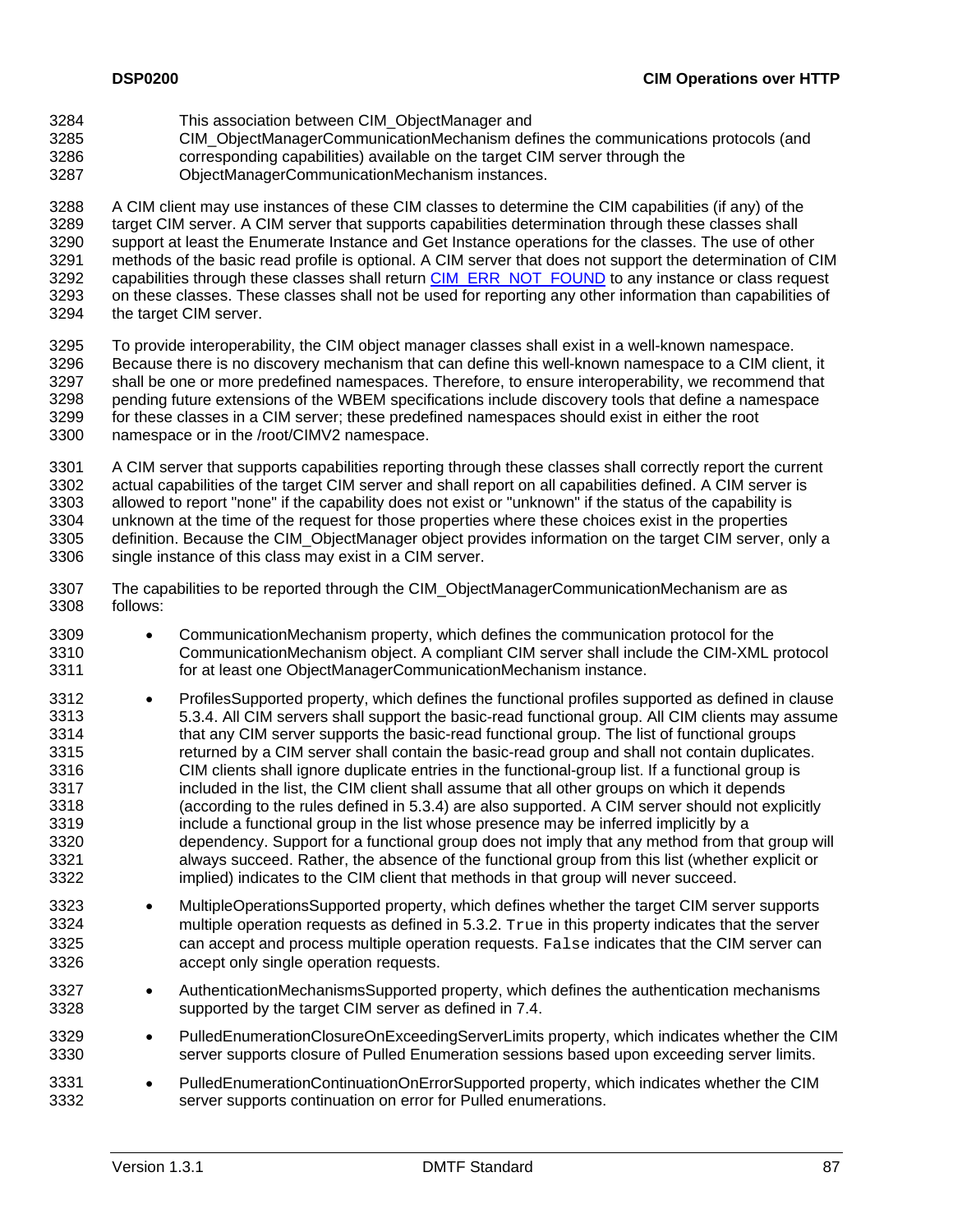- This association between CIM\_ObjectManager and 3284
- CIM\_ObjectManagerCommunicationMechanism defines the communications protocols (and 3285 3286
	- corresponding capabilities) available on the target CIM server through the
- ObjectManagerCommunicationMechanism instances. 3287

3288 3289 3290 3291 A CIM client may use instances of these CIM classes to determine the CIM capabilities (if any) of the target CIM server. A CIM server that supports capabilities determination through these classes shall support at least the Enumerate Instance and Get Instance operations for the classes. The use of other methods of the basic read profile is optional. A CIM server that does not support the determination of CIM capabilities through these classes shall return [CIM\\_ERR\\_NOT\\_FOUND](#page-16-0) to any instance or class request on these classes. These classes shall not be used for reporting any other information than capabilities of the target CIM server. 3292 3293 3294

3295 3296 3297 3298 3299 3300 To provide interoperability, the CIM object manager classes shall exist in a well-known namespace. Because there is no discovery mechanism that can define this well-known namespace to a CIM client, it shall be one or more predefined namespaces. Therefore, to ensure interoperability, we recommend that pending future extensions of the WBEM specifications include discovery tools that define a namespace for these classes in a CIM server; these predefined namespaces should exist in either the root namespace or in the /root/CIMV2 namespace.

3301 3302 3303 3304 3305 3306 A CIM server that supports capabilities reporting through these classes shall correctly report the current actual capabilities of the target CIM server and shall report on all capabilities defined. A CIM server is allowed to report "none" if the capability does not exist or "unknown" if the status of the capability is unknown at the time of the request for those properties where these choices exist in the properties definition. Because the CIM\_ObjectManager object provides information on the target CIM server, only a single instance of this class may exist in a CIM server.

- 3307 3308 The capabilities to be reported through the CIM\_ObjectManagerCommunicationMechanism are as follows:
- 3309 3310 3311 • CommunicationMechanism property, which defines the communication protocol for the CommunicationMechanism object. A compliant CIM server shall include the CIM-XML protocol for at least one ObjectManagerCommunicationMechanism instance.
- 3312 3313 3314 3315 3316 3317 3318 3319 3320 3321 3322 • ProfilesSupported property, which defines the functional profiles supported as defined in clause [5.3.4](#page-61-0). All CIM servers shall support the basic-read functional group. All CIM clients may assume that any CIM server supports the basic-read functional group. The list of functional groups returned by a CIM server shall contain the basic-read group and shall not contain duplicates. CIM clients shall ignore duplicate entries in the functional-group list. If a functional group is included in the list, the CIM client shall assume that all other groups on which it depends (according to the rules defined in [5.3.4](#page-61-0)) are also supported. A CIM server should not explicitly include a functional group in the list whose presence may be inferred implicitly by a dependency. Support for a functional group does not imply that any method from that group will always succeed. Rather, the absence of the functional group from this list (whether explicit or implied) indicates to the CIM client that methods in that group will never succeed.
- 3323 3324 3325 3326 • MultipleOperationsSupported property, which defines whether the target CIM server supports multiple operation requests as defined in [5.3.2.](#page-17-0) True in this property indicates that the server can accept and process multiple operation requests. False indicates that the CIM server can accept only single operation requests.
- 3327 3328 • AuthenticationMechanismsSupported property, which defines the authentication mechanisms supported by the target CIM server as defined in [7.4.](#page-84-0)
- 3329 3330 • PulledEnumerationClosureOnExceedingServerLimits property, which indicates whether the CIM server supports closure of Pulled Enumeration sessions based upon exceeding server limits.
- 3331 3332 • PulledEnumerationContinuationOnErrorSupported property, which indicates whether the CIM server supports continuation on error for Pulled enumerations.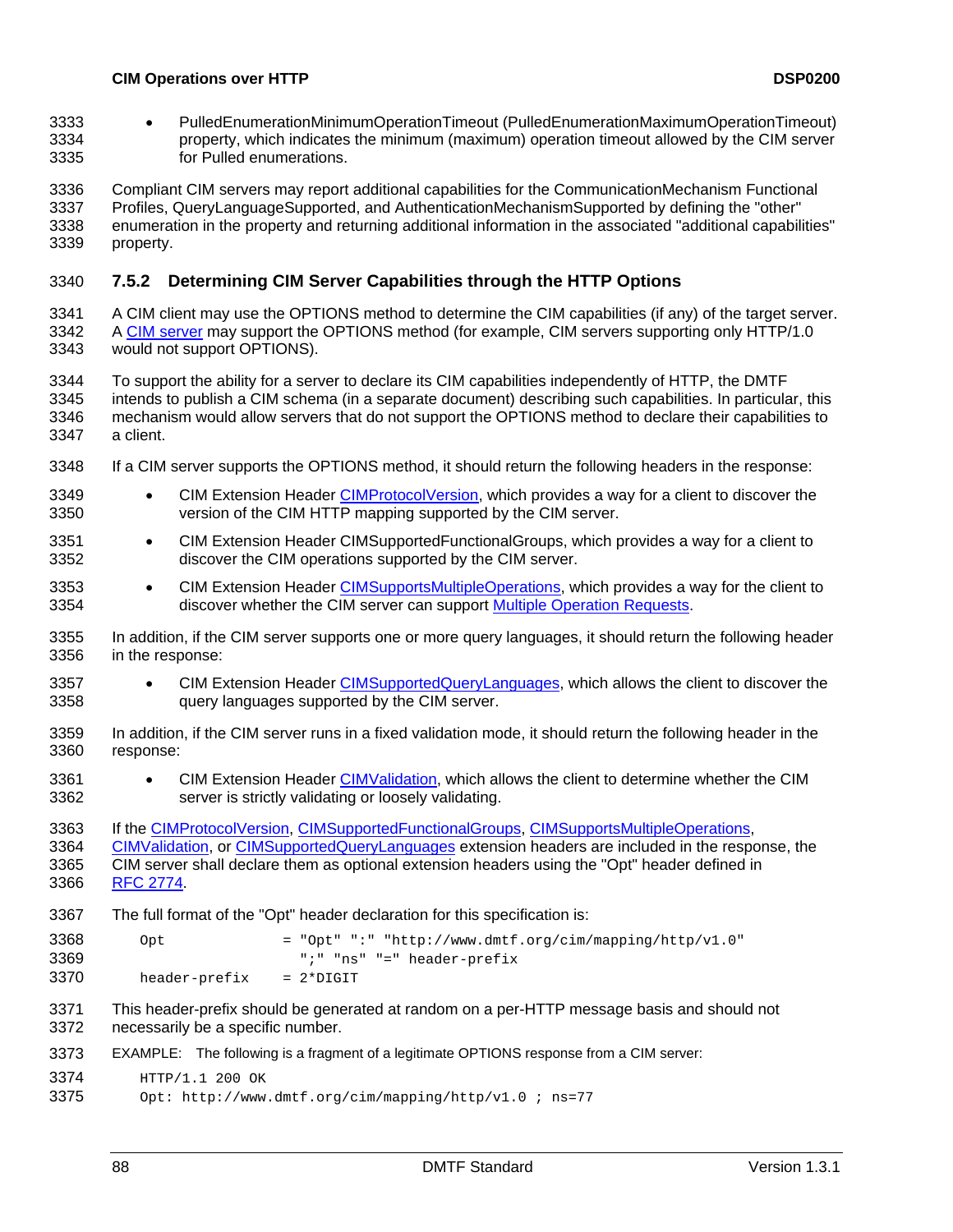• PulledEnumerationMinimumOperationTimeout (PulledEnumerationMaximumOperationTimeout) property, which indicates the minimum (maximum) operation timeout allowed by the CIM server for Pulled enumerations. 3333 3334 3335

3336 3337 3338 3339 Compliant CIM servers may report additional capabilities for the CommunicationMechanism Functional Profiles, QueryLanguageSupported, and AuthenticationMechanismSupported by defining the "other" enumeration in the property and returning additional information in the associated "additional capabilities" property.

### <span id="page-87-0"></span>3340 **7.5.2 Determining CIM Server Capabilities through the HTTP Options**

3341 A CIM client may use the OPTIONS method to determine the CIM capabilities (if any) of the target server. A [CIM server](#page-68-0) may support the OPTIONS method (for example, CIM servers supporting only HTTP/1.0 would not support OPTIONS). 3342 3343

- 3344 3345 3346 3347 To support the ability for a server to declare its CIM capabilities independently of HTTP, the DMTF intends to publish a CIM schema (in a separate document) describing such capabilities. In particular, this mechanism would allow servers that do not support the OPTIONS method to declare their capabilities to a client.
- 3348 If a CIM server supports the OPTIONS method, it should return the following headers in the response:
- CIM Extension Header [CIMProtocolVersion,](#page-73-0) which provides a way for a client to discover the version of the CIM HTTP mapping supported by the CIM server. 3349 3350
- 3351 3352 • CIM Extension Header CIMSupportedFunctionalGroups, which provides a way for a client to discover the CIM operations supported by the CIM server.
- CIM Extension Header [CIMSupportsMultipleOperations](#page-88-0), which provides a way for the client to 3354 discover whether the CIM server can support [Multiple Operation Requests](#page-13-0). 3353
- 3355 3356 In addition, if the CIM server supports one or more query languages, it should return the following header in the response:
- CIM Extension Header [CIMSupportedQueryLanguages,](#page-89-0) which allows the client to discover the query languages supported by the CIM server. 3357 3358
- 3359 3360 In addition, if the CIM server runs in a fixed validation mode, it should return the following header in the response:
- CIM Extension Header [CIMValidation,](#page-89-0) which allows the client to determine whether the CIM server is strictly validating or loosely validating. 3361 3362
- 3363 If the [CIMProtocolVersion,](#page-73-0) [CIMSupportedFunctionalGroups, CIMSupportsMultipleOperations](#page-88-0),
- [CIMValidation](#page-89-0), or [CIMSupportedQueryLanguages](#page-89-0) extension headers are included in the response, the CIM server shall declare them as optional extension headers using the "Opt" header defined in 3364 3365 3366 [RFC 2774.](#page-9-0)
- 3367 The full format of the "Opt" header declaration for this specification is:
- 3368 3369 3370 Opt  $=$  "Opt" ":" "http://www.dmtf.org/cim/mapping/http/v1.0" ";" "ns" "=" header-prefix header-prefix = 2\*DIGIT
- 3371 3372 This header-prefix should be generated at random on a per-HTTP message basis and should not necessarily be a specific number.
- 3373 EXAMPLE: The following is a fragment of a legitimate OPTIONS response from a CIM server:
- 3374 HTTP/1.1 200 OK
- 3375 Opt: http://www.dmtf.org/cim/mapping/http/v1.0 ; ns=77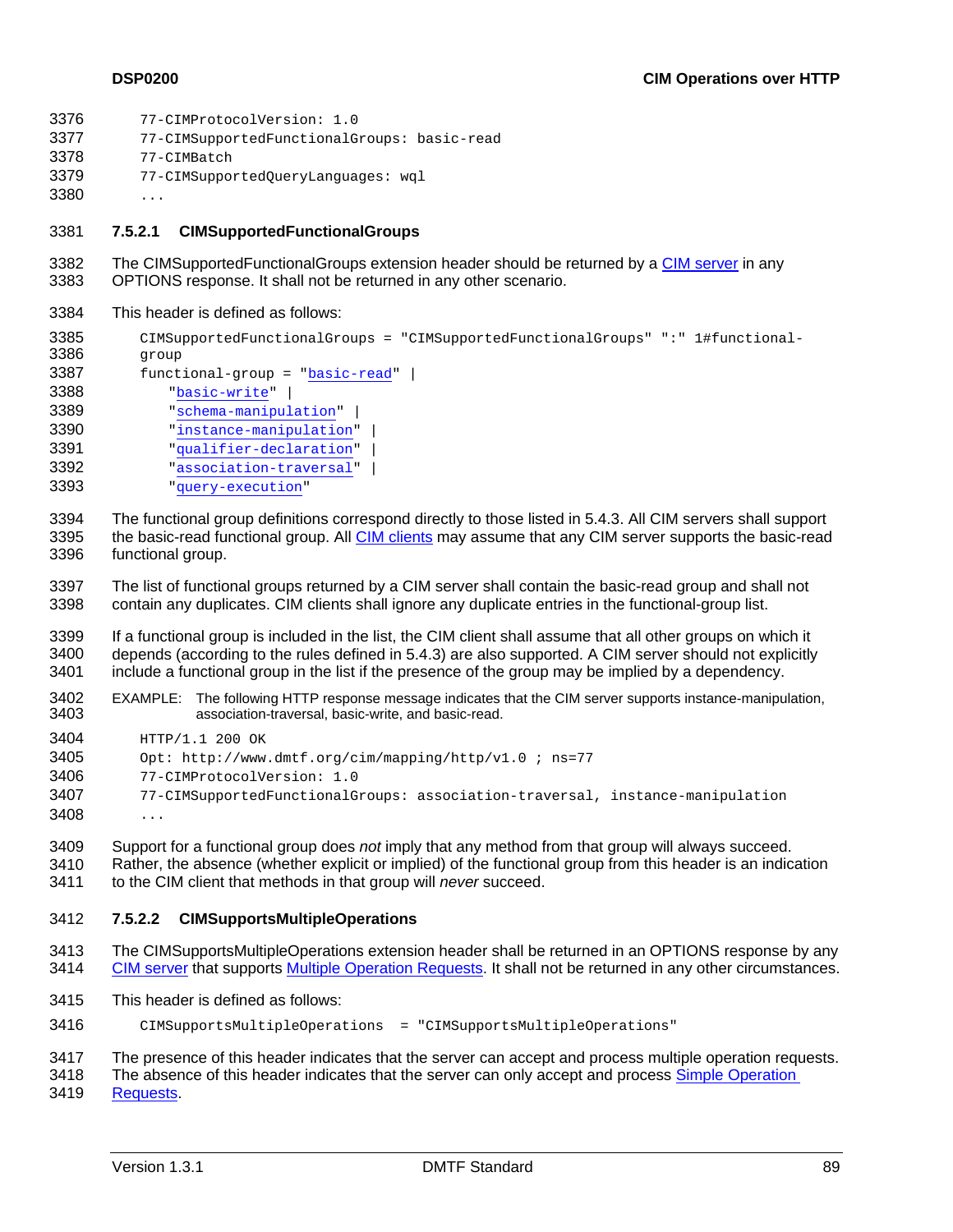<span id="page-88-0"></span>

| 3376 | 77-CIMProtocolVersion: 1.0                  |
|------|---------------------------------------------|
| 3377 | 77-CIMSupportedFunctionalGroups: basic-read |
| 3378 | 77-CIMBatch                                 |
| 3379 | 77-CIMSupportedOueryLanguages: wgl          |
| nnnn |                                             |

3380 ...

#### 3381 **7.5.2.1 CIMSupportedFunctionalGroups**

The CIMSupportedFunctionalGroups extension header should be returned by a [CIM server](#page-68-0) in any OPTIONS response. It shall not be returned in any other scenario. 3382 3383

3384 This header is defined as follows:

```
3385 
3386 
         CIMSupportedFunctionalGroups = "CIMSupportedFunctionalGroups" ":" 1#functional-
         group 
3387 functional-group = "basic-read" | 
3388 "basic-write" | 
3389 "schema-manipulation" | 
3390 "instance-manipulation" | 
3391 "qualifier-declaration" | 
3392 "association-traversal" | 
3393 "query-execution"
```
- 3394 The functional group definitions correspond directly to those listed in [5.4.3](#page-67-0). All CIM servers shall support the basic-read functional group. All [CIM clients](#page-68-0) may assume that any CIM server supports the basic-read functional group. 3395 3396
- 3397 3398 The list of functional groups returned by a CIM server shall contain the basic-read group and shall not contain any duplicates. CIM clients shall ignore any duplicate entries in the functional-group list.

3399 3400 3401 If a functional group is included in the list, the CIM client shall assume that all other groups on which it depends (according to the rules defined in [5.4.3](#page-67-0)) are also supported. A CIM server should not explicitly include a functional group in the list if the presence of the group may be implied by a dependency.

- 3402 3403 EXAMPLE: The following HTTP response message indicates that the CIM server supports instance-manipulation, association-traversal, basic-write, and basic-read.
- 3404 3405 3406 3407 3408 HTTP/1.1 200 OK Opt: http://www.dmtf.org/cim/mapping/http/v1.0 ; ns=77 77-CIMProtocolVersion: 1.0 77-CIMSupportedFunctionalGroups: association-traversal, instance-manipulation ...
- 3409 Support for a functional group does *not* imply that any method from that group will always succeed.
- 3410 3411 Rather, the absence (whether explicit or implied) of the functional group from this header is an indication to the CIM client that methods in that group will *never* succeed.

#### 3412 **7.5.2.2 CIMSupportsMultipleOperations**

- 3413 The CIMSupportsMultipleOperations extension header shall be returned in an OPTIONS response by any 3414 [CIM server](#page-68-0) that supports [Multiple Operation Requests](#page-13-0). It shall not be returned in any other circumstances.
- 3415 This header is defined as follows:
- 3416 CIMSupportsMultipleOperations = "CIMSupportsMultipleOperations"
- 3417 The presence of this header indicates that the server can accept and process multiple operation requests.
- 3418 The absence of this header indicates that the server can only accept and process Simple Operation

3419 [Requests](#page-13-0).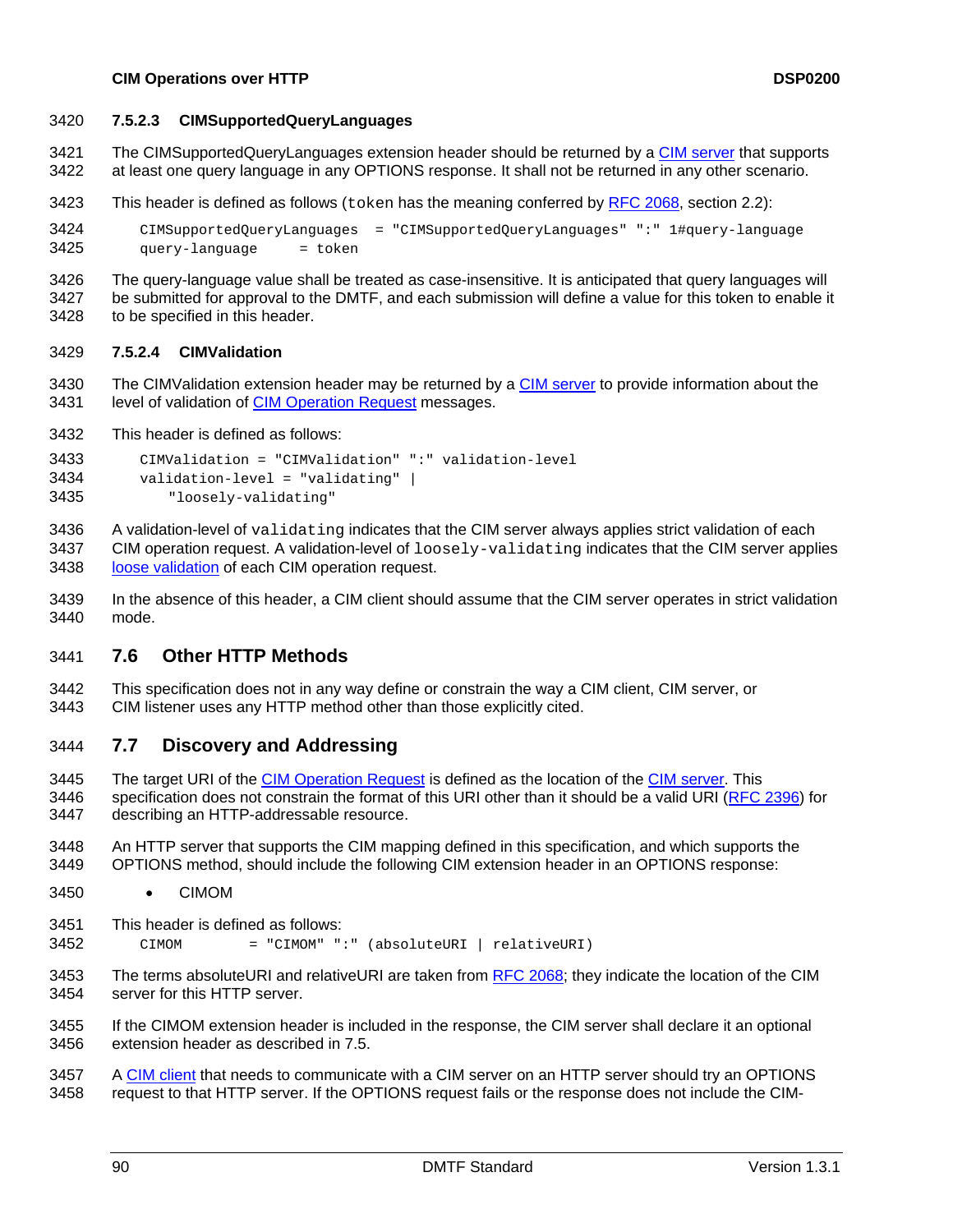#### <span id="page-89-0"></span>3420 **7.5.2.3 CIMSupportedQueryLanguages**

The CIMSupportedQueryLanguages extension header should be returned by a [CIM server](#page-68-0) that supports at least one query language in any OPTIONS response. It shall not be returned in any other scenario. 3421 3422

3423 This header is defined as follows ( $\text{token}$  has the meaning conferred by [RFC 2068,](#page-8-0) section 2.2):

```
3424 
3425 
          CIMSupportedQueryLanguages = "CIMSupportedQueryLanguages" ":" 1#query-language 
          query-language = token
```
3426 3427 3428 The query-language value shall be treated as case-insensitive. It is anticipated that query languages will be submitted for approval to the DMTF, and each submission will define a value for this token to enable it to be specified in this header.

#### 3429 **7.5.2.4 CIMValidation**

- The CIMValidation extension header may be returned by a [CIM server](#page-68-0) to provide information about the 3431 level of validation of **CIM Operation Request** messages. 3430
- 3432 This header is defined as follows:

```
3433 
3434 
3435 
           CIMValidation = "CIMValidation" ":" validation-level 
           validation-level = "validating" | 
                "loosely-validating"
```
- 3436 3437 A validation-level of validating indicates that the CIM server always applies strict validation of each CIM operation request. A validation-level of loosely-validating indicates that the CIM server applies 3438 [loose validation](#page-12-0) of each CIM operation request.
- 3439 3440 In the absence of this header, a CIM client should assume that the CIM server operates in strict validation mode.

# 3441 **7.6 Other HTTP Methods**

- 3442 3443 This specification does not in any way define or constrain the way a CIM client, CIM server, or
- CIM listener uses any HTTP method other than those explicitly cited.

### 3444 **7.7 Discovery and Addressing**

- The target URI of the [CIM Operation Request](#page-68-0) is defined as the location of the [CIM server.](#page-68-0) This specification does not constrain the format of this URI other than it should be a valid URI ([RFC 2396\)](#page-8-0) for 3445 describing an HTTP-addressable resource. 3446 3447
- 3448 3449 An HTTP server that supports the CIM mapping defined in this specification, and which supports the OPTIONS method, should include the following CIM extension header in an OPTIONS response:
- 3450 • CIMOM
- 3451 This header is defined as follows:

3452 CIMOM = "CIMOM" ":" (absoluteURI | relativeURI)

- The terms absoluteURI and relativeURI are taken from [RFC 2068](#page-8-0); they indicate the location of the CIM server for this HTTP server. 3453 3454
- 3455 3456 If the CIMOM extension header is included in the response, the CIM server shall declare it an optional extension header as described in [7.5](#page-85-1).
- A [CIM client](#page-68-0) that needs to communicate with a CIM server on an HTTP server should try an OPTIONS request to that HTTP server. If the OPTIONS request fails or the response does not include the CIM-3457 3458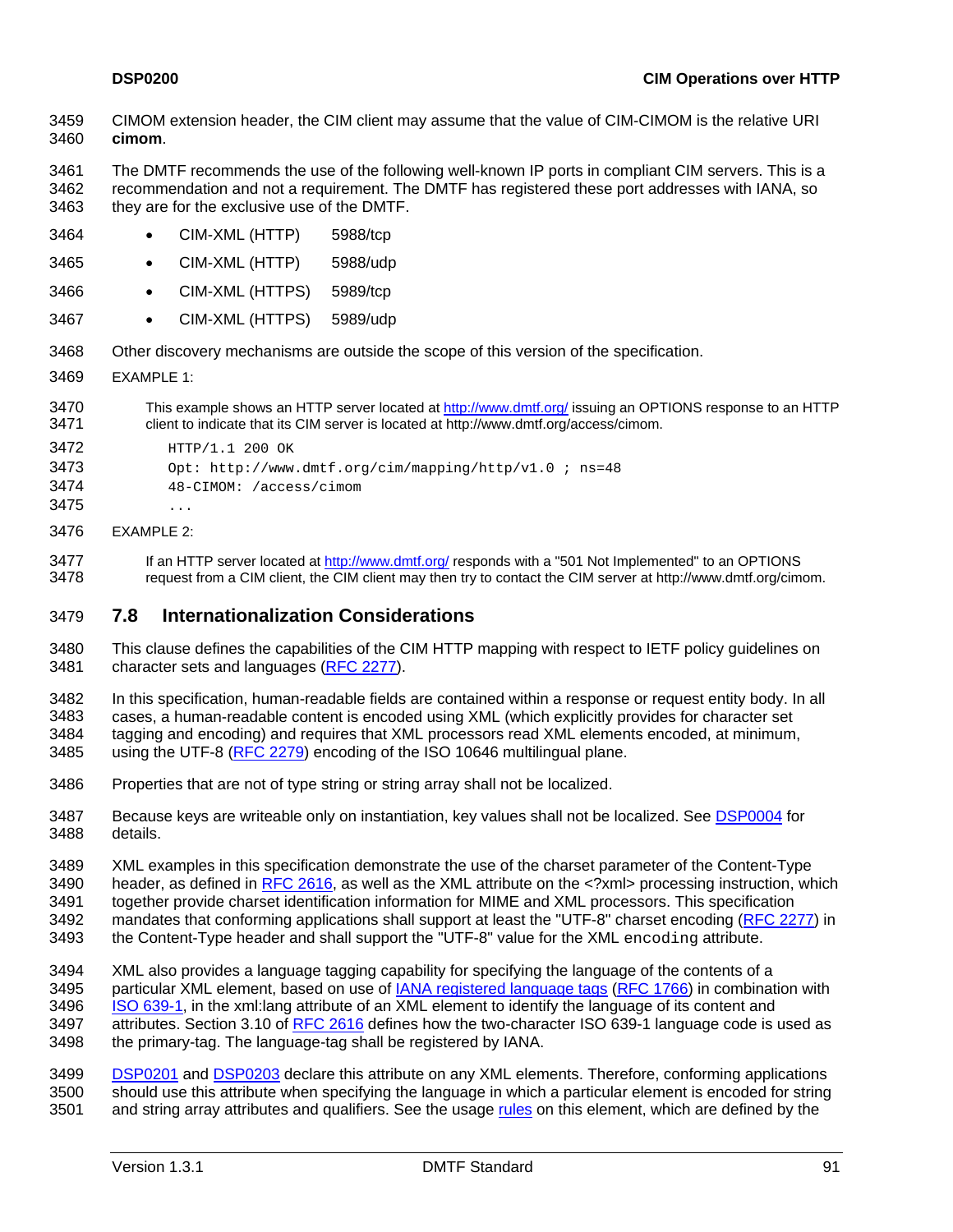CIMOM extension header, the CIM client may assume that the value of CIM-CIMOM is the relative URI **cimom**. 3459 3460

3461 3462 3463 The DMTF recommends the use of the following well-known IP ports in compliant CIM servers. This is a recommendation and not a requirement. The DMTF has registered these port addresses with IANA, so they are for the exclusive use of the DMTF.

- 3464 • CIM-XML (HTTP) 5988/tcp
- 3465 • CIM-XML (HTTP) 5988/udp
- 3466 • CIM-XML (HTTPS) 5989/tcp
- 3467 • CIM-XML (HTTPS) 5989/udp
- 3468 Other discovery mechanisms are outside the scope of this version of the specification.
- 3469 EXAMPLE 1:
- This example shows an HTTP server located at<http://www.dmtf.org/> issuing an OPTIONS response to an HTTP client to indicate that its CIM server is located at http://www.dmtf.org/access/cimom. 3470 3471
- 3472 HTTP/1.1 200 OK

```
3473 
                Opt: http://www.dmtf.org/cim/mapping/http/v1.0 ; ns=48
```
- 3474 48-CIMOM: /access/cimom
- 3475
- 3476 EXAMPLE 2:
- If an HTTP server located at <http://www.dmtf.org/>responds with a "501 Not Implemented" to an OPTIONS request from a CIM client, the CIM client may then try to contact the CIM server at http://www.dmtf.org/cimom. 3477 3478

# <span id="page-90-0"></span>3479 **7.8 Internationalization Considerations**

- 3480<br>3481 This clause defines the capabilities of the CIM HTTP mapping with respect to IETF policy guidelines on character sets and languages [\(RFC 2277\)](#page-8-0).
- 3482 3483 3484 In this specification, human-readable fields are contained within a response or request entity body. In all cases, a human-readable content is encoded using XML (which explicitly provides for character set tagging and encoding) and requires that XML processors read XML elements encoded, at minimum, 3485 using the UTF-8 ([RFC 2279](#page-8-0)) encoding of the ISO 10646 multilingual plane.
- 3486 Properties that are not of type string or string array shall not be localized.
- Because keys are writeable only on instantiation, key values shall not be localized. See [DSP0004](#page-8-0) for details. 3487 3488
- 3489 XML examples in this specification demonstrate the use of the charset parameter of the Content-Type
- header, as defined in [RFC 2616,](#page-9-0) as well as the XML attribute on the <?xml> processing instruction, which 3490
- together provide charset identification information for MIME and XML processors. This specification 3491
- mandates that conforming applications shall support at least the "UTF-8" charset encoding ([RFC 2277](#page-8-0)) in 3492
- the Content-Type header and shall support the "UTF-8" value for the XML encoding attribute. 3493
- 3494 XML also provides a language tagging capability for specifying the language of the contents of a 3495 particular XML element, based on use of [IANA registered language tags](http://www.iana.org/assignments/language-tags) ([RFC 1766](#page-8-0)) in combination with [ISO 639-1,](http://www.loc.gov/standards/iso639-2/englangn.html) in the xml:lang attribute of an XML element to identify the language of its content and attributes. Section 3.10 of [RFC 2616](#page-9-0) defines how the two-character ISO 639-1 language code is used as 3496 3497
- the primary-tag. The language-tag shall be registered by IANA. 3498
- [DSP0201](#page-8-0) and [DSP0203](#page-8-0) declare this attribute on any XML elements. Therefore, conforming applications should use this attribute when specifying the language in which a particular element is encoded for string 3501 and string array attributes and qualifiers. See the usage [rules](http://www.w3.org/TR/2000/REC-xml-20001006#sec-lang-tag) on this element, which are defined by the 3499 3500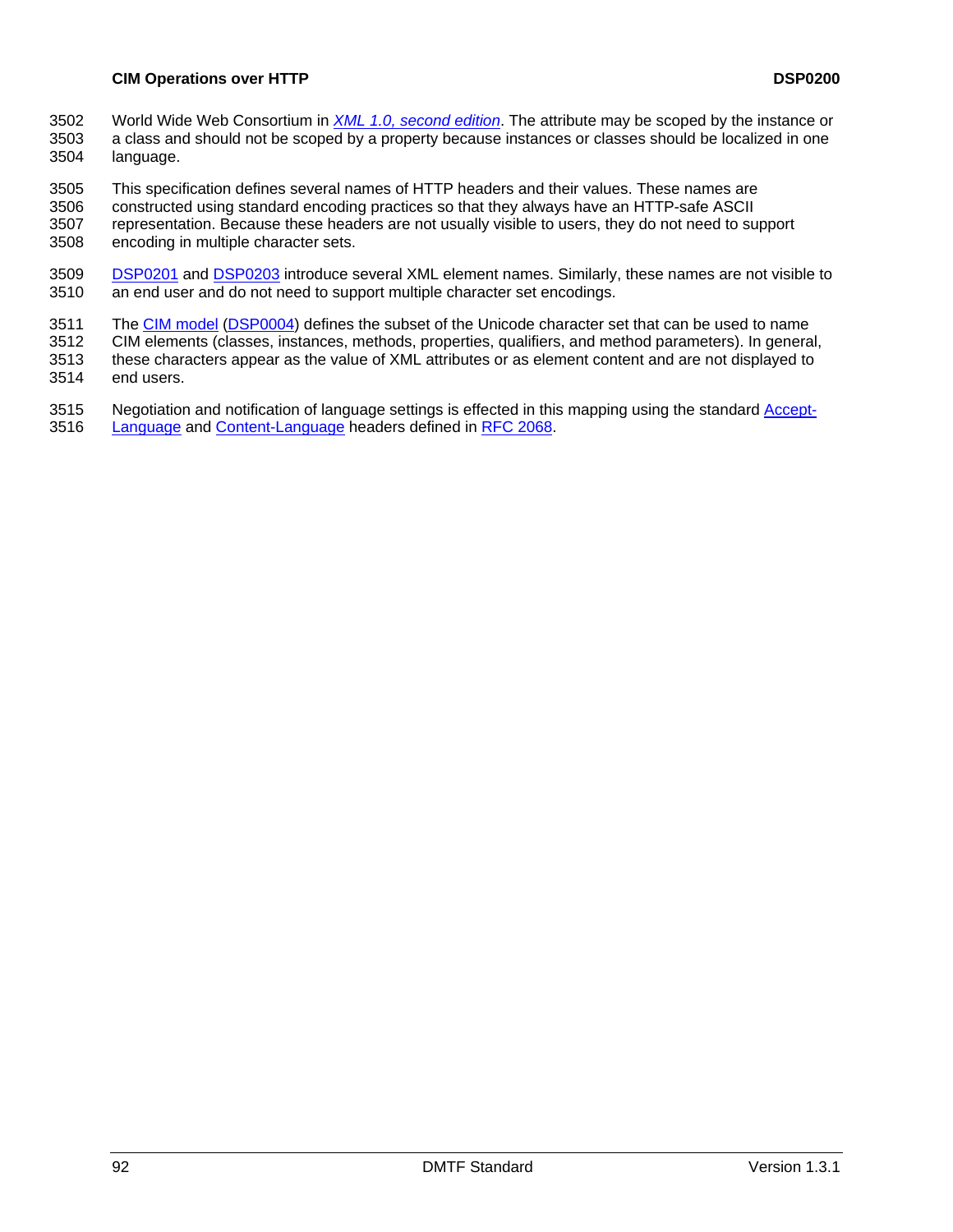#### **CIM Operations over HTTP DESP0200**

- World Wide Web Consortium in *[XML 1.0, second edition](http://www.w3.org/TR/2000/REC-xml-20001006)*. The attribute may be scoped by the instance or a class and should not be scoped by a property because instances or classes should be localized in one language. 3502 3503 3504
- 3505 This specification defines several names of HTTP headers and their values. These names are
- 3506 constructed using standard encoding practices so that they always have an HTTP-safe ASCII
- 3507 3508 representation. Because these headers are not usually visible to users, they do not need to support encoding in multiple character sets.
- [DSP0201](#page-8-0) and [DSP0203](#page-8-0) introduce several XML element names. Similarly, these names are not visible to an end user and do not need to support multiple character set encodings. 3509 3510
- The [CIM model](#page-0-0) [\(DSP0004](#page-8-0)) defines the subset of the Unicode character set that can be used to name 3511
- CIM elements (classes, instances, methods, properties, qualifiers, and method parameters). In general, 3512
- these characters appear as the value of XML attributes or as element content and are not displayed to 3513
- end users. 3514
- 3515 Negotiation and notification of language settings is effected in this mapping using the standard [Accept-](#page-80-0)
- 3516 [Language](#page-80-0) and [Content-Language](#page-81-1) headers defined in [RFC 2068](#page-8-0).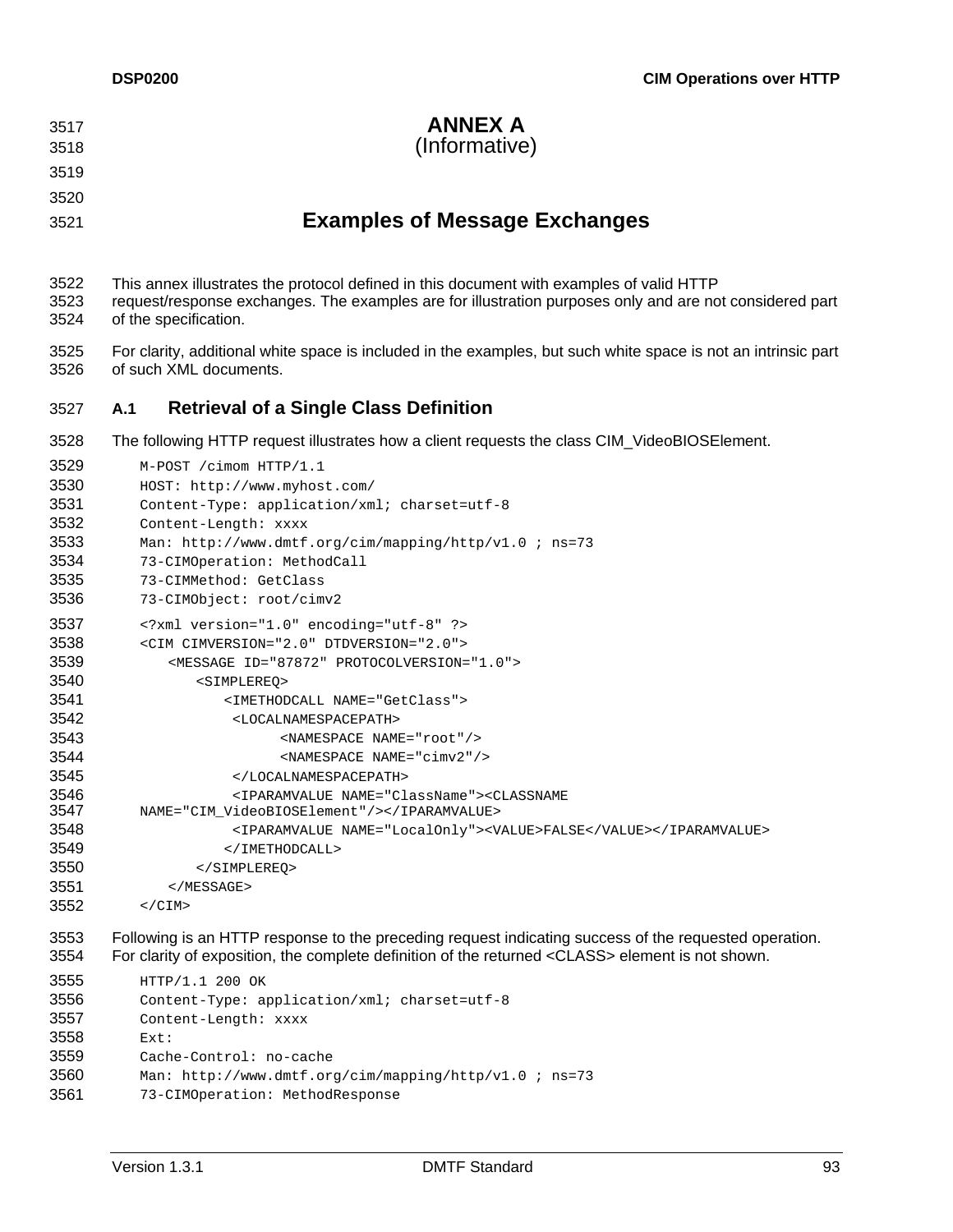| 3517                 | <b>ANNEX A</b>                                                                                                                                                                                                               |
|----------------------|------------------------------------------------------------------------------------------------------------------------------------------------------------------------------------------------------------------------------|
| 3518                 | (Informative)                                                                                                                                                                                                                |
| 3519                 |                                                                                                                                                                                                                              |
| 3520                 |                                                                                                                                                                                                                              |
| 3521                 | <b>Examples of Message Exchanges</b>                                                                                                                                                                                         |
|                      |                                                                                                                                                                                                                              |
| 3522<br>3523<br>3524 | This annex illustrates the protocol defined in this document with examples of valid HTTP<br>request/response exchanges. The examples are for illustration purposes only and are not considered part<br>of the specification. |
| 3525<br>3526         | For clarity, additional white space is included in the examples, but such white space is not an intrinsic part<br>of such XML documents.                                                                                     |
| 3527                 | <b>Retrieval of a Single Class Definition</b><br>A.1                                                                                                                                                                         |
| 3528                 | The following HTTP request illustrates how a client requests the class CIM_VideoBIOSElement.                                                                                                                                 |
| 3529                 | M-POST / cimom HTTP/1.1                                                                                                                                                                                                      |
| 3530                 | HOST: http://www.myhost.com/                                                                                                                                                                                                 |
| 3531                 | Content-Type: application/xml; charset=utf-8                                                                                                                                                                                 |
| 3532                 | Content-Length: xxxx                                                                                                                                                                                                         |
| 3533                 | Man: http://www.dmtf.org/cim/mapping/http/v1.0 ; ns=73                                                                                                                                                                       |
| 3534                 | 73-CIMOperation: MethodCall                                                                                                                                                                                                  |
| 3535                 | 73-CIMMethod: GetClass                                                                                                                                                                                                       |
| 3536                 | 73-CIMObject: root/cimv2                                                                                                                                                                                                     |
| 3537                 | xml version="1.0" encoding="utf-8" ?                                                                                                                                                                                         |
| 3538                 | <cim cimversion="2.0" dtdversion="2.0"></cim>                                                                                                                                                                                |
| 3539                 | <message id="87872" protocolversion="1.0"></message>                                                                                                                                                                         |
| 3540                 | <simplereq></simplereq>                                                                                                                                                                                                      |
| 3541                 | <imethodcall name="GetClass"></imethodcall>                                                                                                                                                                                  |
| 3542                 | <localnamespacepath></localnamespacepath>                                                                                                                                                                                    |
| 3543                 | <namespace name="root"></namespace>                                                                                                                                                                                          |
| 3544                 | $<$ NAMESPACE NAME="cimv2"/>                                                                                                                                                                                                 |
| 3545                 |                                                                                                                                                                                                                              |
| 3546                 | <iparamvalue name="ClassName"><classname< td=""></classname<></iparamvalue>                                                                                                                                                  |
| 3547<br>3548         | NAME="CIM_VideoBIOSElement"/>                                                                                                                                                                                                |
| 3549                 | <iparamvalue name="LocalOnly"><value>FALSE</value></iparamvalue>                                                                                                                                                             |
|                      |                                                                                                                                                                                                                              |
| 3550<br>3551         |                                                                                                                                                                                                                              |
| 3552                 | $<$ /MESSAGE>                                                                                                                                                                                                                |
|                      | $\langle$ /CIM $\rangle$                                                                                                                                                                                                     |
| 3553<br>3554         | Following is an HTTP response to the preceding request indicating success of the requested operation.<br>For clarity of exposition, the complete definition of the returned <class> element is not shown.</class>            |

```
3555 
3556 
3557 
3558 
3559 
3560 
3561 
          HTTP/1.1 200 OK
          Content-Type: application/xml; charset=utf-8
          Content-Length: xxxx
          Ext:
          Cache-Control: no-cache
          Man: http://www.dmtf.org/cim/mapping/http/v1.0 ; ns=73
           73-CIMOperation: MethodResponse
```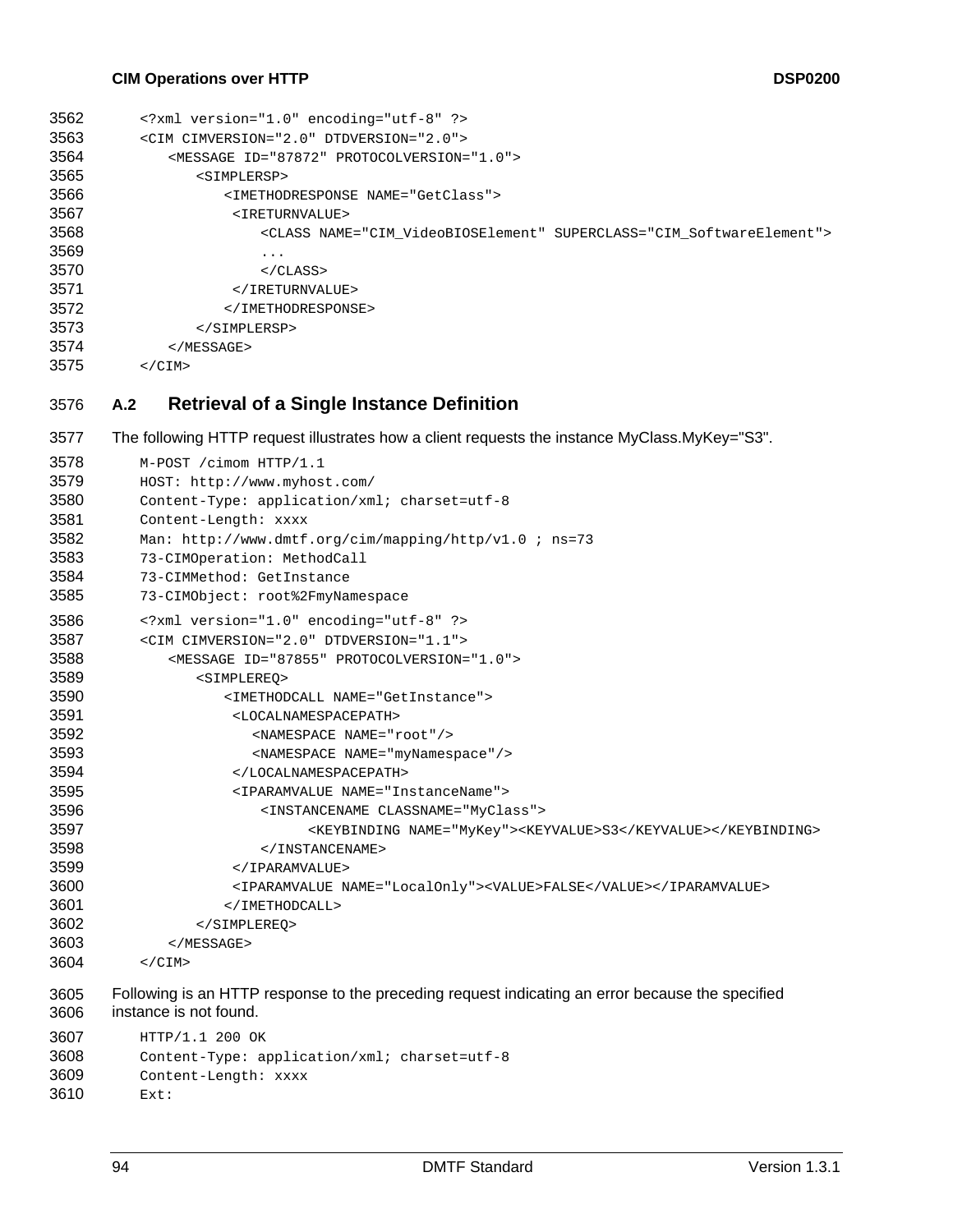#### **CIM Operations over HTTP DEPO200**

| 3563<br>$\leq$ CIM CIMVERSION="2.0" DTDVERSION="2.0"><br>3564<br><message id="87872" protocolversion="1.0"><br/>3565<br/><simplersp><br/>3566<br/><imethodresponse name="GetClass"><br/>3567<br/><ireturnvalue><br/>3568<br/>3569<br/><math>\ddotsc</math><br/>3570<br/><math>\langle</math>/CLASS<math>\rangle</math><br/>3571<br/></ireturnvalue><br/>3572<br/></imethodresponse><br/>3573<br/><math>&lt;</math>/SIMPLERSP&gt;<br/>3574<br/><math>&lt;</math>/MESSAGE&gt;<br/>3575<br/><math>\langle</math>/CIM<math>\rangle</math></simplersp></message> | 3562 | xml version="1.0" encoding="utf-8" ?                                         |
|-------------------------------------------------------------------------------------------------------------------------------------------------------------------------------------------------------------------------------------------------------------------------------------------------------------------------------------------------------------------------------------------------------------------------------------------------------------------------------------------------------------------------------------------------------------|------|------------------------------------------------------------------------------|
|                                                                                                                                                                                                                                                                                                                                                                                                                                                                                                                                                             |      |                                                                              |
|                                                                                                                                                                                                                                                                                                                                                                                                                                                                                                                                                             |      |                                                                              |
|                                                                                                                                                                                                                                                                                                                                                                                                                                                                                                                                                             |      |                                                                              |
|                                                                                                                                                                                                                                                                                                                                                                                                                                                                                                                                                             |      |                                                                              |
|                                                                                                                                                                                                                                                                                                                                                                                                                                                                                                                                                             |      |                                                                              |
|                                                                                                                                                                                                                                                                                                                                                                                                                                                                                                                                                             |      | <class name="CIM VideoBIOSElement" superclass="CIM SoftwareElement"></class> |
|                                                                                                                                                                                                                                                                                                                                                                                                                                                                                                                                                             |      |                                                                              |
|                                                                                                                                                                                                                                                                                                                                                                                                                                                                                                                                                             |      |                                                                              |
|                                                                                                                                                                                                                                                                                                                                                                                                                                                                                                                                                             |      |                                                                              |
|                                                                                                                                                                                                                                                                                                                                                                                                                                                                                                                                                             |      |                                                                              |
|                                                                                                                                                                                                                                                                                                                                                                                                                                                                                                                                                             |      |                                                                              |
|                                                                                                                                                                                                                                                                                                                                                                                                                                                                                                                                                             |      |                                                                              |
|                                                                                                                                                                                                                                                                                                                                                                                                                                                                                                                                                             |      |                                                                              |

# 3576 **A.2 Retrieval of a Single Instance Definition**

```
3577 
3578 
3579 
3580 
3581 
3582 
3583 
3584 
3585 
3586 
3587 
3588 
3589 
3590 
3591 
3592 
3593 
3594 
3595 
3596 
3597 
3598 
3599 
3600 
3601 
3602 
3603 
3604 
        The following HTTP request illustrates how a client requests the instance MyClass.MyKey="S3". 
           M-POST /cimom HTTP/1.1
           HOST: http://www.myhost.com/
           Content-Type: application/xml; charset=utf-8
           Content-Length: xxxx
           Man: http://www.dmtf.org/cim/mapping/http/v1.0 ; ns=73
           73-CIMOperation: MethodCall
           73-CIMMethod: GetInstance
           73-CIMObject: root%2FmyNamespace
           <?xml version="1.0" encoding="utf-8" ?>
           <CIM CIMVERSION="2.0" DTDVERSION="1.1">
                <MESSAGE ID="87855" PROTOCOLVERSION="1.0">
                   <SIMPLEREQ>
                       <IMETHODCALL NAME="GetInstance">
                        <LOCALNAMESPACEPATH>
                          <NAMESPACE NAME="root"/>
                          <NAMESPACE NAME="myNamespace"/>
                        </LOCALNAMESPACEPATH>
                        <IPARAMVALUE NAME="InstanceName">
                            <INSTANCENAME CLASSNAME="MyClass">
                                  <KEYBINDING NAME="MyKey"><KEYVALUE>S3</KEYVALUE></KEYBINDING>
                            </INSTANCENAME>
                        </IPARAMVALUE>
                        <IPARAMVALUE NAME="LocalOnly"><VALUE>FALSE</VALUE></IPARAMVALUE>
                       </IMETHODCALL>
                   </SIMPLEREQ>
                </MESSAGE>
           </CIM>
```
3605 3606 Following is an HTTP response to the preceding request indicating an error because the specified instance is not found.

```
3607 
3608 
3609 
3610 
           HTTP/1.1 200 OK
           Content-Type: application/xml; charset=utf-8
           Content-Length: xxxx
           Ext:
```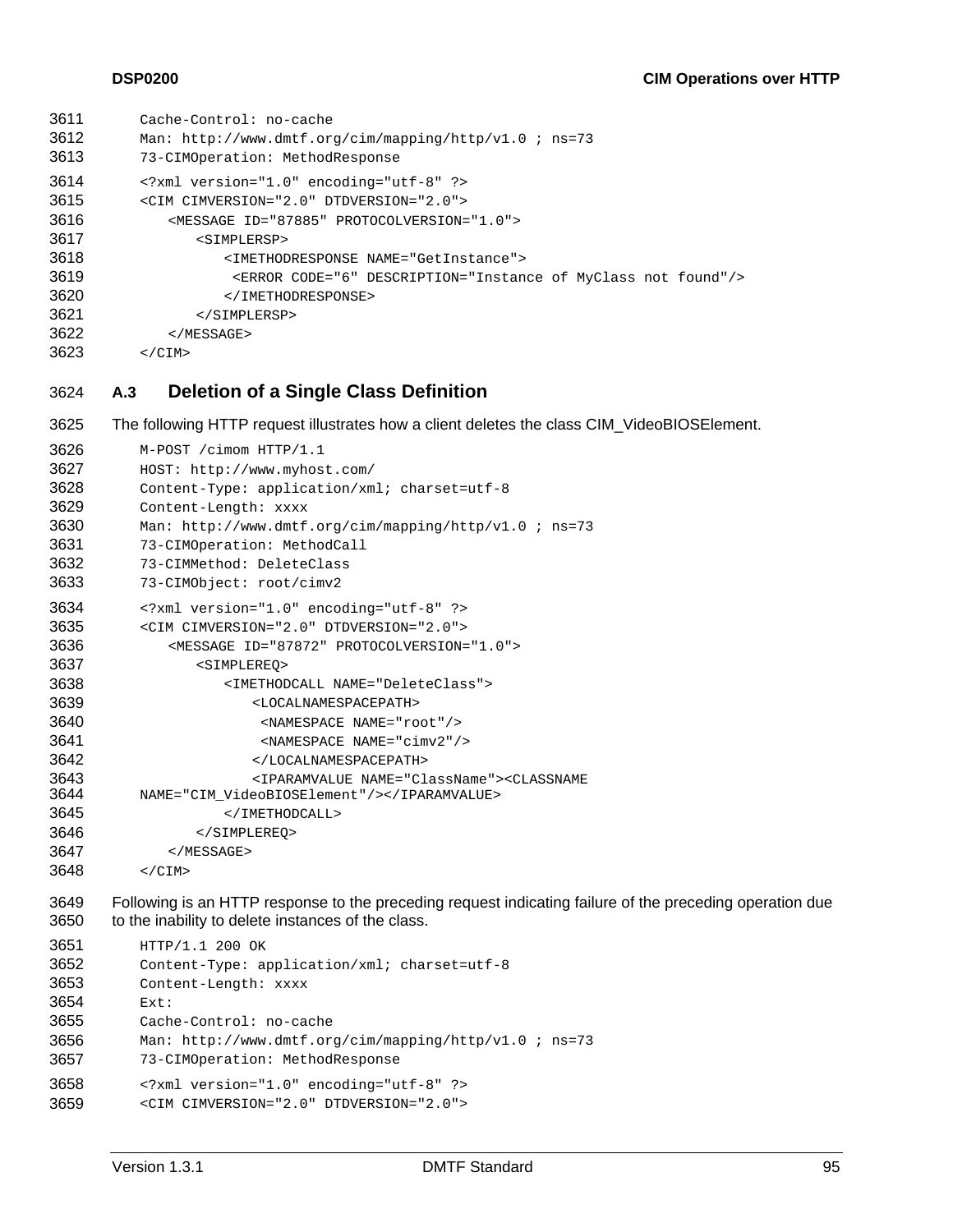| 3611 | Cache-Control: no-cache                                              |
|------|----------------------------------------------------------------------|
| 3612 | Man: http://www.dmtf.org/cim/mapping/http/v1.0; ns=73                |
| 3613 | 73-CIMOperation: MethodResponse                                      |
| 3614 | xml version="1.0" encoding="utf-8" ?                                 |
| 3615 | <cim cimversion="2.0" dtdversion="2.0"></cim>                        |
| 3616 | <message id="87885" protocolversion="1.0"></message>                 |
| 3617 | <simplersp></simplersp>                                              |
| 3618 | <imethodresponse name="GetInstance"></imethodresponse>               |
| 3619 | <error code="6" description="Instance of MyClass not found"></error> |
| 3620 |                                                                      |
| 3621 | $<$ /SIMPLERSP>                                                      |
| 3622 | $<$ /MESSAGE>                                                        |
| 3623 | $\langle$ /CIM $\rangle$                                             |
|      |                                                                      |

# 3624 **A.3 Deletion of a Single Class Definition**

```
3625 
        The following HTTP request illustrates how a client deletes the class CIM_VideoBIOSElement.
```

| 3626 | M-POST / cimom HTTP/1.1                                                     |
|------|-----------------------------------------------------------------------------|
| 3627 | HOST: http://www.myhost.com/                                                |
| 3628 | Content-Type: application/xml; charset=utf-8                                |
| 3629 | Content-Length: xxxx                                                        |
| 3630 | Man: http://www.dmtf.org/cim/mapping/http/v1.0 ; ns=73                      |
| 3631 | 73-CIMOperation: MethodCall                                                 |
| 3632 | 73-CIMMethod: DeleteClass                                                   |
| 3633 | 73-CIMObject: root/cimv2                                                    |
| 3634 | xml version="1.0" encoding="utf-8" ?                                        |
| 3635 | <cim cimversion="2.0" dtdversion="2.0"></cim>                               |
| 3636 | <message id="87872" protocolversion="1.0"></message>                        |
| 3637 | <simplereo></simplereo>                                                     |
| 3638 | <imethodcall name="DeleteClass"></imethodcall>                              |
| 3639 | <localnamespacepath></localnamespacepath>                                   |
| 3640 | <namespace name="root"></namespace>                                         |
| 3641 | $<$ NAMESPACE NAME="cimv2"/>                                                |
| 3642 |                                                                             |
| 3643 | <iparamvalue name="ClassName"><classname< th=""></classname<></iparamvalue> |
| 3644 | NAME="CIM_VideoBIOSElement"/>                                               |
| 3645 |                                                                             |
| 3646 |                                                                             |
| 3647 | $<$ /MESSAGE>                                                               |
| 3648 | $\langle$ /CIM $\rangle$                                                    |

3649 3650 Following is an HTTP response to the preceding request indicating failure of the preceding operation due to the inability to delete instances of the class.

```
3651 
3652 
3653 
3654 
3655 
3656 
3657 
3658 
3659 
           HTTP/1.1 200 OK
           Content-Type: application/xml; charset=utf-8
          Content-Length: xxxx
          Ext:
          Cache-Control: no-cache
          Man: http://www.dmtf.org/cim/mapping/http/v1.0 ; ns=73
          73-CIMOperation: MethodResponse
           <?xml version="1.0" encoding="utf-8" ?>
           <CIM CIMVERSION="2.0" DTDVERSION="2.0">
```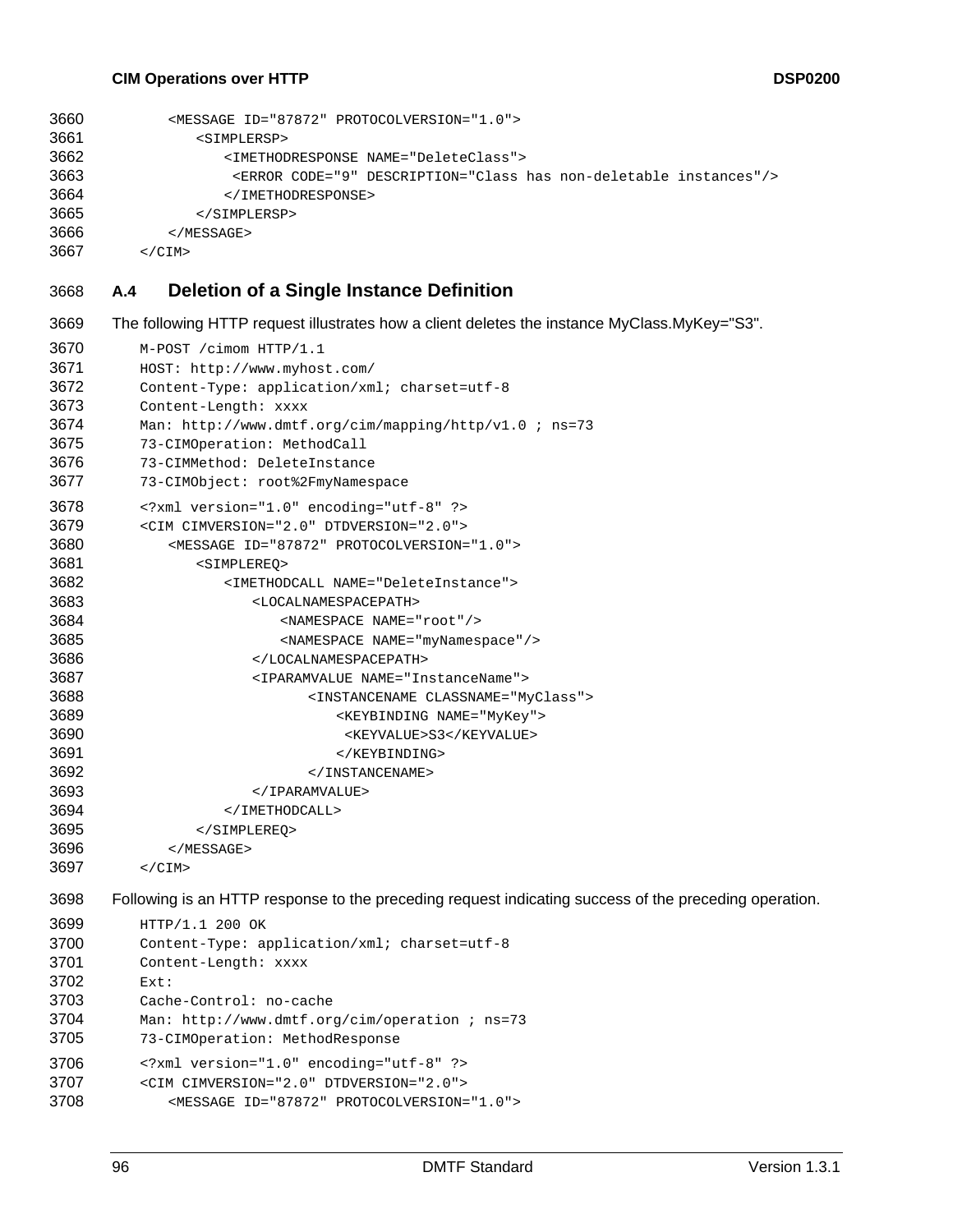#### **CIM Operations over HTTP DEPO200**

| 3660 | <message id="87872" protocolversion="1.0"></message>                     |
|------|--------------------------------------------------------------------------|
| 3661 | <simplersp></simplersp>                                                  |
| 3662 | <imethodresponse name="DeleteClass"></imethodresponse>                   |
| 3663 | <error code="9" description="Class has non-deletable instances"></error> |
| 3664 |                                                                          |
| 3665 | $<$ /SIMPLERSP>                                                          |
| 3666 | $\langle$ /MESSAGE>                                                      |
| 3667 | $\langle$ /CIM $\rangle$                                                 |

# 3668 **A.4 Deletion of a Single Instance Definition**

3669 The following HTTP request illustrates how a client deletes the instance MyClass.MyKey="S3".

```
3670 
3671 
3672 
3673 
3674 
3675 
3676 
3677 
3678 
3679 
3680 
3681 
3682 
3683 
3684 
3685 
3686 
3687 
3688 
3689 
3690 
3691 
3692 
3693 
3694 
3695 
3696 
3697 
3698 
           M-POST /cimom HTTP/1.1
           HOST: http://www.myhost.com/
           Content-Type: application/xml; charset=utf-8
           Content-Length: xxxx
           Man: http://www.dmtf.org/cim/mapping/http/v1.0 ; ns=73
           73-CIMOperation: MethodCall
           73-CIMMethod: DeleteInstance
           73-CIMObject: root%2FmyNamespace
           <?xml version="1.0" encoding="utf-8" ?>
           <CIM CIMVERSION="2.0" DTDVERSION="2.0">
                <MESSAGE ID="87872" PROTOCOLVERSION="1.0">
                    <SIMPLEREQ>
                       <IMETHODCALL NAME="DeleteInstance">
                           <LOCALNAMESPACEPATH>
                              <NAMESPACE NAME="root"/>
                               <NAMESPACE NAME="myNamespace"/>
                           </LOCALNAMESPACEPATH>
                           <IPARAMVALUE NAME="InstanceName">
                                  <INSTANCENAME CLASSNAME="MyClass">
                                      <KEYBINDING NAME="MyKey">
                                       <KEYVALUE>S3</KEYVALUE>
                                      </KEYBINDING>
                                  </INSTANCENAME>
                           </IPARAMVALUE>
                       </IMETHODCALL>
                    </SIMPLEREQ>
                </MESSAGE>
           </CIM>Following is an HTTP response to the preceding request indicating success of the preceding operation.
```

```
3699 
3700 
3701 
3702 
           HTTP/1.1 200 OK
           Content-Type: application/xml; charset=utf-8
           Content-Length: xxxx
           Ext:
```

```
3703 
           Cache-Control: no-cache
```

```
3704 
          Man: http://www.dmtf.org/cim/operation ; ns=73
```

```
3705 
           73-CIMOperation: MethodResponse
```

```
3706 
3707 
3708 
           <?xml version="1.0" encoding="utf-8" ?>
           <CIM CIMVERSION="2.0" DTDVERSION="2.0">
               <MESSAGE ID="87872" PROTOCOLVERSION="1.0">
```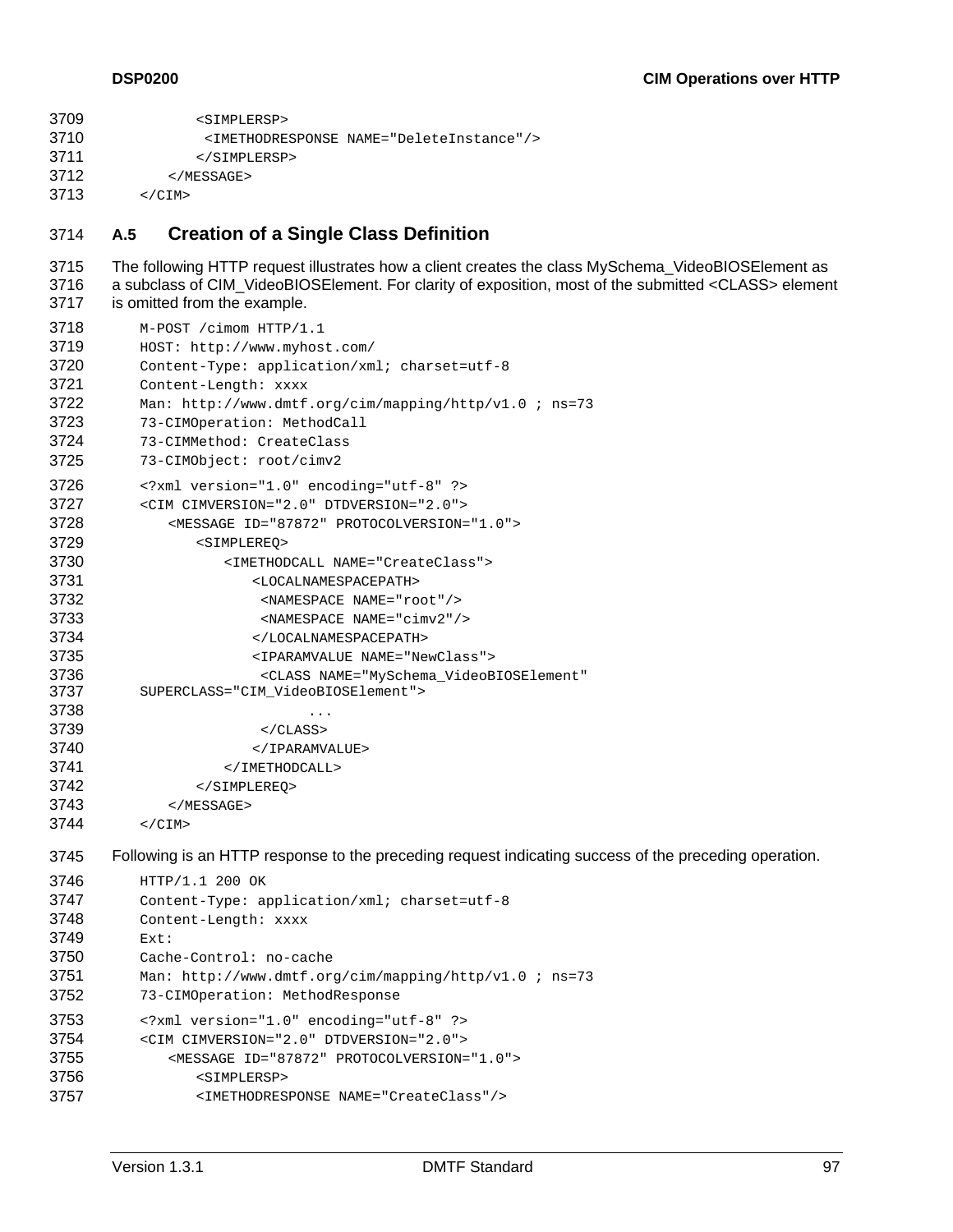| 3709 | <simplersp></simplersp>                                   |
|------|-----------------------------------------------------------|
| 3710 | <imethodresponse name="DeleteInstance"></imethodresponse> |
| 3711 | $\langle$ /SIMPLERSP>                                     |
| 3712 | $\langle$ /MESSAGE>                                       |
| 3713 | $\langle$ /CIM $\rangle$                                  |

# 3714 **A.5 Creation of a Single Class Definition**

```
3715 
3716 
3717 
3718 
3719 
3720 
3721 
3722 
3723 
3724 
3725 
3726 
3727 
3728 
3729 
3730 
3731 
3732 
3733 
3734 
3735 
3736 
3737 
3738 
3739 
3740 
3741 
3742 
3743 
3744 
3745 
3746 
3747 
3748 
3749 
3750 
3751 
3752 
3753 
3754 
3755 
        The following HTTP request illustrates how a client creates the class MySchema_VideoBIOSElement as 
        a subclass of CIM_VideoBIOSElement. For clarity of exposition, most of the submitted <CLASS> element 
        is omitted from the example. 
           M-POST /cimom HTTP/1.1
           HOST: http://www.myhost.com/
           Content-Type: application/xml; charset=utf-8
           Content-Length: xxxx
           Man: http://www.dmtf.org/cim/mapping/http/v1.0 ; ns=73
           73-CIMOperation: MethodCall
           73-CIMMethod: CreateClass
           73-CIMObject: root/cimv2
           <?xml version="1.0" encoding="utf-8" ?>
           <CIM CIMVERSION="2.0" DTDVERSION="2.0">
                <MESSAGE ID="87872" PROTOCOLVERSION="1.0">
                   <SIMPLEREQ>
                       <IMETHODCALL NAME="CreateClass">
                           <LOCALNAMESPACEPATH>
                            <NAMESPACE NAME="root"/>
                           <NAMESPACE NAME="cimv2"/>
                           </LOCALNAMESPACEPATH>
                           <IPARAMVALUE NAME="NewClass">
                            <CLASS NAME="MySchema_VideoBIOSElement" 
           SUPERCLASS="CIM_VideoBIOSElement">
             ...
                            </CLASS>
                           </IPARAMVALUE>
                       </IMETHODCALL>
                   </SIMPLEREQ>
                </MESSAGE>
           </CIM>Following is an HTTP response to the preceding request indicating success of the preceding operation. 
           HTTP/1.1 200 OK
           Content-Type: application/xml; charset=utf-8
           Content-Length: xxxx
           Ext:
           Cache-Control: no-cache
           Man: http://www.dmtf.org/cim/mapping/http/v1.0 ; ns=73
           73-CIMOperation: MethodResponse
           <?xml version="1.0" encoding="utf-8" ?>
           <CIM CIMVERSION="2.0" DTDVERSION="2.0">
                <MESSAGE ID="87872" PROTOCOLVERSION="1.0">
```

```
3756 
                     <SIMPLERSP>
```

```
3757 
                   <IMETHODRESPONSE NAME="CreateClass"/>
```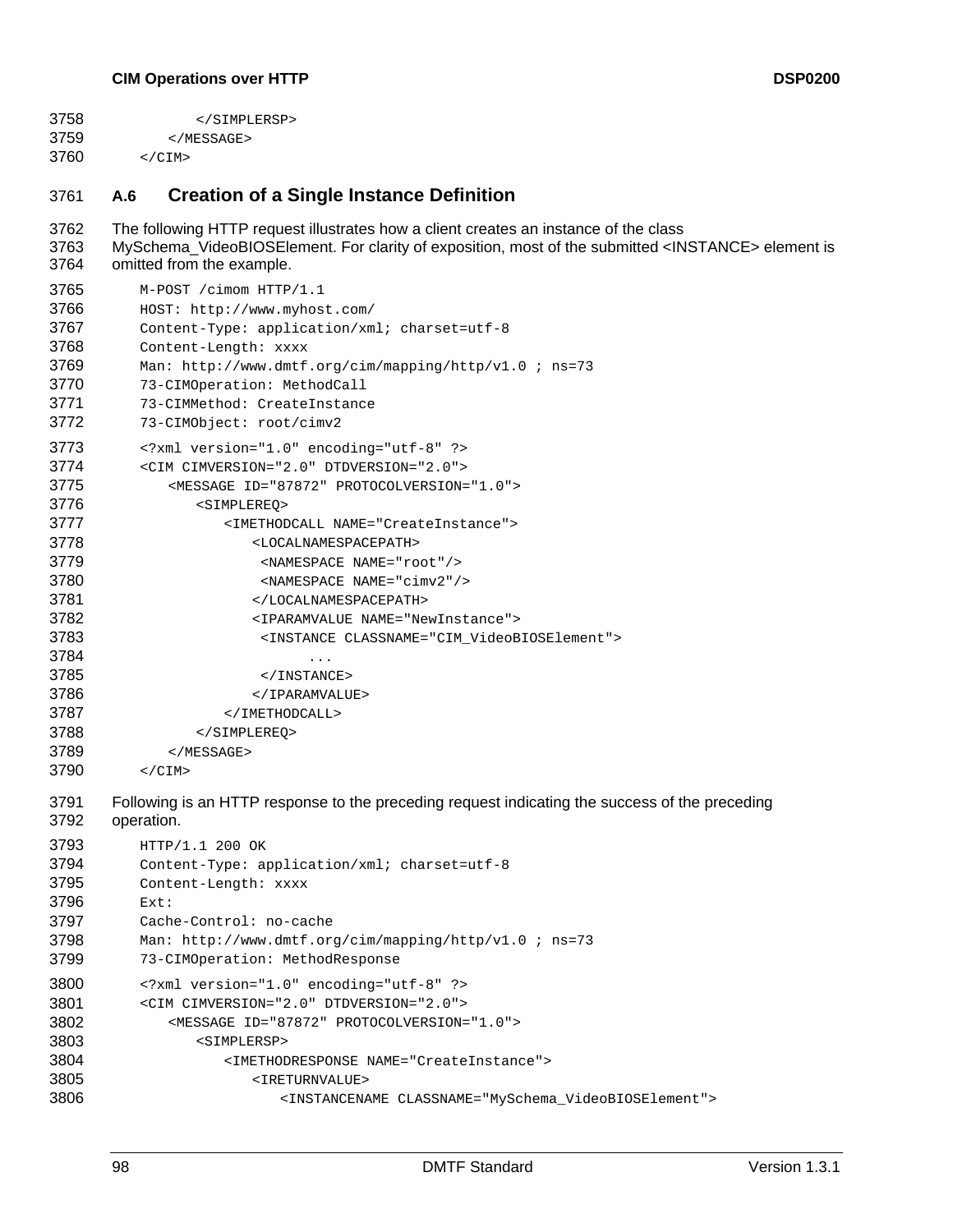#### **CIM Operations over HTTP DEPO200**

```
3758 </SIMPLERSP>
3759 
3760 
             </MESSAGE>
         </CIM>
```
# 3761 **A.6 Creation of a Single Instance Definition**

3762 3763 3764 3765 3766 3767 3768 3769 3770 3771 3772 3773 3774 3775 3776 3777 3778 3779 3780 3781 3782 3783 3784 3785 3786 3787 3788 3789 3790 3791 3792 3793 3794 3795 3796 3797 3798 3799 3800 3801 3802 3803 3804 3805 3806 The following HTTP request illustrates how a client creates an instance of the class MySchema\_VideoBIOSElement. For clarity of exposition, most of the submitted <INSTANCE> element is omitted from the example. M-POST /cimom HTTP/1.1 HOST: http://www.myhost.com/ Content-Type: application/xml; charset=utf-8 Content-Length: xxxx Man: http://www.dmtf.org/cim/mapping/http/v1.0 ; ns=73 73-CIMOperation: MethodCall 73-CIMMethod: CreateInstance 73-CIMObject: root/cimv2 <?xml version="1.0" encoding="utf-8" ?> <CIM CIMVERSION="2.0" DTDVERSION="2.0"> <MESSAGE ID="87872" PROTOCOLVERSION="1.0"> <SIMPLEREQ> <IMETHODCALL NAME="CreateInstance"> <LOCALNAMESPACEPATH> <NAMESPACE NAME="root"/> <NAMESPACE NAME="cimv2"/> </LOCALNAMESPACEPATH> <IPARAMVALUE NAME="NewInstance"> <INSTANCE CLASSNAME="CIM\_VideoBIOSElement"> ... </INSTANCE> </IPARAMVALUE> </IMETHODCALL> </SIMPLEREQ> </MESSAGE>  $\langle$  / CIM $>$ Following is an HTTP response to the preceding request indicating the success of the preceding operation. HTTP/1.1 200 OK Content-Type: application/xml; charset=utf-8 Content-Length: xxxx Ext: Cache-Control: no-cache Man: http://www.dmtf.org/cim/mapping/http/v1.0 ; ns=73 73-CIMOperation: MethodResponse <?xml version="1.0" encoding="utf-8" ?> <CIM CIMVERSION="2.0" DTDVERSION="2.0"> <MESSAGE ID="87872" PROTOCOLVERSION="1.0"> <SIMPLERSP> <IMETHODRESPONSE NAME="CreateInstance"> <IRETURNVALUE> <INSTANCENAME CLASSNAME="MySchema\_VideoBIOSElement">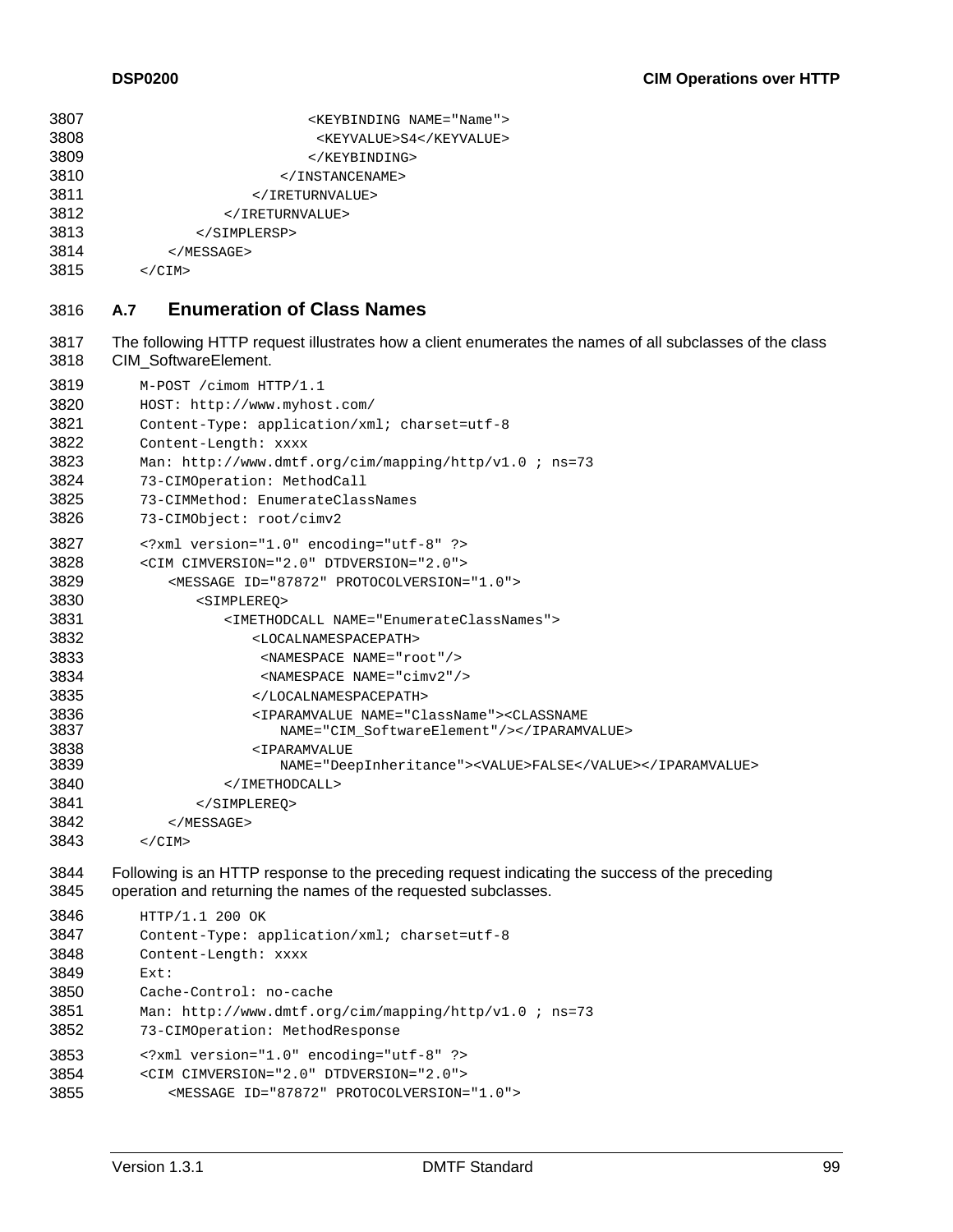| 3807 | <keybinding name="Name"></keybinding> |
|------|---------------------------------------|
| 3808 | <keyvalue>S4</keyvalue>               |
| 3809 |                                       |
| 3810 |                                       |
| 3811 |                                       |
| 3812 |                                       |
| 3813 |                                       |
| 3814 | $<$ /MESSAGE>                         |
| 3815 | $\langle$ CTM $\rangle$               |

# 3816 **A.7 Enumeration of Class Names**

3817 3818 The following HTTP request illustrates how a client enumerates the names of all subclasses of the class CIM\_SoftwareElement.

| 3819         | M-POST / cimom HTTP/1.1                                                         |
|--------------|---------------------------------------------------------------------------------|
| 3820         | HOST: http://www.myhost.com/                                                    |
| 3821         | Content-Type: application/xml; charset=utf-8                                    |
| 3822         | Content-Length: xxxx                                                            |
| 3823         | Man: http://www.dmtf.org/cim/mapping/http/v1.0; ns=73                           |
| 3824         | 73-CIMOperation: MethodCall                                                     |
| 3825         | 73-CIMMethod: EnumerateClassNames                                               |
| 3826         | 73-CIMObject: root/cimv2                                                        |
| 3827         | xml version="1.0" encoding="utf-8" ?                                            |
| 3828         | <cim cimversion="2.0" dtdversion="2.0"></cim>                                   |
| 3829         | <message id="87872" protocolversion="1.0"></message>                            |
| 3830         | <simplereo></simplereo>                                                         |
| 3831         | <imethodcall name="EnumerateClassNames"></imethodcall>                          |
| 3832         | <localnamespacepath></localnamespacepath>                                       |
| 3833         | <namespace name="root"></namespace>                                             |
| 3834         | $<$ NAMESPACE NAME=" $cimv2$ "/>                                                |
| 3835         |                                                                                 |
| 3836         | <iparamvalue name="ClassName"><classname< th=""></classname<></iparamvalue>     |
| 3837         | NAME="CIM SoftwareElement"/>                                                    |
| 3838<br>3839 | <iparamvalue<br>NAME="DeepInheritance"&gt;<value>FALSE</value></iparamvalue<br> |
| 3840         |                                                                                 |
| 3841         |                                                                                 |
| 3842         | $<$ /MESSAGE>                                                                   |
| 3843         | $\langle$ /CIM $\rangle$                                                        |

3844 3845 Following is an HTTP response to the preceding request indicating the success of the preceding operation and returning the names of the requested subclasses.

```
3846 
3847 
3848 
3849 
3850 
3851 
3852 
3853 
3854 
3855 
           HTTP/1.1 200 OK
           Content-Type: application/xml; charset=utf-8
          Content-Length: xxxx
          Ext:
          Cache-Control: no-cache
          Man: http://www.dmtf.org/cim/mapping/http/v1.0 ; ns=73
          73-CIMOperation: MethodResponse
           <?xml version="1.0" encoding="utf-8" ?>
           <CIM CIMVERSION="2.0" DTDVERSION="2.0">
               <MESSAGE ID="87872" PROTOCOLVERSION="1.0">
```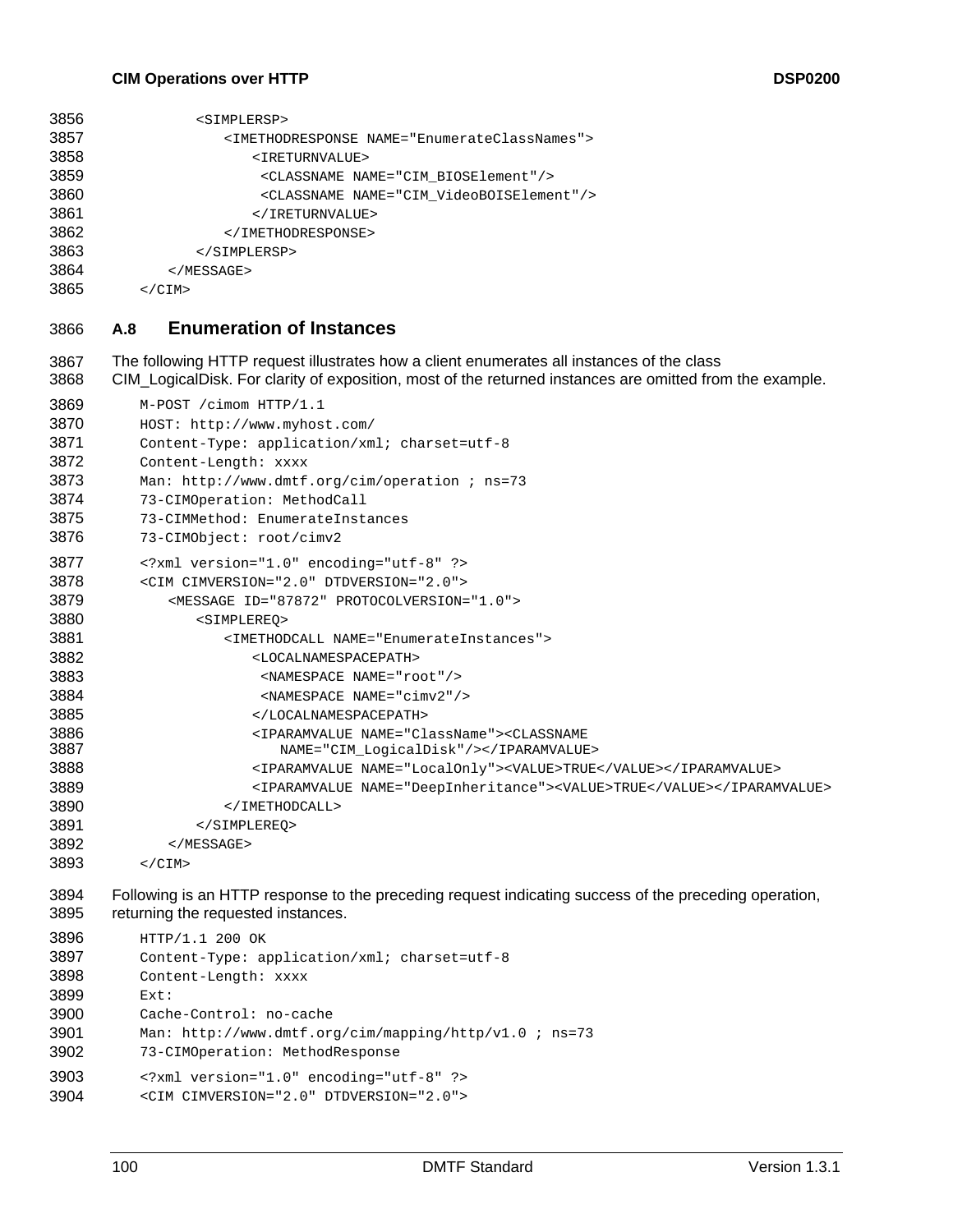| 3856 | <simplersp></simplersp>                                        |
|------|----------------------------------------------------------------|
| 3857 | <imethodresponse name="EnumerateClassNames"></imethodresponse> |
| 3858 | <ireturnvalue></ireturnvalue>                                  |
| 3859 |                                                                |
| 3860 |                                                                |
| 3861 |                                                                |
| 3862 |                                                                |
| 3863 | $\langle$ /SIMPLERSP>                                          |
| 3864 | $\langle$ /MESSAGE>                                            |
| 3865 | $\langle$ / CIM $\rangle$                                      |

# 3866 **A.8 Enumeration of Instances**

3867 3868 The following HTTP request illustrates how a client enumerates all instances of the class CIM\_LogicalDisk. For clarity of exposition, most of the returned instances are omitted from the example.

| 3869 | M-POST / cimom HTTP/1.1                                                     |
|------|-----------------------------------------------------------------------------|
| 3870 | HOST: http://www.myhost.com/                                                |
| 3871 | Content-Type: application/xml; charset=utf-8                                |
| 3872 | Content-Length: xxxx                                                        |
| 3873 | Man: http://www.dmtf.org/cim/operation ; ns=73                              |
| 3874 | 73-CIMOperation: MethodCall                                                 |
| 3875 | 73-CIMMethod: EnumerateInstances                                            |
| 3876 | 73-CIMObject: root/cimv2                                                    |
| 3877 | xml version="1.0" encoding="utf-8" ?                                        |
| 3878 | <cim cimversion="2.0" dtdversion="2.0"></cim>                               |
| 3879 | <message id="87872" protocolversion="1.0"></message>                        |
| 3880 | <simplereo></simplereo>                                                     |
| 3881 | <imethodcall name="EnumerateInstances"></imethodcall>                       |
| 3882 | <localnamespacepath></localnamespacepath>                                   |
| 3883 | <namespace name="root"></namespace>                                         |
| 3884 | $<$ NAMESPACE NAME="cimv2"/>                                                |
| 3885 |                                                                             |
| 3886 | <iparamvalue name="ClassName"><classname< th=""></classname<></iparamvalue> |
| 3887 | NAME="CIM_LogicalDisk"/>                                                    |
| 3888 | <iparamvalue name="LocalOnly"><value>TRUE</value></iparamvalue>             |
| 3889 | <iparamvalue name="DeepInheritance"><value>TRUE</value></iparamvalue>       |
| 3890 |                                                                             |
| 3891 |                                                                             |
| 3892 | $<$ /MESSAGE>                                                               |
| 3893 | $\langle$ /CIM $\rangle$                                                    |
|      |                                                                             |

3894 3895 Following is an HTTP response to the preceding request indicating success of the preceding operation, returning the requested instances.

```
3896 
3897 
3898 
3899 
3900 
3901 
3902 
3903 
3904 
           HTTP/1.1 200 OK
           Content-Type: application/xml; charset=utf-8
           Content-Length: xxxx
           Ext:
           Cache-Control: no-cache
           Man: http://www.dmtf.org/cim/mapping/http/v1.0 ; ns=73
           73-CIMOperation: MethodResponse
           <?xml version="1.0" encoding="utf-8" ?>
           <CIM CIMVERSION="2.0" DTDVERSION="2.0">
```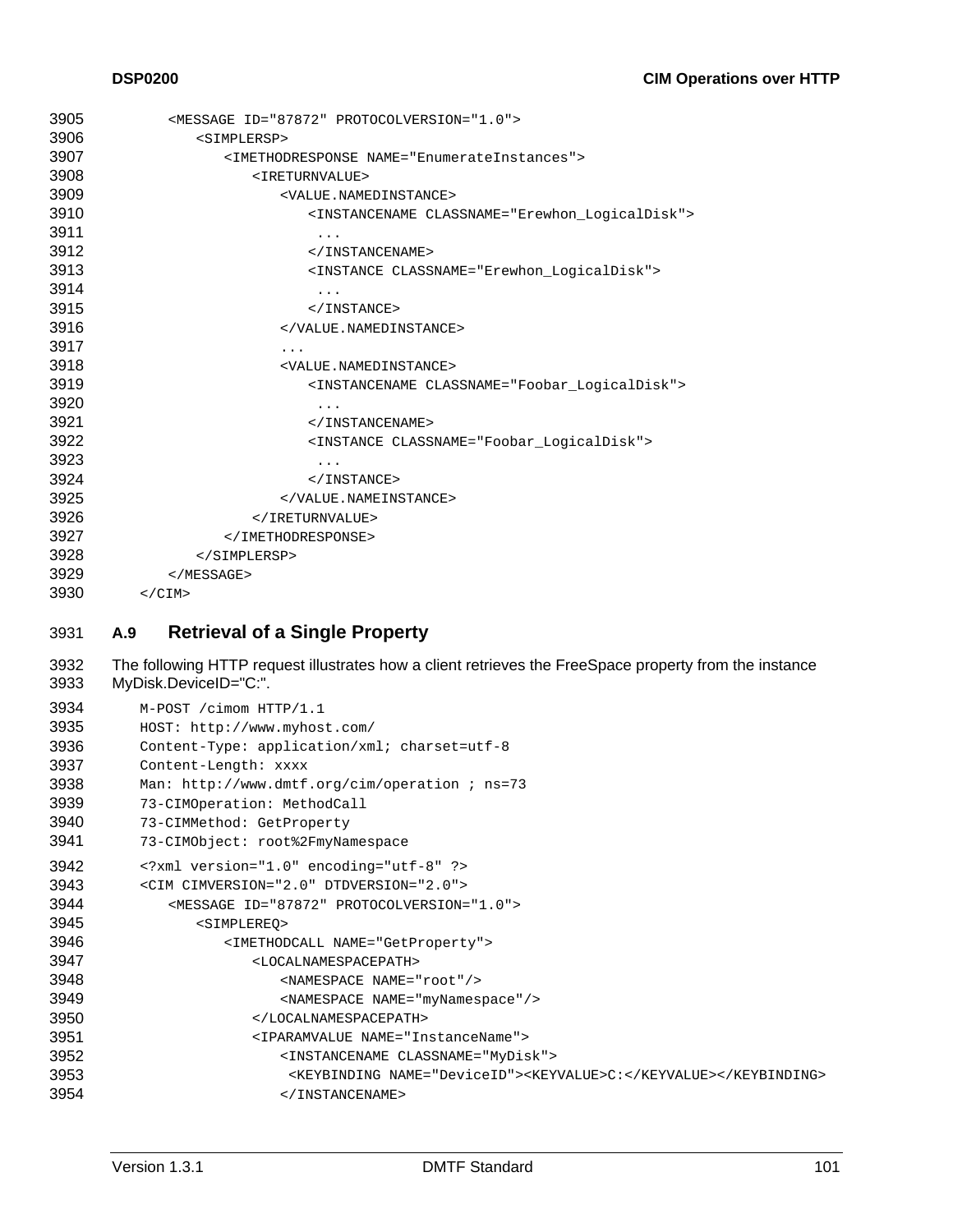| <message id="87872" protocolversion="1.0"></message>          |
|---------------------------------------------------------------|
| <simplersp></simplersp>                                       |
| <imethodresponse name="EnumerateInstances"></imethodresponse> |
| <ireturnvalue></ireturnvalue>                                 |
| <value.namedinstance></value.namedinstance>                   |
| <instancename classname="Erewhon LoqicalDisk"></instancename> |
| .                                                             |
|                                                               |
| <instance classname="Erewhon_LogicalDisk"></instance>         |
| .                                                             |
| $\langle$ /INSTANCE>                                          |
|                                                               |
| .                                                             |
| <value.namedinstance></value.namedinstance>                   |
| <instancename classname="Foobar_LogicalDisk"></instancename>  |
| .                                                             |
|                                                               |
| <instance classname="Foobar LogicalDisk"></instance>          |
|                                                               |
| $\langle$ /INSTANCE>                                          |
|                                                               |
|                                                               |
|                                                               |
|                                                               |
| $<$ /MESSAGE>                                                 |
| $<$ /CIM>                                                     |
|                                                               |

# 3931 **A.9 Retrieval of a Single Property**

3932 3933 The following HTTP request illustrates how a client retrieves the FreeSpace property from the instance MyDisk.DeviceID="C:".

```
3934 
3935 
3936 
3937 
3938 
3939 
3940 
3941 
3942 
3943 
3944 
3945 
3946 
3947 
3948 
3949 
3950 
3951 
3952 
3953 
3954 
           M-POST /cimom HTTP/1.1
           HOST: http://www.myhost.com/
           Content-Type: application/xml; charset=utf-8
           Content-Length: xxxx
           Man: http://www.dmtf.org/cim/operation ; ns=73
           73-CIMOperation: MethodCall
           73-CIMMethod: GetProperty
           73-CIMObject: root%2FmyNamespace
           <?xml version="1.0" encoding="utf-8" ?>
           <CIM CIMVERSION="2.0" DTDVERSION="2.0">
                <MESSAGE ID="87872" PROTOCOLVERSION="1.0">
                   <SIMPLEREQ>
                      <IMETHODCALL NAME="GetProperty">
                          <LOCALNAMESPACEPATH>
                              <NAMESPACE NAME="root"/>
                              <NAMESPACE NAME="myNamespace"/>
                          </LOCALNAMESPACEPATH>
                          <IPARAMVALUE NAME="InstanceName">
                              <INSTANCENAME CLASSNAME="MyDisk">
                               <KEYBINDING NAME="DeviceID"><KEYVALUE>C:</KEYVALUE></KEYBINDING>
                              </INSTANCENAME>
```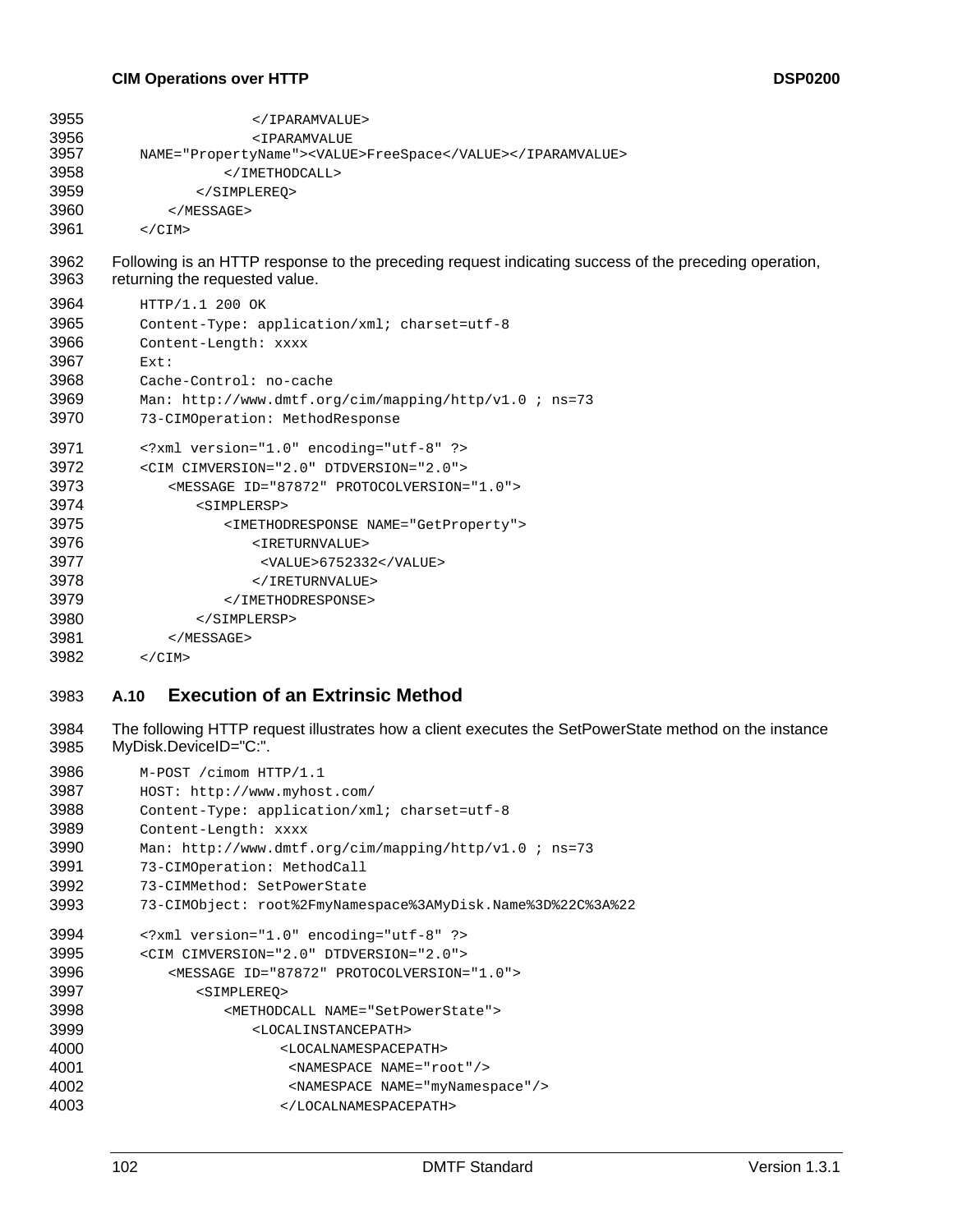#### **CIM Operations over HTTP DEPO200 DSP0200**

| 3955 |                                                                                                       |
|------|-------------------------------------------------------------------------------------------------------|
| 3956 | <iparamvalue< td=""></iparamvalue<>                                                                   |
| 3957 | NAME="PropertyName"> <value>FreeSpace</value>                                                         |
| 3958 |                                                                                                       |
| 3959 |                                                                                                       |
| 3960 | $<$ /MESSAGE>                                                                                         |
| 3961 | $<$ / CIM $>$                                                                                         |
| 3962 | Following is an HTTP response to the preceding request indicating success of the preceding operation, |
| 3963 | returning the requested value.                                                                        |
| 3964 | HTTP/1.1 200 OK                                                                                       |
| 3965 | Content-Type: application/xml; charset=utf-8                                                          |
| 3966 | Content-Length: xxxx                                                                                  |
| 3967 | Ext:                                                                                                  |
| 3968 | Cache-Control: no-cache                                                                               |
| 3969 | Man: http://www.dmtf.org/cim/mapping/http/v1.0; ns=73                                                 |
| 3970 | 73-CIMOperation: MethodResponse                                                                       |
| 3971 | xml version="1.0" encoding="utf-8" ?                                                                  |
| 3972 | <cim cimversion="2.0" dtdversion="2.0"></cim>                                                         |
| 3973 | <message id="87872" protocolversion="1.0"></message>                                                  |
| 3974 | <simplersp></simplersp>                                                                               |
| 3975 | <imethodresponse name="GetProperty"></imethodresponse>                                                |
| 3976 | <ireturnvalue></ireturnvalue>                                                                         |
| 3977 | <value>6752332</value>                                                                                |
| 3978 |                                                                                                       |
| 3979 |                                                                                                       |
| 3980 | $<$ /SIMPLERSP>                                                                                       |
| 3981 | $<$ /MESSAGE>                                                                                         |
| 3982 | $<$ / CIM $>$                                                                                         |

# 3983 **A.10 Execution of an Extrinsic Method**

3984 3985 The following HTTP request illustrates how a client executes the SetPowerState method on the instance MyDisk.DeviceID="C:".

```
3986 
3987 
3988 
3989 
3990 
3991 
3992 
3993 
3994 
3995 
3996 
3997 
3998 
3999 
4000 
4001 
4002 
4003 
           M-POST /cimom HTTP/1.1
           HOST: http://www.myhost.com/
           Content-Type: application/xml; charset=utf-8
           Content-Length: xxxx
           Man: http://www.dmtf.org/cim/mapping/http/v1.0 ; ns=73
           73-CIMOperation: MethodCall
           73-CIMMethod: SetPowerState
           73-CIMObject: root%2FmyNamespace%3AMyDisk.Name%3D%22C%3A%22
           <?xml version="1.0" encoding="utf-8" ?>
           <CIM CIMVERSION="2.0" DTDVERSION="2.0">
                <MESSAGE ID="87872" PROTOCOLVERSION="1.0">
                   <SIMPLEREQ>
                       <METHODCALL NAME="SetPowerState">
                          <LOCALINSTANCEPATH>
                              <LOCALNAMESPACEPATH>
                               <NAMESPACE NAME="root"/>
                               <NAMESPACE NAME="myNamespace"/>
                              </LOCALNAMESPACEPATH>
```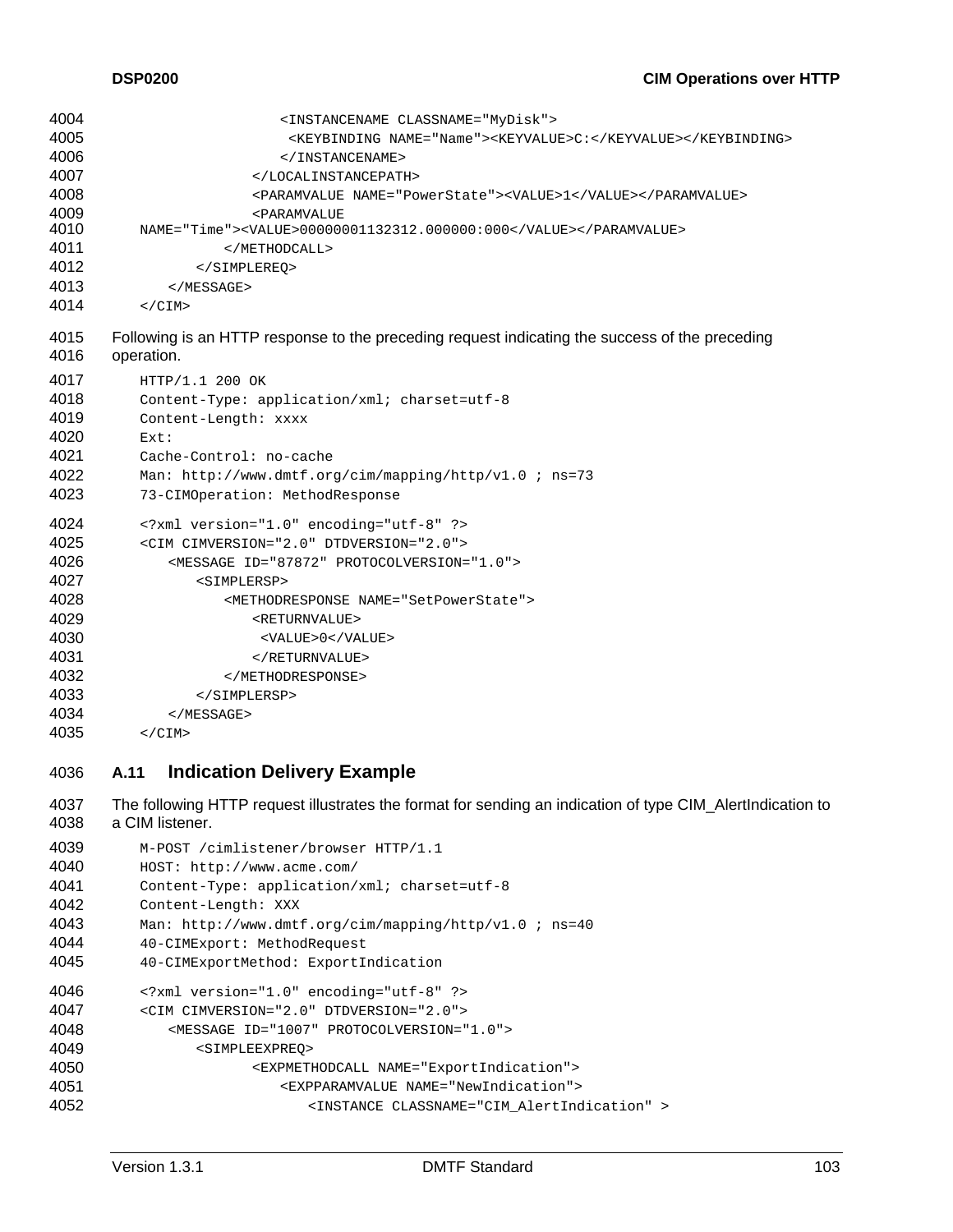| 4004         | <instancename classname="MyDisk"></instancename>                                                             |
|--------------|--------------------------------------------------------------------------------------------------------------|
| 4005         | <keybinding name="Name"><keyvalue>C:</keyvalue></keybinding>                                                 |
| 4006         |                                                                                                              |
| 4007         |                                                                                                              |
| 4008         | <paramvalue name="PowerState"><value>1</value></paramvalue>                                                  |
| 4009         | <paramvalue< td=""></paramvalue<>                                                                            |
| 4010         | NAME="Time"> <value>00000001132312.000000:000</value>                                                        |
| 4011         |                                                                                                              |
| 4012         |                                                                                                              |
| 4013         | $<$ /MESSAGE>                                                                                                |
| 4014         | $\langle$ /CIM $\rangle$                                                                                     |
| 4015<br>4016 | Following is an HTTP response to the preceding request indicating the success of the preceding<br>operation. |
| 4017         | HTTP/1.1 200 OK                                                                                              |
| 4018         | Content-Type: application/xml; charset=utf-8                                                                 |
| 4019         | Content-Length: xxxx                                                                                         |
| 4020         | Ext:                                                                                                         |
| 4021         | Cache-Control: no-cache                                                                                      |
| 4022         | Man: http://www.dmtf.org/cim/mapping/http/v1.0; ns=73                                                        |
| 4023         | 73-CIMOperation: MethodResponse                                                                              |
| 4024         | xml version="1.0" encoding="utf-8" ?                                                                         |
| 4025         | <cim cimversion="2.0" dtdversion="2.0"></cim>                                                                |
| 4026         | <message id="87872" protocolversion="1.0"></message>                                                         |
| 4027         | <simplersp></simplersp>                                                                                      |
| 4028         | <methodresponse name="SetPowerState"></methodresponse>                                                       |
| 4029         | <returnvalue></returnvalue>                                                                                  |
| 4030         | <value>0</value>                                                                                             |
| 4031         |                                                                                                              |
| 4032         |                                                                                                              |
| 4033         |                                                                                                              |
| 4034         | $<$ /MESSAGE>                                                                                                |
| 4035         | $<$ /CIM $>$                                                                                                 |
|              |                                                                                                              |

#### 4036 **A.11 Indication Delivery Example**

```
4037 
4038 
4039 
4040 
4041 
4042 
4043 
4044 
4045 
4046 
4047 
4048 
4049 
4050 
4051 
4052 
       The following HTTP request illustrates the format for sending an indication of type CIM_AlertIndication to 
       a CIM listener. 
           M-POST /cimlistener/browser HTTP/1.1
           HOST: http://www.acme.com/
           Content-Type: application/xml; charset=utf-8
           Content-Length: XXX
           Man: http://www.dmtf.org/cim/mapping/http/v1.0 ; ns=40
           40-CIMExport: MethodRequest
           40-CIMExportMethod: ExportIndication
           <?xml version="1.0" encoding="utf-8" ?>
           <CIM CIMVERSION="2.0" DTDVERSION="2.0">
                <MESSAGE ID="1007" PROTOCOLVERSION="1.0">
                   <SIMPLEEXPREQ>
                           <EXPMETHODCALL NAME="ExportIndication">
                              <EXPPARAMVALUE NAME="NewIndication">
                                  <INSTANCE CLASSNAME="CIM_AlertIndication" >
```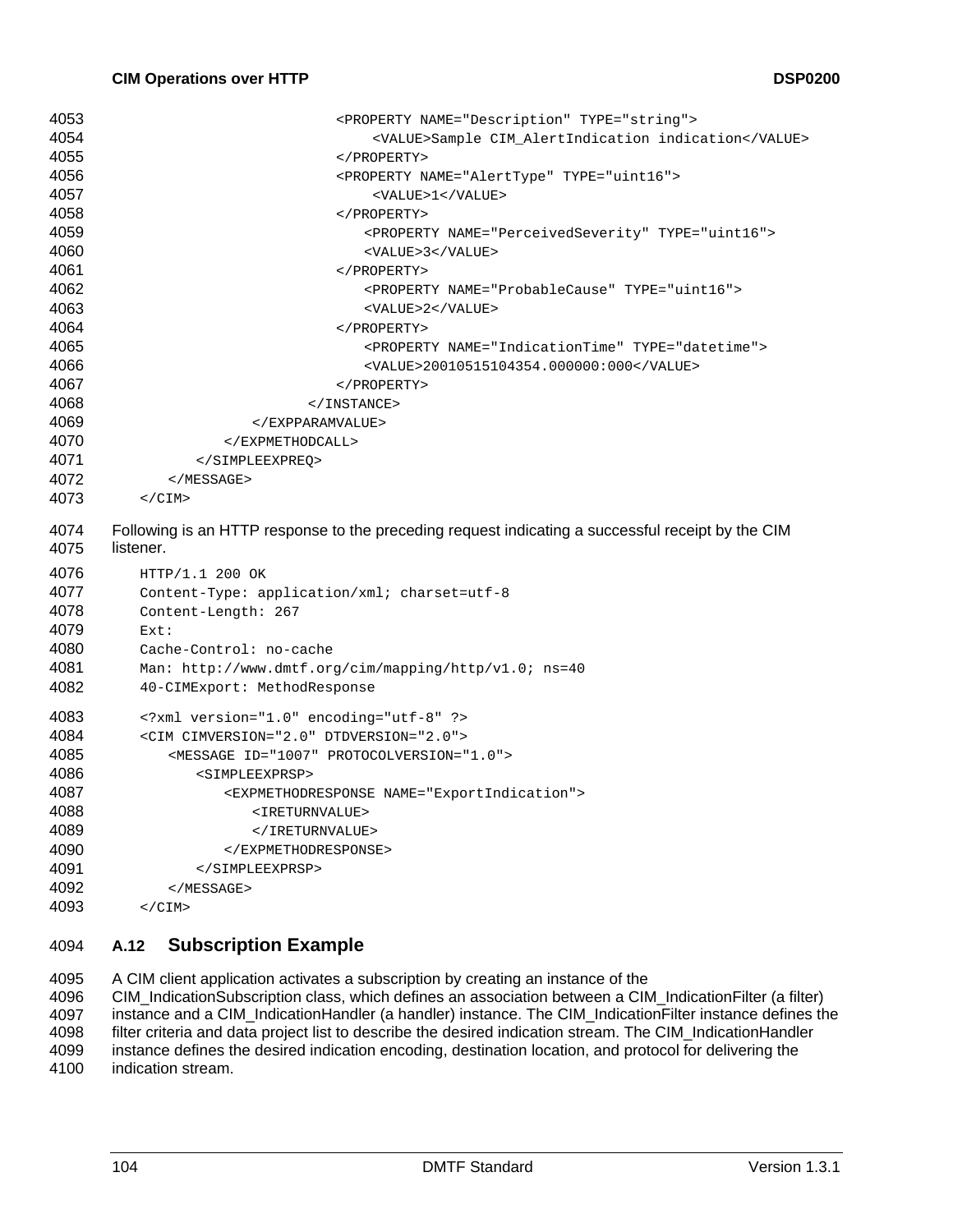| 4053         | <property name="Description" type="string"></property>                                                         |
|--------------|----------------------------------------------------------------------------------------------------------------|
| 4054         | <value>Sample CIM_AlertIndication indication</value>                                                           |
| 4055         |                                                                                                                |
| 4056         | <property name="AlertType" type="uint16"></property>                                                           |
| 4057         | <value>1</value>                                                                                               |
| 4058         |                                                                                                                |
| 4059         | <property name="PerceivedSeverity" type="uint16"></property>                                                   |
| 4060         | <value>3</value>                                                                                               |
| 4061         |                                                                                                                |
| 4062         | <property name="ProbableCause" type="uint16"></property>                                                       |
| 4063         | <value>2</value>                                                                                               |
| 4064         |                                                                                                                |
| 4065         | <property name="IndicationTime" type="datetime"></property>                                                    |
| 4066         | <value>20010515104354.000000:000</value>                                                                       |
| 4067         | $\langle$ /PROPERTY>                                                                                           |
| 4068         | $\langle$ /INSTANCE>                                                                                           |
| 4069         |                                                                                                                |
| 4070         |                                                                                                                |
| 4071         |                                                                                                                |
| 4072         | $<$ /MESSAGE>                                                                                                  |
| 4073         | $<$ / CIM $>$                                                                                                  |
|              |                                                                                                                |
| 4074<br>4075 | Following is an HTTP response to the preceding request indicating a successful receipt by the CIM<br>listener. |
|              |                                                                                                                |
| 4076         | HTTP/1.1 200 OK                                                                                                |
| 4077         | Content-Type: application/xml; charset=utf-8                                                                   |
| 4078         | Content-Length: 267                                                                                            |
| 4079         | Ext:                                                                                                           |
| 4080         | Cache-Control: no-cache                                                                                        |
| 4081         | Man: http://www.dmtf.org/cim/mapping/http/v1.0; ns=40                                                          |
| 4082         | 40-CIMExport: MethodResponse                                                                                   |
| 4083         | xml version="1.0" encoding="utf-8" ?                                                                           |
| 4084         | <cim cimversion="2.0" dtdversion="2.0"></cim>                                                                  |
| 4085         | <message id="1007" protocolversion="1.0"></message>                                                            |
| 4086         | <simpleexprsp></simpleexprsp>                                                                                  |
| 4087         | <expmethodresponse name="ExportIndication"></expmethodresponse>                                                |
| 4088         | <ireturnvalue></ireturnvalue>                                                                                  |
| 4089         |                                                                                                                |
| 4090         |                                                                                                                |
| 4091         |                                                                                                                |
| 4092         | $<$ /MESSAGE>                                                                                                  |
| 4093         | $\langle$ /CIM $\rangle$                                                                                       |

# 4094 **A.12 Subscription Example**

4095 A CIM client application activates a subscription by creating an instance of the

4096 4097 4098 4099 CIM\_IndicationSubscription class, which defines an association between a CIM\_IndicationFilter (a filter) instance and a CIM\_IndicationHandler (a handler) instance. The CIM\_IndicationFilter instance defines the filter criteria and data project list to describe the desired indication stream. The CIM\_IndicationHandler instance defines the desired indication encoding, destination location, and protocol for delivering the

4100 indication stream.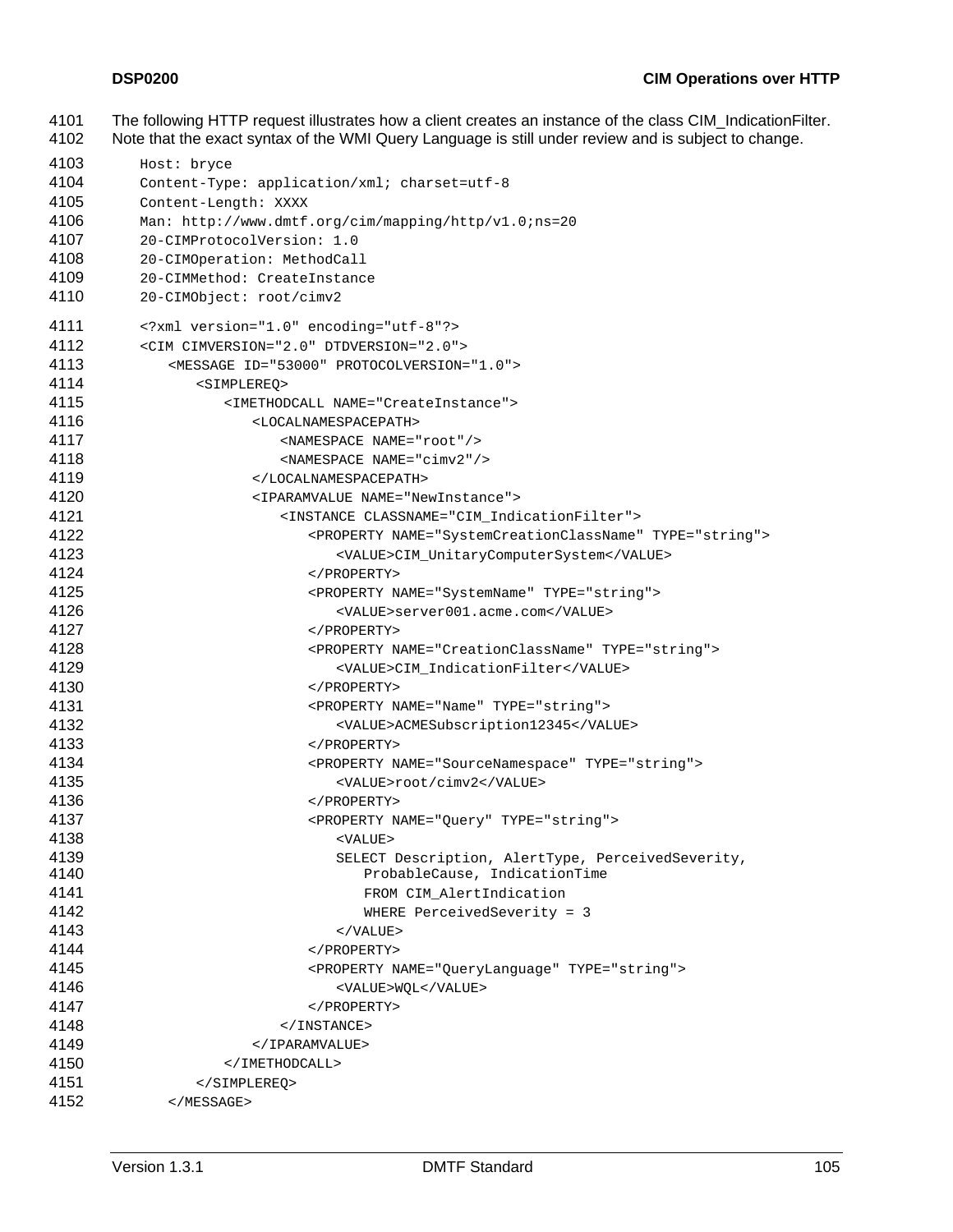- The following HTTP request illustrates how a client creates an instance of the class CIM\_IndicationFilter. 4101
- Note that the exact syntax of the WMI Query Language is still under review and is subject to change. 4102

```
4103 
4104 
4105 
4106 
4107 
4108 
4109 
4110 
4111 
4112 
4113 
4114 
4115 
4116 
4117 
4118 
4119 
4120 
4121 
4122 
4123 
4124 
4125 
4126 
4127 
4128 
4129 
4130 
4131 
4132 
4133 
4134 
4135 
4136 
4137 
4138 
4139 
4140 
4141 
4142 
4143 
4144 
4145 
4146 
4147 
4148 
4149 
4150 
4151 
4152 
           Host: bryce
           Content-Type: application/xml; charset=utf-8
           Content-Length: XXXX
           Man: http://www.dmtf.org/cim/mapping/http/v1.0;ns=20
           20-CIMProtocolVersion: 1.0
           20-CIMOperation: MethodCall
           20-CIMMethod: CreateInstance
           20-CIMObject: root/cimv2
           <?xml version="1.0" encoding="utf-8"?>
           <CIM CIMVERSION="2.0" DTDVERSION="2.0">
                <MESSAGE ID="53000" PROTOCOLVERSION="1.0">
                    <SIMPLEREQ>
                        <IMETHODCALL NAME="CreateInstance">
                           <LOCALNAMESPACEPATH>
                               <NAMESPACE NAME="root"/>
                               <NAMESPACE NAME="cimv2"/>
                           </LOCALNAMESPACEPATH>
                           <IPARAMVALUE NAME="NewInstance">
                               <INSTANCE CLASSNAME="CIM_IndicationFilter">
                                  <PROPERTY NAME="SystemCreationClassName" TYPE="string">
                                      <VALUE>CIM_UnitaryComputerSystem</VALUE>
                                  </PROPERTY>
                                  <PROPERTY NAME="SystemName" TYPE="string">
                                      <VALUE>server001.acme.com</VALUE>
                                  </PROPERTY>
                                  <PROPERTY NAME="CreationClassName" TYPE="string">
                                      <VALUE>CIM_IndicationFilter</VALUE>
                                  </PROPERTY>
                                  <PROPERTY NAME="Name" TYPE="string">
                                      <VALUE>ACMESubscription12345</VALUE>
                                  </PROPERTY>
                                  <PROPERTY NAME="SourceNamespace" TYPE="string">
                                      <VALUE>root/cimv2</VALUE>
                                  </PROPERTY>
                                  <PROPERTY NAME="Query" TYPE="string">
                                     <VALUE>
                                      SELECT Description, AlertType, PerceivedSeverity, 
                                         ProbableCause, IndicationTime
                                         FROM CIM_AlertIndication
                                         WHERE PerceivedSeverity = 3
                                      </VALUE>
                                  </PROPERTY>
                                  <PROPERTY NAME="QueryLanguage" TYPE="string">
                                      <VALUE>WQL</VALUE>
                                  </PROPERTY>
                               </INSTANCE>
                           </IPARAMVALUE>
                       </IMETHODCALL>
                    </SIMPLEREQ>
                </MESSAGE>
```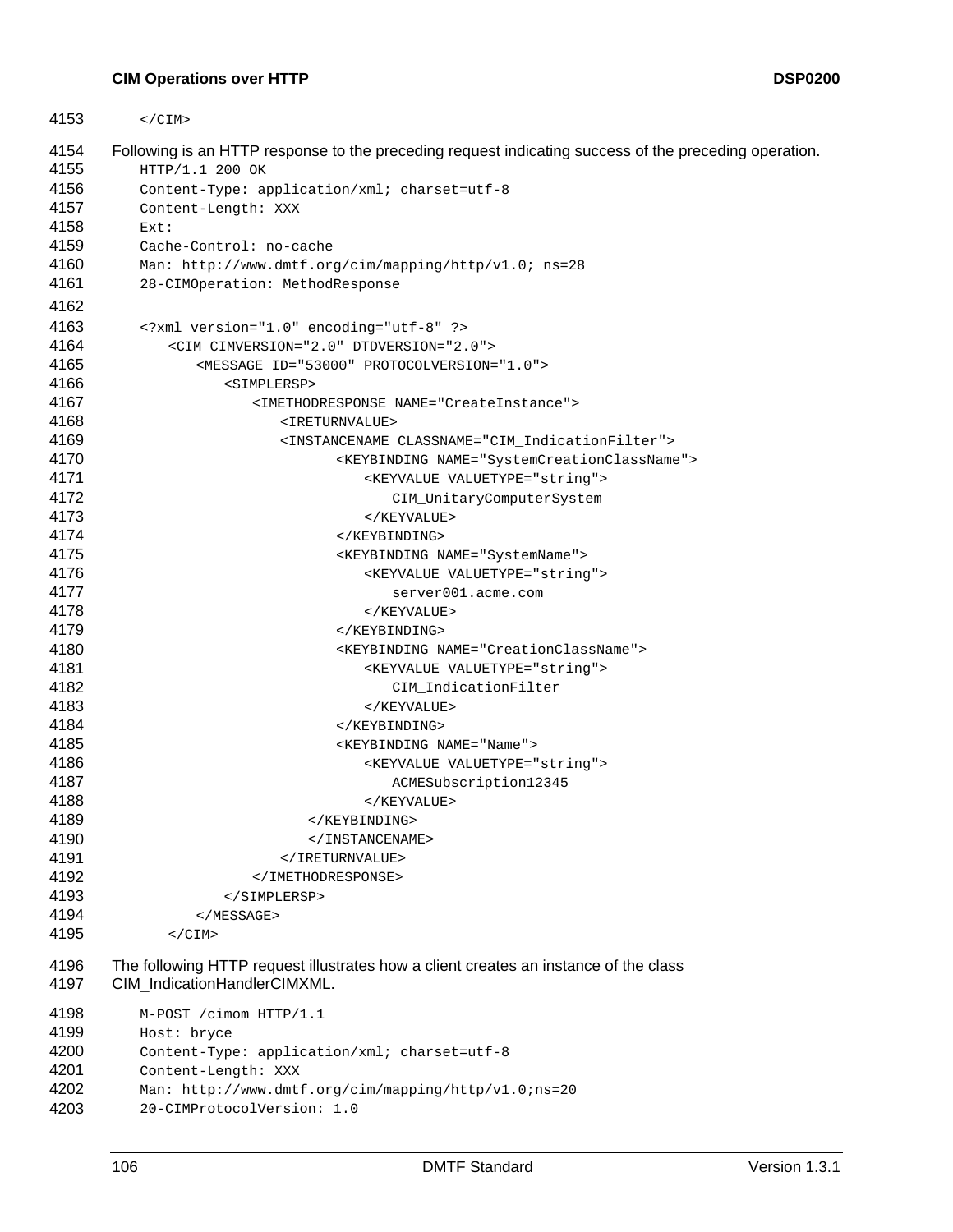# **CIM Operations over HTTP DSP0200**

| 4153         | $\langle$ /CIM $\rangle$                                                                                             |
|--------------|----------------------------------------------------------------------------------------------------------------------|
| 4154         | Following is an HTTP response to the preceding request indicating success of the preceding operation.                |
| 4155         | HTTP/1.1 200 OK                                                                                                      |
| 4156         | Content-Type: application/xml; charset=utf-8                                                                         |
| 4157         | Content-Length: XXX                                                                                                  |
| 4158         | Ext:                                                                                                                 |
| 4159         | Cache-Control: no-cache                                                                                              |
| 4160         | Man: http://www.dmtf.org/cim/mapping/http/v1.0; ns=28                                                                |
| 4161         | 28-CIMOperation: MethodResponse                                                                                      |
| 4162         |                                                                                                                      |
| 4163         | xml version="1.0" encoding="utf-8" ?                                                                                 |
| 4164         | <cim cimversion="2.0" dtdversion="2.0"></cim>                                                                        |
| 4165         | <message id="53000" protocolversion="1.0"></message>                                                                 |
| 4166         | <simplersp></simplersp>                                                                                              |
| 4167         | <imethodresponse name="CreateInstance"></imethodresponse>                                                            |
| 4168         | <ireturnvalue></ireturnvalue>                                                                                        |
| 4169         | <instancename classname="CIM_IndicationFilter"></instancename>                                                       |
| 4170         | <keybinding name="SystemCreationClassName"></keybinding>                                                             |
| 4171         | <keyvalue valuetype="string"></keyvalue>                                                                             |
| 4172         | CIM_UnitaryComputerSystem                                                                                            |
| 4173         |                                                                                                                      |
| 4174         |                                                                                                                      |
| 4175         | <keybinding name="SystemName"></keybinding>                                                                          |
| 4176         | <keyvalue valuetype="string"></keyvalue>                                                                             |
| 4177         | server001.acme.com                                                                                                   |
| 4178         |                                                                                                                      |
| 4179         |                                                                                                                      |
| 4180         | <keybinding name="CreationClassName"></keybinding>                                                                   |
| 4181         | <keyvalue valuetype="string"></keyvalue>                                                                             |
| 4182         | CIM_IndicationFilter                                                                                                 |
| 4183         |                                                                                                                      |
| 4184         |                                                                                                                      |
| 4185         | <keybinding name="Name"></keybinding>                                                                                |
| 4186         | <keyvalue valuetype="string"></keyvalue>                                                                             |
| 4187         | ACMESubscription12345                                                                                                |
| 4188         |                                                                                                                      |
| 4189         |                                                                                                                      |
| 4190         |                                                                                                                      |
| 4191         |                                                                                                                      |
| 4192         |                                                                                                                      |
| 4193         |                                                                                                                      |
| 4194         |                                                                                                                      |
| 4195         | $\langle$ /CIM $\rangle$                                                                                             |
| 4196<br>4197 | The following HTTP request illustrates how a client creates an instance of the class<br>CIM_IndicationHandlerCIMXML. |

| 4198 | M-POST / cimom HTTP/1.1                                |
|------|--------------------------------------------------------|
| 4199 | Host: bryce                                            |
| 4200 | Content-Type: application/xml; charset=utf-8           |
| 4201 | Content-Length: XXX                                    |
| 4202 | Man: $http://www.dmtf.org/cim/mapping/http/v1.0:ns=20$ |
| 4203 | 20-CIMProtocolVersion: 1.0                             |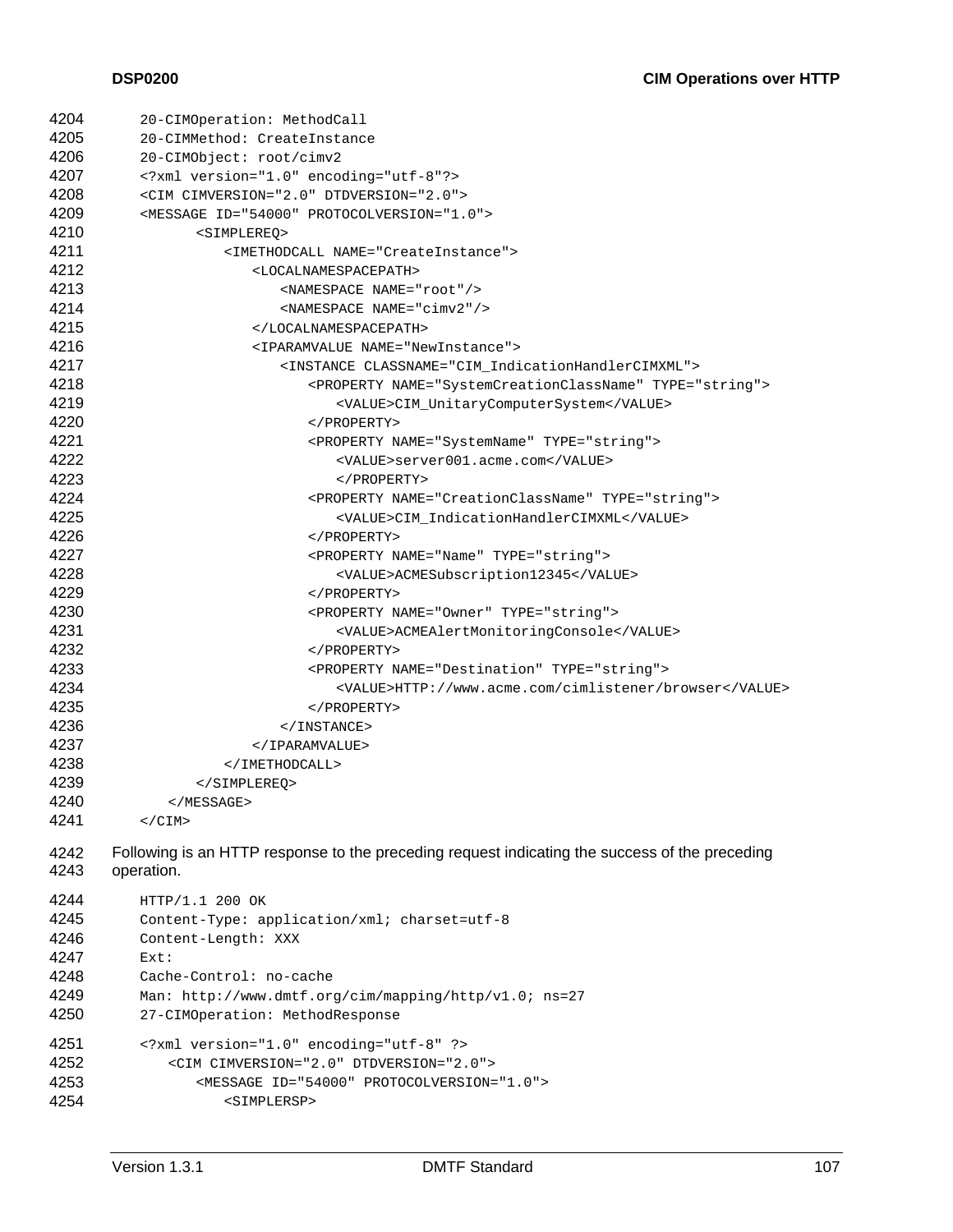| 4204 | 20-CIMOperation: MethodCall                                        |
|------|--------------------------------------------------------------------|
| 4205 | 20-CIMMethod: CreateInstance                                       |
| 4206 | 20-CIMObject: root/cimv2                                           |
| 4207 | xml version="1.0" encoding="utf-8"?                                |
| 4208 | <cim cimversion="2.0" dtdversion="2.0"></cim>                      |
| 4209 | <message id="54000" protocolversion="1.0"></message>               |
| 4210 | <simplereq></simplereq>                                            |
| 4211 | <imethodcall name="CreateInstance"></imethodcall>                  |
| 4212 | <localnamespacepath></localnamespacepath>                          |
| 4213 | <namespace name="root"></namespace>                                |
| 4214 | <namespace name="cimv2"></namespace>                               |
| 4215 |                                                                    |
| 4216 | <iparamvalue name="NewInstance"></iparamvalue>                     |
| 4217 | <instance classname="CIM_IndicationHandlerCIMXML"></instance>      |
| 4218 | <property name="SystemCreationClassName" type="string"></property> |
| 4219 | <value>CIM_UnitaryComputerSystem</value>                           |
| 4220 | $<$ /PROPERTY>                                                     |
| 4221 | <property name="SystemName" type="string"></property>              |
| 4222 | <value>server001.acme.com</value>                                  |
| 4223 | $<$ /PROPERTY>                                                     |
| 4224 | <property name="CreationClassName" type="string"></property>       |
| 4225 | <value>CIM IndicationHandlerCIMXML</value>                         |
| 4226 | $<$ /PROPERTY>                                                     |
| 4227 | <property name="Name" type="string"></property>                    |
| 4228 | <value>ACMESubscription12345</value>                               |
| 4229 | $<$ /PROPERTY>                                                     |
| 4230 | <property name="Owner" type="string"></property>                   |
| 4231 | <value>ACMEAlertMonitoringConsole</value>                          |
| 4232 | $<$ /PROPERTY>                                                     |
| 4233 | <property name="Destination" type="string"></property>             |
| 4234 | <value>HTTP://www.acme.com/cimlistener/browser</value>             |
| 4235 | $<$ /PROPERTY>                                                     |
| 4236 | $\langle$ /INSTANCE>                                               |
| 4237 |                                                                    |
| 4238 |                                                                    |
| 4239 |                                                                    |
| 4240 | $<$ /MESSAGE>                                                      |
| 4241 | $<$ /CIM $>$                                                       |
|      |                                                                    |

4242 4243 Following is an HTTP response to the preceding request indicating the success of the preceding operation.

```
4244 
4245 
4246 
4247 
4248 
4249 
4250 
4251 
4252 
4253 
4254 
           HTTP/1.1 200 OK
           Content-Type: application/xml; charset=utf-8
           Content-Length: XXX
          Ext:
           Cache-Control: no-cache
          Man: http://www.dmtf.org/cim/mapping/http/v1.0; ns=27
           27-CIMOperation: MethodResponse
           <?xml version="1.0" encoding="utf-8" ?>
               <CIM CIMVERSION="2.0" DTDVERSION="2.0">
                   <MESSAGE ID="54000" PROTOCOLVERSION="1.0">
                      <SIMPLERSP>
```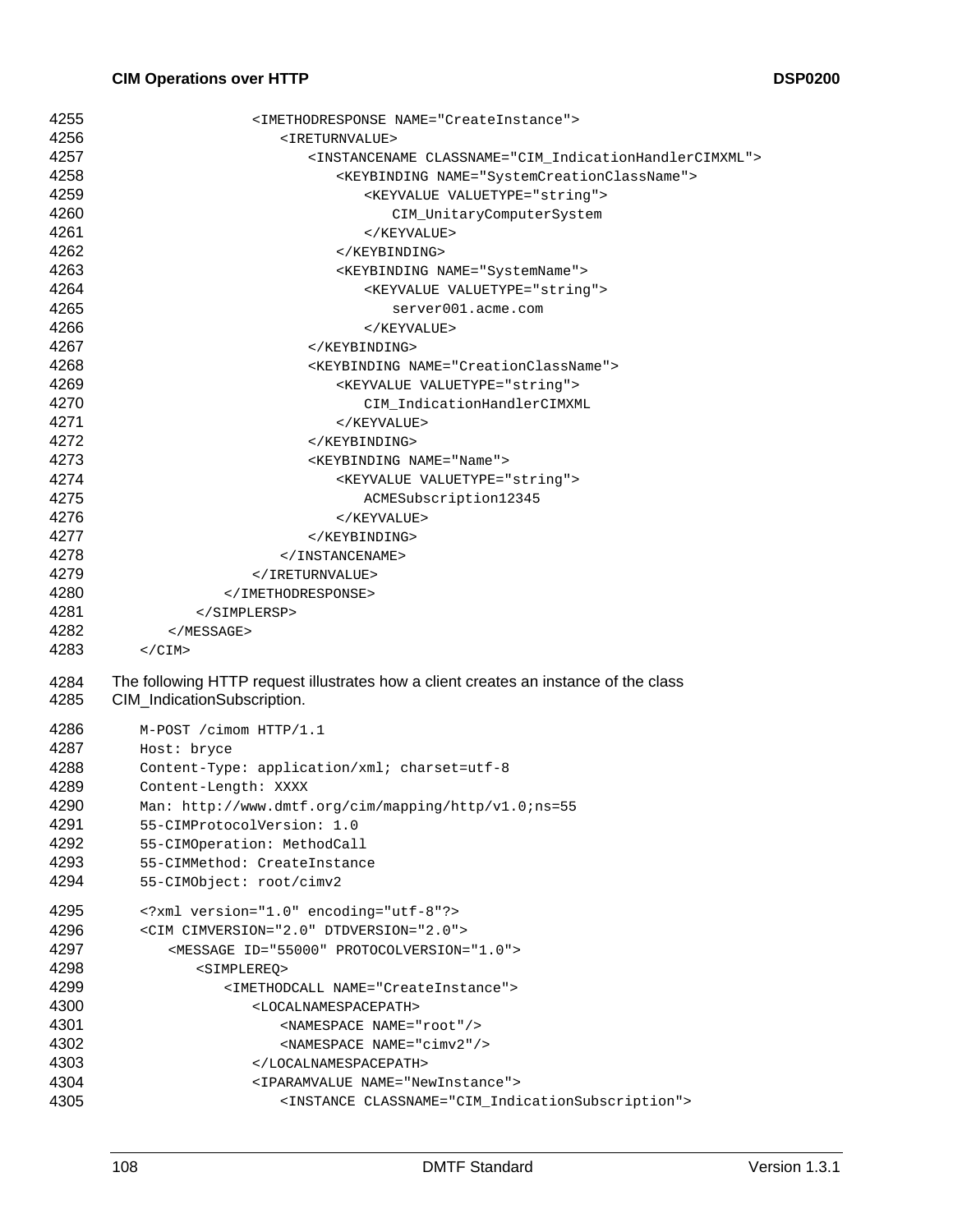| 4255         | <imethodresponse name="CreateInstance"></imethodresponse>                                                           |
|--------------|---------------------------------------------------------------------------------------------------------------------|
| 4256         | <ireturnvalue></ireturnvalue>                                                                                       |
| 4257         | <instancename classname="CIM_IndicationHandlerCIMXML"></instancename>                                               |
| 4258         | <keybinding name="SystemCreationClassName"></keybinding>                                                            |
| 4259         | <keyvalue valuetype="string"></keyvalue>                                                                            |
| 4260         | CIM_UnitaryComputerSystem                                                                                           |
| 4261         |                                                                                                                     |
| 4262         |                                                                                                                     |
| 4263         | <keybinding name="SystemName"></keybinding>                                                                         |
| 4264         | <keyvalue valuetype="string"></keyvalue>                                                                            |
| 4265         | server001.acme.com                                                                                                  |
| 4266         |                                                                                                                     |
| 4267         |                                                                                                                     |
| 4268         | <keybinding name="CreationClassName"></keybinding>                                                                  |
| 4269         | <keyvalue valuetype="string"></keyvalue>                                                                            |
| 4270         | CIM IndicationHandlerCIMXML                                                                                         |
| 4271         |                                                                                                                     |
| 4272         |                                                                                                                     |
| 4273         | <keybinding name="Name"></keybinding>                                                                               |
| 4274         | <keyvalue valuetype="string"></keyvalue>                                                                            |
| 4275         | ACMESubscription12345                                                                                               |
| 4276         |                                                                                                                     |
| 4277         |                                                                                                                     |
| 4278         |                                                                                                                     |
| 4279         |                                                                                                                     |
| 4280         |                                                                                                                     |
| 4281         |                                                                                                                     |
| 4282         | $\langle$ /MESSAGE>                                                                                                 |
| 4283         | $\langle$ /CIM $\rangle$                                                                                            |
|              |                                                                                                                     |
| 4284<br>4285 | The following HTTP request illustrates how a client creates an instance of the class<br>CIM_IndicationSubscription. |
|              |                                                                                                                     |
| 4286         | M-POST / cimom HTTP/1.1                                                                                             |
| 4287         | Host: bryce                                                                                                         |
| 4288         | Content-Type: application/xml; charset=utf-8                                                                        |
| 4289         | Content-Length: XXXX                                                                                                |
| 4290         | Man: http://www.dmtf.org/cim/mapping/http/v1.0;ns=55                                                                |
| 4291         | 55-CIMProtocolVersion: 1.0                                                                                          |
| 4292         | 55-CIMOperation: MethodCall                                                                                         |
| 4293         | 55-CIMMethod: CreateInstance                                                                                        |
| 4294         | 55-CIMObject: root/cimv2                                                                                            |
| 4295         | xml version="1.0" encoding="utf-8"?                                                                                 |
| 4296         | <cim cimversion="2.0" dtdversion="2.0"></cim>                                                                       |
| 4297         | <message id="55000" protocolversion="1.0"></message>                                                                |
| 4298         | <simplereq></simplereq>                                                                                             |
| 4299         | <imethodcall name="CreateInstance"></imethodcall>                                                                   |
| 4300         | <localnamespacepath></localnamespacepath>                                                                           |
| 4301         | <namespace name="root"></namespace>                                                                                 |
| 4302         | <namespace name="cimv2"></namespace>                                                                                |
| 4303         |                                                                                                                     |
| 4304         | <iparamvalue name="NewInstance"></iparamvalue>                                                                      |
| 4305         | <instance classname="CIM_IndicationSubscription"></instance>                                                        |
|              |                                                                                                                     |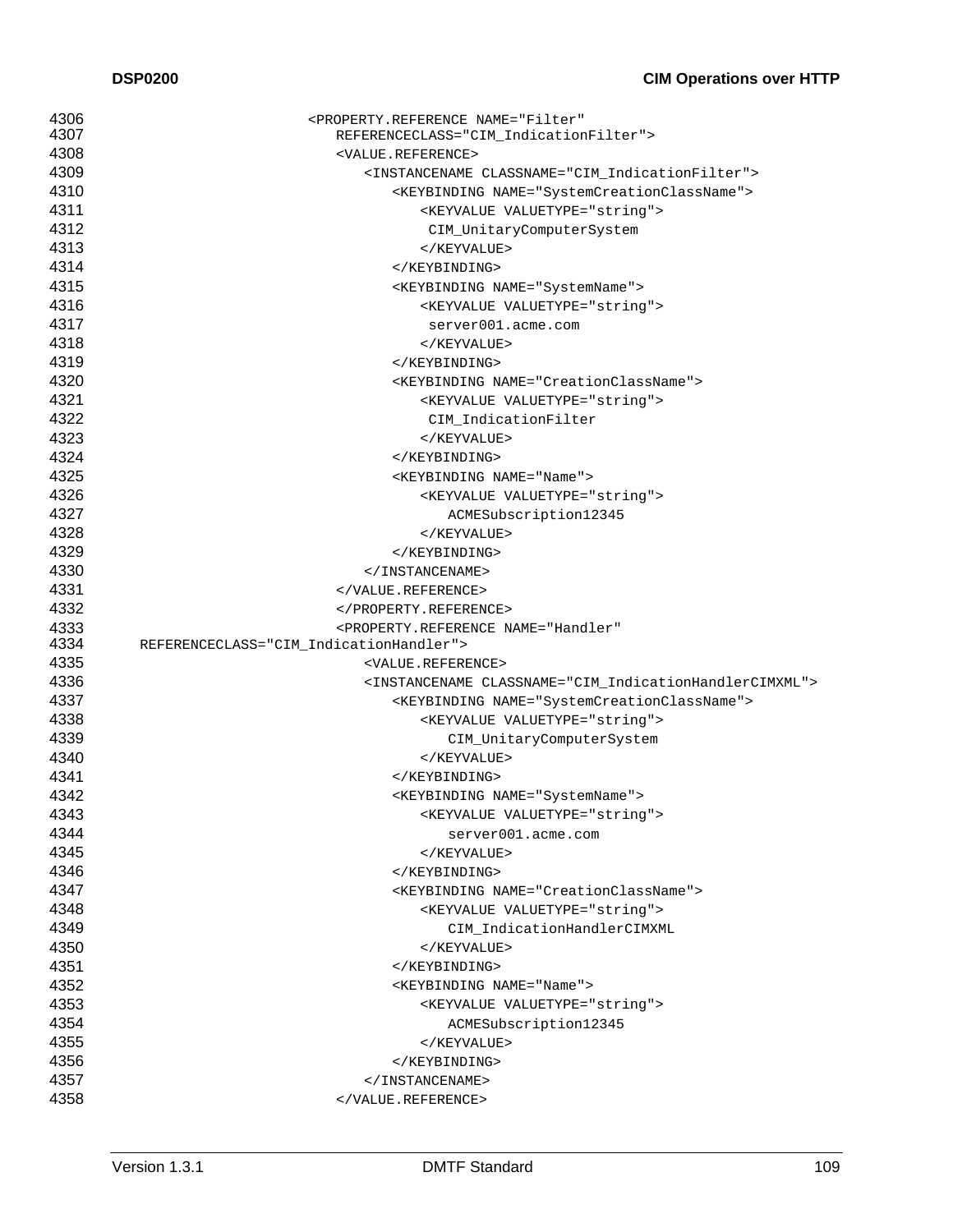| 4306         | <property.reference <="" name="Filter" th=""></property.reference>                                        |
|--------------|-----------------------------------------------------------------------------------------------------------|
| 4307         | REFERENCECLASS="CIM_IndicationFilter">                                                                    |
| 4308         | <value.reference></value.reference>                                                                       |
| 4309         | <instancename classname="CIM_IndicationFilter"></instancename>                                            |
| 4310         | <keybinding name="SystemCreationClassName"></keybinding>                                                  |
| 4311         | <keyvalue valuetype="string"></keyvalue>                                                                  |
| 4312         | CIM_UnitaryComputerSystem                                                                                 |
| 4313         |                                                                                                           |
| 4314         |                                                                                                           |
| 4315         | <keybinding name="SystemName"></keybinding>                                                               |
| 4316         | <keyvalue valuetype="string"></keyvalue>                                                                  |
| 4317         | server001.acme.com                                                                                        |
| 4318         |                                                                                                           |
| 4319         |                                                                                                           |
| 4320         | <keybinding name="CreationClassName"></keybinding>                                                        |
| 4321         | <keyvalue valuetype="string"></keyvalue>                                                                  |
| 4322         | CIM_IndicationFilter                                                                                      |
| 4323         |                                                                                                           |
| 4324         |                                                                                                           |
| 4325         | <keybinding name="Name"></keybinding>                                                                     |
| 4326         | <keyvalue valuetype="string"></keyvalue>                                                                  |
| 4327         | ACMESubscription12345                                                                                     |
| 4328         |                                                                                                           |
| 4329         |                                                                                                           |
| 4330         |                                                                                                           |
| 4331         |                                                                                                           |
| 4332         |                                                                                                           |
| 4333<br>4334 | <property.reference <br="" name="Handler">REFERENCECLASS="CIM_IndicationHandler"&gt;</property.reference> |
| 4335         | <value.reference></value.reference>                                                                       |
| 4336         | <instancename classname="CIM_IndicationHandlerCIMXML"></instancename>                                     |
| 4337         | <keybinding name="SystemCreationClassName"></keybinding>                                                  |
| 4338         | <keyvalue valuetype="string"></keyvalue>                                                                  |
| 4339         | CIM_UnitaryComputerSystem                                                                                 |
| 4340         |                                                                                                           |
| 4341         |                                                                                                           |
| 4342         | <keybinding name="SystemName"></keybinding>                                                               |
| 4343         | <keyvalue valuetype="string"></keyvalue>                                                                  |
| 4344         | server001.acme.com                                                                                        |
| 4345         |                                                                                                           |
| 4346         |                                                                                                           |
| 4347         | <keybinding name="CreationClassName"></keybinding>                                                        |
| 4348         | <keyvalue valuetype="string"></keyvalue>                                                                  |
| 4349         | CIM_IndicationHandlerCIMXML                                                                               |
| 4350         |                                                                                                           |
| 4351         |                                                                                                           |
| 4352         | <keybinding name="Name"></keybinding>                                                                     |
| 4353         | <keyvalue valuetype="string"></keyvalue>                                                                  |
| 4354         | ACMESubscription12345                                                                                     |
| 4355         |                                                                                                           |
| 4356         |                                                                                                           |
| 4357         |                                                                                                           |
| 4358         |                                                                                                           |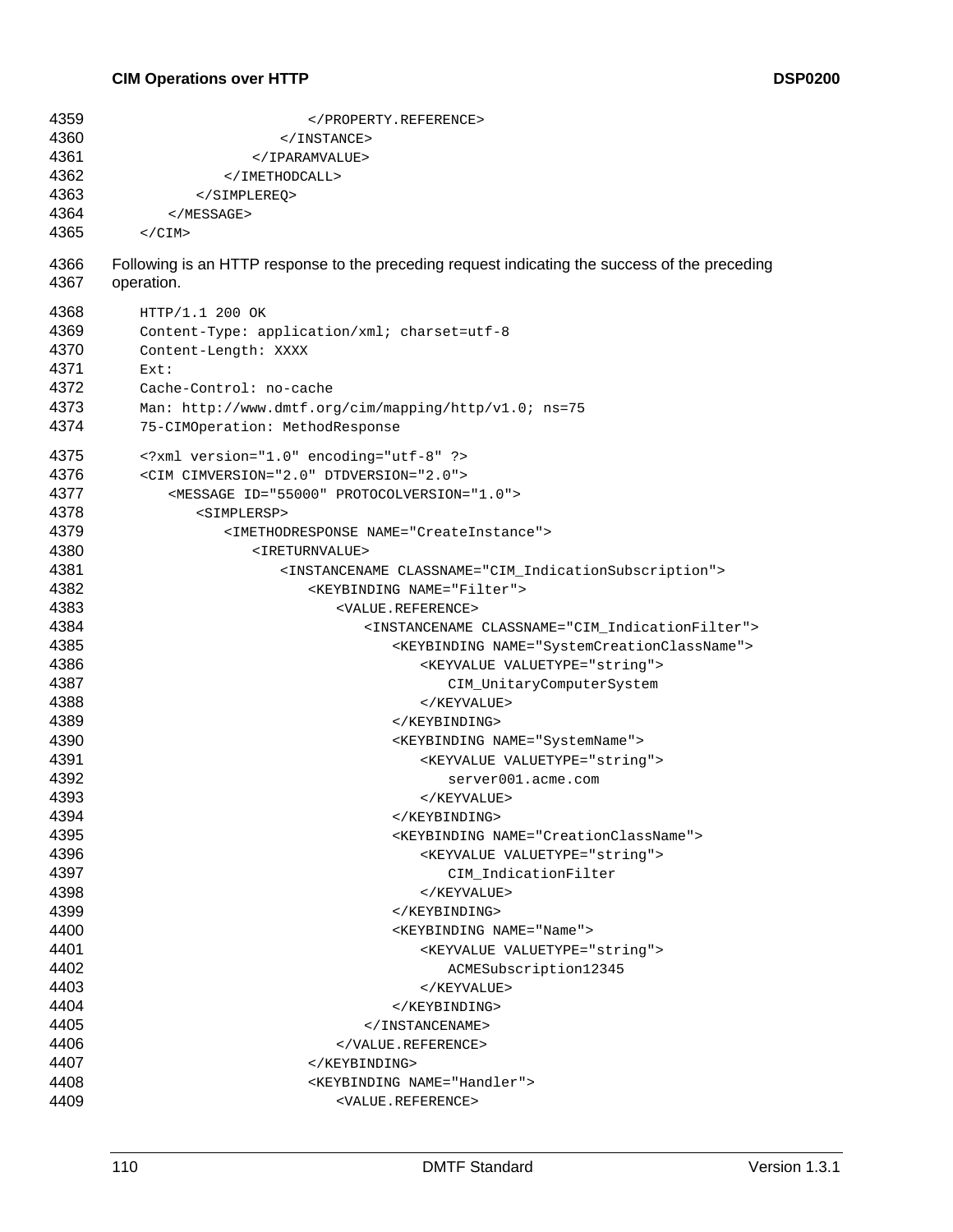```
4359 </PROPERTY.REFERENCE>
4360 
4361 
4362 
4363 
4364 
4365 
4366 
4367 
4368 
4369 
4370 
4371 
4372 
4373 
4374 
4375 
4376 
4377 
4378 
4379 
4380 
4381 
4382 
4383 
4384 
4385 
4386 
4387 
4388 
4389 
4390 
4391 
4392 
4393 
4394 
4395 
4396 
4397 
4398 
4399 
4400 
4401 
4402 
4403 
4404 
4405 
4406 
4407 
4408 
4409 
                               </INSTANCE>
                           </IPARAMVALUE>
                       </IMETHODCALL>
                   </SIMPLEREQ>
                </MESSAGE>
           </CIM>Following is an HTTP response to the preceding request indicating the success of the preceding 
        operation. 
           HTTP/1.1 200 OK
           Content-Type: application/xml; charset=utf-8
           Content-Length: XXXX
           Ext:
           Cache-Control: no-cache
           Man: http://www.dmtf.org/cim/mapping/http/v1.0; ns=75
           75-CIMOperation: MethodResponse
           <?xml version="1.0" encoding="utf-8" ?>
           <CIM CIMVERSION="2.0" DTDVERSION="2.0">
                <MESSAGE ID="55000" PROTOCOLVERSION="1.0">
                    <SIMPLERSP>
                       <IMETHODRESPONSE NAME="CreateInstance">
                           <IRETURNVALUE>
                              <INSTANCENAME CLASSNAME="CIM_IndicationSubscription">
                                  <KEYBINDING NAME="Filter">
                                      <VALUE.REFERENCE>
                                         <INSTANCENAME CLASSNAME="CIM_IndicationFilter">
                                             <KEYBINDING NAME="SystemCreationClassName">
                                                 <KEYVALUE VALUETYPE="string">
                                                    CIM_UnitaryComputerSystem
                                                </KEYVALUE>
                                             </KEYBINDING>
                                             <KEYBINDING NAME="SystemName">
                                                <KEYVALUE VALUETYPE="string">
                                                    server001.acme.com
                                                </KEYVALUE>
                                             </KEYBINDING>
                                             <KEYBINDING NAME="CreationClassName">
                                                 <KEYVALUE VALUETYPE="string">
                                                    CIM_IndicationFilter
                                                </KEYVALUE>
                                             </KEYBINDING>
                                             <KEYBINDING NAME="Name">
                                                 <KEYVALUE VALUETYPE="string">
                                                    ACMESubscription12345
                                                </KEYVALUE>
                                             </KEYBINDING>
                                         </INSTANCENAME>
                                      </VALUE.REFERENCE>
                                  </KEYBINDING>
                                  <KEYBINDING NAME="Handler">
                                      <VALUE.REFERENCE>
```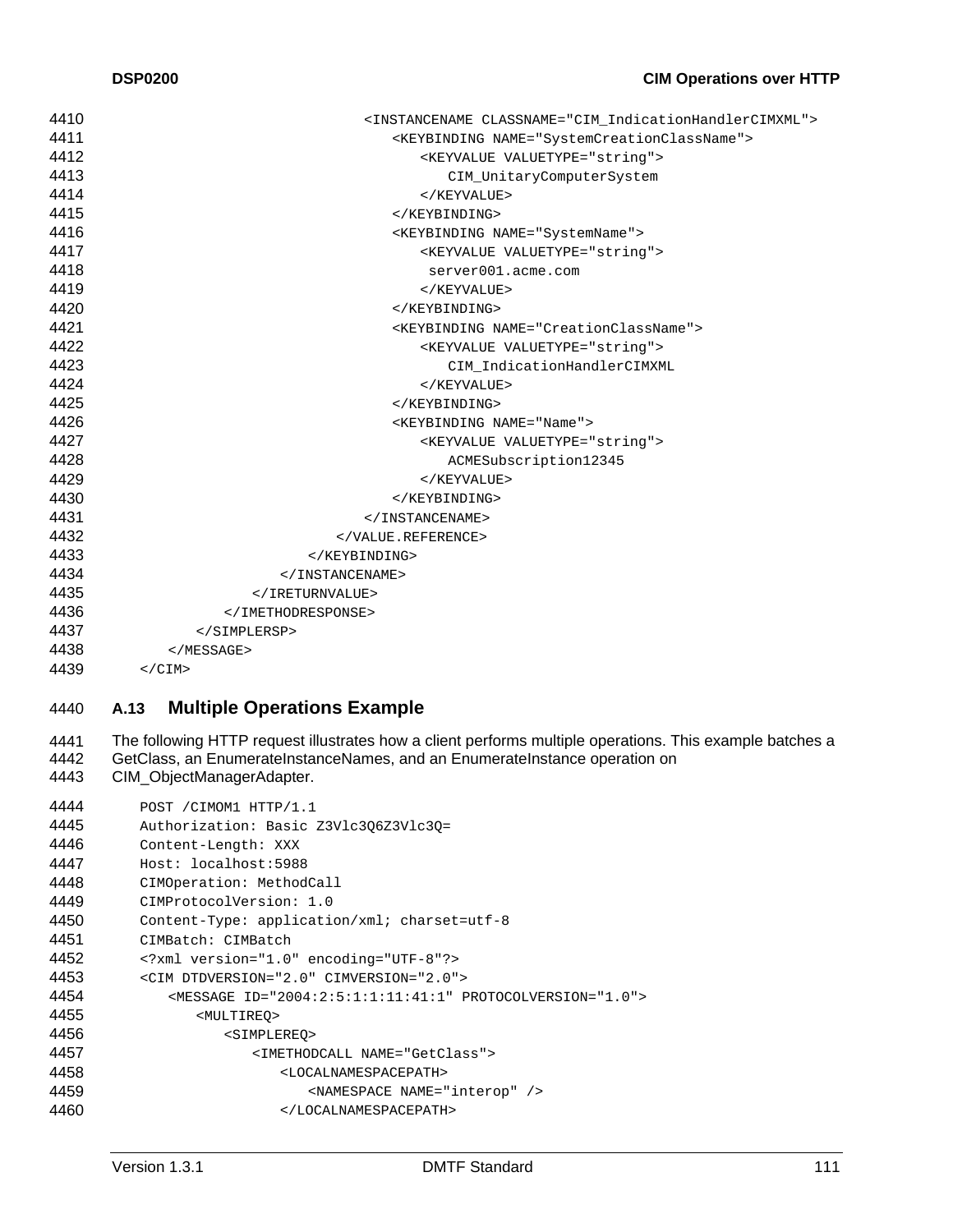| 4410 | <instancename classname="CIM_IndicationHandlerCIMXML"></instancename> |  |  |
|------|-----------------------------------------------------------------------|--|--|
| 4411 | <keybinding name="SystemCreationClassName"></keybinding>              |  |  |
| 4412 | <keyvalue valuetype="string"></keyvalue>                              |  |  |
| 4413 | CIM_UnitaryComputerSystem                                             |  |  |
| 4414 |                                                                       |  |  |
| 4415 |                                                                       |  |  |
| 4416 | <keybinding name="SystemName"></keybinding>                           |  |  |
| 4417 | <keyvalue valuetype="string"></keyvalue>                              |  |  |
| 4418 | server001.acme.com                                                    |  |  |
| 4419 |                                                                       |  |  |
| 4420 |                                                                       |  |  |
| 4421 | <keybinding name="CreationClassName"></keybinding>                    |  |  |
| 4422 | <keyvalue valuetype="string"></keyvalue>                              |  |  |
| 4423 | CIM IndicationHandlerCIMXML                                           |  |  |
| 4424 |                                                                       |  |  |
| 4425 |                                                                       |  |  |
| 4426 | <keybinding name="Name"></keybinding>                                 |  |  |
| 4427 | <keyvalue valuetype="string"></keyvalue>                              |  |  |
| 4428 | ACMESubscription12345                                                 |  |  |
| 4429 |                                                                       |  |  |
| 4430 |                                                                       |  |  |
| 4431 |                                                                       |  |  |
| 4432 |                                                                       |  |  |
| 4433 |                                                                       |  |  |
| 4434 |                                                                       |  |  |
| 4435 |                                                                       |  |  |
| 4436 |                                                                       |  |  |
| 4437 |                                                                       |  |  |
| 4438 | $<$ /MESSAGE>                                                         |  |  |
| 4439 | $<$ /CIM $>$                                                          |  |  |

# 4440 **A.13 Multiple Operations Example**

4441 The following HTTP request illustrates how a client performs multiple operations. This example batches a

- 4442 GetClass, an EnumerateInstanceNames, and an EnumerateInstance operation on
- 4443 CIM\_ObjectManagerAdapter.

| 4444 | POST / CIMOM1 HTTP/1.1                                              |
|------|---------------------------------------------------------------------|
| 4445 | Authorization: Basic Z3Vlc306Z3Vlc30=                               |
| 4446 | Content-Length: XXX                                                 |
| 4447 | Host: localhost: 5988                                               |
| 4448 | CIMOperation: MethodCall                                            |
| 4449 | CIMProtocolVersion: 1.0                                             |
| 4450 | Content-Type: application/xml; charset=utf-8                        |
| 4451 | CIMBatch: CIMBatch                                                  |
| 4452 | xml version="1.0" encoding="UTF-8"?                                 |
| 4453 | $\leq$ CIM DTDVERSION="2.0" CIMVERSION="2.0">                       |
| 4454 | <message id="2004:2:5:1:1:11:41:1" protocolversion="1.0"></message> |
| 4455 | <multireo></multireo>                                               |
| 4456 | <simplereo></simplereo>                                             |
| 4457 | <imethodcall name="GetClass"></imethodcall>                         |
| 4458 | <localnamespacepath></localnamespacepath>                           |
| 4459 | <namespace name="interop"></namespace>                              |
| 4460 |                                                                     |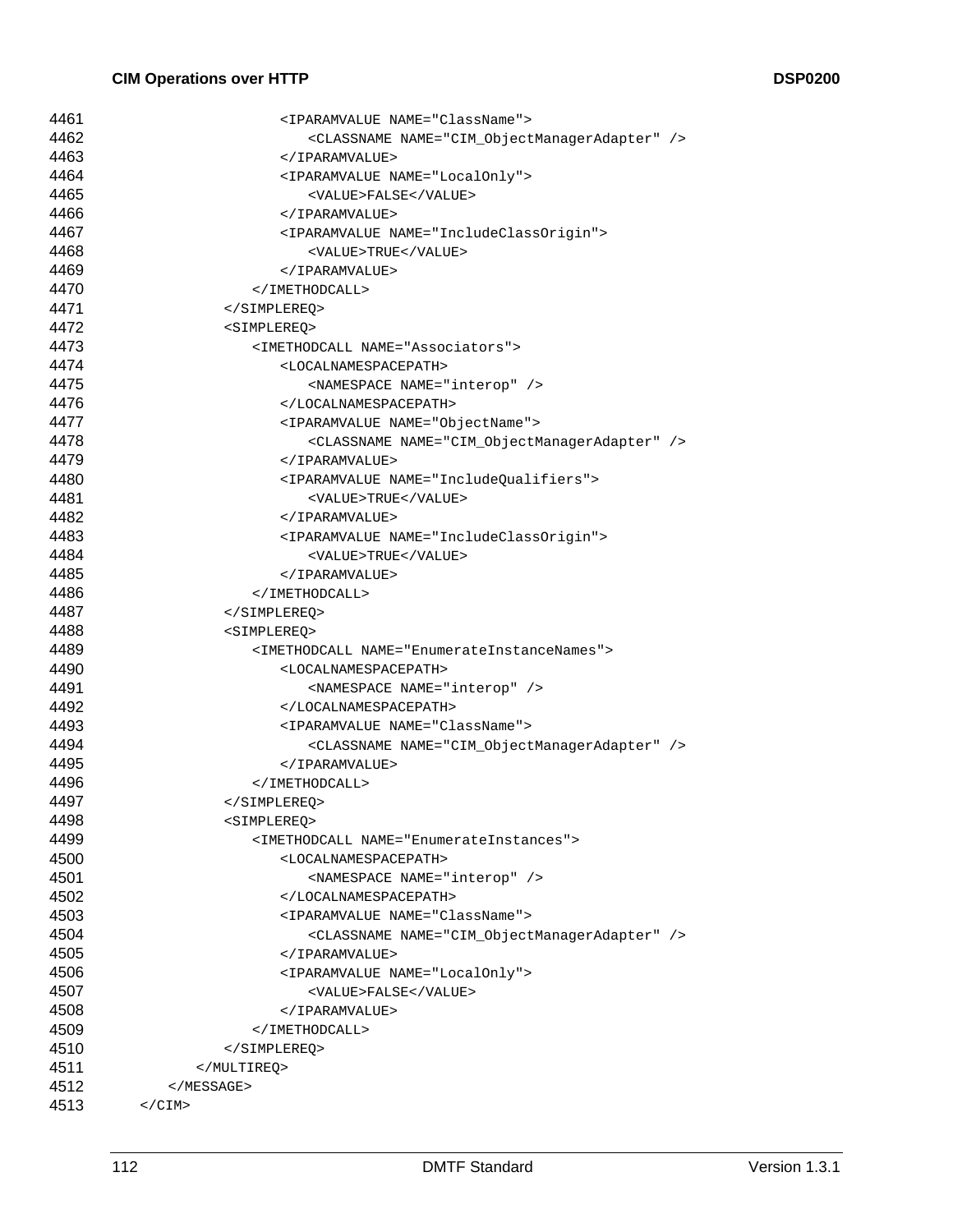# **CIM Operations over HTTP DSP0200**

| 4461 | <iparamvalue name="ClassName"></iparamvalue>              |  |
|------|-----------------------------------------------------------|--|
| 4462 |                                                           |  |
| 4463 |                                                           |  |
| 4464 | <iparamvalue name="LocalOnly"></iparamvalue>              |  |
| 4465 | <value>FALSE</value>                                      |  |
| 4466 |                                                           |  |
| 4467 | <iparamvalue name="IncludeClassOrigin"></iparamvalue>     |  |
| 4468 | <value>TRUE</value>                                       |  |
| 4469 |                                                           |  |
| 4470 |                                                           |  |
| 4471 |                                                           |  |
| 4472 | <simplereq></simplereq>                                   |  |
| 4473 | <imethodcall name="Associators"></imethodcall>            |  |
| 4474 | <localnamespacepath></localnamespacepath>                 |  |
| 4475 | <namespace name="interop"></namespace>                    |  |
| 4476 |                                                           |  |
| 4477 | <iparamvalue name="ObjectName"></iparamvalue>             |  |
| 4478 |                                                           |  |
| 4479 |                                                           |  |
| 4480 | <iparamvalue name="IncludeQualifiers"></iparamvalue>      |  |
| 4481 | <value>TRUE</value>                                       |  |
| 4482 |                                                           |  |
| 4483 | <iparamvalue name="IncludeClassOrigin"></iparamvalue>     |  |
| 4484 | <value>TRUE</value>                                       |  |
| 4485 |                                                           |  |
| 4486 |                                                           |  |
| 4487 | $\langle$ /SIMPLEREQ>                                     |  |
| 4488 | <simplereo></simplereo>                                   |  |
| 4489 | <imethodcall name="EnumerateInstanceNames"></imethodcall> |  |
| 4490 | <localnamespacepath></localnamespacepath>                 |  |
| 4491 | <namespace name="interop"></namespace>                    |  |
| 4492 |                                                           |  |
| 4493 | <iparamvalue name="ClassName"></iparamvalue>              |  |
| 4494 |                                                           |  |
| 4495 |                                                           |  |
| 4496 |                                                           |  |
| 4497 |                                                           |  |
| 4498 | <simplereq></simplereq>                                   |  |
| 4499 | <imethodcall name="EnumerateInstances"></imethodcall>     |  |
| 4500 | <localnamespacepath></localnamespacepath>                 |  |
| 4501 | <namespace name="interop"></namespace>                    |  |
| 4502 |                                                           |  |
| 4503 | <iparamvalue name="ClassName"></iparamvalue>              |  |
| 4504 |                                                           |  |
| 4505 |                                                           |  |
| 4506 | <iparamvalue name="LocalOnly"></iparamvalue>              |  |
| 4507 | <value>FALSE</value>                                      |  |
| 4508 |                                                           |  |
| 4509 |                                                           |  |
| 4510 |                                                           |  |
| 4511 |                                                           |  |
| 4512 |                                                           |  |
| 4513 | $\langle$ /CIM $\rangle$                                  |  |
|      |                                                           |  |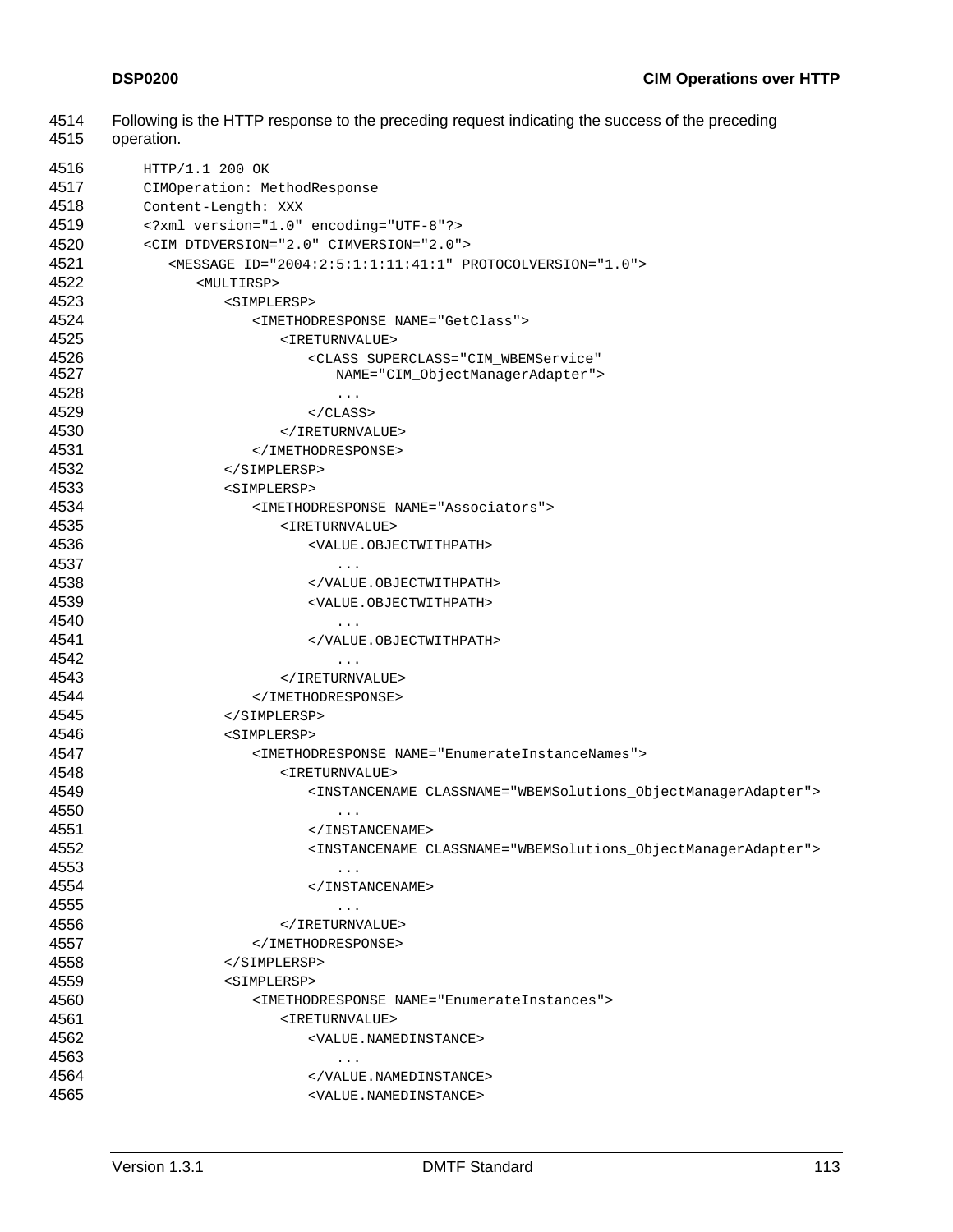| 4514<br>4515 | Following is the HTTP response to the preceding request indicating the success of the preceding<br>operation. |
|--------------|---------------------------------------------------------------------------------------------------------------|
| 4516         | HTTP/1.1 200 OK                                                                                               |
| 4517         | CIMOperation: MethodResponse                                                                                  |
| 4518         | Content-Length: XXX                                                                                           |
| 4519         | xml version="1.0" encoding="UTF-8"?                                                                           |
| 4520         | <cim cimversion="2.0" dtdversion="2.0"></cim>                                                                 |
| 4521         | <message id="2004:2:5:1:1:11:41:1" protocolversion="1.0"></message>                                           |
| 4522         | <multirsp></multirsp>                                                                                         |
| 4523         | <simplersp></simplersp>                                                                                       |
| 4524         | <imethodresponse name="GetClass"></imethodresponse>                                                           |
| 4525         | <ireturnvalue></ireturnvalue>                                                                                 |
| 4526         | <class <="" superclass="CIM_WBEMService" th=""></class>                                                       |
| 4527         | NAME="CIM_ObjectManagerAdapter">                                                                              |
| 4528         | $\cdots$                                                                                                      |
| 4529         | $\langle$ CLASS $>$                                                                                           |
| 4530         |                                                                                                               |
| 4531         |                                                                                                               |
| 4532         |                                                                                                               |
| 4533         | <simplersp></simplersp>                                                                                       |
| 4534         | <imethodresponse name="Associators"></imethodresponse>                                                        |
| 4535         | <ireturnvalue></ireturnvalue>                                                                                 |
| 4536         | <value.objectwithpath></value.objectwithpath>                                                                 |
| 4537         | .                                                                                                             |
| 4538         |                                                                                                               |
| 4539         | <value.objectwithpath></value.objectwithpath>                                                                 |
| 4540         | $\cdots$                                                                                                      |
| 4541         |                                                                                                               |
| 4542         | $\cdots$                                                                                                      |
| 4543         |                                                                                                               |
| 4544         |                                                                                                               |
| 4545         |                                                                                                               |
| 4546         | <simplersp></simplersp>                                                                                       |
| 4547         | <imethodresponse name="EnumerateInstanceNames"></imethodresponse>                                             |
| 4548         | <ireturnvalue></ireturnvalue>                                                                                 |
| 4549         | <instancename classname="WBEMSolutions_ObjectManagerAdapter"></instancename>                                  |
| 4550         | $\cdots$                                                                                                      |
| 4551         |                                                                                                               |
| 4552         | <instancename classname="WBEMSolutions_ObjectManagerAdapter"></instancename>                                  |
| 4553         | $\cdots$                                                                                                      |
| 4554         |                                                                                                               |
| 4555         | $\cdots$                                                                                                      |
| 4556         |                                                                                                               |
| 4557         |                                                                                                               |
| 4558         |                                                                                                               |
| 4559         | <simplersp></simplersp>                                                                                       |
| 4560         | <imethodresponse name="EnumerateInstances"></imethodresponse>                                                 |
| 4561         | <ireturnvalue></ireturnvalue>                                                                                 |
| 4562         | <value.namedinstance></value.namedinstance>                                                                   |
| 4563         | $\cdots$                                                                                                      |
| 4564         |                                                                                                               |
| 4565         | <value.namedinstance></value.namedinstance>                                                                   |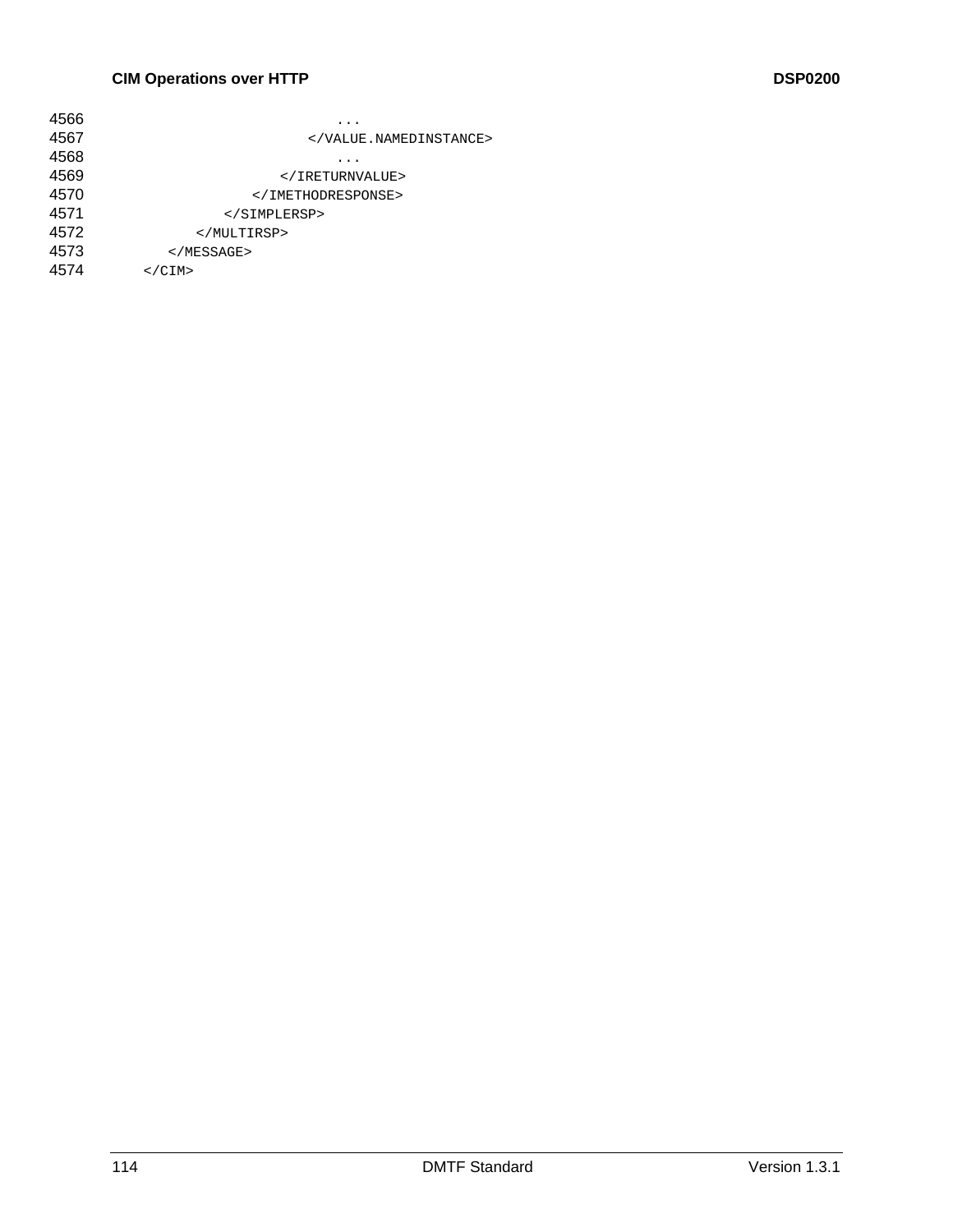| 4566 |                          |
|------|--------------------------|
| 4567 |                          |
| 4568 |                          |
| 4569 |                          |
| 4570 |                          |
| 4571 |                          |
| 4572 | $<$ /MULTIRSP>           |
| 4573 | $<$ /MESSAGE>            |
| 4574 | $\langle$ /CIM $\rangle$ |
|      |                          |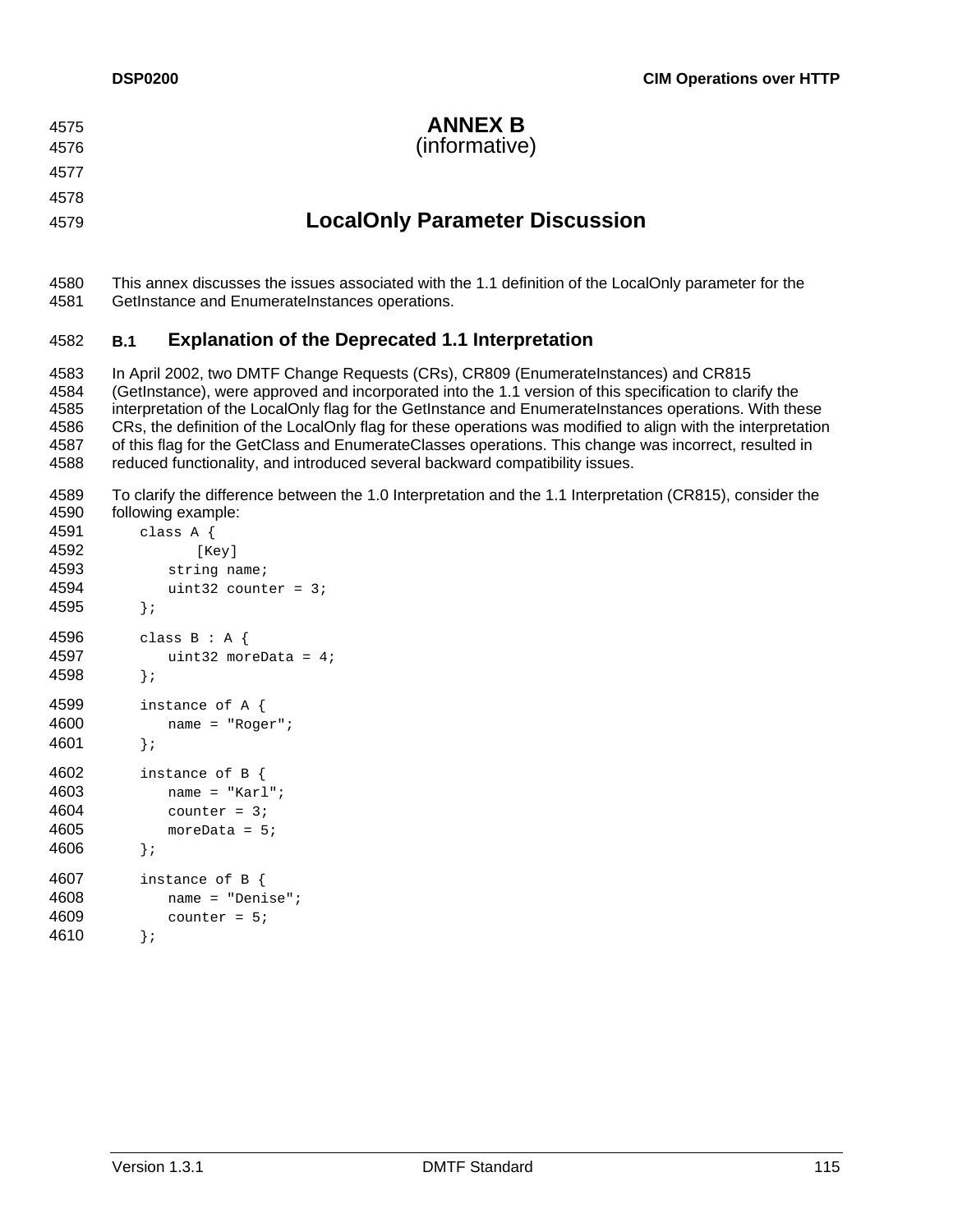| 4575<br>4576 | <b>ANNEX B</b><br>(informative)       |
|--------------|---------------------------------------|
| 4577         |                                       |
| 4578         |                                       |
| 4579         | <b>LocalOnly Parameter Discussion</b> |
|              |                                       |
|              |                                       |

4580 4581 This annex discusses the issues associated with the 1.1 definition of the LocalOnly parameter for the GetInstance and EnumerateInstances operations.

## 4582 **B.1 Explanation of the Deprecated 1.1 Interpretation**

4583 4584 4585 4586 4587 4588 In April 2002, two DMTF Change Requests (CRs), CR809 (EnumerateInstances) and CR815 (GetInstance), were approved and incorporated into the 1.1 version of this specification to clarify the interpretation of the LocalOnly flag for the GetInstance and EnumerateInstances operations. With these CRs, the definition of the LocalOnly flag for these operations was modified to align with the interpretation of this flag for the GetClass and EnumerateClasses operations. This change was incorrect, resulted in reduced functionality, and introduced several backward compatibility issues.

4589 4590 To clarify the difference between the 1.0 Interpretation and the 1.1 Interpretation (CR815), consider the following example:

```
4591 
4592 
4593 
4594 
4595 
4596 
4597 
4598 
4599 
4600 
4601 
4602 
4603 
4604 
4605 
4606 
4607 
4608 
4609 
4610 
            class A { 
                    [Key]
                 string name; 
                uint32 counter = 3i}; 
             class B : A { 
                 uint32 moreData = 4; 
             }; 
             instance of A { 
                 name = "Roger"; 
             }; 
             instance of B { 
                 name = "Karl"; 
                 counter = 3; 
                 moreData = 5; 
             }; 
             instance of B { 
                 name = "Denise"; 
                counter = 5;};
```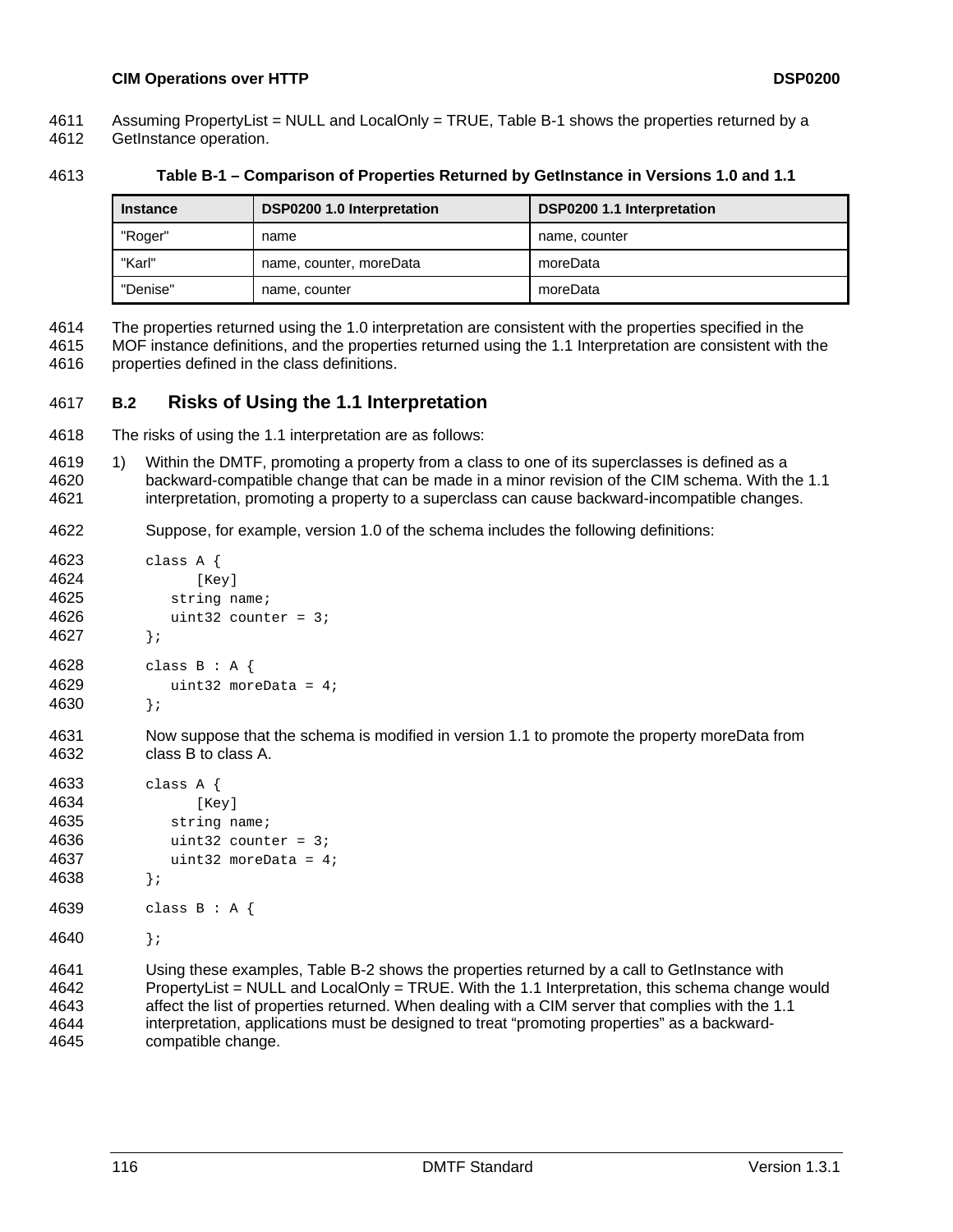- Assuming PropertyList = NULL and LocalOnly = TRUE, [Table B-1](#page-115-0) shows the properties returned by a 4611
- GetInstance operation. 4612

<span id="page-115-0"></span>4613 **Table B-1 – Comparison of Properties Returned by GetInstance in Versions 1.0 and 1.1** 

| <b>Instance</b> | <b>DSP0200 1.0 Interpretation</b> | <b>DSP0200 1.1 Interpretation</b> |
|-----------------|-----------------------------------|-----------------------------------|
| "Roger"         | name                              | name, counter                     |
| "Karl"          | name, counter, moreData           | moreData                          |
| "Denise"        | name, counter                     | moreData                          |

The properties returned using the 1.0 interpretation are consistent with the properties specified in the MOF instance definitions, and the properties returned using the 1.1 Interpretation are consistent with the properties defined in the class definitions. 4614 4615 4616

# 4617 **B.2 Risks of Using the 1.1 Interpretation**

- 4618 The risks of using the 1.1 interpretation are as follows:
- 4620 4621 4619 1) Within the DMTF, promoting a property from a class to one of its superclasses is defined as a backward-compatible change that can be made in a minor revision of the CIM schema. With the 1.1 interpretation, promoting a property to a superclass can cause backward-incompatible changes.
- 4622 Suppose, for example, version 1.0 of the schema includes the following definitions:

| 4623 | class $A \{$           |
|------|------------------------|
| 4624 | [Key]                  |
| 4625 | string name;           |
| 4626 | uint 32 counter = $3i$ |
| 4627 | $\}$ ;                 |
| 4628 | class $B : A$          |
| 4629 | uint32 moreData = $4i$ |

};

4630

4631 4632 Now suppose that the schema is modified in version 1.1 to promote the property moreData from class B to class A.

```
4633 
4634 
4635 
4636 
4637 
4638 
4639 
4640 
4641 
4642 
             class A { 
                     [Key] 
                  string name; 
                  uint32 counter = 3; 
                 uint32 moreData = 4i}; 
             class B : A { 
              };
```
4643 4644 4645 Using these examples, [Table B-2](#page-116-0) shows the properties returned by a call to GetInstance with PropertyList = NULL and LocalOnly = TRUE. With the 1.1 Interpretation, this schema change would affect the list of properties returned. When dealing with a CIM server that complies with the 1.1 interpretation, applications must be designed to treat "promoting properties" as a backwardcompatible change.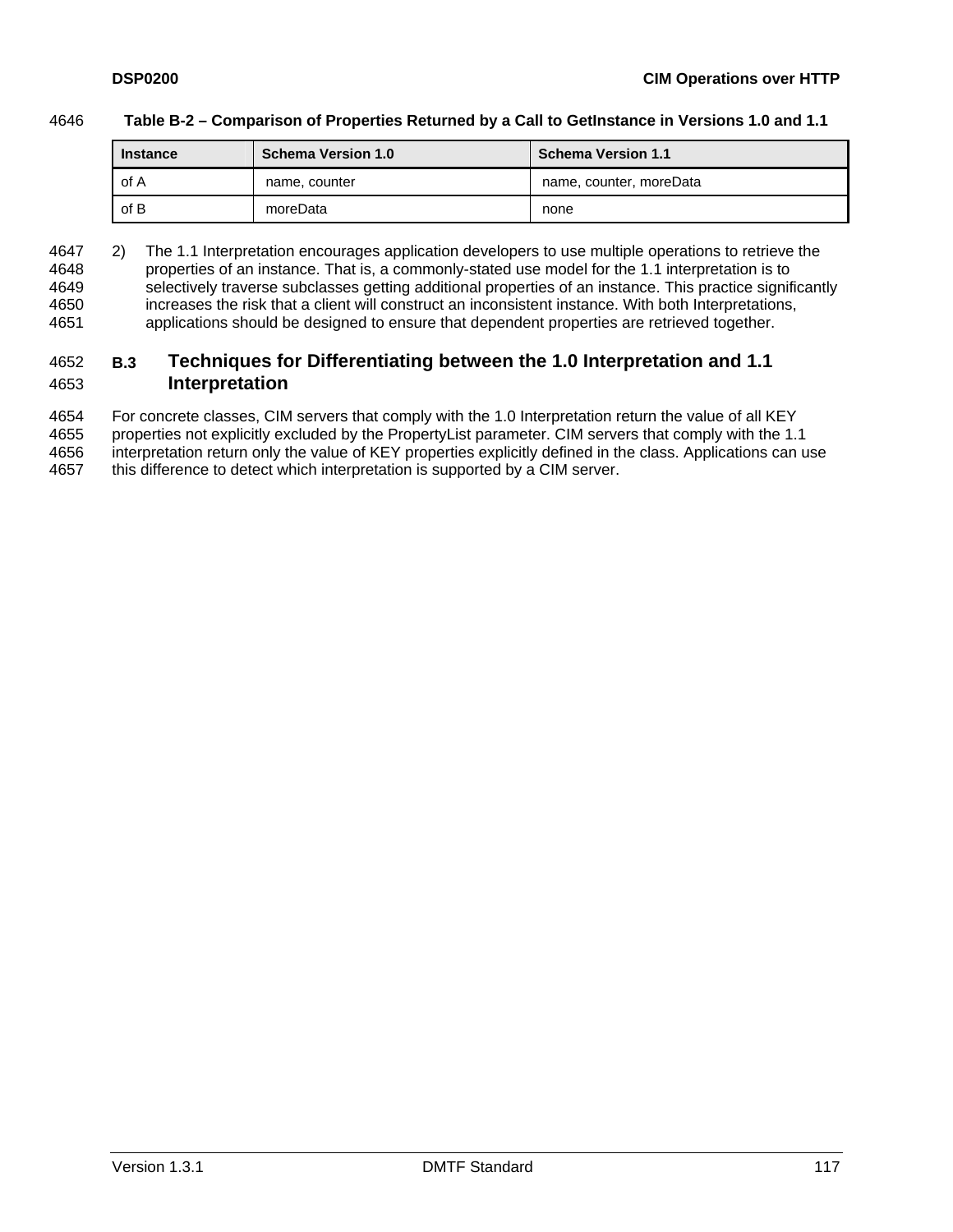### <span id="page-116-0"></span>4646 **Table B-2 – Comparison of Properties Returned by a Call to GetInstance in Versions 1.0 and 1.1**

| <b>Instance</b> | <b>Schema Version 1.0</b> | <b>Schema Version 1.1</b> |
|-----------------|---------------------------|---------------------------|
| of A            | name, counter             | name, counter, moreData   |
| of B            | moreData                  | none                      |

4647 2) The 1.1 Interpretation encourages application developers to use multiple operations to retrieve the properties of an instance. That is, a commonly-stated use model for the 1.1 interpretation is to selectively traverse subclasses getting additional properties of an instance. This practice significantly increases the risk that a client will construct an inconsistent instance. With both Interpretations, applications should be designed to ensure that dependent properties are retrieved together. 4648 4649 4650 4651

### 4653 4652 **B.3 Techniques for Differentiating between the 1.0 Interpretation and 1.1 Interpretation**

4654 For concrete classes, CIM servers that comply with the 1.0 Interpretation return the value of all KEY

4655 properties not explicitly excluded by the PropertyList parameter. CIM servers that comply with the 1.1

4656 4657 interpretation return only the value of KEY properties explicitly defined in the class. Applications can use this difference to detect which interpretation is supported by a CIM server.